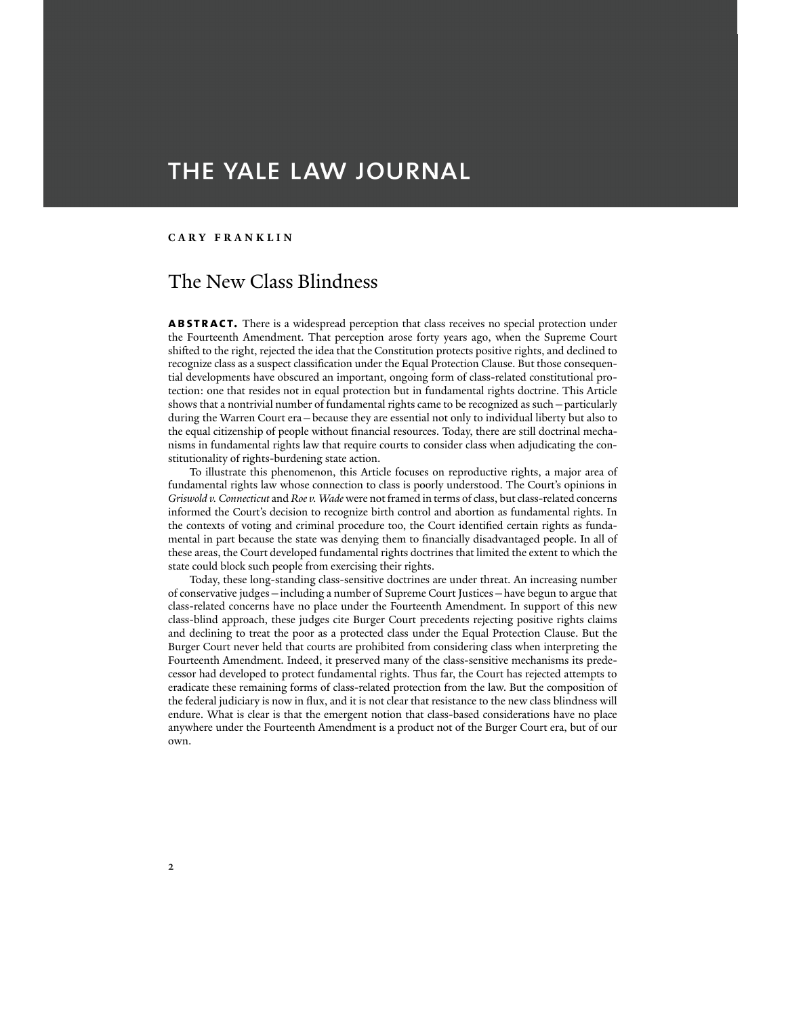# THE YALE LAW JOURNAL

#### **CARY FRANKLIN**

# The New Class Blindness

ABSTRACT. There is a widespread perception that class receives no special protection under the Fourteenth Amendment. That perception arose forty years ago, when the Supreme Court shifted to the right, rejected the idea that the Constitution protects positive rights, and declined to recognize class as a suspect classification under the Equal Protection Clause. But those consequential developments have obscured an important, ongoing form of class-related constitutional protection: one that resides not in equal protection but in fundamental rights doctrine. This Article shows that a nontrivial number of fundamental rights came to be recognized as such—particularly during the Warren Court era—because they are essential not only to individual liberty but also to the equal citizenship of people without financial resources. Today, there are still doctrinal mechanisms in fundamental rights law that require courts to consider class when adjudicating the constitutionality of rights-burdening state action.

 To illustrate this phenomenon, this Article focuses on reproductive rights, a major area of fundamental rights law whose connection to class is poorly understood. The Court's opinions in *Griswold v. Connecticut* and *Roe v. Wade* were not framed in terms of class, but class-related concerns informed the Court's decision to recognize birth control and abortion as fundamental rights. In the contexts of voting and criminal procedure too, the Court identified certain rights as fundamental in part because the state was denying them to financially disadvantaged people. In all of these areas, the Court developed fundamental rights doctrines that limited the extent to which the state could block such people from exercising their rights.

 Today, these long-standing class-sensitive doctrines are under threat. An increasing number of conservative judges—including a number of Supreme Court Justices—have begun to argue that class-related concerns have no place under the Fourteenth Amendment. In support of this new class-blind approach, these judges cite Burger Court precedents rejecting positive rights claims and declining to treat the poor as a protected class under the Equal Protection Clause. But the Burger Court never held that courts are prohibited from considering class when interpreting the Fourteenth Amendment. Indeed, it preserved many of the class-sensitive mechanisms its predecessor had developed to protect fundamental rights. Thus far, the Court has rejected attempts to eradicate these remaining forms of class-related protection from the law. But the composition of the federal judiciary is now in flux, and it is not clear that resistance to the new class blindness will endure. What is clear is that the emergent notion that class-based considerations have no place anywhere under the Fourteenth Amendment is a product not of the Burger Court era, but of our own.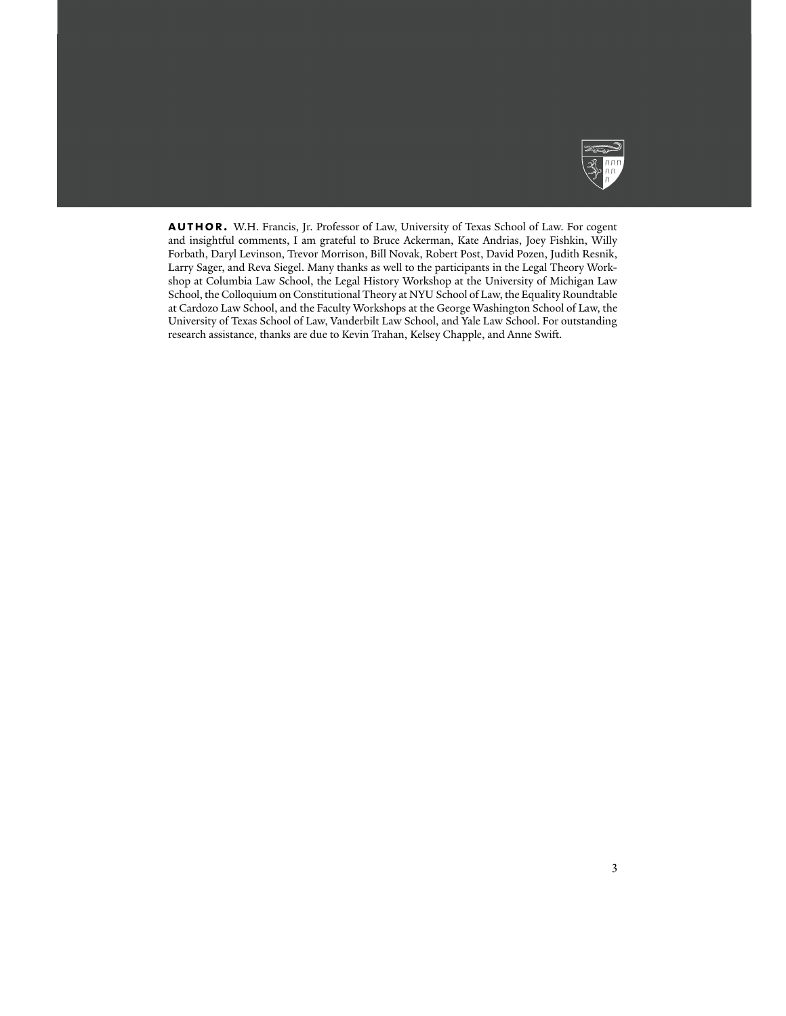

**author.** W.H. Francis, Jr. Professor of Law, University of Texas School of Law. For cogent and insightful comments, I am grateful to Bruce Ackerman, Kate Andrias, Joey Fishkin, Willy Forbath, Daryl Levinson, Trevor Morrison, Bill Novak, Robert Post, David Pozen, Judith Resnik, Larry Sager, and Reva Siegel. Many thanks as well to the participants in the Legal Theory Workshop at Columbia Law School, the Legal History Workshop at the University of Michigan Law School, the Colloquium on Constitutional Theory at NYU School of Law, the Equality Roundtable at Cardozo Law School, and the Faculty Workshops at the George Washington School of Law, the University of Texas School of Law, Vanderbilt Law School, and Yale Law School. For outstanding research assistance, thanks are due to Kevin Trahan, Kelsey Chapple, and Anne Swift.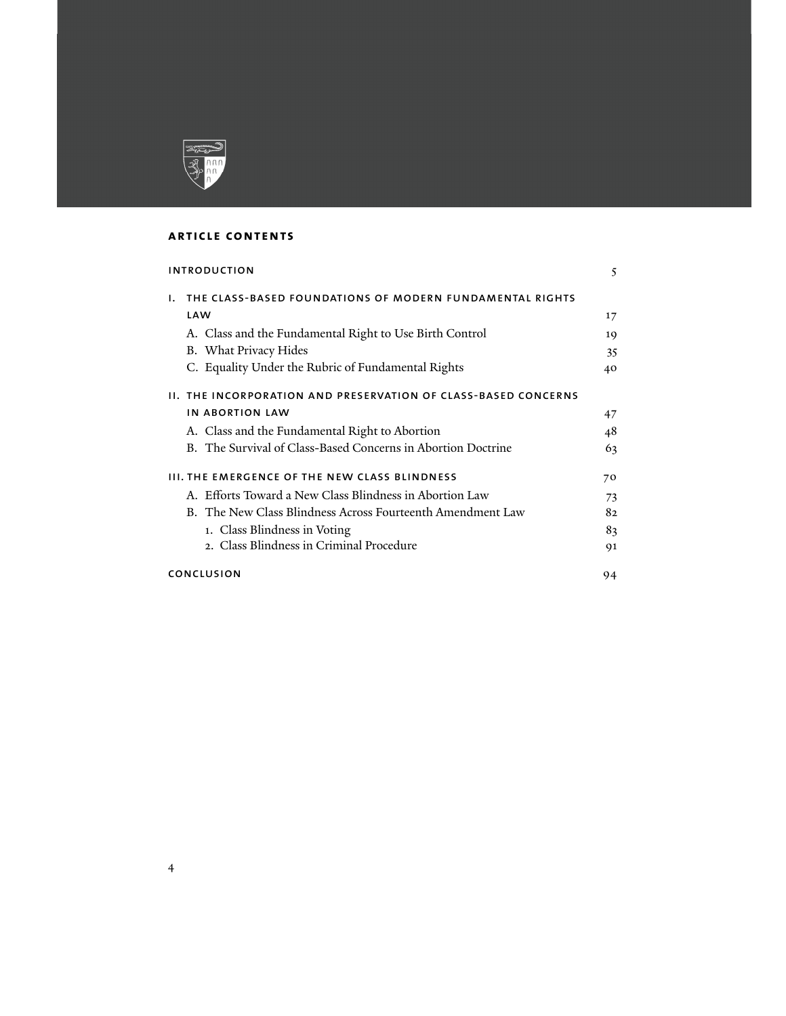

## **article contents**

| <b>INTRODUCTION</b>                                                   | 5  |
|-----------------------------------------------------------------------|----|
| THE CLASS-BASED FOUNDATIONS OF MODERN FUNDAMENTAL RIGHTS<br>L.        |    |
| LAW                                                                   | 17 |
| A. Class and the Fundamental Right to Use Birth Control               | 19 |
| B. What Privacy Hides                                                 | 35 |
| C. Equality Under the Rubric of Fundamental Rights                    | 40 |
| <b>II. THE INCORPORATION AND PRESERVATION OF CLASS-BASED CONCERNS</b> |    |
| <b>IN ABORTION LAW</b>                                                | 47 |
| A. Class and the Fundamental Right to Abortion                        | 48 |
| B. The Survival of Class-Based Concerns in Abortion Doctrine          | 63 |
| <b>III. THE EMERGENCE OF THE NEW CLASS BLINDNESS</b>                  | 70 |
| A. Efforts Toward a New Class Blindness in Abortion Law               | 73 |
| B. The New Class Blindness Across Fourteenth Amendment Law            | 82 |
| 1. Class Blindness in Voting                                          | 83 |
| 2. Class Blindness in Criminal Procedure                              | 91 |
| CONCLUSION                                                            | 94 |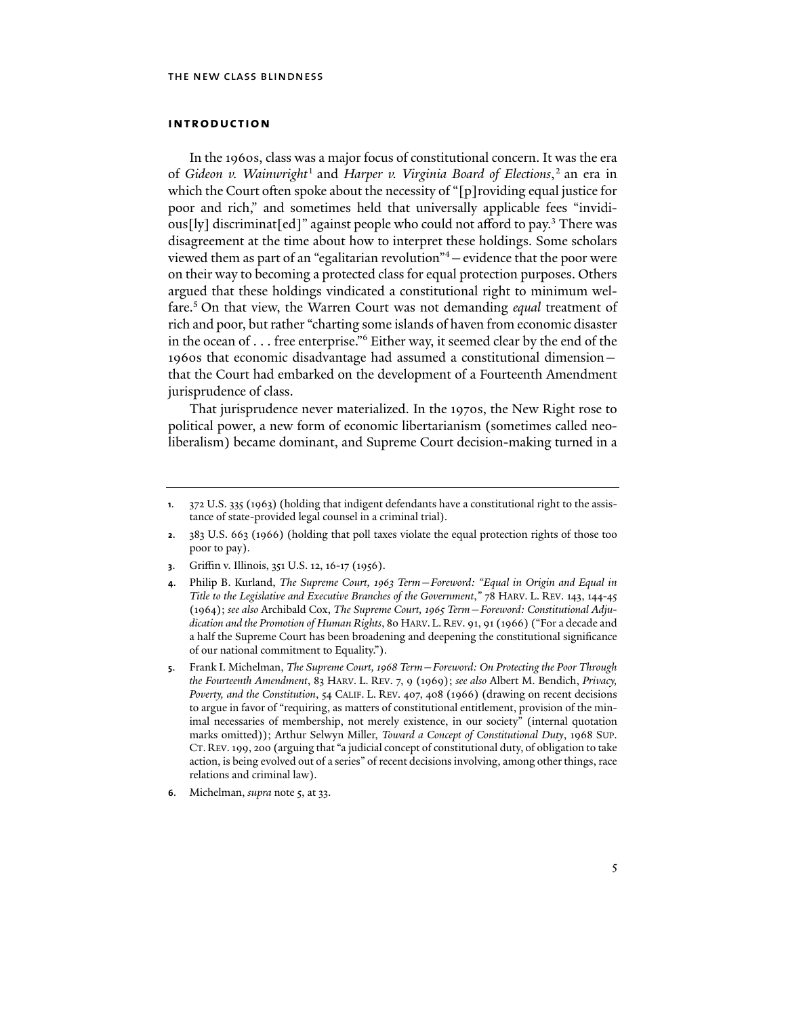#### **introduction**

In the 1960s, class was a major focus of constitutional concern. It was the era of *Gideon v. Wainwright*<sup>1</sup> and *Harper v. Virginia Board of Elections*, 2 an era in which the Court often spoke about the necessity of "[p]roviding equal justice for poor and rich," and sometimes held that universally applicable fees "invidious[ly] discriminat[ed]" against people who could not afford to pay.<sup>3</sup> There was disagreement at the time about how to interpret these holdings. Some scholars viewed them as part of an "egalitarian revolution"4 —evidence that the poor were on their way to becoming a protected class for equal protection purposes. Others argued that these holdings vindicated a constitutional right to minimum welfare.5 On that view, the Warren Court was not demanding *equal* treatment of rich and poor, but rather "charting some islands of haven from economic disaster in the ocean of . . . free enterprise."6 Either way, it seemed clear by the end of the 1960s that economic disadvantage had assumed a constitutional dimension that the Court had embarked on the development of a Fourteenth Amendment jurisprudence of class.

That jurisprudence never materialized. In the 1970s, the New Right rose to political power, a new form of economic libertarianism (sometimes called neoliberalism) became dominant, and Supreme Court decision-making turned in a

- **2**. 383 U.S. 663 (1966) (holding that poll taxes violate the equal protection rights of those too poor to pay).
- **3**. Griffin v. Illinois, 351 U.S. 12, 16-17 (1956).
- **4**. Philip B. Kurland, *The Supreme Court, 1963 Term—Foreword: "Equal in Origin and Equal in Title to the Legislative and Executive Branches of the Government*,*"* 78 HARV. L. REV. 143, 144-45 (1964); *see also* Archibald Cox, *The Supreme Court, 1965 Term—Foreword: Constitutional Adjudication and the Promotion of Human Rights*, 80 HARV. L. REV. 91, 91 (1966) ("For a decade and a half the Supreme Court has been broadening and deepening the constitutional significance of our national commitment to Equality.").
- **5**. Frank I. Michelman, *The Supreme Court, 1968 Term—Foreword: On Protecting the Poor Through the Fourteenth Amendment*, 83 HARV. L. REV. 7, 9 (1969); *see also* Albert M. Bendich, *Privacy, Poverty, and the Constitution*, 54 CALIF. L. REV. 407, 408 (1966) (drawing on recent decisions to argue in favor of "requiring, as matters of constitutional entitlement, provision of the minimal necessaries of membership, not merely existence, in our society" (internal quotation marks omitted)); Arthur Selwyn Miller, *Toward a Concept of Constitutional Duty*, 1968 SUP. CT. REV. 199, 200 (arguing that "a judicial concept of constitutional duty, of obligation to take action, is being evolved out of a series" of recent decisions involving, among other things, race relations and criminal law).
- **6**. Michelman, *supra* note 5, at 33.

**<sup>1</sup>**. 372 U.S. 335 (1963) (holding that indigent defendants have a constitutional right to the assistance of state-provided legal counsel in a criminal trial).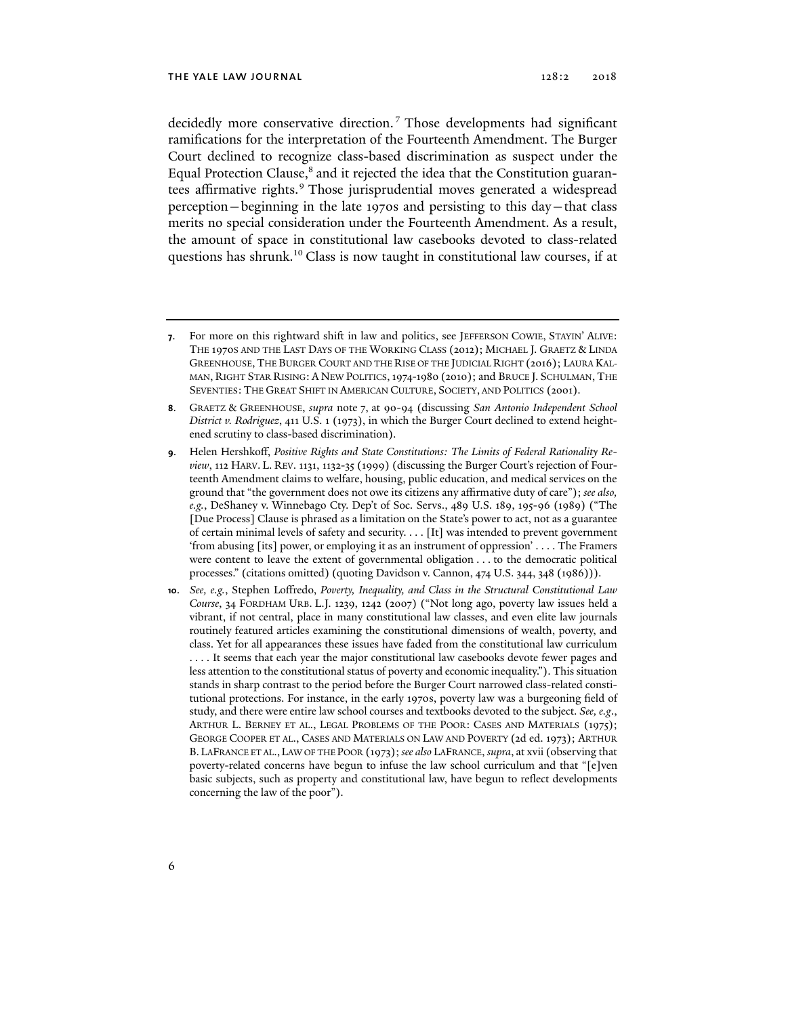decidedly more conservative direction. <sup>7</sup> Those developments had significant ramifications for the interpretation of the Fourteenth Amendment. The Burger Court declined to recognize class-based discrimination as suspect under the Equal Protection Clause,<sup>8</sup> and it rejected the idea that the Constitution guarantees affirmative rights.<sup>9</sup> Those jurisprudential moves generated a widespread perception—beginning in the late 1970s and persisting to this day—that class merits no special consideration under the Fourteenth Amendment. As a result, the amount of space in constitutional law casebooks devoted to class-related questions has shrunk.10 Class is now taught in constitutional law courses, if at

**<sup>7</sup>**. For more on this rightward shift in law and politics, see JEFFERSON COWIE, STAYIN' ALIVE: THE 1970S AND THE LAST DAYS OF THE WORKING CLASS (2012); MICHAEL J. GRAETZ & LINDA GREENHOUSE, THE BURGER COURT AND THE RISE OF THE JUDICIAL RIGHT (2016); LAURA KAL-MAN, RIGHT STAR RISING: A NEW POLITICS,1974-1980 (2010); and BRUCE J. SCHULMAN, THE SEVENTIES: THE GREAT SHIFT IN AMERICAN CULTURE, SOCIETY, AND POLITICS (2001).

**<sup>8</sup>**. GRAETZ & GREENHOUSE, *supra* note 7, at 90-94 (discussing *San Antonio Independent School District v. Rodriguez*, 411 U.S. 1 (1973), in which the Burger Court declined to extend heightened scrutiny to class-based discrimination).

**<sup>9</sup>**. Helen Hershkoff, *Positive Rights and State Constitutions: The Limits of Federal Rationality Review*, 112 HARV. L. REV. 1131, 1132-35 (1999) (discussing the Burger Court's rejection of Fourteenth Amendment claims to welfare, housing, public education, and medical services on the ground that "the government does not owe its citizens any affirmative duty of care"); *see also, e.g.*, DeShaney v. Winnebago Cty. Dep't of Soc. Servs., 489 U.S. 189, 195-96 (1989) ("The [Due Process] Clause is phrased as a limitation on the State's power to act, not as a guarantee of certain minimal levels of safety and security. . . . [It] was intended to prevent government 'from abusing [its] power, or employing it as an instrument of oppression' . . . . The Framers were content to leave the extent of governmental obligation . . . to the democratic political processes." (citations omitted) (quoting Davidson v. Cannon, 474 U.S. 344, 348 (1986))).

**<sup>10</sup>**. *See, e.g.*, Stephen Loffredo, *Poverty, Inequality, and Class in the Structural Constitutional Law Course*, 34 FORDHAM URB. L.J. 1239, 1242 (2007) ("Not long ago, poverty law issues held a vibrant, if not central, place in many constitutional law classes, and even elite law journals routinely featured articles examining the constitutional dimensions of wealth, poverty, and class. Yet for all appearances these issues have faded from the constitutional law curriculum . . . . It seems that each year the major constitutional law casebooks devote fewer pages and less attention to the constitutional status of poverty and economic inequality."). This situation stands in sharp contrast to the period before the Burger Court narrowed class-related constitutional protections. For instance, in the early 1970s, poverty law was a burgeoning field of study, and there were entire law school courses and textbooks devoted to the subject. *See, e.g*., ARTHUR L. BERNEY ET AL., LEGAL PROBLEMS OF THE POOR: CASES AND MATERIALS (1975); GEORGE COOPER ET AL., CASES AND MATERIALS ON LAW AND POVERTY (2d ed. 1973); ARTHUR B. LAFRANCE ET AL., LAW OF THE POOR (1973); *see also* LAFRANCE, *supra*, at xvii (observing that poverty-related concerns have begun to infuse the law school curriculum and that "[e]ven basic subjects, such as property and constitutional law, have begun to reflect developments concerning the law of the poor").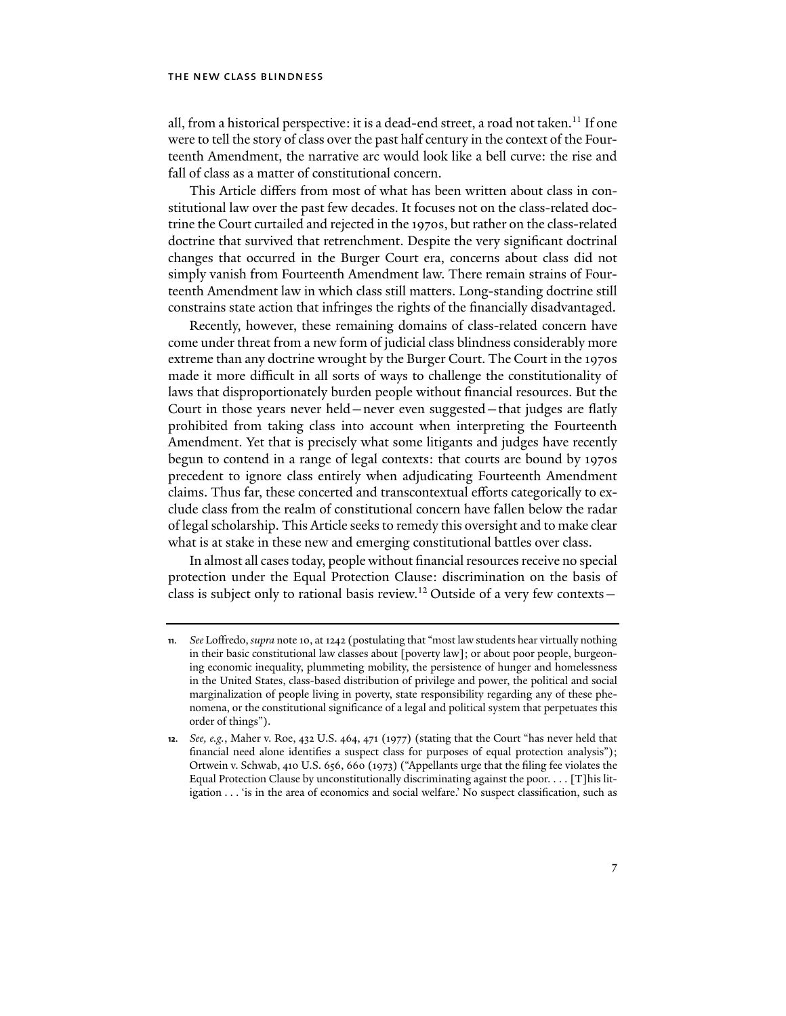all, from a historical perspective: it is a dead-end street, a road not taken.<sup>11</sup> If one were to tell the story of class over the past half century in the context of the Fourteenth Amendment, the narrative arc would look like a bell curve: the rise and fall of class as a matter of constitutional concern.

This Article differs from most of what has been written about class in constitutional law over the past few decades. It focuses not on the class-related doctrine the Court curtailed and rejected in the 1970s, but rather on the class-related doctrine that survived that retrenchment. Despite the very significant doctrinal changes that occurred in the Burger Court era, concerns about class did not simply vanish from Fourteenth Amendment law. There remain strains of Fourteenth Amendment law in which class still matters. Long-standing doctrine still constrains state action that infringes the rights of the financially disadvantaged.

Recently, however, these remaining domains of class-related concern have come under threat from a new form of judicial class blindness considerably more extreme than any doctrine wrought by the Burger Court. The Court in the 1970s made it more difficult in all sorts of ways to challenge the constitutionality of laws that disproportionately burden people without financial resources. But the Court in those years never held—never even suggested—that judges are flatly prohibited from taking class into account when interpreting the Fourteenth Amendment. Yet that is precisely what some litigants and judges have recently begun to contend in a range of legal contexts: that courts are bound by 1970s precedent to ignore class entirely when adjudicating Fourteenth Amendment claims. Thus far, these concerted and transcontextual efforts categorically to exclude class from the realm of constitutional concern have fallen below the radar of legal scholarship. This Article seeks to remedy this oversight and to make clear what is at stake in these new and emerging constitutional battles over class.

In almost all cases today, people without financial resources receive no special protection under the Equal Protection Clause: discrimination on the basis of class is subject only to rational basis review.12 Outside of a very few contexts—

**<sup>11</sup>***. See* Loffredo, *supra* note 10, at 1242 (postulating that "most law students hear virtually nothing in their basic constitutional law classes about [poverty law]; or about poor people, burgeoning economic inequality, plummeting mobility, the persistence of hunger and homelessness in the United States, class-based distribution of privilege and power, the political and social marginalization of people living in poverty, state responsibility regarding any of these phenomena, or the constitutional significance of a legal and political system that perpetuates this order of things").

**<sup>12</sup>***. See, e.g.*, Maher v. Roe, 432 U.S. 464, 471 (1977) (stating that the Court "has never held that financial need alone identifies a suspect class for purposes of equal protection analysis"); Ortwein v. Schwab, 410 U.S. 656, 660 (1973) ("Appellants urge that the filing fee violates the Equal Protection Clause by unconstitutionally discriminating against the poor.  $\dots$  [T]his litigation . . . 'is in the area of economics and social welfare.' No suspect classification, such as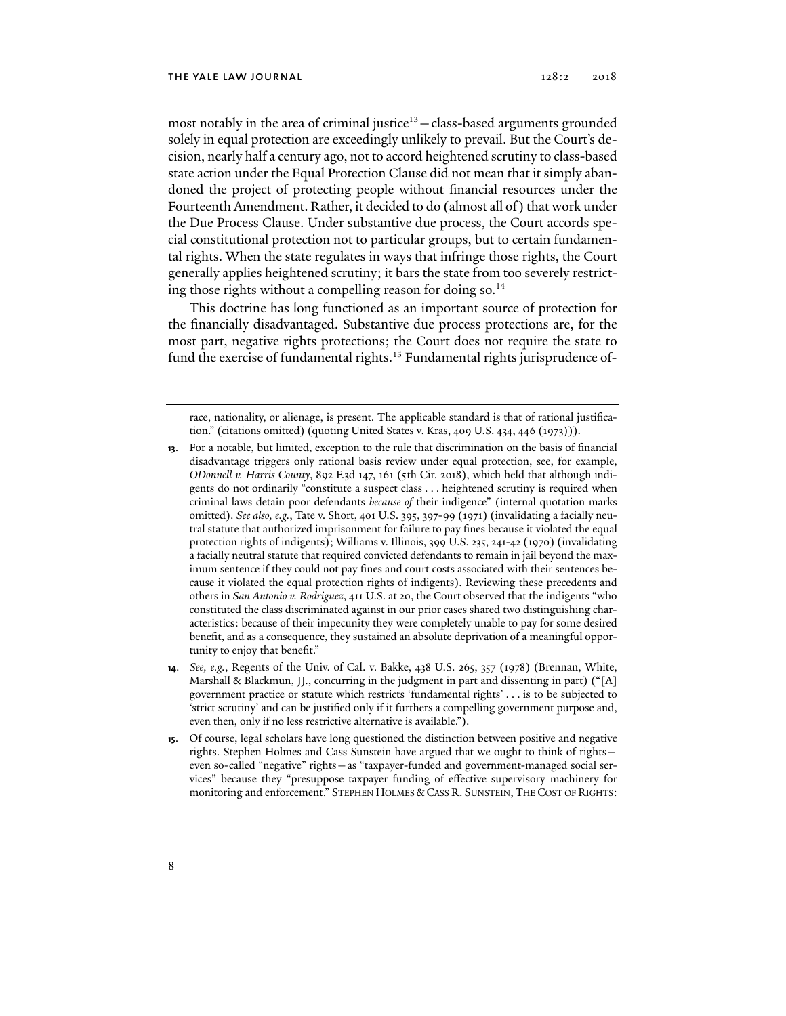most notably in the area of criminal justice $13$  - class-based arguments grounded solely in equal protection are exceedingly unlikely to prevail. But the Court's decision, nearly half a century ago, not to accord heightened scrutiny to class-based state action under the Equal Protection Clause did not mean that it simply abandoned the project of protecting people without financial resources under the Fourteenth Amendment. Rather, it decided to do (almost all of) that work under the Due Process Clause. Under substantive due process, the Court accords special constitutional protection not to particular groups, but to certain fundamental rights. When the state regulates in ways that infringe those rights, the Court generally applies heightened scrutiny; it bars the state from too severely restricting those rights without a compelling reason for doing so.<sup>14</sup>

This doctrine has long functioned as an important source of protection for the financially disadvantaged. Substantive due process protections are, for the most part, negative rights protections; the Court does not require the state to fund the exercise of fundamental rights.<sup>15</sup> Fundamental rights jurisprudence of-

**15**. Of course, legal scholars have long questioned the distinction between positive and negative rights. Stephen Holmes and Cass Sunstein have argued that we ought to think of rights even so-called "negative" rights—as "taxpayer-funded and government-managed social services" because they "presuppose taxpayer funding of effective supervisory machinery for monitoring and enforcement." STEPHEN HOLMES & CASS R. SUNSTEIN, THE COST OF RIGHTS:

race, nationality, or alienage, is present. The applicable standard is that of rational justification." (citations omitted) (quoting United States v. Kras, 409 U.S. 434, 446 (1973))).

**<sup>13</sup>**. For a notable, but limited, exception to the rule that discrimination on the basis of financial disadvantage triggers only rational basis review under equal protection, see, for example, *ODonnell v. Harris County*, 892 F.3d 147, 161 (5th Cir. 2018), which held that although indigents do not ordinarily "constitute a suspect class . . . heightened scrutiny is required when criminal laws detain poor defendants *because of* their indigence" (internal quotation marks omitted). *See also, e.g.*, Tate v. Short, 401 U.S. 395, 397-99 (1971) (invalidating a facially neutral statute that authorized imprisonment for failure to pay fines because it violated the equal protection rights of indigents); Williams v. Illinois, 399 U.S. 235, 241-42 (1970) (invalidating a facially neutral statute that required convicted defendants to remain in jail beyond the maximum sentence if they could not pay fines and court costs associated with their sentences because it violated the equal protection rights of indigents). Reviewing these precedents and others in *San Antonio v. Rodriguez*, 411 U.S. at 20, the Court observed that the indigents "who constituted the class discriminated against in our prior cases shared two distinguishing characteristics: because of their impecunity they were completely unable to pay for some desired benefit, and as a consequence, they sustained an absolute deprivation of a meaningful opportunity to enjoy that benefit."

**<sup>14</sup>**. *See, e.g.*, Regents of the Univ. of Cal. v. Bakke, 438 U.S. 265, 357 (1978) (Brennan, White, Marshall & Blackmun, II., concurring in the judgment in part and dissenting in part) ("[A] government practice or statute which restricts 'fundamental rights' . . . is to be subjected to 'strict scrutiny' and can be justified only if it furthers a compelling government purpose and, even then, only if no less restrictive alternative is available.").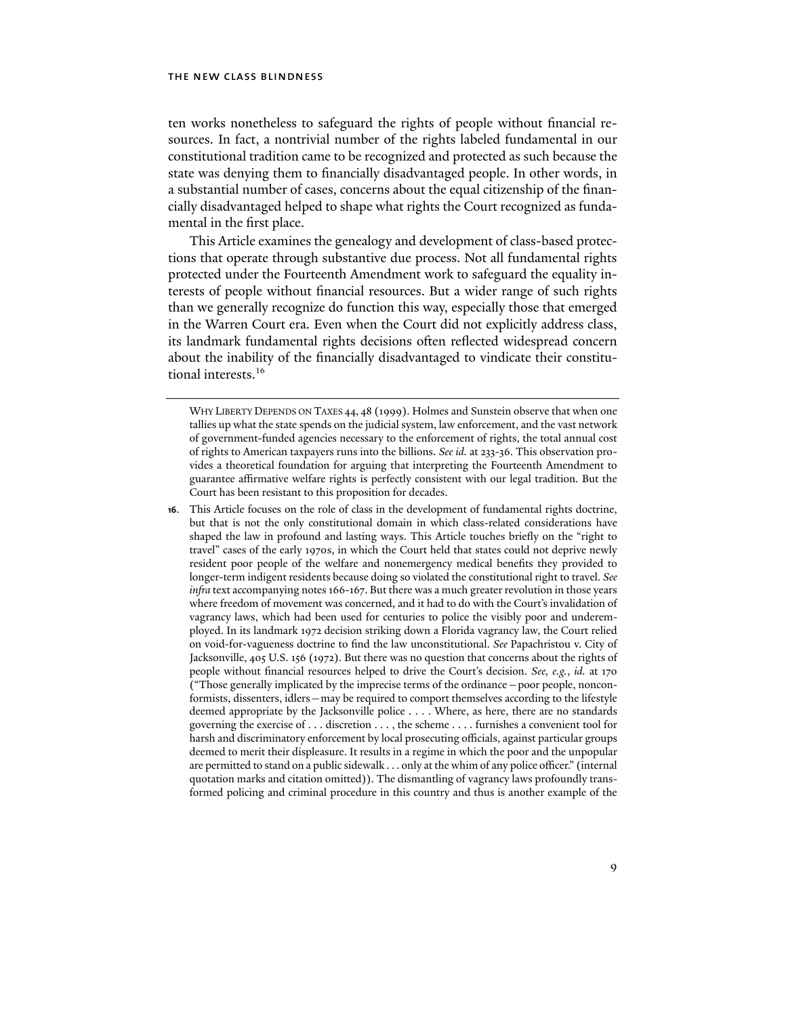ten works nonetheless to safeguard the rights of people without financial resources. In fact, a nontrivial number of the rights labeled fundamental in our constitutional tradition came to be recognized and protected as such because the state was denying them to financially disadvantaged people. In other words, in a substantial number of cases, concerns about the equal citizenship of the financially disadvantaged helped to shape what rights the Court recognized as fundamental in the first place.

This Article examines the genealogy and development of class-based protections that operate through substantive due process. Not all fundamental rights protected under the Fourteenth Amendment work to safeguard the equality interests of people without financial resources. But a wider range of such rights than we generally recognize do function this way, especially those that emerged in the Warren Court era. Even when the Court did not explicitly address class, its landmark fundamental rights decisions often reflected widespread concern about the inability of the financially disadvantaged to vindicate their constitutional interests.<sup>16</sup>

**16**. This Article focuses on the role of class in the development of fundamental rights doctrine, but that is not the only constitutional domain in which class-related considerations have shaped the law in profound and lasting ways. This Article touches briefly on the "right to travel" cases of the early 1970s, in which the Court held that states could not deprive newly resident poor people of the welfare and nonemergency medical benefits they provided to longer-term indigent residents because doing so violated the constitutional right to travel. *See infra* text accompanying notes 166-167. But there was a much greater revolution in those years where freedom of movement was concerned, and it had to do with the Court's invalidation of vagrancy laws, which had been used for centuries to police the visibly poor and underemployed. In its landmark 1972 decision striking down a Florida vagrancy law, the Court relied on void-for-vagueness doctrine to find the law unconstitutional. *See* Papachristou v. City of Jacksonville, 405 U.S. 156 (1972). But there was no question that concerns about the rights of people without financial resources helped to drive the Court's decision. *See, e.g.*, *id.* at 170 ("Those generally implicated by the imprecise terms of the ordinance—poor people, nonconformists, dissenters, idlers—may be required to comport themselves according to the lifestyle deemed appropriate by the Jacksonville police . . . . Where, as here, there are no standards governing the exercise of . . . discretion . . . , the scheme . . . . furnishes a convenient tool for harsh and discriminatory enforcement by local prosecuting officials, against particular groups deemed to merit their displeasure. It results in a regime in which the poor and the unpopular are permitted to stand on a public sidewalk . . . only at the whim of any police officer." (internal quotation marks and citation omitted)). The dismantling of vagrancy laws profoundly transformed policing and criminal procedure in this country and thus is another example of the

WHY LIBERTY DEPENDS ON TAXES 44, 48 (1999). Holmes and Sunstein observe that when one tallies up what the state spends on the judicial system, law enforcement, and the vast network of government-funded agencies necessary to the enforcement of rights, the total annual cost of rights to American taxpayers runs into the billions. *See id.* at 233-36. This observation provides a theoretical foundation for arguing that interpreting the Fourteenth Amendment to guarantee affirmative welfare rights is perfectly consistent with our legal tradition. But the Court has been resistant to this proposition for decades.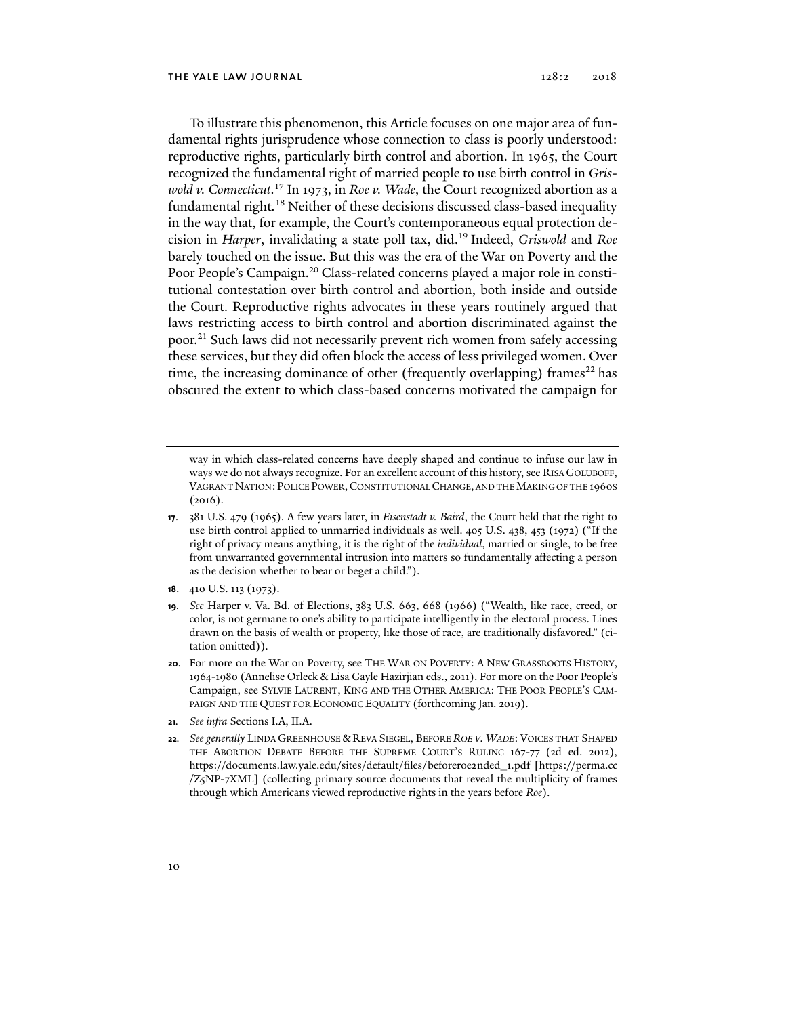To illustrate this phenomenon, this Article focuses on one major area of fundamental rights jurisprudence whose connection to class is poorly understood: reproductive rights, particularly birth control and abortion. In 1965, the Court recognized the fundamental right of married people to use birth control in *Griswold v. Connecticut*. 17 In 1973, in *Roe v. Wade*, the Court recognized abortion as a fundamental right*.* 18 Neither of these decisions discussed class-based inequality in the way that, for example, the Court's contemporaneous equal protection decision in *Harper*, invalidating a state poll tax, did.19 Indeed, *Griswold* and *Roe* barely touched on the issue. But this was the era of the War on Poverty and the Poor People's Campaign.<sup>20</sup> Class-related concerns played a major role in constitutional contestation over birth control and abortion, both inside and outside the Court. Reproductive rights advocates in these years routinely argued that laws restricting access to birth control and abortion discriminated against the poor.21 Such laws did not necessarily prevent rich women from safely accessing these services, but they did often block the access of less privileged women. Over time, the increasing dominance of other (frequently overlapping) frames<sup>22</sup> has obscured the extent to which class-based concerns motivated the campaign for

- **18**. 410 U.S. 113 (1973).
- **19***. See* Harper v. Va. Bd. of Elections, 383 U.S. 663, 668 (1966) ("Wealth, like race, creed, or color, is not germane to one's ability to participate intelligently in the electoral process. Lines drawn on the basis of wealth or property, like those of race, are traditionally disfavored." (citation omitted)).
- **20**. For more on the War on Poverty, see THE WAR ON POVERTY: A NEW GRASSROOTS HISTORY, 1964-1980 (Annelise Orleck & Lisa Gayle Hazirjian eds., 2011). For more on the Poor People's Campaign, see SYLVIE LAURENT, KING AND THE OTHER AMERICA: THE POOR PEOPLE'S CAM-PAIGN AND THE QUEST FOR ECONOMIC EQUALITY (forthcoming Jan. 2019).
- **21***. See infra* Sections I.A, II.A.
- **22***. See generally* LINDA GREENHOUSE & REVA SIEGEL, BEFORE *ROE V. WADE*: VOICES THAT SHAPED THE ABORTION DEBATE BEFORE THE SUPREME COURT'S RULING 167-77 (2d ed. 2012), https://documents.law.yale.edu/sites/default/files/beforeroe2nded\_1.pdf [https://perma.cc /Z5NP-7XML] (collecting primary source documents that reveal the multiplicity of frames through which Americans viewed reproductive rights in the years before *Roe*).

way in which class-related concerns have deeply shaped and continue to infuse our law in ways we do not always recognize. For an excellent account of this history, see RISA GOLUBOFF, VAGRANT NATION: POLICE POWER,CONSTITUTIONAL CHANGE, AND THE MAKING OF THE 1960S (2016).

**<sup>17</sup>**. 381 U.S. 479 (1965). A few years later, in *Eisenstadt v. Baird*, the Court held that the right to use birth control applied to unmarried individuals as well. 405 U.S. 438, 453 (1972) ("If the right of privacy means anything, it is the right of the *individual*, married or single, to be free from unwarranted governmental intrusion into matters so fundamentally affecting a person as the decision whether to bear or beget a child.").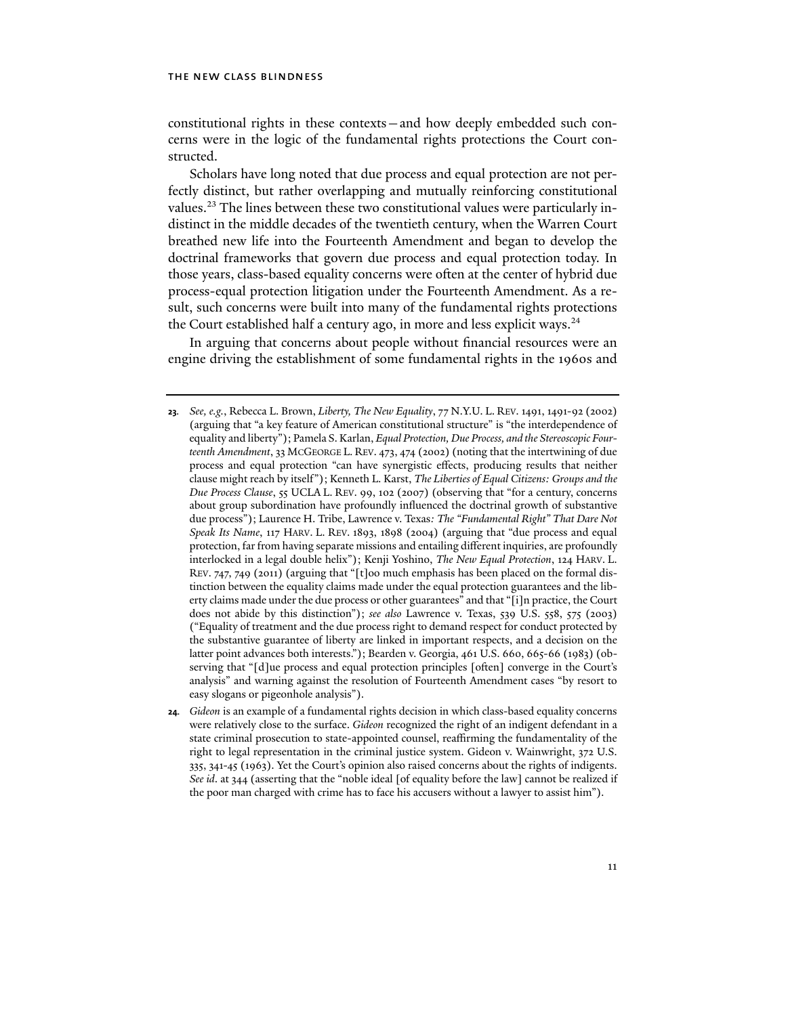constitutional rights in these contexts—and how deeply embedded such concerns were in the logic of the fundamental rights protections the Court constructed.

Scholars have long noted that due process and equal protection are not perfectly distinct, but rather overlapping and mutually reinforcing constitutional values.<sup>23</sup> The lines between these two constitutional values were particularly indistinct in the middle decades of the twentieth century, when the Warren Court breathed new life into the Fourteenth Amendment and began to develop the doctrinal frameworks that govern due process and equal protection today. In those years, class-based equality concerns were often at the center of hybrid due process-equal protection litigation under the Fourteenth Amendment. As a result, such concerns were built into many of the fundamental rights protections the Court established half a century ago, in more and less explicit ways. $24$ 

In arguing that concerns about people without financial resources were an engine driving the establishment of some fundamental rights in the 1960s and

**<sup>23</sup>***. See, e.g.*, Rebecca L. Brown, *Liberty, The New Equality*, 77 N.Y.U. L. REV. 1491, 1491-92 (2002) (arguing that "a key feature of American constitutional structure" is "the interdependence of equality and liberty"); Pamela S. Karlan, *Equal Protection, Due Process, and the Stereoscopic Fourteenth Amendment*, 33 MCGEORGE L. REV. 473, 474 (2002) (noting that the intertwining of due process and equal protection "can have synergistic effects, producing results that neither clause might reach by itself"); Kenneth L. Karst, *The Liberties of Equal Citizens: Groups and the Due Process Clause*, 55 UCLA L. REV. 99, 102 (2007) (observing that "for a century, concerns about group subordination have profoundly influenced the doctrinal growth of substantive due process"); Laurence H. Tribe, Lawrence v. Texas*: The "Fundamental Right" That Dare Not Speak Its Name*, 117 HARV. L. REV. 1893, 1898 (2004) (arguing that "due process and equal protection, far from having separate missions and entailing different inquiries, are profoundly interlocked in a legal double helix"); Kenji Yoshino, *The New Equal Protection*, 124 HARV. L. REV. 747, 749 (2011) (arguing that "[t]oo much emphasis has been placed on the formal distinction between the equality claims made under the equal protection guarantees and the liberty claims made under the due process or other guarantees" and that "[i]n practice, the Court does not abide by this distinction"); *see also* Lawrence v. Texas, 539 U.S. 558, 575 (2003) ("Equality of treatment and the due process right to demand respect for conduct protected by the substantive guarantee of liberty are linked in important respects, and a decision on the latter point advances both interests."); Bearden v. Georgia, 461 U.S. 660, 665-66 (1983) (observing that "[d]ue process and equal protection principles [often] converge in the Court's analysis" and warning against the resolution of Fourteenth Amendment cases "by resort to easy slogans or pigeonhole analysis").

**<sup>24</sup>***. Gideon* is an example of a fundamental rights decision in which class-based equality concerns were relatively close to the surface. *Gideon* recognized the right of an indigent defendant in a state criminal prosecution to state-appointed counsel, reaffirming the fundamentality of the right to legal representation in the criminal justice system. Gideon v. Wainwright, 372 U.S. 335, 341-45 (1963). Yet the Court's opinion also raised concerns about the rights of indigents. *See id*. at 344 (asserting that the "noble ideal [of equality before the law] cannot be realized if the poor man charged with crime has to face his accusers without a lawyer to assist him").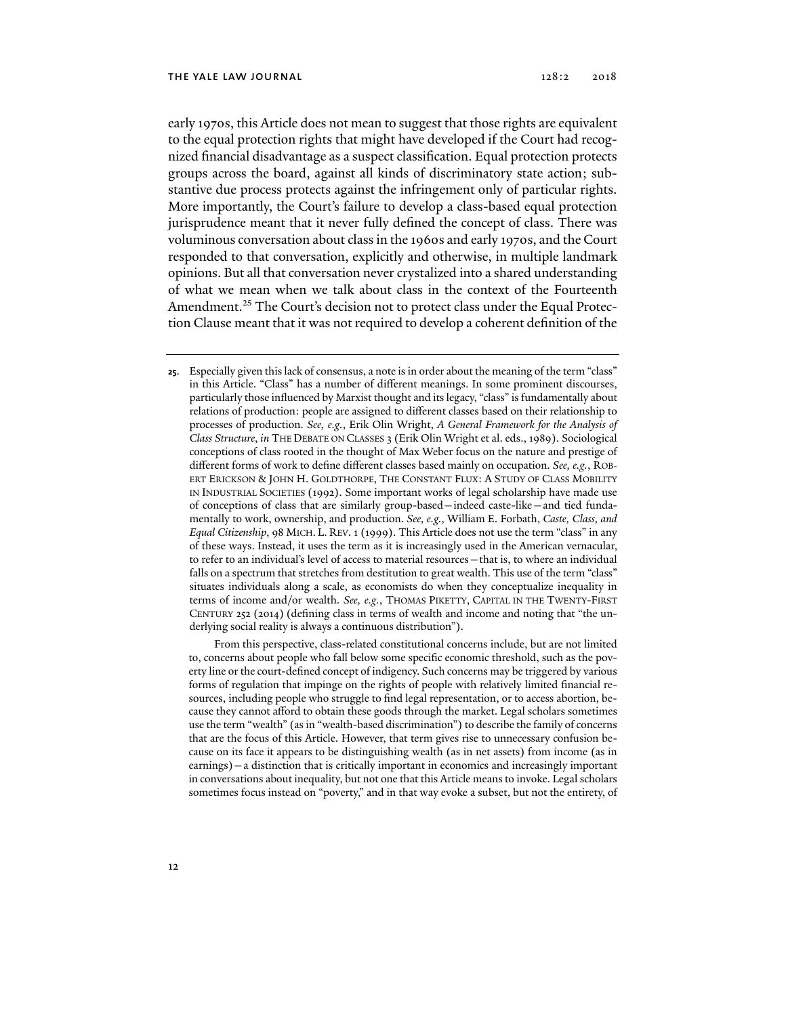early 1970s, this Article does not mean to suggest that those rights are equivalent to the equal protection rights that might have developed if the Court had recognized financial disadvantage as a suspect classification. Equal protection protects groups across the board, against all kinds of discriminatory state action; substantive due process protects against the infringement only of particular rights. More importantly, the Court's failure to develop a class-based equal protection jurisprudence meant that it never fully defined the concept of class. There was voluminous conversation about class in the 1960s and early 1970s, and the Court responded to that conversation, explicitly and otherwise, in multiple landmark opinions. But all that conversation never crystalized into a shared understanding of what we mean when we talk about class in the context of the Fourteenth Amendment.25 The Court's decision not to protect class under the Equal Protection Clause meant that it was not required to develop a coherent definition of the

**25**. Especially given this lack of consensus, a note is in order about the meaning of the term "class" in this Article. "Class" has a number of different meanings. In some prominent discourses, particularly those influenced by Marxist thought and its legacy, "class" is fundamentally about relations of production: people are assigned to different classes based on their relationship to processes of production. *See, e.g.*, Erik Olin Wright, *A General Framework for the Analysis of Class Structure*, *in* THE DEBATE ON CLASSES 3 (Erik Olin Wright et al. eds., 1989). Sociological conceptions of class rooted in the thought of Max Weber focus on the nature and prestige of different forms of work to define different classes based mainly on occupation. *See, e.g.*, ROB-ERT ERICKSON & JOHN H. GOLDTHORPE, THE CONSTANT FLUX: A STUDY OF CLASS MOBILITY IN INDUSTRIAL SOCIETIES (1992). Some important works of legal scholarship have made use of conceptions of class that are similarly group-based—indeed caste-like—and tied fundamentally to work, ownership, and production. *See, e.g.*, William E. Forbath, *Caste, Class, and Equal Citizenship*, 98 MICH. L. REV. 1 (1999). This Article does not use the term "class" in any of these ways. Instead, it uses the term as it is increasingly used in the American vernacular, to refer to an individual's level of access to material resources—that is, to where an individual falls on a spectrum that stretches from destitution to great wealth. This use of the term "class" situates individuals along a scale, as economists do when they conceptualize inequality in terms of income and/or wealth. *See, e.g.*, THOMAS PIKETTY, CAPITAL IN THE TWENTY-FIRST CENTURY 252 (2014) (defining class in terms of wealth and income and noting that "the underlying social reality is always a continuous distribution").

 From this perspective, class-related constitutional concerns include, but are not limited to, concerns about people who fall below some specific economic threshold, such as the poverty line or the court-defined concept of indigency. Such concerns may be triggered by various forms of regulation that impinge on the rights of people with relatively limited financial resources, including people who struggle to find legal representation, or to access abortion, because they cannot afford to obtain these goods through the market. Legal scholars sometimes use the term "wealth" (as in "wealth-based discrimination") to describe the family of concerns that are the focus of this Article. However, that term gives rise to unnecessary confusion because on its face it appears to be distinguishing wealth (as in net assets) from income (as in earnings)—a distinction that is critically important in economics and increasingly important in conversations about inequality, but not one that this Article means to invoke. Legal scholars sometimes focus instead on "poverty," and in that way evoke a subset, but not the entirety, of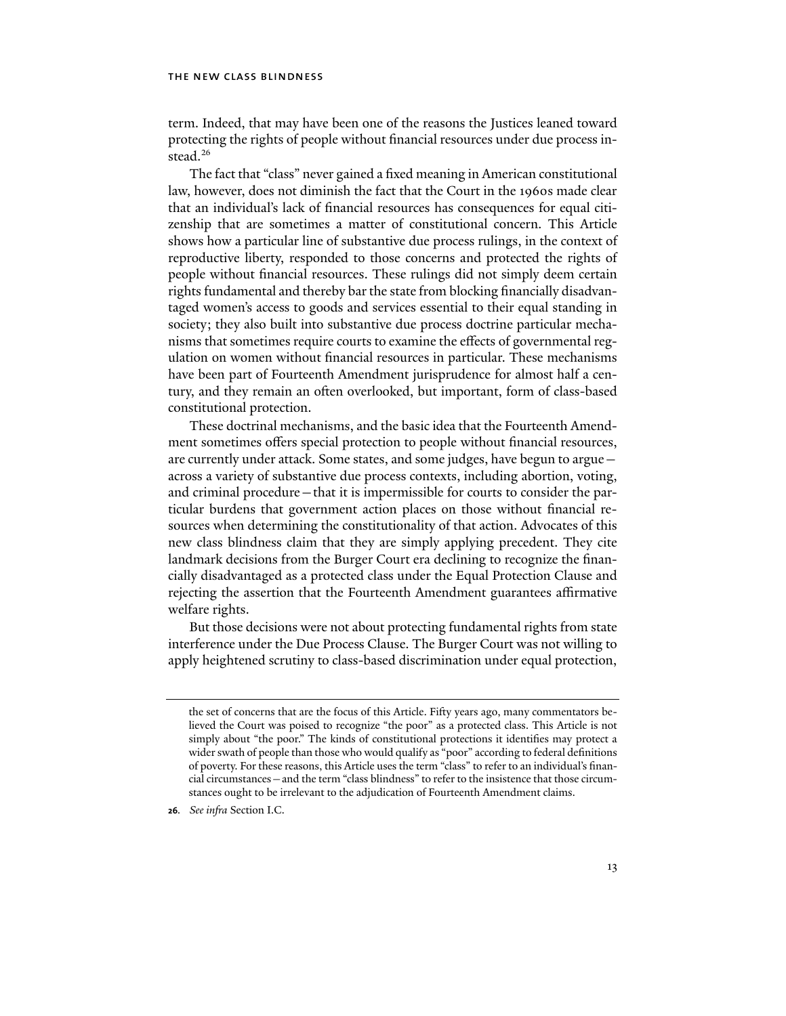term. Indeed, that may have been one of the reasons the Justices leaned toward protecting the rights of people without financial resources under due process instead.<sup>26</sup>

The fact that "class" never gained a fixed meaning in American constitutional law, however, does not diminish the fact that the Court in the 1960s made clear that an individual's lack of financial resources has consequences for equal citizenship that are sometimes a matter of constitutional concern. This Article shows how a particular line of substantive due process rulings, in the context of reproductive liberty, responded to those concerns and protected the rights of people without financial resources. These rulings did not simply deem certain rights fundamental and thereby bar the state from blocking financially disadvantaged women's access to goods and services essential to their equal standing in society; they also built into substantive due process doctrine particular mechanisms that sometimes require courts to examine the effects of governmental regulation on women without financial resources in particular. These mechanisms have been part of Fourteenth Amendment jurisprudence for almost half a century, and they remain an often overlooked, but important, form of class-based constitutional protection.

These doctrinal mechanisms, and the basic idea that the Fourteenth Amendment sometimes offers special protection to people without financial resources, are currently under attack. Some states, and some judges, have begun to argue across a variety of substantive due process contexts, including abortion, voting, and criminal procedure—that it is impermissible for courts to consider the particular burdens that government action places on those without financial resources when determining the constitutionality of that action. Advocates of this new class blindness claim that they are simply applying precedent. They cite landmark decisions from the Burger Court era declining to recognize the financially disadvantaged as a protected class under the Equal Protection Clause and rejecting the assertion that the Fourteenth Amendment guarantees affirmative welfare rights.

But those decisions were not about protecting fundamental rights from state interference under the Due Process Clause. The Burger Court was not willing to apply heightened scrutiny to class-based discrimination under equal protection,

**26***. See infra* Section I.C.

the set of concerns that are the focus of this Article. Fifty years ago, many commentators believed the Court was poised to recognize "the poor" as a protected class. This Article is not simply about "the poor." The kinds of constitutional protections it identifies may protect a wider swath of people than those who would qualify as "poor" according to federal definitions of poverty. For these reasons, this Article uses the term "class" to refer to an individual's financial circumstances—and the term "class blindness" to refer to the insistence that those circumstances ought to be irrelevant to the adjudication of Fourteenth Amendment claims.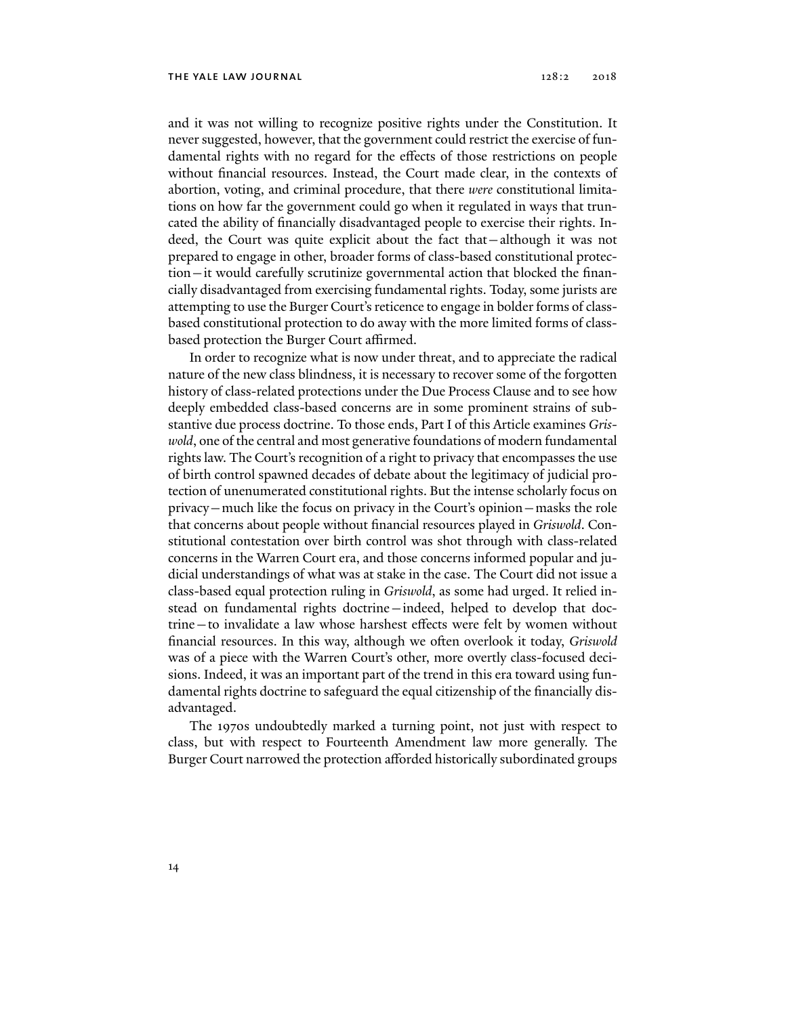and it was not willing to recognize positive rights under the Constitution. It never suggested, however, that the government could restrict the exercise of fundamental rights with no regard for the effects of those restrictions on people without financial resources. Instead, the Court made clear, in the contexts of abortion, voting, and criminal procedure, that there *were* constitutional limitations on how far the government could go when it regulated in ways that truncated the ability of financially disadvantaged people to exercise their rights. Indeed, the Court was quite explicit about the fact that—although it was not prepared to engage in other, broader forms of class-based constitutional protection—it would carefully scrutinize governmental action that blocked the financially disadvantaged from exercising fundamental rights. Today, some jurists are attempting to use the Burger Court's reticence to engage in bolder forms of classbased constitutional protection to do away with the more limited forms of classbased protection the Burger Court affirmed.

In order to recognize what is now under threat, and to appreciate the radical nature of the new class blindness, it is necessary to recover some of the forgotten history of class-related protections under the Due Process Clause and to see how deeply embedded class-based concerns are in some prominent strains of substantive due process doctrine. To those ends, Part I of this Article examines *Griswold*, one of the central and most generative foundations of modern fundamental rights law. The Court's recognition of a right to privacy that encompasses the use of birth control spawned decades of debate about the legitimacy of judicial protection of unenumerated constitutional rights. But the intense scholarly focus on privacy—much like the focus on privacy in the Court's opinion—masks the role that concerns about people without financial resources played in *Griswold*. Constitutional contestation over birth control was shot through with class-related concerns in the Warren Court era, and those concerns informed popular and judicial understandings of what was at stake in the case. The Court did not issue a class-based equal protection ruling in *Griswold*, as some had urged. It relied instead on fundamental rights doctrine—indeed, helped to develop that doctrine—to invalidate a law whose harshest effects were felt by women without financial resources. In this way, although we often overlook it today, *Griswold* was of a piece with the Warren Court's other, more overtly class-focused decisions. Indeed, it was an important part of the trend in this era toward using fundamental rights doctrine to safeguard the equal citizenship of the financially disadvantaged.

The 1970s undoubtedly marked a turning point, not just with respect to class, but with respect to Fourteenth Amendment law more generally. The Burger Court narrowed the protection afforded historically subordinated groups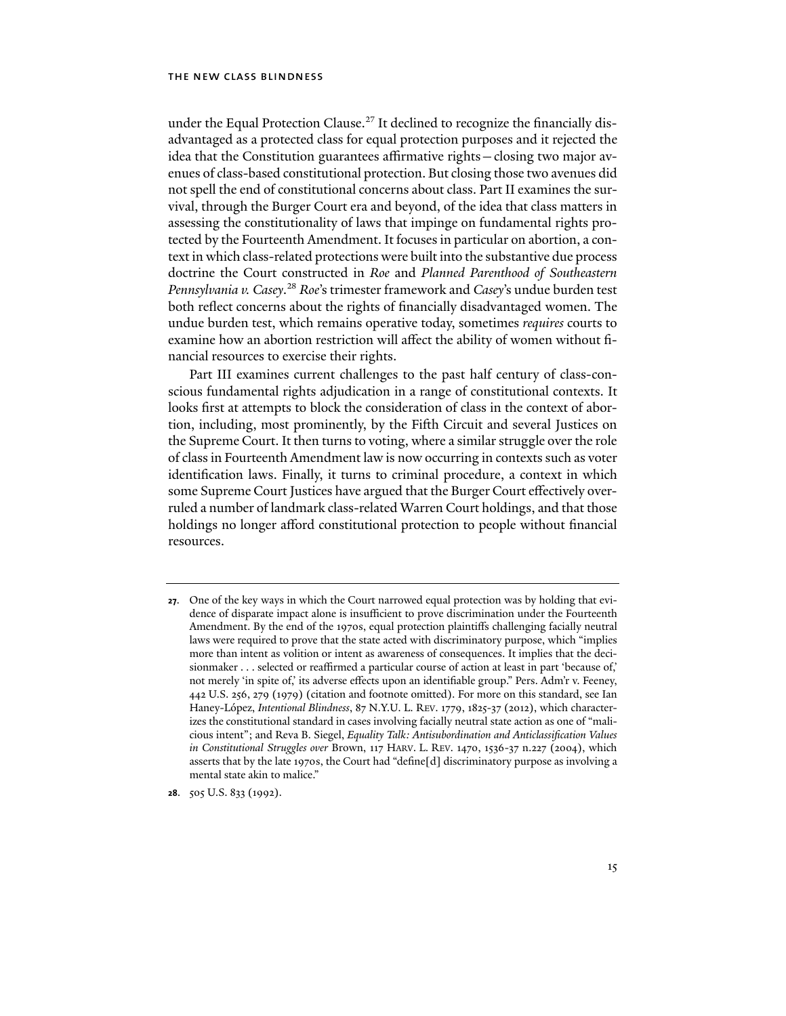under the Equal Protection Clause.<sup>27</sup> It declined to recognize the financially disadvantaged as a protected class for equal protection purposes and it rejected the idea that the Constitution guarantees affirmative rights—closing two major avenues of class-based constitutional protection. But closing those two avenues did not spell the end of constitutional concerns about class. Part II examines the survival, through the Burger Court era and beyond, of the idea that class matters in assessing the constitutionality of laws that impinge on fundamental rights protected by the Fourteenth Amendment. It focuses in particular on abortion, a context in which class-related protections were built into the substantive due process doctrine the Court constructed in *Roe* and *Planned Parenthood of Southeastern Pennsylvania v. Casey*. <sup>28</sup> *Roe*'s trimester framework and *Casey*'s undue burden test both reflect concerns about the rights of financially disadvantaged women. The undue burden test, which remains operative today, sometimes *requires* courts to examine how an abortion restriction will affect the ability of women without financial resources to exercise their rights.

Part III examines current challenges to the past half century of class-conscious fundamental rights adjudication in a range of constitutional contexts. It looks first at attempts to block the consideration of class in the context of abortion, including, most prominently, by the Fifth Circuit and several Justices on the Supreme Court. It then turns to voting, where a similar struggle over the role of class in Fourteenth Amendment law is now occurring in contexts such as voter identification laws. Finally, it turns to criminal procedure, a context in which some Supreme Court Justices have argued that the Burger Court effectively overruled a number of landmark class-related Warren Court holdings, and that those holdings no longer afford constitutional protection to people without financial resources.

**28**. 505 U.S. 833 (1992).

**<sup>27</sup>**. One of the key ways in which the Court narrowed equal protection was by holding that evidence of disparate impact alone is insufficient to prove discrimination under the Fourteenth Amendment. By the end of the 1970s, equal protection plaintiffs challenging facially neutral laws were required to prove that the state acted with discriminatory purpose, which "implies more than intent as volition or intent as awareness of consequences. It implies that the decisionmaker . . . selected or reaffirmed a particular course of action at least in part 'because of,' not merely 'in spite of,' its adverse effects upon an identifiable group." Pers. Adm'r v. Feeney, 442 U.S. 256, 279 (1979) (citation and footnote omitted). For more on this standard, see Ian Haney-López, *Intentional Blindness*, 87 N.Y.U. L. REV. 1779, 1825-37 (2012), which characterizes the constitutional standard in cases involving facially neutral state action as one of "malicious intent"; and Reva B. Siegel, *Equality Talk: Antisubordination and Anticlassification Values in Constitutional Struggles over* Brown, 117 HARV. L. REV. 1470, 1536-37 n.227 (2004), which asserts that by the late 1970s, the Court had "define[d] discriminatory purpose as involving a mental state akin to malice."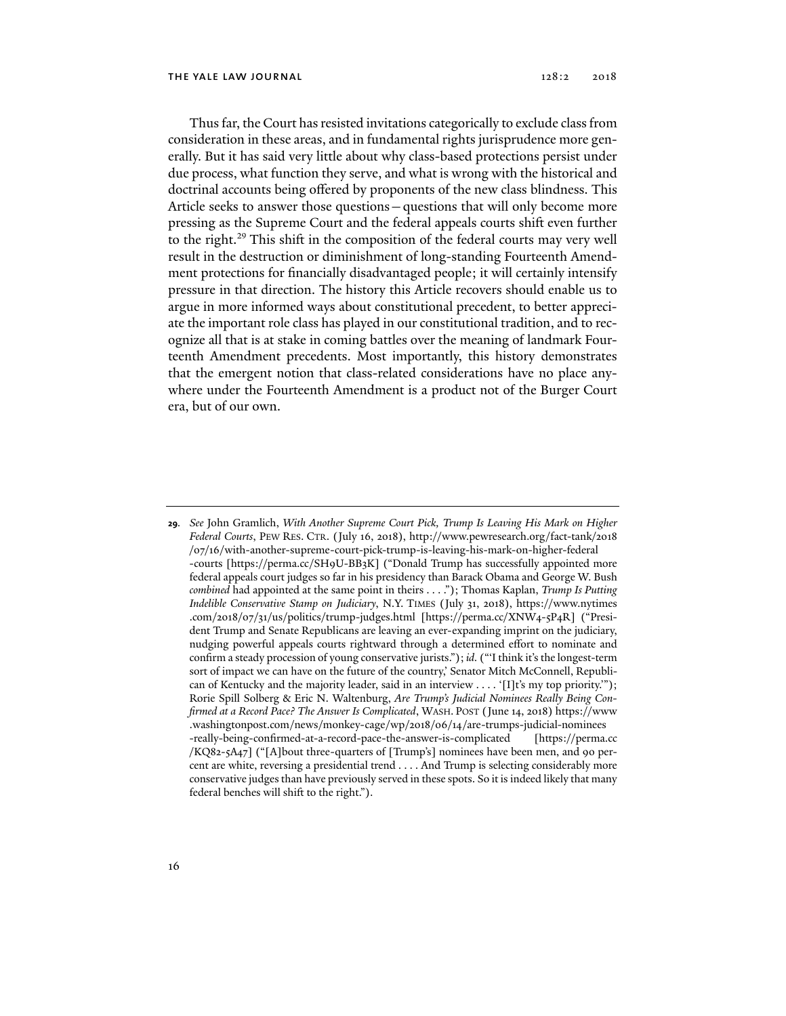Thus far, the Court has resisted invitations categorically to exclude class from consideration in these areas, and in fundamental rights jurisprudence more generally. But it has said very little about why class-based protections persist under due process, what function they serve, and what is wrong with the historical and doctrinal accounts being offered by proponents of the new class blindness. This Article seeks to answer those questions—questions that will only become more pressing as the Supreme Court and the federal appeals courts shift even further to the right.<sup>29</sup> This shift in the composition of the federal courts may very well result in the destruction or diminishment of long-standing Fourteenth Amendment protections for financially disadvantaged people; it will certainly intensify pressure in that direction. The history this Article recovers should enable us to argue in more informed ways about constitutional precedent, to better appreciate the important role class has played in our constitutional tradition, and to recognize all that is at stake in coming battles over the meaning of landmark Fourteenth Amendment precedents. Most importantly, this history demonstrates that the emergent notion that class-related considerations have no place anywhere under the Fourteenth Amendment is a product not of the Burger Court era, but of our own.

**29***. See* John Gramlich, *With Another Supreme Court Pick, Trump Is Leaving His Mark on Higher Federal Courts*, PEW RES. CTR. (July 16, 2018), http://www.pewresearch.org/fact-tank/2018 /07/16/with-another-supreme-court-pick-trump-is-leaving-his-mark-on-higher-federal -courts [https://perma.cc/SH9U-BB3K] ("Donald Trump has successfully appointed more federal appeals court judges so far in his presidency than Barack Obama and George W. Bush *combined* had appointed at the same point in theirs . . . ."); Thomas Kaplan, *Trump Is Putting Indelible Conservative Stamp on Judiciary*, N.Y. TIMES (July 31, 2018), https://www.nytimes .com/2018/07/31/us/politics/trump-judges.html [https://perma.cc/XNW4-5P4R] ("President Trump and Senate Republicans are leaving an ever-expanding imprint on the judiciary, nudging powerful appeals courts rightward through a determined effort to nominate and confirm a steady procession of young conservative jurists."); *id.* ("'I think it's the longest-term sort of impact we can have on the future of the country,' Senator Mitch McConnell, Republican of Kentucky and the majority leader, said in an interview . . . . '[I]t's my top priority."'); Rorie Spill Solberg & Eric N. Waltenburg, *Are Trump's Judicial Nominees Really Being Confirmed at a Record Pace? The Answer Is Complicated*, WASH. POST (June 14, 2018) https://www .washingtonpost.com/news/monkey-cage/wp/2018/06/14/are-trumps-judicial-nominees -really-being-confirmed-at-a-record-pace-the-answer-is-complicated [https://perma.cc /KQ82-5A47] ("[A]bout three-quarters of [Trump's] nominees have been men, and 90 percent are white, reversing a presidential trend . . . . And Trump is selecting considerably more conservative judges than have previously served in these spots. So it is indeed likely that many federal benches will shift to the right.").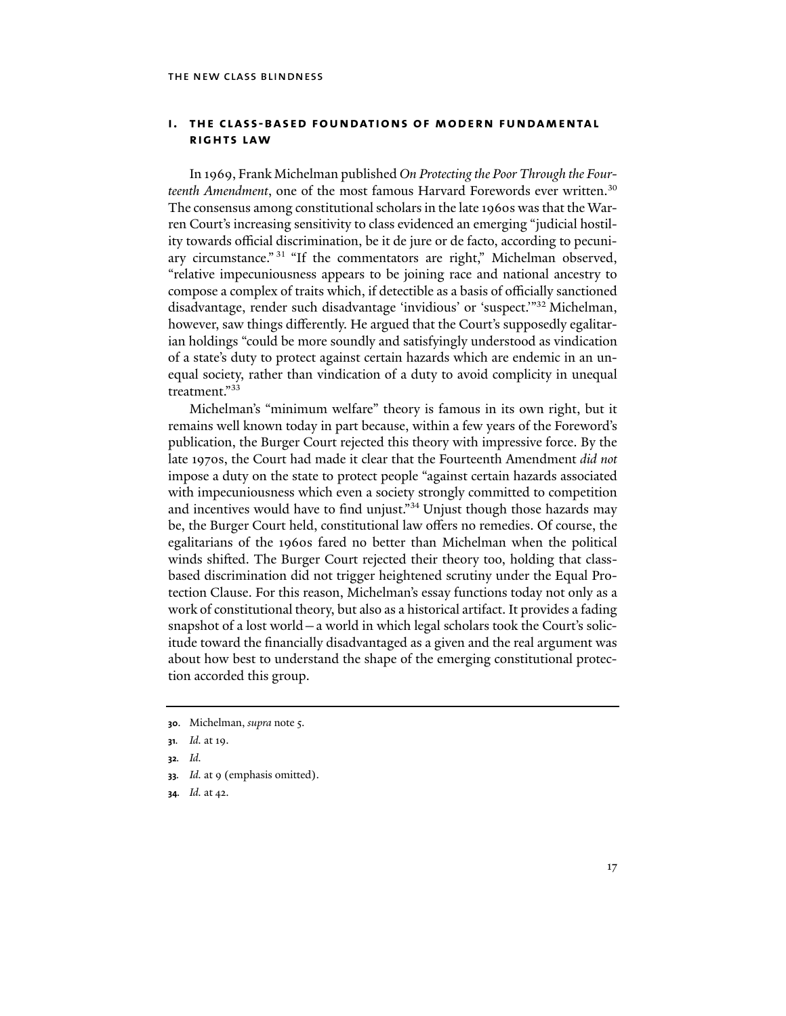### **i. the class-based foundations of modern fundamental rights law**

In 1969, Frank Michelman published *On Protecting the Poor Through the Fourteenth Amendment*, one of the most famous Harvard Forewords ever written.30 The consensus among constitutional scholars in the late 1960s was that the Warren Court's increasing sensitivity to class evidenced an emerging "judicial hostility towards official discrimination, be it de jure or de facto, according to pecuniary circumstance." 31 "If the commentators are right," Michelman observed, "relative impecuniousness appears to be joining race and national ancestry to compose a complex of traits which, if detectible as a basis of officially sanctioned disadvantage, render such disadvantage 'invidious' or 'suspect.'"32 Michelman, however, saw things differently. He argued that the Court's supposedly egalitarian holdings "could be more soundly and satisfyingly understood as vindication of a state's duty to protect against certain hazards which are endemic in an unequal society, rather than vindication of a duty to avoid complicity in unequal treatment."33

Michelman's "minimum welfare" theory is famous in its own right, but it remains well known today in part because, within a few years of the Foreword's publication, the Burger Court rejected this theory with impressive force. By the late 1970s, the Court had made it clear that the Fourteenth Amendment *did not* impose a duty on the state to protect people "against certain hazards associated with impecuniousness which even a society strongly committed to competition and incentives would have to find unjust."<sup>34</sup> Unjust though those hazards may be, the Burger Court held, constitutional law offers no remedies. Of course, the egalitarians of the 1960s fared no better than Michelman when the political winds shifted. The Burger Court rejected their theory too, holding that classbased discrimination did not trigger heightened scrutiny under the Equal Protection Clause. For this reason, Michelman's essay functions today not only as a work of constitutional theory, but also as a historical artifact. It provides a fading snapshot of a lost world—a world in which legal scholars took the Court's solicitude toward the financially disadvantaged as a given and the real argument was about how best to understand the shape of the emerging constitutional protection accorded this group.

**34***. Id.* at 42.

**<sup>30</sup>**. Michelman, *supra* note 5.

**<sup>31</sup>***. Id.* at 19.

**<sup>32</sup>***. Id.*

**<sup>33</sup>***. Id.* at 9 (emphasis omitted).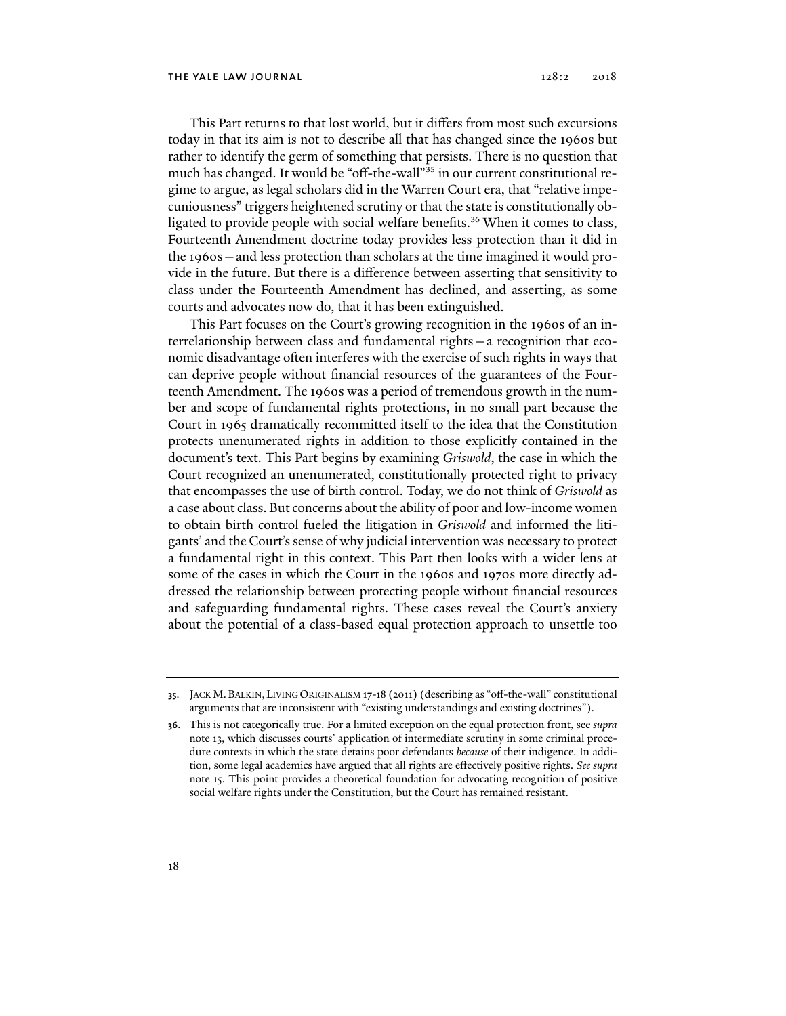This Part returns to that lost world, but it differs from most such excursions today in that its aim is not to describe all that has changed since the 1960s but rather to identify the germ of something that persists. There is no question that much has changed. It would be "off-the-wall"<sup>35</sup> in our current constitutional regime to argue, as legal scholars did in the Warren Court era, that "relative impecuniousness" triggers heightened scrutiny or that the state is constitutionally obligated to provide people with social welfare benefits.36 When it comes to class, Fourteenth Amendment doctrine today provides less protection than it did in the 1960s—and less protection than scholars at the time imagined it would provide in the future. But there is a difference between asserting that sensitivity to class under the Fourteenth Amendment has declined, and asserting, as some courts and advocates now do, that it has been extinguished.

This Part focuses on the Court's growing recognition in the 1960s of an interrelationship between class and fundamental rights—a recognition that economic disadvantage often interferes with the exercise of such rights in ways that can deprive people without financial resources of the guarantees of the Fourteenth Amendment. The 1960s was a period of tremendous growth in the number and scope of fundamental rights protections, in no small part because the Court in 1965 dramatically recommitted itself to the idea that the Constitution protects unenumerated rights in addition to those explicitly contained in the document's text. This Part begins by examining *Griswold*, the case in which the Court recognized an unenumerated, constitutionally protected right to privacy that encompasses the use of birth control. Today, we do not think of *Griswold* as a case about class. But concerns about the ability of poor and low-income women to obtain birth control fueled the litigation in *Griswold* and informed the litigants' and the Court's sense of why judicial intervention was necessary to protect a fundamental right in this context. This Part then looks with a wider lens at some of the cases in which the Court in the 1960s and 1970s more directly addressed the relationship between protecting people without financial resources and safeguarding fundamental rights. These cases reveal the Court's anxiety about the potential of a class-based equal protection approach to unsettle too

**<sup>35</sup>**. JACK M. BALKIN, LIVING ORIGINALISM 17-18 (2011) (describing as "off-the-wall" constitutional arguments that are inconsistent with "existing understandings and existing doctrines").

**<sup>36</sup>**. This is not categorically true. For a limited exception on the equal protection front, see *supra* note 13, which discusses courts' application of intermediate scrutiny in some criminal procedure contexts in which the state detains poor defendants *because* of their indigence. In addition, some legal academics have argued that all rights are effectively positive rights. *See supra* note 15. This point provides a theoretical foundation for advocating recognition of positive social welfare rights under the Constitution, but the Court has remained resistant.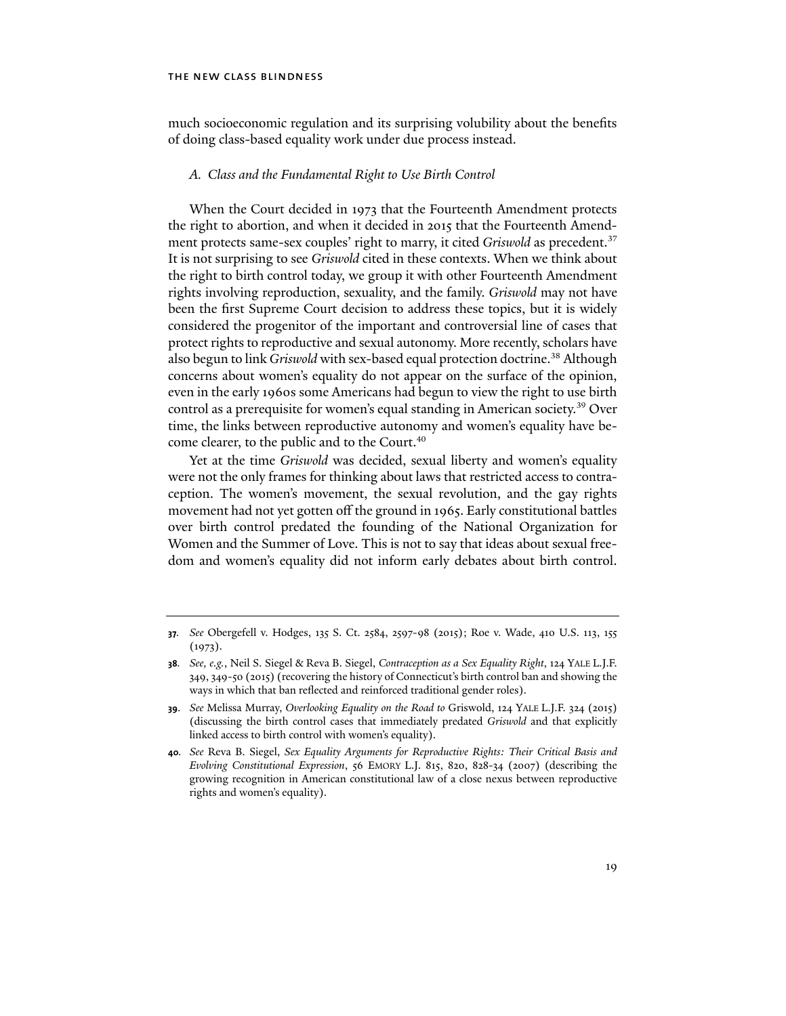much socioeconomic regulation and its surprising volubility about the benefits of doing class-based equality work under due process instead.

#### *A. Class and the Fundamental Right to Use Birth Control*

When the Court decided in 1973 that the Fourteenth Amendment protects the right to abortion, and when it decided in 2015 that the Fourteenth Amendment protects same-sex couples' right to marry, it cited *Griswold* as precedent.<sup>37</sup> It is not surprising to see *Griswold* cited in these contexts. When we think about the right to birth control today, we group it with other Fourteenth Amendment rights involving reproduction, sexuality, and the family. *Griswold* may not have been the first Supreme Court decision to address these topics, but it is widely considered the progenitor of the important and controversial line of cases that protect rights to reproductive and sexual autonomy. More recently, scholars have also begun to link *Griswold* with sex-based equal protection doctrine.<sup>38</sup> Although concerns about women's equality do not appear on the surface of the opinion, even in the early 1960s some Americans had begun to view the right to use birth control as a prerequisite for women's equal standing in American society.<sup>39</sup> Over time, the links between reproductive autonomy and women's equality have become clearer, to the public and to the Court.<sup>40</sup>

Yet at the time *Griswold* was decided, sexual liberty and women's equality were not the only frames for thinking about laws that restricted access to contraception. The women's movement, the sexual revolution, and the gay rights movement had not yet gotten off the ground in 1965. Early constitutional battles over birth control predated the founding of the National Organization for Women and the Summer of Love. This is not to say that ideas about sexual freedom and women's equality did not inform early debates about birth control.

**<sup>37</sup>***. See* Obergefell v. Hodges, 135 S. Ct. 2584, 2597-98 (2015); Roe v. Wade, 410 U.S. 113, 155  $(1973).$ 

**<sup>38</sup>***. See, e.g.*, Neil S. Siegel & Reva B. Siegel, *Contraception as a Sex Equality Right*, 124 YALE L.J.F. 349, 349-50 (2015) (recovering the history of Connecticut's birth control ban and showing the ways in which that ban reflected and reinforced traditional gender roles).

**<sup>39</sup>**. *See* Melissa Murray, *Overlooking Equality on the Road to* Griswold, 124 YALE L.J.F. 324 (2015) (discussing the birth control cases that immediately predated *Griswold* and that explicitly linked access to birth control with women's equality).

**<sup>40</sup>***. See* Reva B. Siegel, *Sex Equality Arguments for Reproductive Rights: Their Critical Basis and Evolving Constitutional Expression*, 56 EMORY L.J. 815, 820, 828-34 (2007) (describing the growing recognition in American constitutional law of a close nexus between reproductive rights and women's equality).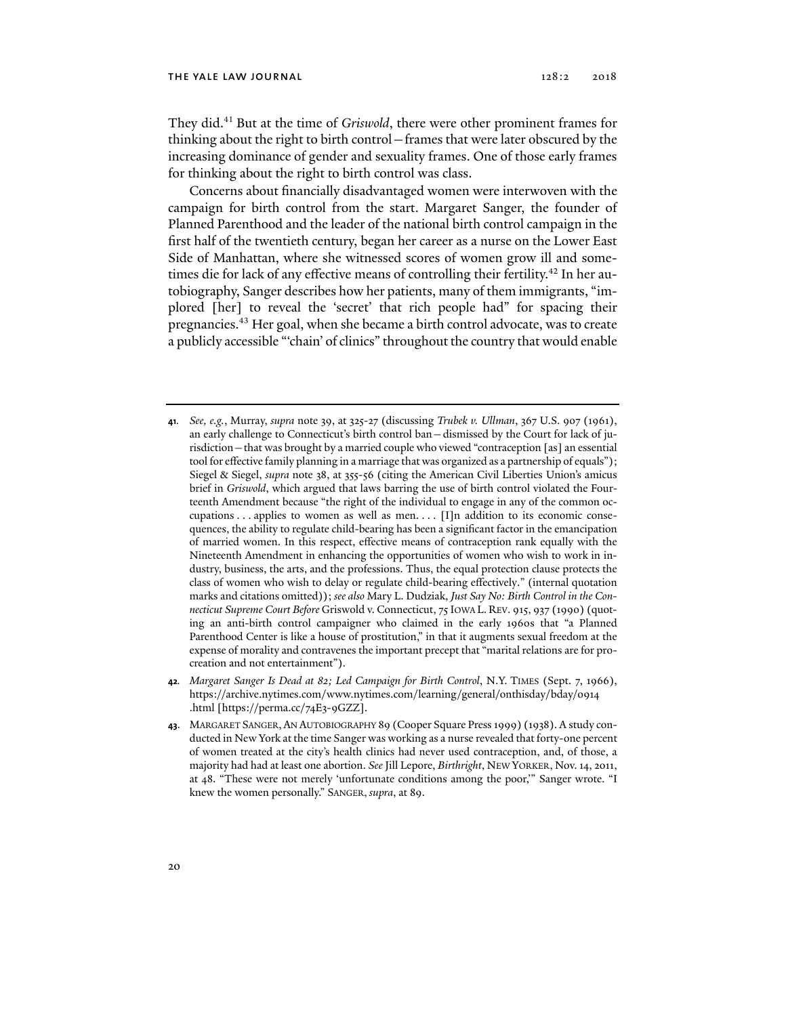They did.41 But at the time of *Griswold*, there were other prominent frames for thinking about the right to birth control—frames that were later obscured by the increasing dominance of gender and sexuality frames. One of those early frames for thinking about the right to birth control was class.

Concerns about financially disadvantaged women were interwoven with the campaign for birth control from the start. Margaret Sanger, the founder of Planned Parenthood and the leader of the national birth control campaign in the first half of the twentieth century, began her career as a nurse on the Lower East Side of Manhattan, where she witnessed scores of women grow ill and sometimes die for lack of any effective means of controlling their fertility.<sup>42</sup> In her autobiography, Sanger describes how her patients, many of them immigrants, "implored [her] to reveal the 'secret' that rich people had" for spacing their pregnancies.43 Her goal, when she became a birth control advocate, was to create a publicly accessible "'chain' of clinics" throughout the country that would enable

**<sup>41</sup>***. See, e.g.*, Murray, *supra* note 39, at 325-27 (discussing *Trubek v. Ullman*, 367 U.S. 907 (1961), an early challenge to Connecticut's birth control ban—dismissed by the Court for lack of jurisdiction—that was brought by a married couple who viewed "contraception [as] an essential tool for effective family planning in a marriage that was organized as a partnership of equals"); Siegel & Siegel, *supra* note 38, at 355-56 (citing the American Civil Liberties Union's amicus brief in *Griswold*, which argued that laws barring the use of birth control violated the Fourteenth Amendment because "the right of the individual to engage in any of the common occupations  $\dots$  applies to women as well as men.  $\dots$  [I]n addition to its economic consequences, the ability to regulate child-bearing has been a significant factor in the emancipation of married women. In this respect, effective means of contraception rank equally with the Nineteenth Amendment in enhancing the opportunities of women who wish to work in industry, business, the arts, and the professions. Thus, the equal protection clause protects the class of women who wish to delay or regulate child-bearing effectively." (internal quotation marks and citations omitted)); *see also* Mary L. Dudziak, *Just Say No: Birth Control in the Connecticut Supreme Court Before* Griswold v. Connecticut, 75 IOWA L. REV. 915, 937 (1990) (quoting an anti-birth control campaigner who claimed in the early 1960s that "a Planned Parenthood Center is like a house of prostitution," in that it augments sexual freedom at the expense of morality and contravenes the important precept that "marital relations are for procreation and not entertainment").

**<sup>42</sup>***. Margaret Sanger Is Dead at 82; Led Campaign for Birth Control*, N.Y. TIMES (Sept. 7, 1966), https://archive.nytimes.com/www.nytimes.com/learning/general/onthisday/bday/0914 .html [https://perma.cc/74E3-9GZZ].

**<sup>43</sup>**. MARGARET SANGER,AN AUTOBIOGRAPHY 89 (Cooper Square Press 1999) (1938). A study conducted in New York at the time Sanger was working as a nurse revealed that forty-one percent of women treated at the city's health clinics had never used contraception, and, of those, a majority had had at least one abortion. *See* Jill Lepore, *Birthright*, NEW YORKER, Nov. 14, 2011, at 48. "These were not merely 'unfortunate conditions among the poor,'" Sanger wrote. "I knew the women personally." SANGER, *supra*, at 89.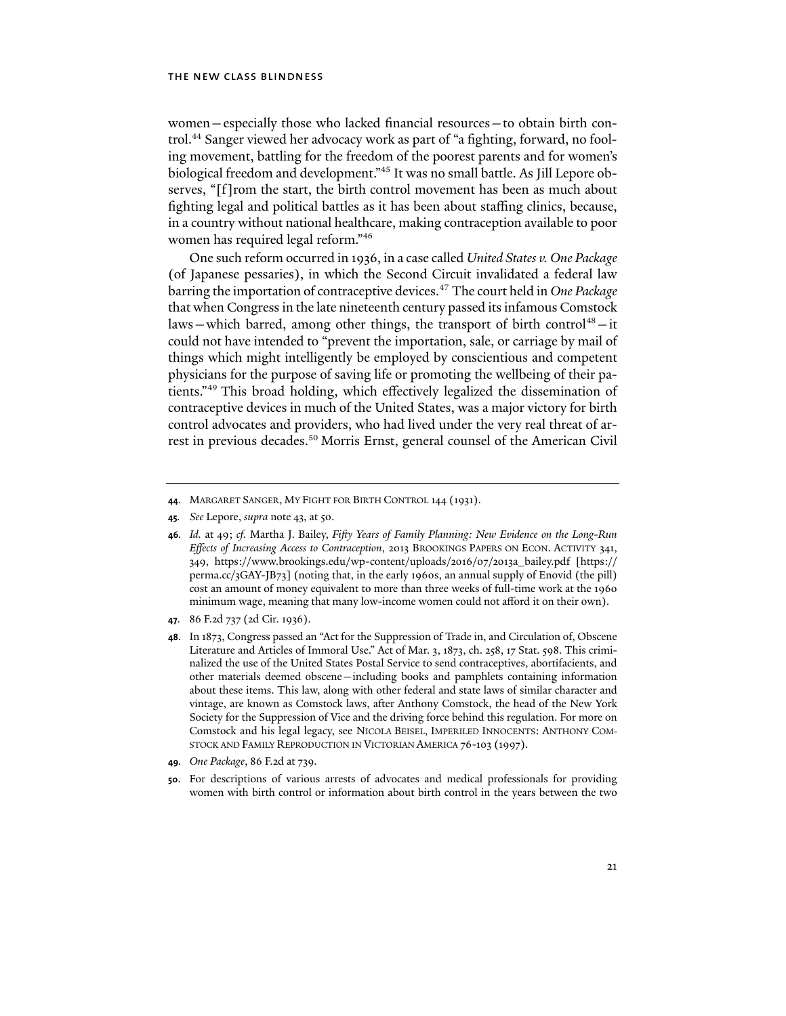women—especially those who lacked financial resources—to obtain birth control.<sup>44</sup> Sanger viewed her advocacy work as part of "a fighting, forward, no fooling movement, battling for the freedom of the poorest parents and for women's biological freedom and development."45 It was no small battle. As Jill Lepore observes, "[f]rom the start, the birth control movement has been as much about fighting legal and political battles as it has been about staffing clinics, because, in a country without national healthcare, making contraception available to poor women has required legal reform."46

One such reform occurred in 1936, in a case called *United States v. One Package*  (of Japanese pessaries), in which the Second Circuit invalidated a federal law barring the importation of contraceptive devices.47 The court held in *One Package* that when Congress in the late nineteenth century passed its infamous Comstock laws—which barred, among other things, the transport of birth control<sup>48</sup>-it could not have intended to "prevent the importation, sale, or carriage by mail of things which might intelligently be employed by conscientious and competent physicians for the purpose of saving life or promoting the wellbeing of their patients."49 This broad holding, which effectively legalized the dissemination of contraceptive devices in much of the United States, was a major victory for birth control advocates and providers, who had lived under the very real threat of arrest in previous decades.50 Morris Ernst, general counsel of the American Civil

**45***. See* Lepore, *supra* note 43, at 50.

- **47**. 86 F.2d 737 (2d Cir. 1936).
- **48**. In 1873, Congress passed an "Act for the Suppression of Trade in, and Circulation of, Obscene Literature and Articles of Immoral Use." Act of Mar. 3, 1873, ch. 258, 17 Stat. 598. This criminalized the use of the United States Postal Service to send contraceptives, abortifacients, and other materials deemed obscene—including books and pamphlets containing information about these items. This law, along with other federal and state laws of similar character and vintage, are known as Comstock laws, after Anthony Comstock, the head of the New York Society for the Suppression of Vice and the driving force behind this regulation. For more on Comstock and his legal legacy, see NICOLA BEISEL, IMPERILED INNOCENTS: ANTHONY COM-STOCK AND FAMILY REPRODUCTION IN VICTORIAN AMERICA 76-103 (1997).
- **49***. One Package*, 86 F.2d at 739.
- **50**. For descriptions of various arrests of advocates and medical professionals for providing women with birth control or information about birth control in the years between the two

**<sup>44</sup>**. MARGARET SANGER, MY FIGHT FOR BIRTH CONTROL 144 (1931).

**<sup>46</sup>***. Id.* at 49; *cf.* Martha J. Bailey, *Fifty Years of Family Planning: New Evidence on the Long-Run Effects of Increasing Access to Contraception*, 2013 BROOKINGS PAPERS ON ECON. ACTIVITY 341, 349, https://www.brookings.edu/wp-content/uploads/2016/07/2013a\_bailey.pdf [https:// perma.cc/3GAY-JB73] (noting that, in the early 1960s, an annual supply of Enovid (the pill) cost an amount of money equivalent to more than three weeks of full-time work at the 1960 minimum wage, meaning that many low-income women could not afford it on their own).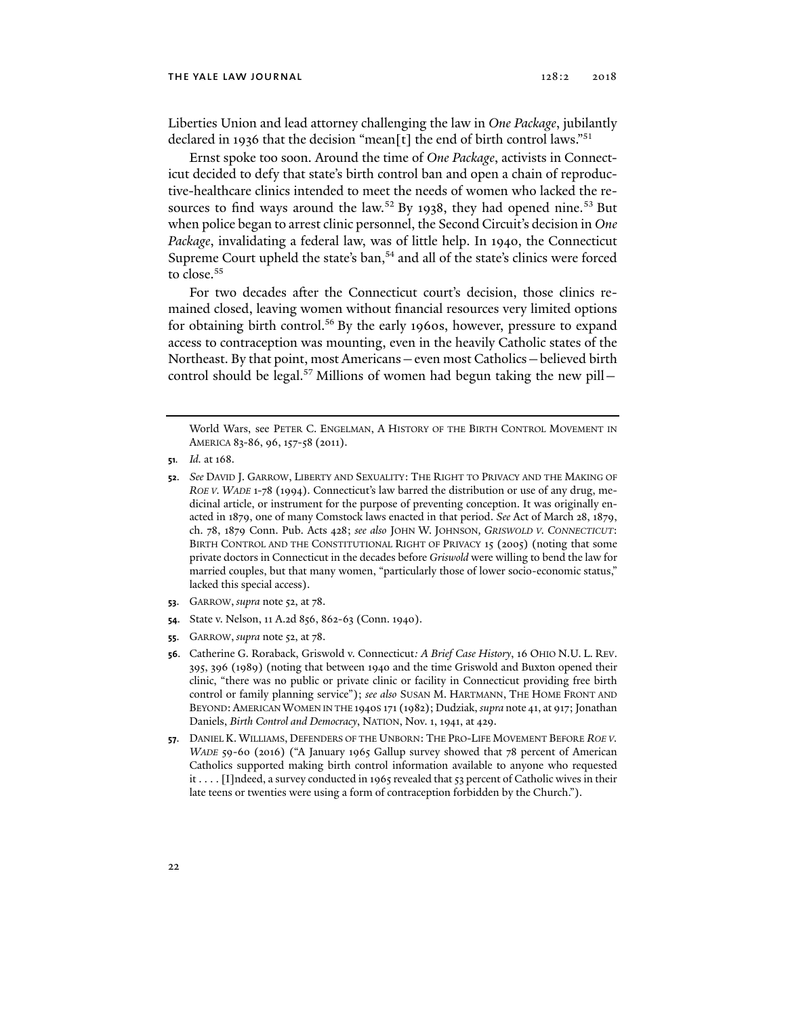Liberties Union and lead attorney challenging the law in *One Package*, jubilantly declared in 1936 that the decision "mean[t] the end of birth control laws."<sup>51</sup>

Ernst spoke too soon. Around the time of *One Package*, activists in Connecticut decided to defy that state's birth control ban and open a chain of reproductive-healthcare clinics intended to meet the needs of women who lacked the resources to find ways around the law.<sup>52</sup> By 1938, they had opened nine.<sup>53</sup> But when police began to arrest clinic personnel, the Second Circuit's decision in *One Package*, invalidating a federal law, was of little help. In 1940, the Connecticut Supreme Court upheld the state's ban, $54$  and all of the state's clinics were forced to close.<sup>55</sup>

For two decades after the Connecticut court's decision, those clinics remained closed, leaving women without financial resources very limited options for obtaining birth control.<sup>56</sup> By the early 1960s, however, pressure to expand access to contraception was mounting, even in the heavily Catholic states of the Northeast. By that point, most Americans—even most Catholics—believed birth control should be legal.<sup>57</sup> Millions of women had begun taking the new pill –

**51***. Id.* at 168.

- **53**. GARROW, *supra* note 52, at 78.
- **54**. State v. Nelson, 11 A.2d 856, 862-63 (Conn. 1940).
- **55**. GARROW, *supra* note 52, at 78.
- **56**. Catherine G. Roraback, Griswold v. Connecticut*: A Brief Case History*, 16 OHIO N.U. L. REV. 395, 396 (1989) (noting that between 1940 and the time Griswold and Buxton opened their clinic, "there was no public or private clinic or facility in Connecticut providing free birth control or family planning service"); *see also* SUSAN M. HARTMANN, THE HOME FRONT AND BEYOND:AMERICAN WOMEN IN THE 1940S 171 (1982); Dudziak, *supra* note 41, at 917; Jonathan Daniels, *Birth Control and Democracy*, NATION, Nov. 1, 1941, at 429.
- **57**. DANIEL K. WILLIAMS, DEFENDERS OF THE UNBORN: THE PRO-LIFE MOVEMENT BEFORE *ROE V. WADE* 59-60 (2016) ("A January 1965 Gallup survey showed that 78 percent of American Catholics supported making birth control information available to anyone who requested it . . . . [I]ndeed, a survey conducted in 1965 revealed that 53 percent of Catholic wives in their late teens or twenties were using a form of contraception forbidden by the Church.").

World Wars, see PETER C. ENGELMAN, A HISTORY OF THE BIRTH CONTROL MOVEMENT IN AMERICA 83-86, 96, 157-58 (2011).

**<sup>52</sup>**. *See* DAVID J. GARROW, LIBERTY AND SEXUALITY: THE RIGHT TO PRIVACY AND THE MAKING OF *ROE V. WADE* 1-78 (1994). Connecticut's law barred the distribution or use of any drug, medicinal article, or instrument for the purpose of preventing conception. It was originally enacted in 1879, one of many Comstock laws enacted in that period. *See* Act of March 28, 1879, ch. 78, 1879 Conn. Pub. Acts 428; *see also* JOHN W. JOHNSON*, GRISWOLD V. CONNECTICUT*: BIRTH CONTROL AND THE CONSTITUTIONAL RIGHT OF PRIVACY 15 (2005) (noting that some private doctors in Connecticut in the decades before *Griswold* were willing to bend the law for married couples, but that many women, "particularly those of lower socio-economic status," lacked this special access).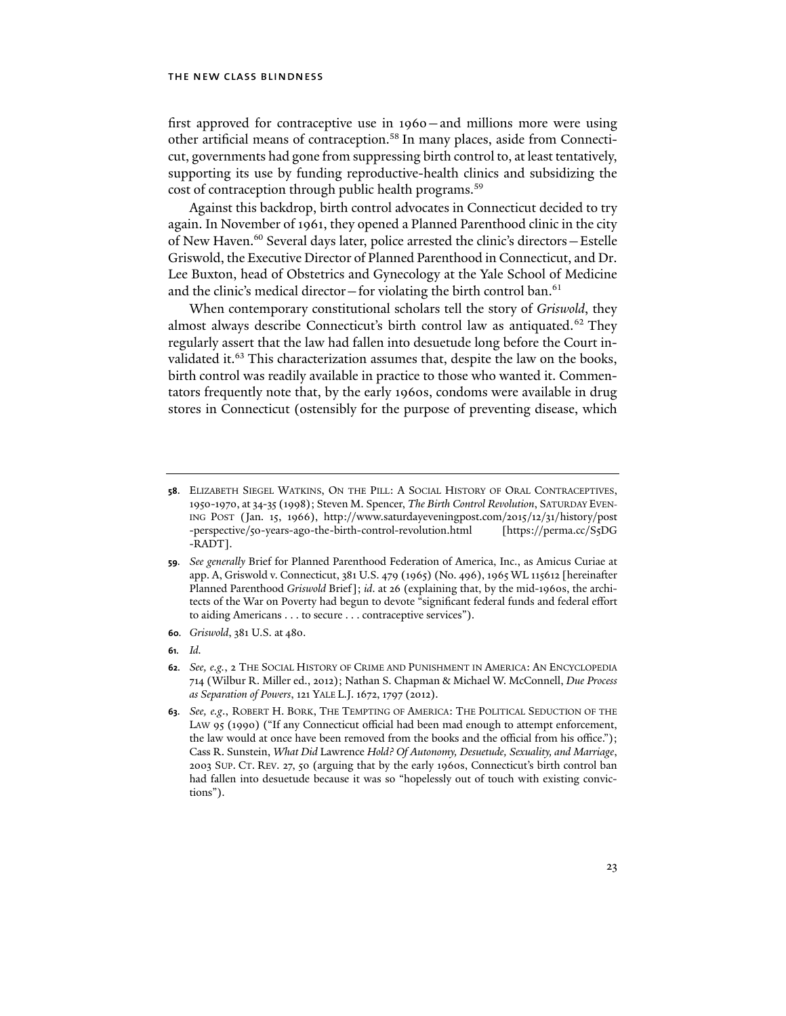first approved for contraceptive use in 1960—and millions more were using other artificial means of contraception.58 In many places, aside from Connecticut, governments had gone from suppressing birth control to, at least tentatively, supporting its use by funding reproductive-health clinics and subsidizing the cost of contraception through public health programs.59

Against this backdrop, birth control advocates in Connecticut decided to try again. In November of 1961, they opened a Planned Parenthood clinic in the city of New Haven.<sup>60</sup> Several days later, police arrested the clinic's directors - Estelle Griswold, the Executive Director of Planned Parenthood in Connecticut, and Dr. Lee Buxton, head of Obstetrics and Gynecology at the Yale School of Medicine and the clinic's medical director—for violating the birth control ban. $61$ 

When contemporary constitutional scholars tell the story of *Griswold*, they almost always describe Connecticut's birth control law as antiquated.<sup>62</sup> They regularly assert that the law had fallen into desuetude long before the Court invalidated it.<sup>63</sup> This characterization assumes that, despite the law on the books, birth control was readily available in practice to those who wanted it. Commentators frequently note that, by the early 1960s, condoms were available in drug stores in Connecticut (ostensibly for the purpose of preventing disease, which

**61***. Id.* 

**<sup>58</sup>**. ELIZABETH SIEGEL WATKINS, ON THE PILL: A SOCIAL HISTORY OF ORAL CONTRACEPTIVES, 1950-1970, at 34-35 (1998); Steven M. Spencer, *The Birth Control Revolution*, SATURDAY EVEN-ING POST (Jan. 15, 1966), http://www.saturdayeveningpost.com/2015/12/31/history/post -perspective/50-years-ago-the-birth-control-revolution.html [https://perma.cc/S5DG -RADT].

**<sup>59</sup>***. See generally* Brief for Planned Parenthood Federation of America, Inc., as Amicus Curiae at app. A, Griswold v. Connecticut, 381 U.S. 479 (1965) (No. 496), 1965 WL 115612 [hereinafter Planned Parenthood *Griswold* Brief]; *id*. at 26 (explaining that, by the mid-1960s, the architects of the War on Poverty had begun to devote "significant federal funds and federal effort to aiding Americans . . . to secure . . . contraceptive services").

**<sup>60</sup>***. Griswold*, 381 U.S. at 480.

**<sup>62</sup>***. See, e.g.*, 2 THE SOCIAL HISTORY OF CRIME AND PUNISHMENT IN AMERICA: AN ENCYCLOPEDIA 714 (Wilbur R. Miller ed., 2012); Nathan S. Chapman & Michael W. McConnell, *Due Process as Separation of Powers*, 121 YALE L.J. 1672, 1797 (2012).

**<sup>63</sup>***. See, e.g*., ROBERT H. BORK, THE TEMPTING OF AMERICA: THE POLITICAL SEDUCTION OF THE LAW 95 (1990) ("If any Connecticut official had been mad enough to attempt enforcement, the law would at once have been removed from the books and the official from his office."); Cass R. Sunstein, *What Did* Lawrence *Hold? Of Autonomy, Desuetude, Sexuality, and Marriage*, 2003 SUP. CT. REV. 27, 50 (arguing that by the early 1960s, Connecticut's birth control ban had fallen into desuetude because it was so "hopelessly out of touch with existing convictions").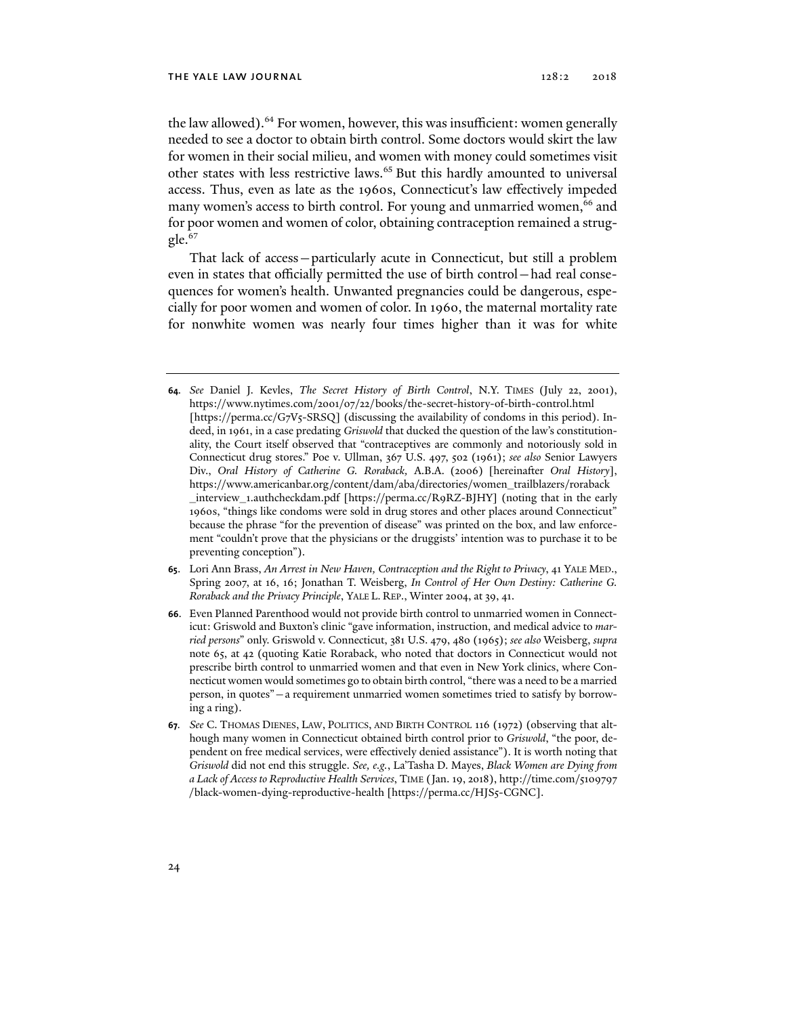the law allowed).<sup>64</sup> For women, however, this was insufficient: women generally needed to see a doctor to obtain birth control. Some doctors would skirt the law for women in their social milieu, and women with money could sometimes visit other states with less restrictive laws.<sup>65</sup> But this hardly amounted to universal access. Thus, even as late as the 1960s, Connecticut's law effectively impeded many women's access to birth control. For young and unmarried women,<sup>66</sup> and for poor women and women of color, obtaining contraception remained a struggle.<sup>67</sup>

That lack of access—particularly acute in Connecticut, but still a problem even in states that officially permitted the use of birth control—had real consequences for women's health. Unwanted pregnancies could be dangerous, especially for poor women and women of color. In 1960, the maternal mortality rate for nonwhite women was nearly four times higher than it was for white

- **65**. Lori Ann Brass, *An Arrest in New Haven, Contraception and the Right to Privacy*, 41 YALE MED., Spring 2007, at 16, 16; Jonathan T. Weisberg, *In Control of Her Own Destiny: Catherine G. Roraback and the Privacy Principle*, YALE L. REP., Winter 2004, at 39, 41.
- **66**. Even Planned Parenthood would not provide birth control to unmarried women in Connecticut: Griswold and Buxton's clinic "gave information, instruction, and medical advice to *married persons*" only. Griswold v. Connecticut, 381 U.S. 479, 480 (1965); *see also* Weisberg, *supra* note 65, at 42 (quoting Katie Roraback, who noted that doctors in Connecticut would not prescribe birth control to unmarried women and that even in New York clinics, where Connecticut women would sometimes go to obtain birth control, "there was a need to be a married person, in quotes"—a requirement unmarried women sometimes tried to satisfy by borrowing a ring).
- **67***. See* C. THOMAS DIENES, LAW, POLITICS, AND BIRTH CONTROL 116 (1972) (observing that although many women in Connecticut obtained birth control prior to *Griswold*, "the poor, dependent on free medical services, were effectively denied assistance"). It is worth noting that *Griswold* did not end this struggle. *See, e.g.*, La'Tasha D. Mayes, *Black Women are Dying from a Lack of Access to Reproductive Health Services*, TIME (Jan. 19, 2018), http://time.com/5109797 /black-women-dying-reproductive-health [https://perma.cc/HJS5-CGNC].

**<sup>64</sup>***. See* Daniel J. Kevles, *The Secret History of Birth Control*, N.Y. TIMES (July 22, 2001), https://www.nytimes.com/2001/07/22/books/the-secret-history-of-birth-control.html [https://perma.cc/G7V5-SRSQ] (discussing the availability of condoms in this period). Indeed, in 1961, in a case predating *Griswold* that ducked the question of the law's constitutionality, the Court itself observed that "contraceptives are commonly and notoriously sold in Connecticut drug stores." Poe v. Ullman, 367 U.S. 497, 502 (1961); *see also* Senior Lawyers Div., *Oral History of Catherine G. Roraback,* A.B.A. (2006) [hereinafter *Oral History*], https://www.americanbar.org/content/dam/aba/directories/women\_trailblazers/roraback \_interview\_1.authcheckdam.pdf [https://perma.cc/R9RZ-BJHY] (noting that in the early 1960s, "things like condoms were sold in drug stores and other places around Connecticut" because the phrase "for the prevention of disease" was printed on the box, and law enforcement "couldn't prove that the physicians or the druggists' intention was to purchase it to be preventing conception").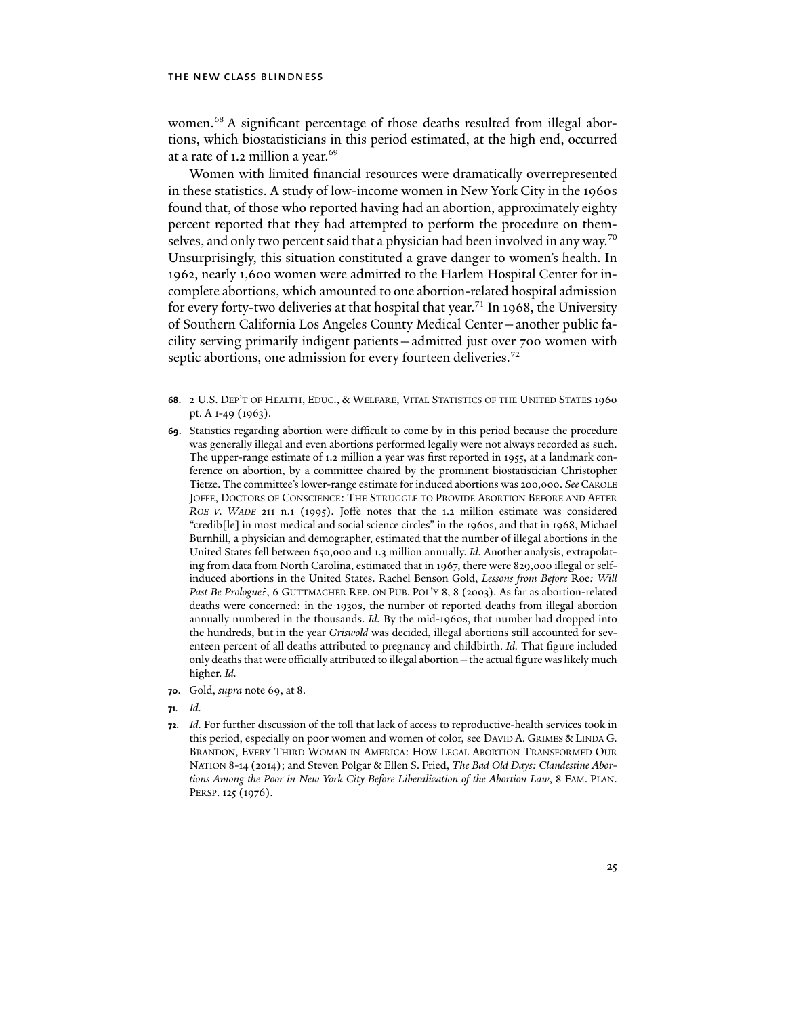women.<sup>68</sup> A significant percentage of those deaths resulted from illegal abortions, which biostatisticians in this period estimated, at the high end, occurred at a rate of 1.2 million a year.<sup>69</sup>

Women with limited financial resources were dramatically overrepresented in these statistics. A study of low-income women in New York City in the 1960s found that, of those who reported having had an abortion, approximately eighty percent reported that they had attempted to perform the procedure on themselves, and only two percent said that a physician had been involved in any way.<sup>70</sup> Unsurprisingly, this situation constituted a grave danger to women's health. In 1962, nearly 1,600 women were admitted to the Harlem Hospital Center for incomplete abortions, which amounted to one abortion-related hospital admission for every forty-two deliveries at that hospital that year.<sup>71</sup> In 1968, the University of Southern California Los Angeles County Medical Center—another public facility serving primarily indigent patients—admitted just over 700 women with septic abortions, one admission for every fourteen deliveries.<sup>72</sup>

- **69**. Statistics regarding abortion were difficult to come by in this period because the procedure was generally illegal and even abortions performed legally were not always recorded as such. The upper-range estimate of 1.2 million a year was first reported in 1955, at a landmark conference on abortion, by a committee chaired by the prominent biostatistician Christopher Tietze. The committee's lower-range estimate for induced abortions was 200,000. *See* CAROLE JOFFE, DOCTORS OF CONSCIENCE: THE STRUGGLE TO PROVIDE ABORTION BEFORE AND AFTER *ROE V. WADE* 211 n.1 (1995). Joffe notes that the 1.2 million estimate was considered "credib[le] in most medical and social science circles" in the 1960s, and that in 1968, Michael Burnhill, a physician and demographer, estimated that the number of illegal abortions in the United States fell between 650,000 and 1.3 million annually. *Id.* Another analysis, extrapolating from data from North Carolina, estimated that in 1967, there were 829,000 illegal or selfinduced abortions in the United States. Rachel Benson Gold, *Lessons from Before* Roe*: Will*  Past Be Prologue?, 6 GUTTMACHER REP. ON PUB. POL'Y 8, 8 (2003). As far as abortion-related deaths were concerned: in the 1930s, the number of reported deaths from illegal abortion annually numbered in the thousands. *Id.* By the mid-1960s, that number had dropped into the hundreds, but in the year *Griswold* was decided, illegal abortions still accounted for seventeen percent of all deaths attributed to pregnancy and childbirth. *Id.* That figure included only deaths that were officially attributed to illegal abortion—the actual figure was likely much higher. *Id.*
- **70**. Gold, *supra* note 69, at 8.
- **71***. Id.*
- **72***. Id.* For further discussion of the toll that lack of access to reproductive-health services took in this period, especially on poor women and women of color, see DAVID A. GRIMES & LINDA G. BRANDON, EVERY THIRD WOMAN IN AMERICA: HOW LEGAL ABORTION TRANSFORMED OUR NATION 8-14 (2014); and Steven Polgar & Ellen S. Fried, *The Bad Old Days: Clandestine Abortions Among the Poor in New York City Before Liberalization of the Abortion Law*, 8 FAM. PLAN. PERSP. 125 (1976).

**<sup>68</sup>**. 2 U.S. DEP'T OF HEALTH, EDUC., & WELFARE, VITAL STATISTICS OF THE UNITED STATES 1960 pt. A 1-49 (1963).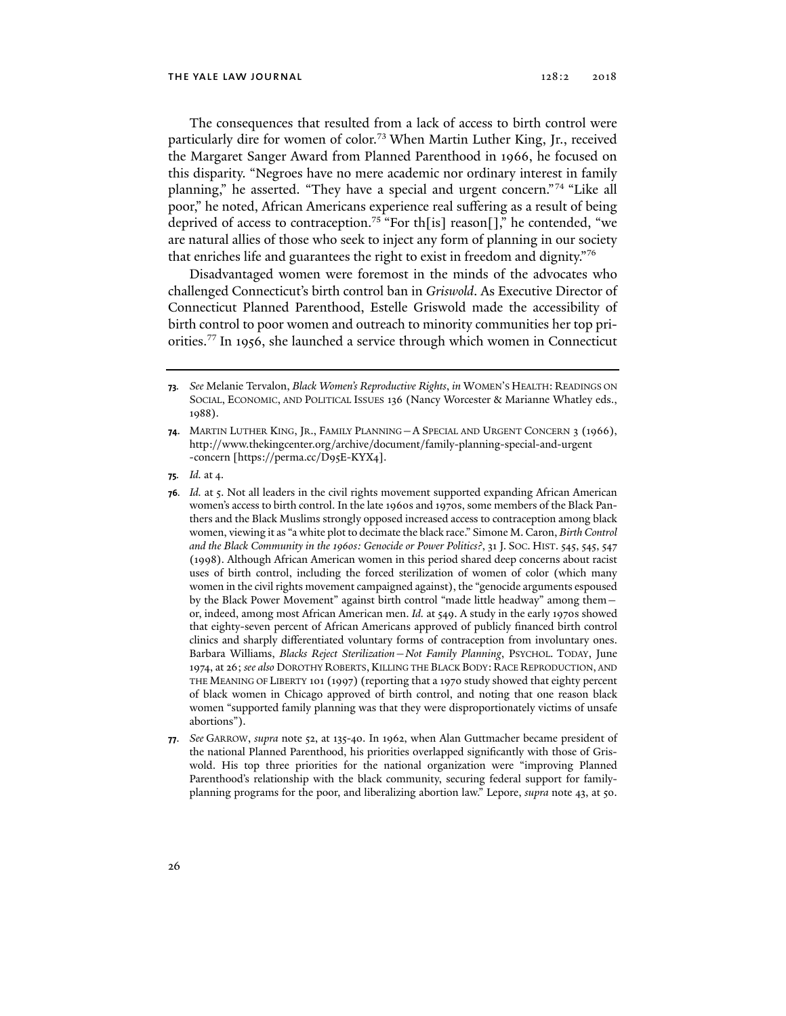The consequences that resulted from a lack of access to birth control were particularly dire for women of color.<sup>73</sup> When Martin Luther King, Jr., received the Margaret Sanger Award from Planned Parenthood in 1966, he focused on this disparity. "Negroes have no mere academic nor ordinary interest in family planning," he asserted. "They have a special and urgent concern."74 "Like all poor," he noted, African Americans experience real suffering as a result of being deprived of access to contraception.<sup>75</sup> "For th[is] reason[]," he contended, "we are natural allies of those who seek to inject any form of planning in our society that enriches life and guarantees the right to exist in freedom and dignity."76

Disadvantaged women were foremost in the minds of the advocates who challenged Connecticut's birth control ban in *Griswold*. As Executive Director of Connecticut Planned Parenthood, Estelle Griswold made the accessibility of birth control to poor women and outreach to minority communities her top priorities.77 In 1956, she launched a service through which women in Connecticut

**<sup>73</sup>***. See* Melanie Tervalon, *Black Women's Reproductive Rights*, *in* WOMEN'S HEALTH: READINGS ON SOCIAL, ECONOMIC, AND POLITICAL ISSUES 136 (Nancy Worcester & Marianne Whatley eds., 1988).

**<sup>74</sup>**. MARTIN LUTHER KING, JR., FAMILY PLANNING—A SPECIAL AND URGENT CONCERN 3 (1966), http://www.thekingcenter.org/archive/document/family-planning-special-and-urgent -concern [https://perma.cc/D95E-KYX4].

**<sup>75</sup>***. Id.* at 4.

**<sup>76</sup>***. Id.* at 5. Not all leaders in the civil rights movement supported expanding African American women's access to birth control. In the late 1960s and 1970s, some members of the Black Panthers and the Black Muslims strongly opposed increased access to contraception among black women, viewing it as "a white plot to decimate the black race." Simone M. Caron, *Birth Control and the Black Community in the 1960s: Genocide or Power Politics?*, 31 J. SOC. HIST. 545, 545, 547 (1998). Although African American women in this period shared deep concerns about racist uses of birth control, including the forced sterilization of women of color (which many women in the civil rights movement campaigned against), the "genocide arguments espoused by the Black Power Movement" against birth control "made little headway" among them or, indeed, among most African American men. *Id.* at 549. A study in the early 1970s showed that eighty-seven percent of African Americans approved of publicly financed birth control clinics and sharply differentiated voluntary forms of contraception from involuntary ones. Barbara Williams, *Blacks Reject Sterilization—Not Family Planning*, PSYCHOL. TODAY, June 1974, at 26; *see also* DOROTHY ROBERTS,KILLING THE BLACK BODY: RACE REPRODUCTION, AND THE MEANING OF LIBERTY 101 (1997) (reporting that a 1970 study showed that eighty percent of black women in Chicago approved of birth control, and noting that one reason black women "supported family planning was that they were disproportionately victims of unsafe abortions").

**<sup>77</sup>**. *See* GARROW, *supra* note 52, at 135-40. In 1962, when Alan Guttmacher became president of the national Planned Parenthood, his priorities overlapped significantly with those of Griswold. His top three priorities for the national organization were "improving Planned Parenthood's relationship with the black community, securing federal support for familyplanning programs for the poor, and liberalizing abortion law." Lepore, *supra* note 43, at 50.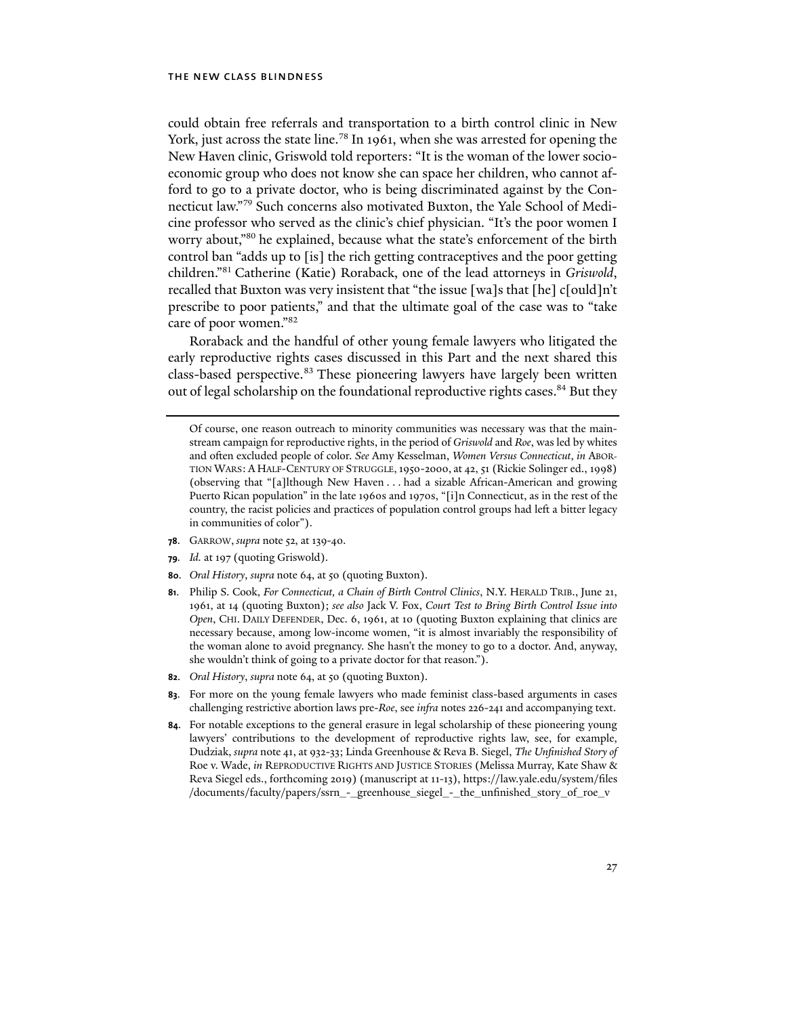could obtain free referrals and transportation to a birth control clinic in New York, just across the state line.<sup>78</sup> In 1961, when she was arrested for opening the New Haven clinic, Griswold told reporters: "It is the woman of the lower socioeconomic group who does not know she can space her children, who cannot afford to go to a private doctor, who is being discriminated against by the Connecticut law."79 Such concerns also motivated Buxton, the Yale School of Medicine professor who served as the clinic's chief physician. "It's the poor women I worry about,"80 he explained, because what the state's enforcement of the birth control ban "adds up to [is] the rich getting contraceptives and the poor getting children."81 Catherine (Katie) Roraback, one of the lead attorneys in *Griswold*, recalled that Buxton was very insistent that "the issue [wa]s that [he] c[ould]n't prescribe to poor patients," and that the ultimate goal of the case was to "take care of poor women."82

Roraback and the handful of other young female lawyers who litigated the early reproductive rights cases discussed in this Part and the next shared this class-based perspective.<sup>83</sup> These pioneering lawyers have largely been written out of legal scholarship on the foundational reproductive rights cases.<sup>84</sup> But they

- **78**. GARROW, *supra* note 52, at 139-40.
- **79***. Id.* at 197 (quoting Griswold).
- **80**. *Oral History*, *supra* note 64, at 50 (quoting Buxton).
- **81**. Philip S. Cook, *For Connecticut, a Chain of Birth Control Clinics*, N.Y. HERALD TRIB., June 21, 1961, at 14 (quoting Buxton); *see also* Jack V. Fox, *Court Test to Bring Birth Control Issue into Open*, CHI. DAILY DEFENDER, Dec. 6, 1961, at 10 (quoting Buxton explaining that clinics are necessary because, among low-income women, "it is almost invariably the responsibility of the woman alone to avoid pregnancy. She hasn't the money to go to a doctor. And, anyway, she wouldn't think of going to a private doctor for that reason.").
- **82**. *Oral History*, *supra* note 64, at 50 (quoting Buxton).
- **83**. For more on the young female lawyers who made feminist class-based arguments in cases challenging restrictive abortion laws pre-*Roe*, see *infra* notes 226-241 and accompanying text.
- **84**. For notable exceptions to the general erasure in legal scholarship of these pioneering young lawyers' contributions to the development of reproductive rights law, see, for example, Dudziak, *supra* note 41, at 932-33; Linda Greenhouse & Reva B. Siegel, *The Unfinished Story of* Roe v. Wade, *in* REPRODUCTIVE RIGHTS AND JUSTICE STORIES (Melissa Murray, Kate Shaw & Reva Siegel eds., forthcoming 2019) (manuscript at 11-13), https://law.yale.edu/system/files /documents/faculty/papers/ssrn\_-\_greenhouse\_siegel\_-\_the\_unfinished\_story\_of\_roe\_v

Of course, one reason outreach to minority communities was necessary was that the mainstream campaign for reproductive rights, in the period of *Griswold* and *Roe*, was led by whites and often excluded people of color. *See* Amy Kesselman, *Women Versus Connecticut*, *in* ABOR-TION WARS: A HALF-CENTURY OF STRUGGLE,1950-2000, at 42, 51 (Rickie Solinger ed., 1998) (observing that "[a]lthough New Haven . . . had a sizable African-American and growing Puerto Rican population" in the late 1960s and 1970s, "[i]n Connecticut, as in the rest of the country, the racist policies and practices of population control groups had left a bitter legacy in communities of color").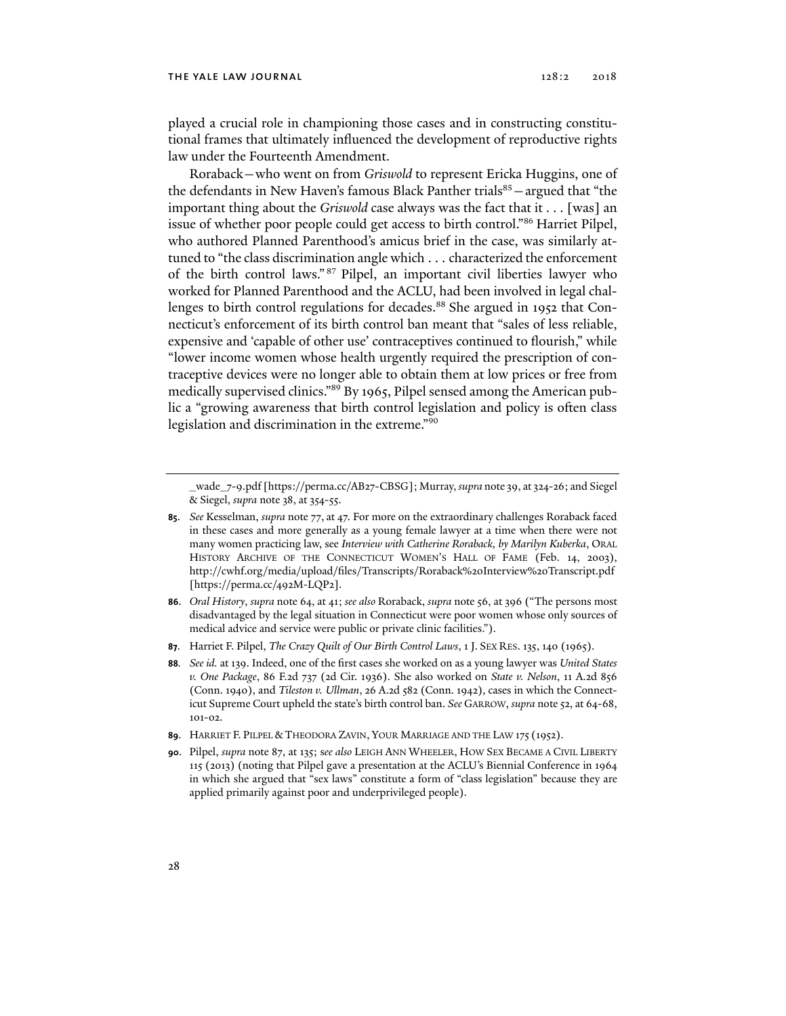played a crucial role in championing those cases and in constructing constitutional frames that ultimately influenced the development of reproductive rights law under the Fourteenth Amendment.

Roraback—who went on from *Griswold* to represent Ericka Huggins, one of the defendants in New Haven's famous Black Panther trials $85 -$ argued that "the important thing about the *Griswold* case always was the fact that it . . . [was] an issue of whether poor people could get access to birth control."86 Harriet Pilpel, who authored Planned Parenthood's amicus brief in the case, was similarly attuned to "the class discrimination angle which . . . characterized the enforcement of the birth control laws." 87 Pilpel, an important civil liberties lawyer who worked for Planned Parenthood and the ACLU, had been involved in legal challenges to birth control regulations for decades.<sup>88</sup> She argued in 1952 that Connecticut's enforcement of its birth control ban meant that "sales of less reliable, expensive and 'capable of other use' contraceptives continued to flourish," while "lower income women whose health urgently required the prescription of contraceptive devices were no longer able to obtain them at low prices or free from medically supervised clinics."89 By 1965, Pilpel sensed among the American public a "growing awareness that birth control legislation and policy is often class legislation and discrimination in the extreme."<sup>90</sup>

\_wade\_7-9.pdf [https://perma.cc/AB27-CBSG]; Murray, *supra* note 39, at 324-26; and Siegel & Siegel, *supra* note 38, at 354-55.

- **86**. *Oral History*, *supra* note 64, at 41; *see also* Roraback, *supra* note 56, at 396 ("The persons most disadvantaged by the legal situation in Connecticut were poor women whose only sources of medical advice and service were public or private clinic facilities.").
- **87**. Harriet F. Pilpel, *The Crazy Quilt of Our Birth Control Laws*, 1 J. SEX RES. 135, 140 (1965).
- **88***. See id.* at 139. Indeed, one of the first cases she worked on as a young lawyer was *United States v. One Package*, 86 F.2d 737 (2d Cir. 1936). She also worked on *State v. Nelson*, 11 A.2d 856 (Conn. 1940), and *Tileston v. Ullman*, 26 A.2d 582 (Conn. 1942), cases in which the Connecticut Supreme Court upheld the state's birth control ban. *See* GARROW, *supra* note 52, at 64-68, 101-02.
- **89**. HARRIET F. PILPEL & THEODORA ZAVIN, YOUR MARRIAGE AND THE LAW 175 (1952).
- **90**. Pilpel, *supra* note 87, at 135; s*ee also* LEIGH ANN WHEELER, HOW SEX BECAME A CIVIL LIBERTY 115 (2013) (noting that Pilpel gave a presentation at the ACLU's Biennial Conference in 1964 in which she argued that "sex laws" constitute a form of "class legislation" because they are applied primarily against poor and underprivileged people).

**<sup>85</sup>**. *See* Kesselman, *supra* note 77, at 47. For more on the extraordinary challenges Roraback faced in these cases and more generally as a young female lawyer at a time when there were not many women practicing law, see *Interview with Catherine Roraback, by Marilyn Kuberka*, ORAL HISTORY ARCHIVE OF THE CONNECTICUT WOMEN'S HALL OF FAME (Feb. 14, 2003), http://cwhf.org/media/upload/files/Transcripts/Roraback%20Interview%20Transcript.pdf [https://perma.cc/492M-LQP2].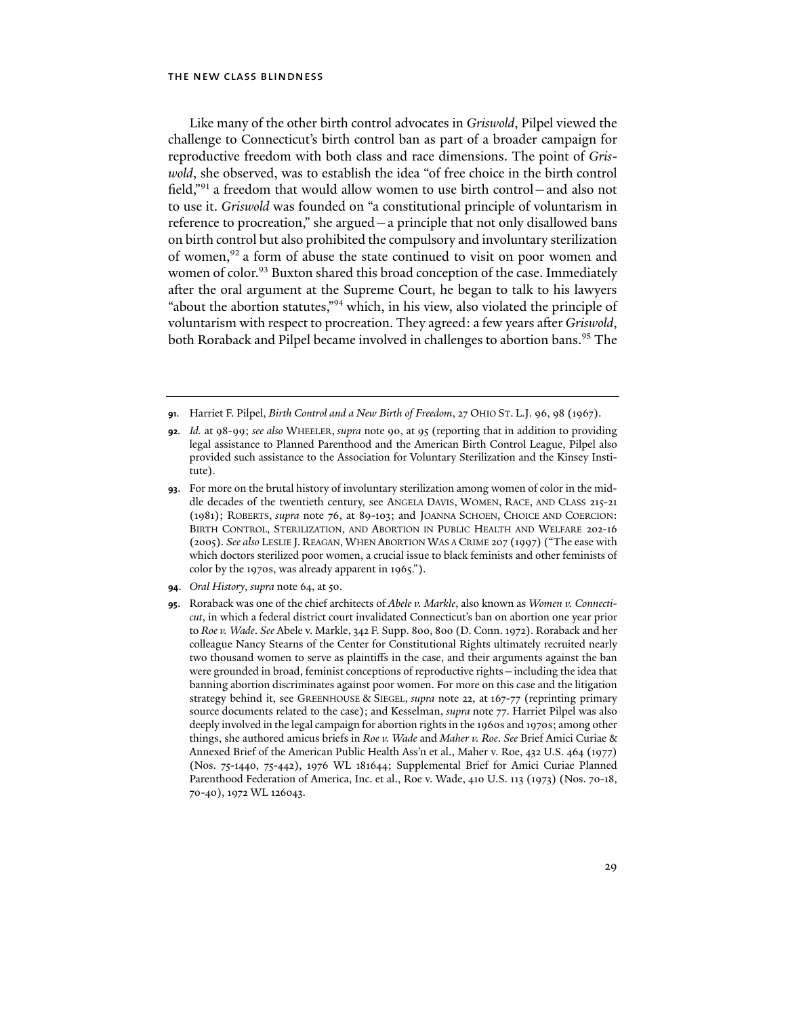Like many of the other birth control advocates in *Griswold*, Pilpel viewed the challenge to Connecticut's birth control ban as part of a broader campaign for reproductive freedom with both class and race dimensions. The point of *Griswold*, she observed, was to establish the idea "of free choice in the birth control field,"91 a freedom that would allow women to use birth control—and also not to use it. *Griswold* was founded on "a constitutional principle of voluntarism in reference to procreation," she argued—a principle that not only disallowed bans on birth control but also prohibited the compulsory and involuntary sterilization of women,92 a form of abuse the state continued to visit on poor women and women of color.<sup>93</sup> Buxton shared this broad conception of the case. Immediately after the oral argument at the Supreme Court, he began to talk to his lawyers "about the abortion statutes,"94 which, in his view, also violated the principle of voluntarism with respect to procreation. They agreed: a few years after *Griswold*, both Roraback and Pilpel became involved in challenges to abortion bans.<sup>95</sup> The

- **92***. Id.* at 98-99; *see also* WHEELER, *supra* note 90, at 95 (reporting that in addition to providing legal assistance to Planned Parenthood and the American Birth Control League, Pilpel also provided such assistance to the Association for Voluntary Sterilization and the Kinsey Institute).
- **93**. For more on the brutal history of involuntary sterilization among women of color in the middle decades of the twentieth century, see ANGELA DAVIS, WOMEN, RACE, AND CLASS 215-21 (1981); ROBERTS, *supra* note 76, at 89-103; and JOANNA SCHOEN, CHOICE AND COERCION: BIRTH CONTROL, STERILIZATION, AND ABORTION IN PUBLIC HEALTH AND WELFARE 202-16 (2005). *See also* LESLIE J. REAGAN, WHEN ABORTION WAS A CRIME 207 (1997) ("The ease with which doctors sterilized poor women, a crucial issue to black feminists and other feminists of color by the 1970s, was already apparent in 1965.").
- **94**. *Oral History*, *supra* note 64, at 50.
- **95**. Roraback was one of the chief architects of *Abele v. Markle*, also known as *Women v. Connecticut*, in which a federal district court invalidated Connecticut's ban on abortion one year prior to *Roe v. Wade*. *See* Abele v. Markle, 342 F. Supp. 800, 800 (D. Conn. 1972). Roraback and her colleague Nancy Stearns of the Center for Constitutional Rights ultimately recruited nearly two thousand women to serve as plaintiffs in the case, and their arguments against the ban were grounded in broad, feminist conceptions of reproductive rights—including the idea that banning abortion discriminates against poor women. For more on this case and the litigation strategy behind it, see GREENHOUSE & SIEGEL, *supra* note 22, at 167-77 (reprinting primary source documents related to the case); and Kesselman, *supra* note 77. Harriet Pilpel was also deeply involved in the legal campaign for abortion rights in the 1960s and 1970s; among other things, she authored amicus briefs in *Roe v. Wade* and *Maher v. Roe*. *See* Brief Amici Curiae & Annexed Brief of the American Public Health Ass'n et al., Maher v. Roe, 432 U.S. 464 (1977) (Nos. 75-1440, 75-442), 1976 WL 181644; Supplemental Brief for Amici Curiae Planned Parenthood Federation of America, Inc. et al., Roe v. Wade, 410 U.S. 113 (1973) (Nos. 70-18, 70-40), 1972 WL 126043.

**<sup>91</sup>**. Harriet F. Pilpel, *Birth Control and a New Birth of Freedom*, 27 OHIO ST. L.J. 96, 98 (1967).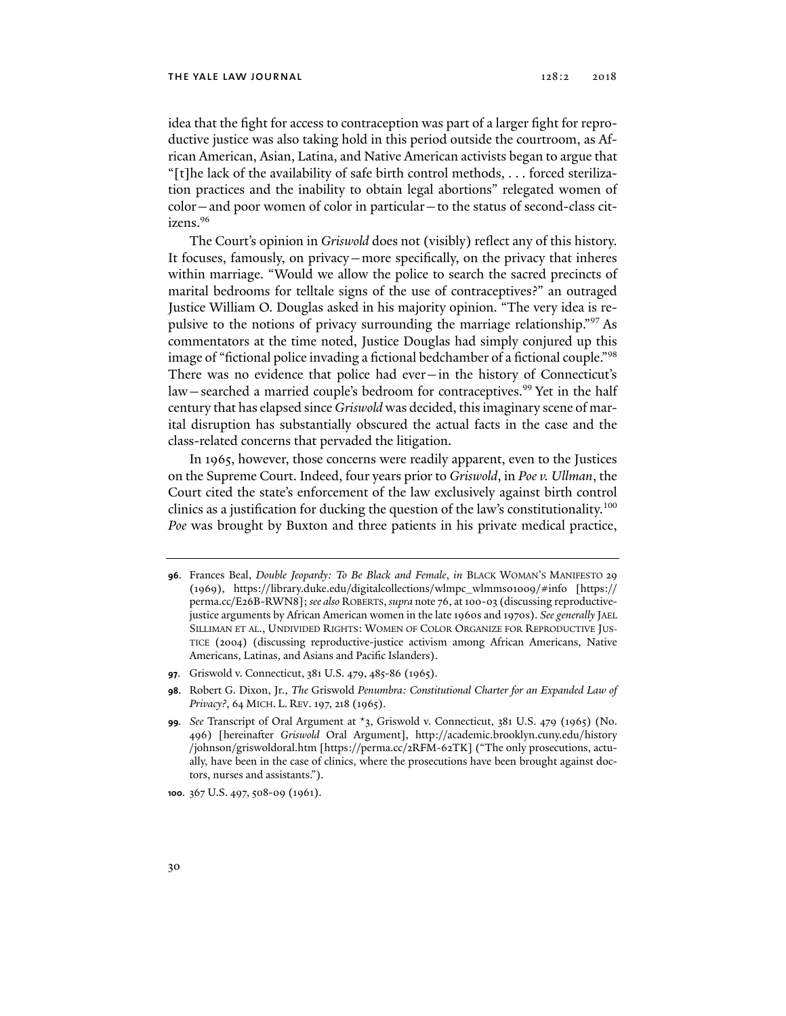idea that the fight for access to contraception was part of a larger fight for reproductive justice was also taking hold in this period outside the courtroom, as African American, Asian, Latina, and Native American activists began to argue that "[t]he lack of the availability of safe birth control methods,  $\dots$  forced sterilization practices and the inability to obtain legal abortions" relegated women of color—and poor women of color in particular—to the status of second-class citizens.96

The Court's opinion in *Griswold* does not (visibly) reflect any of this history. It focuses, famously, on privacy—more specifically, on the privacy that inheres within marriage. "Would we allow the police to search the sacred precincts of marital bedrooms for telltale signs of the use of contraceptives?" an outraged Justice William O. Douglas asked in his majority opinion. "The very idea is repulsive to the notions of privacy surrounding the marriage relationship."97 As commentators at the time noted, Justice Douglas had simply conjured up this image of "fictional police invading a fictional bedchamber of a fictional couple."98 There was no evidence that police had ever—in the history of Connecticut's law—searched a married couple's bedroom for contraceptives.<sup>99</sup> Yet in the half century that has elapsed since *Griswold* was decided, this imaginary scene of marital disruption has substantially obscured the actual facts in the case and the class-related concerns that pervaded the litigation.

In 1965, however, those concerns were readily apparent, even to the Justices on the Supreme Court. Indeed, four years prior to *Griswold*, in *Poe v. Ullman*, the Court cited the state's enforcement of the law exclusively against birth control clinics as a justification for ducking the question of the law's constitutionality.<sup>100</sup> *Poe* was brought by Buxton and three patients in his private medical practice,

**97**. Griswold v. Connecticut, 381 U.S. 479, 485-86 (1965).

**100**. 367 U.S. 497, 508-09 (1961).

**<sup>96</sup>**. Frances Beal, *Double Jeopardy: To Be Black and Female*, *in* BLACK WOMAN'S MANIFESTO 29 (1969), https://library.duke.edu/digitalcollections/wlmpc\_wlmms01009/#info [https:// perma.cc/E26B-RWN8]; *see also* ROBERTS, *supra* note 76, at 100-03 (discussing reproductivejustice arguments by African American women in the late 1960s and 1970s). *See generally* JAEL SILLIMAN ET AL., UNDIVIDED RIGHTS: WOMEN OF COLOR ORGANIZE FOR REPRODUCTIVE JUS-TICE (2004) (discussing reproductive-justice activism among African Americans, Native Americans, Latinas, and Asians and Pacific Islanders).

**<sup>98</sup>**. Robert G. Dixon, Jr., *The* Griswold *Penumbra: Constitutional Charter for an Expanded Law of Privacy?*, 64 MICH. L. REV. 197, 218 (1965).

**<sup>99</sup>***. See* Transcript of Oral Argument at \*3, Griswold v. Connecticut, 381 U.S. 479 (1965) (No. 496) [hereinafter *Griswold* Oral Argument], http://academic.brooklyn.cuny.edu/history /johnson/griswoldoral.htm [https://perma.cc/2RFM-62TK] ("The only prosecutions, actually, have been in the case of clinics, where the prosecutions have been brought against doctors, nurses and assistants.").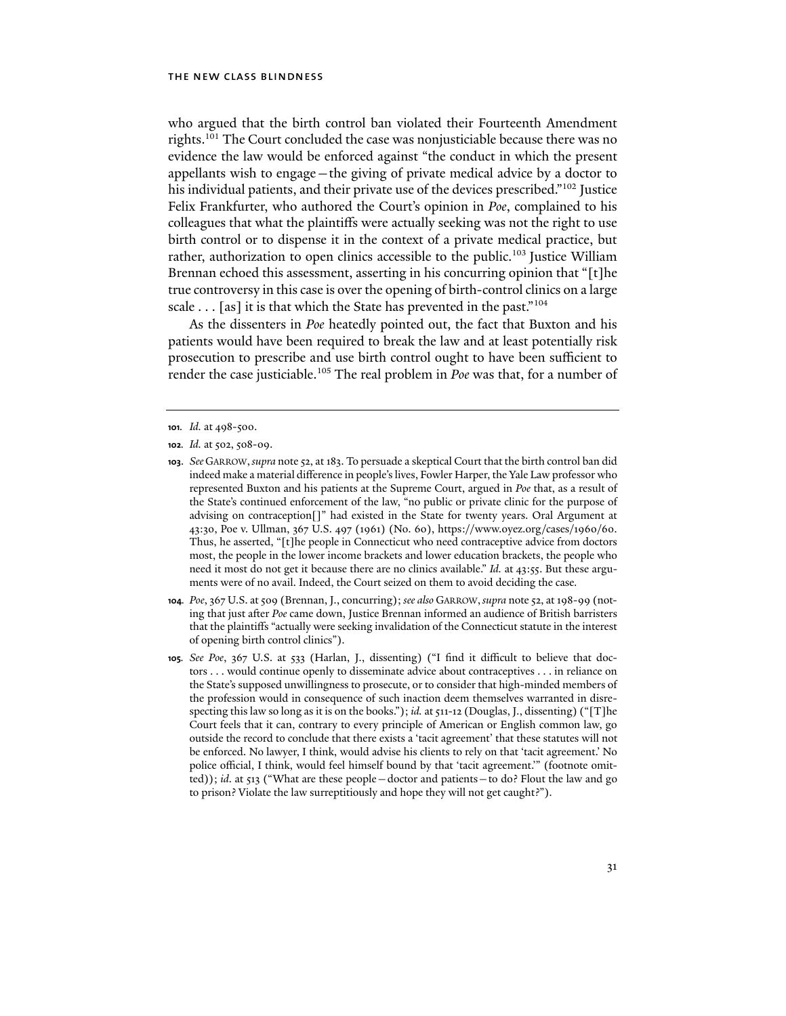who argued that the birth control ban violated their Fourteenth Amendment rights.<sup>101</sup> The Court concluded the case was nonjusticiable because there was no evidence the law would be enforced against "the conduct in which the present appellants wish to engage—the giving of private medical advice by a doctor to his individual patients, and their private use of the devices prescribed."<sup>102</sup> Justice Felix Frankfurter, who authored the Court's opinion in *Poe*, complained to his colleagues that what the plaintiffs were actually seeking was not the right to use birth control or to dispense it in the context of a private medical practice, but rather, authorization to open clinics accessible to the public.<sup>103</sup> Justice William Brennan echoed this assessment, asserting in his concurring opinion that "[t]he true controversy in this case is over the opening of birth-control clinics on a large scale  $\ldots$  [as] it is that which the State has prevented in the past."<sup>104</sup>

As the dissenters in *Poe* heatedly pointed out, the fact that Buxton and his patients would have been required to break the law and at least potentially risk prosecution to prescribe and use birth control ought to have been sufficient to render the case justiciable.105 The real problem in *Poe* was that, for a number of

**102***. Id.* at 502, 508-09.

- **104***. Poe*, 367 U.S. at 509 (Brennan, J., concurring); *see also* GARROW,*supra* note 52, at 198-99 (noting that just after *Poe* came down, Justice Brennan informed an audience of British barristers that the plaintiffs "actually were seeking invalidation of the Connecticut statute in the interest of opening birth control clinics").
- **105***. See Poe*, 367 U.S. at 533 (Harlan, J., dissenting) ("I find it difficult to believe that doctors . . . would continue openly to disseminate advice about contraceptives . . . in reliance on the State's supposed unwillingness to prosecute, or to consider that high-minded members of the profession would in consequence of such inaction deem themselves warranted in disrespecting this law so long as it is on the books."); *id.* at 511-12 (Douglas, J., dissenting) ("[T]he Court feels that it can, contrary to every principle of American or English common law, go outside the record to conclude that there exists a 'tacit agreement' that these statutes will not be enforced. No lawyer, I think, would advise his clients to rely on that 'tacit agreement.' No police official, I think, would feel himself bound by that 'tacit agreement.'" (footnote omitted)); *id*. at 513 ("What are these people—doctor and patients—to do? Flout the law and go to prison? Violate the law surreptitiously and hope they will not get caught?").

**<sup>101</sup>***. Id.* at 498-500.

**<sup>103</sup>**. *See* GARROW,*supra* note 52, at 183. To persuade a skeptical Court that the birth control ban did indeed make a material difference in people's lives, Fowler Harper, the Yale Law professor who represented Buxton and his patients at the Supreme Court, argued in *Poe* that, as a result of the State's continued enforcement of the law, "no public or private clinic for the purpose of advising on contraception[]" had existed in the State for twenty years. Oral Argument at 43:30, Poe v. Ullman, 367 U.S. 497 (1961) (No. 60), https://www.oyez.org/cases/1960/60. Thus, he asserted, "[t]he people in Connecticut who need contraceptive advice from doctors most, the people in the lower income brackets and lower education brackets, the people who need it most do not get it because there are no clinics available." *Id.* at 43:55. But these arguments were of no avail. Indeed, the Court seized on them to avoid deciding the case*.*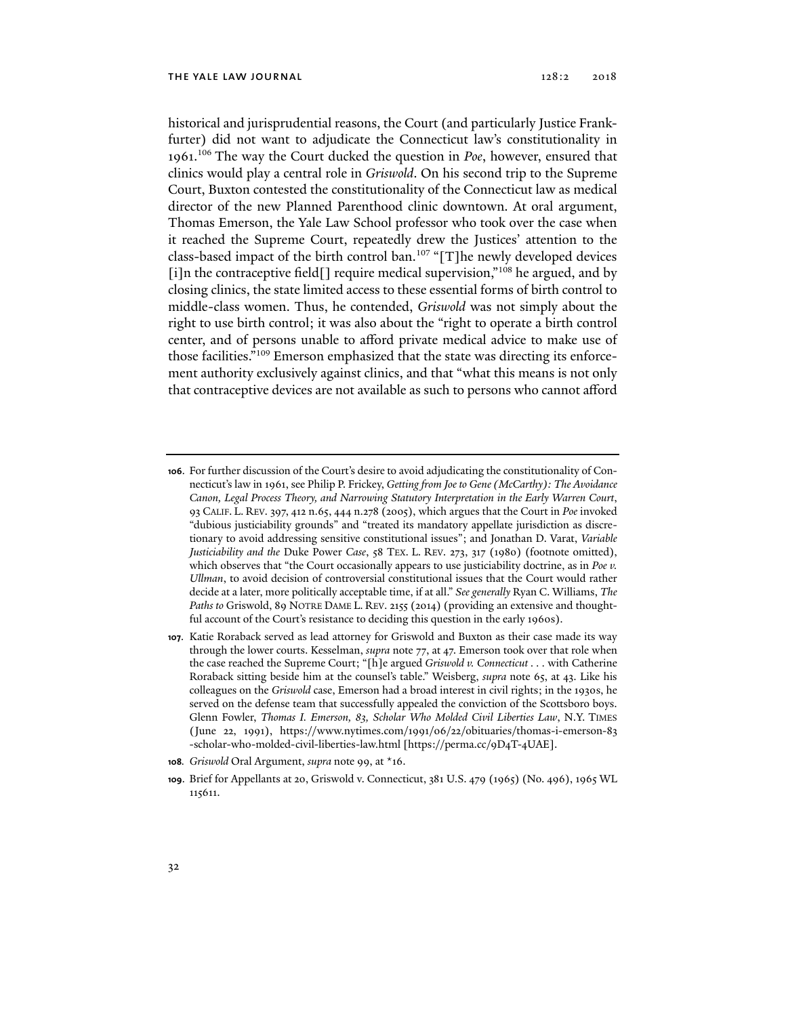historical and jurisprudential reasons, the Court (and particularly Justice Frankfurter) did not want to adjudicate the Connecticut law's constitutionality in 1961.106 The way the Court ducked the question in *Poe*, however, ensured that clinics would play a central role in *Griswold*. On his second trip to the Supreme Court, Buxton contested the constitutionality of the Connecticut law as medical director of the new Planned Parenthood clinic downtown. At oral argument, Thomas Emerson, the Yale Law School professor who took over the case when it reached the Supreme Court, repeatedly drew the Justices' attention to the class-based impact of the birth control ban.<sup>107</sup> "[T]he newly developed devices [i]n the contraceptive field<sup>[]</sup> require medical supervision,"<sup>108</sup> he argued, and by closing clinics, the state limited access to these essential forms of birth control to middle-class women. Thus, he contended, *Griswold* was not simply about the right to use birth control; it was also about the "right to operate a birth control center, and of persons unable to afford private medical advice to make use of those facilities."109 Emerson emphasized that the state was directing its enforcement authority exclusively against clinics, and that "what this means is not only that contraceptive devices are not available as such to persons who cannot afford

- **106**. For further discussion of the Court's desire to avoid adjudicating the constitutionality of Connecticut's law in 1961, see Philip P. Frickey, *Getting from Joe to Gene (McCarthy): The Avoidance Canon, Legal Process Theory, and Narrowing Statutory Interpretation in the Early Warren Court*, 93 CALIF. L. REV. 397, 412 n.65, 444 n.278 (2005), which argues that the Court in *Poe* invoked "dubious justiciability grounds" and "treated its mandatory appellate jurisdiction as discretionary to avoid addressing sensitive constitutional issues"; and Jonathan D. Varat, *Variable Justiciability and the* Duke Power *Case*, 58 TEX. L. REV. 273, 317 (1980) (footnote omitted), which observes that "the Court occasionally appears to use justiciability doctrine, as in *Poe v. Ullman*, to avoid decision of controversial constitutional issues that the Court would rather decide at a later, more politically acceptable time, if at all." *See generally* Ryan C. Williams, *The Paths to* Griswold, 89 NOTRE DAME L. REV. 2155 (2014) (providing an extensive and thoughtful account of the Court's resistance to deciding this question in the early 1960s).
- **107**. Katie Roraback served as lead attorney for Griswold and Buxton as their case made its way through the lower courts. Kesselman, *supra* note 77, at 47. Emerson took over that role when the case reached the Supreme Court; "[h]e argued *Griswold v. Connecticut . . .* with Catherine Roraback sitting beside him at the counsel's table." Weisberg, *supra* note 65, at 43. Like his colleagues on the *Griswold* case, Emerson had a broad interest in civil rights; in the 1930s, he served on the defense team that successfully appealed the conviction of the Scottsboro boys. Glenn Fowler, *Thomas I. Emerson, 83, Scholar Who Molded Civil Liberties Law*, N.Y. TIMES (June 22, 1991), https://www.nytimes.com/1991/06/22/obituaries/thomas-i-emerson-83 -scholar-who-molded-civil-liberties-law.html [https://perma.cc/9D4T-4UAE].
- **108***. Griswold* Oral Argument, *supra* note 99, at \*16.
- **109**. Brief for Appellants at 20, Griswold v. Connecticut, 381 U.S. 479 (1965) (No. 496), 1965 WL 115611.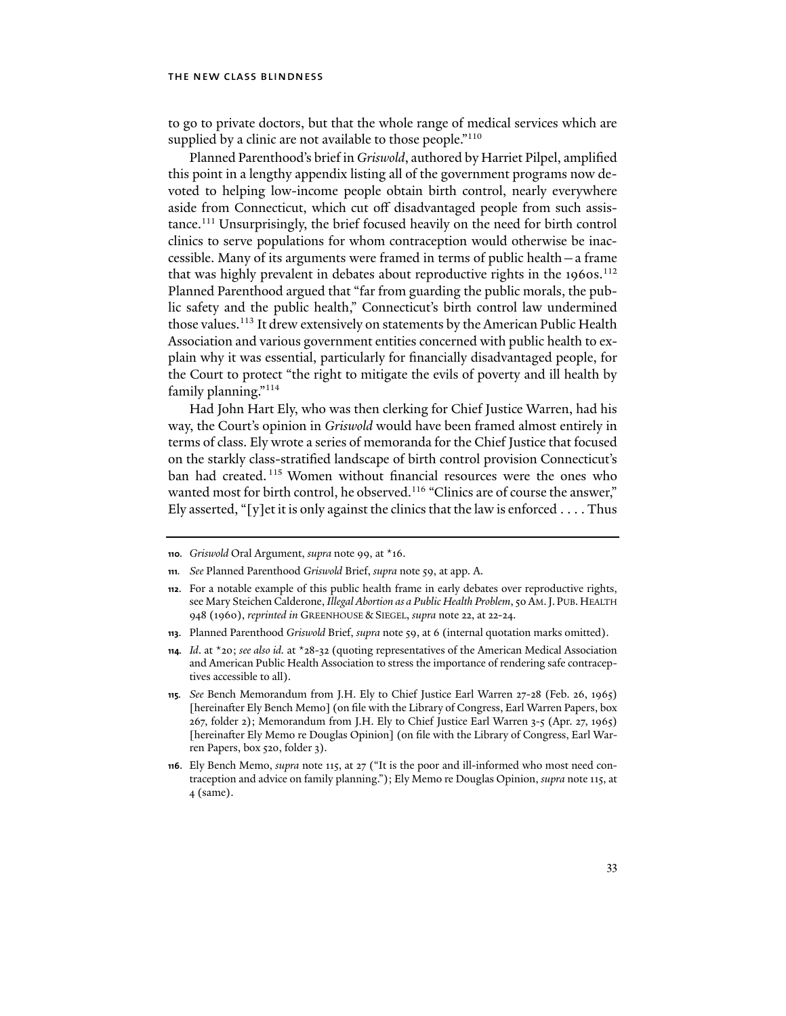to go to private doctors, but that the whole range of medical services which are supplied by a clinic are not available to those people."<sup>110</sup>

Planned Parenthood's brief in *Griswold*, authored by Harriet Pilpel, amplified this point in a lengthy appendix listing all of the government programs now devoted to helping low-income people obtain birth control, nearly everywhere aside from Connecticut, which cut off disadvantaged people from such assistance.111 Unsurprisingly, the brief focused heavily on the need for birth control clinics to serve populations for whom contraception would otherwise be inaccessible. Many of its arguments were framed in terms of public health—a frame that was highly prevalent in debates about reproductive rights in the 1960s.<sup>112</sup> Planned Parenthood argued that "far from guarding the public morals, the public safety and the public health," Connecticut's birth control law undermined those values.<sup>113</sup> It drew extensively on statements by the American Public Health Association and various government entities concerned with public health to explain why it was essential, particularly for financially disadvantaged people, for the Court to protect "the right to mitigate the evils of poverty and ill health by family planning."114

Had John Hart Ely, who was then clerking for Chief Justice Warren, had his way, the Court's opinion in *Griswold* would have been framed almost entirely in terms of class. Ely wrote a series of memoranda for the Chief Justice that focused on the starkly class-stratified landscape of birth control provision Connecticut's ban had created. 115 Women without financial resources were the ones who wanted most for birth control, he observed.<sup>116</sup> "Clinics are of course the answer," Ely asserted, "[y]et it is only against the clinics that the law is enforced  $\dots$ . Thus

**<sup>110</sup>***. Griswold* Oral Argument, *supra* note 99, at \*16.

**<sup>111</sup>***. See* Planned Parenthood *Griswold* Brief, *supra* note 59, at app. A.

**<sup>112</sup>**. For a notable example of this public health frame in early debates over reproductive rights, see Mary Steichen Calderone, *Illegal Abortion as a Public Health Problem*, 50 AM.J. PUB.HEALTH 948 (1960), *reprinted in* GREENHOUSE & SIEGEL, *supra* note 22, at 22-24.

**<sup>113</sup>**. Planned Parenthood *Griswold* Brief, *supra* note 59, at 6 (internal quotation marks omitted).

**<sup>114</sup>***. Id*. at \*20; *see also id.* at \*28-32 (quoting representatives of the American Medical Association and American Public Health Association to stress the importance of rendering safe contraceptives accessible to all).

**<sup>115</sup>***. See* Bench Memorandum from J.H. Ely to Chief Justice Earl Warren 27-28 (Feb. 26, 1965) [hereinafter Ely Bench Memo] (on file with the Library of Congress, Earl Warren Papers, box 267, folder 2); Memorandum from J.H. Ely to Chief Justice Earl Warren 3-5 (Apr. 27, 1965) [hereinafter Ely Memo re Douglas Opinion] (on file with the Library of Congress, Earl Warren Papers, box 520, folder 3).

**<sup>116</sup>**. Ely Bench Memo, *supra* note 115, at 27 ("It is the poor and ill-informed who most need contraception and advice on family planning."); Ely Memo re Douglas Opinion, *supra* note 115, at 4 (same).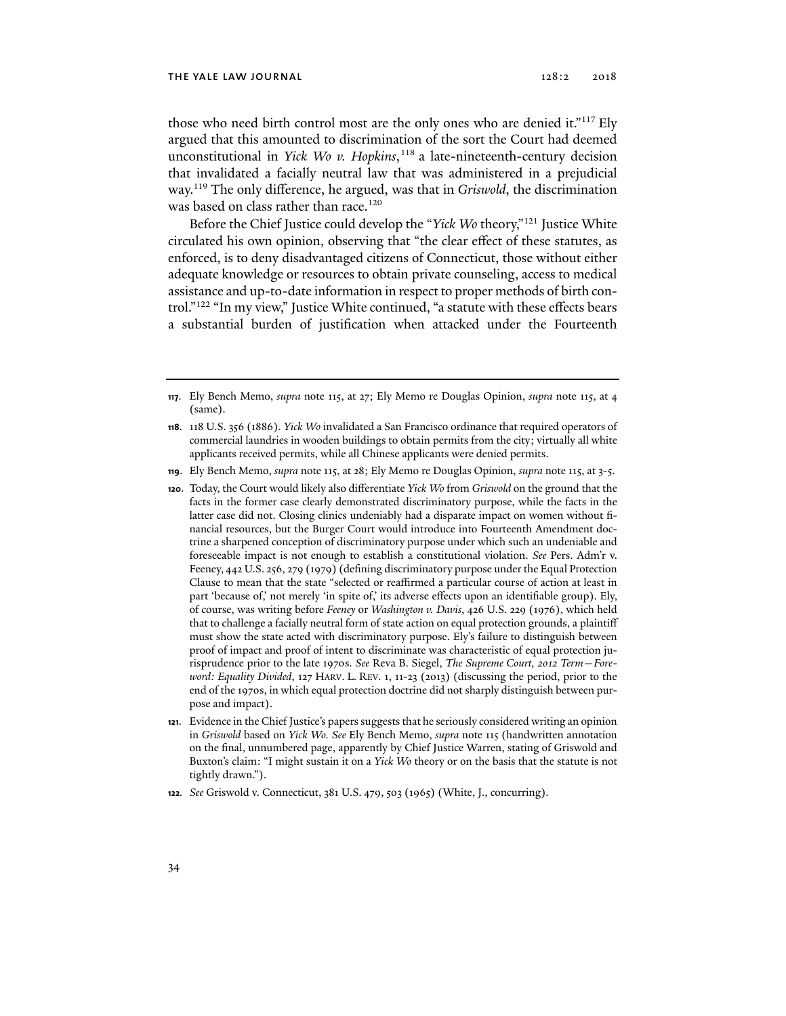#### THE YALE LAW JOURNAL 2018 2018

those who need birth control most are the only ones who are denied it."<sup>117</sup> Ely argued that this amounted to discrimination of the sort the Court had deemed unconstitutional in *Yick Wo v. Hopkins*, 118 a late-nineteenth-century decision that invalidated a facially neutral law that was administered in a prejudicial way.119 The only difference, he argued, was that in *Griswold*, the discrimination was based on class rather than race.<sup>120</sup>

Before the Chief Justice could develop the "*Yick Wo* theory,"121 Justice White circulated his own opinion, observing that "the clear effect of these statutes, as enforced, is to deny disadvantaged citizens of Connecticut, those without either adequate knowledge or resources to obtain private counseling, access to medical assistance and up-to-date information in respect to proper methods of birth control."122 "In my view," Justice White continued, "a statute with these effects bears a substantial burden of justification when attacked under the Fourteenth

**<sup>117</sup>**. Ely Bench Memo, *supra* note 115, at 27; Ely Memo re Douglas Opinion, *supra* note 115, at 4 (same).

**<sup>118</sup>**. 118 U.S. 356 (1886). *Yick Wo* invalidated a San Francisco ordinance that required operators of commercial laundries in wooden buildings to obtain permits from the city; virtually all white applicants received permits, while all Chinese applicants were denied permits.

**<sup>119</sup>**. Ely Bench Memo, *supra* note 115, at 28; Ely Memo re Douglas Opinion, *supra* note 115, at 3-5.

**<sup>120</sup>**. Today, the Court would likely also differentiate *Yick Wo* from *Griswold* on the ground that the facts in the former case clearly demonstrated discriminatory purpose, while the facts in the latter case did not. Closing clinics undeniably had a disparate impact on women without financial resources, but the Burger Court would introduce into Fourteenth Amendment doctrine a sharpened conception of discriminatory purpose under which such an undeniable and foreseeable impact is not enough to establish a constitutional violation. *See* Pers. Adm'r v. Feeney, 442 U.S. 256, 279 (1979) (defining discriminatory purpose under the Equal Protection Clause to mean that the state "selected or reaffirmed a particular course of action at least in part 'because of,' not merely 'in spite of,' its adverse effects upon an identifiable group). Ely, of course, was writing before *Feeney* or *Washington v. Davis*, 426 U.S. 229 (1976), which held that to challenge a facially neutral form of state action on equal protection grounds, a plaintiff must show the state acted with discriminatory purpose. Ely's failure to distinguish between proof of impact and proof of intent to discriminate was characteristic of equal protection jurisprudence prior to the late 1970s. *See* Reva B. Siegel, *The Supreme Court, 2012 Term—Foreword: Equality Divided*, 127 HARV. L. REV. 1, 11-23 (2013) (discussing the period, prior to the end of the 1970s, in which equal protection doctrine did not sharply distinguish between purpose and impact).

**<sup>121</sup>**. Evidence in the Chief Justice's papers suggests that he seriously considered writing an opinion in *Griswold* based on *Yick Wo. See* Ely Bench Memo, *supra* note 115 (handwritten annotation on the final, unnumbered page, apparently by Chief Justice Warren, stating of Griswold and Buxton's claim: "I might sustain it on a *Yick Wo* theory or on the basis that the statute is not tightly drawn.").

**<sup>122</sup>***. See* Griswold v. Connecticut, 381 U.S. 479, 503 (1965) (White, J., concurring).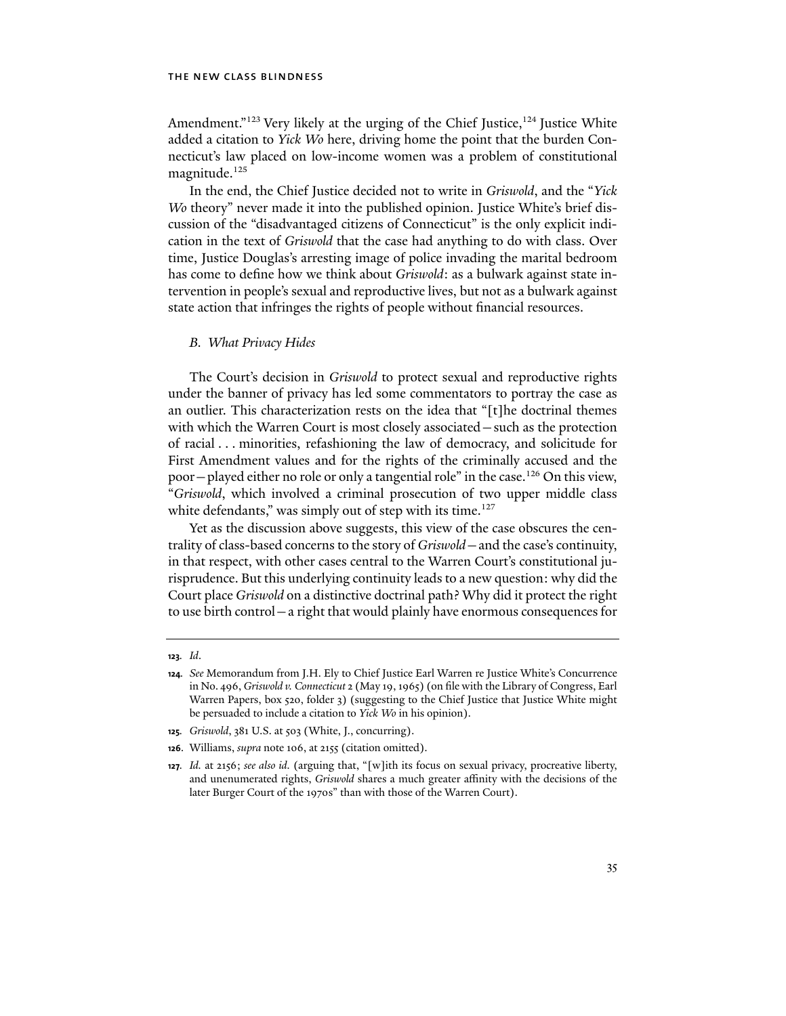Amendment."<sup>123</sup> Very likely at the urging of the Chief Justice,<sup>124</sup> Justice White added a citation to *Yick Wo* here, driving home the point that the burden Connecticut's law placed on low-income women was a problem of constitutional magnitude.<sup>125</sup>

In the end, the Chief Justice decided not to write in *Griswold*, and the "*Yick Wo* theory" never made it into the published opinion. Justice White's brief discussion of the "disadvantaged citizens of Connecticut" is the only explicit indication in the text of *Griswold* that the case had anything to do with class. Over time, Justice Douglas's arresting image of police invading the marital bedroom has come to define how we think about *Griswold*: as a bulwark against state intervention in people's sexual and reproductive lives, but not as a bulwark against state action that infringes the rights of people without financial resources.

#### *B. What Privacy Hides*

The Court's decision in *Griswold* to protect sexual and reproductive rights under the banner of privacy has led some commentators to portray the case as an outlier. This characterization rests on the idea that "[t]he doctrinal themes with which the Warren Court is most closely associated—such as the protection of racial . . . minorities, refashioning the law of democracy, and solicitude for First Amendment values and for the rights of the criminally accused and the poor - played either no role or only a tangential role" in the case.<sup>126</sup> On this view, "*Griswold*, which involved a criminal prosecution of two upper middle class white defendants," was simply out of step with its time.<sup>127</sup>

Yet as the discussion above suggests, this view of the case obscures the centrality of class-based concerns to the story of *Griswold*—and the case's continuity, in that respect, with other cases central to the Warren Court's constitutional jurisprudence. But this underlying continuity leads to a new question: why did the Court place *Griswold* on a distinctive doctrinal path? Why did it protect the right to use birth control—a right that would plainly have enormous consequences for

**<sup>123</sup>***. Id*.

**<sup>124</sup>***. See* Memorandum from J.H. Ely to Chief Justice Earl Warren re Justice White's Concurrence in No. 496, *Griswold v. Connecticut* 2 (May 19, 1965) (on file with the Library of Congress, Earl Warren Papers, box 520, folder 3) (suggesting to the Chief Justice that Justice White might be persuaded to include a citation to *Yick Wo* in his opinion).

**<sup>125</sup>***. Griswold*, 381 U.S. at 503 (White, J., concurring).

**<sup>126</sup>**. Williams, *supra* note 106, at 2155 (citation omitted).

**<sup>127</sup>***. Id.* at 2156; *see also id.* (arguing that, "[w]ith its focus on sexual privacy, procreative liberty, and unenumerated rights, *Griswold* shares a much greater affinity with the decisions of the later Burger Court of the 1970s" than with those of the Warren Court).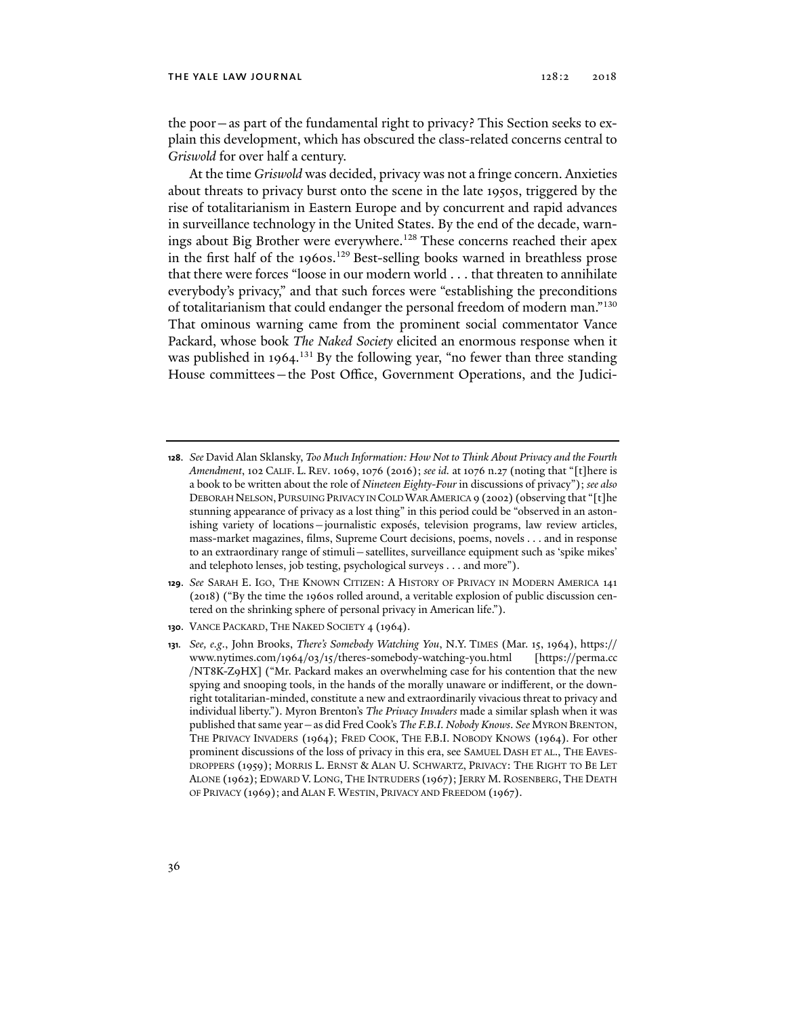the poor—as part of the fundamental right to privacy? This Section seeks to explain this development, which has obscured the class-related concerns central to *Griswold* for over half a century.

At the time *Griswold* was decided, privacy was not a fringe concern. Anxieties about threats to privacy burst onto the scene in the late 1950s, triggered by the rise of totalitarianism in Eastern Europe and by concurrent and rapid advances in surveillance technology in the United States. By the end of the decade, warnings about Big Brother were everywhere.<sup>128</sup> These concerns reached their apex in the first half of the 1960s.<sup>129</sup> Best-selling books warned in breathless prose that there were forces "loose in our modern world . . . that threaten to annihilate everybody's privacy," and that such forces were "establishing the preconditions of totalitarianism that could endanger the personal freedom of modern man."130 That ominous warning came from the prominent social commentator Vance Packard, whose book *The Naked Society* elicited an enormous response when it was published in 1964.<sup>131</sup> By the following year, "no fewer than three standing House committees—the Post Office, Government Operations, and the Judici-

- **128**. *See* David Alan Sklansky, *Too Much Information: How Not to Think About Privacy and the Fourth Amendment*, 102 CALIF. L. REV. 1069, 1076 (2016); *see id.* at 1076 n.27 (noting that "[t]here is a book to be written about the role of *Nineteen Eighty-Four* in discussions of privacy"); *see also* DEBORAH NELSON, PURSUING PRIVACY IN COLD WAR AMERICA 9 (2002) (observing that "[t]he stunning appearance of privacy as a lost thing" in this period could be "observed in an astonishing variety of locations—journalistic exposés, television programs, law review articles, mass-market magazines, films, Supreme Court decisions, poems, novels . . . and in response to an extraordinary range of stimuli—satellites, surveillance equipment such as 'spike mikes' and telephoto lenses, job testing, psychological surveys . . . and more").
- **129**. *See* SARAH E. IGO, THE KNOWN CITIZEN: A HISTORY OF PRIVACY IN MODERN AMERICA 141 (2018) ("By the time the 1960s rolled around, a veritable explosion of public discussion centered on the shrinking sphere of personal privacy in American life.").
- **130**. VANCE PACKARD, THE NAKED SOCIETY 4 (1964).
- **131***. See, e.g*., John Brooks, *There's Somebody Watching You*, N.Y. TIMES (Mar. 15, 1964), https:// www.nytimes.com/1964/03/15/theres-somebody-watching-you.html [https://perma.cc /NT8K-Z9HX] ("Mr. Packard makes an overwhelming case for his contention that the new spying and snooping tools, in the hands of the morally unaware or indifferent, or the downright totalitarian-minded, constitute a new and extraordinarily vivacious threat to privacy and individual liberty."). Myron Brenton's *The Privacy Invaders* made a similar splash when it was published that same year—as did Fred Cook's *The F.B.I. Nobody Knows*. *See* MYRON BRENTON, THE PRIVACY INVADERS (1964); FRED COOK, THE F.B.I. NOBODY KNOWS (1964). For other prominent discussions of the loss of privacy in this era, see SAMUEL DASH ET AL., THE EAVES-DROPPERS (1959); MORRIS L. ERNST & ALAN U. SCHWARTZ, PRIVACY: THE RIGHT TO BE LET ALONE (1962); EDWARD V. LONG, THE INTRUDERS (1967); JERRY M. ROSENBERG, THE DEATH OF PRIVACY (1969); and ALAN F. WESTIN, PRIVACY AND FREEDOM (1967).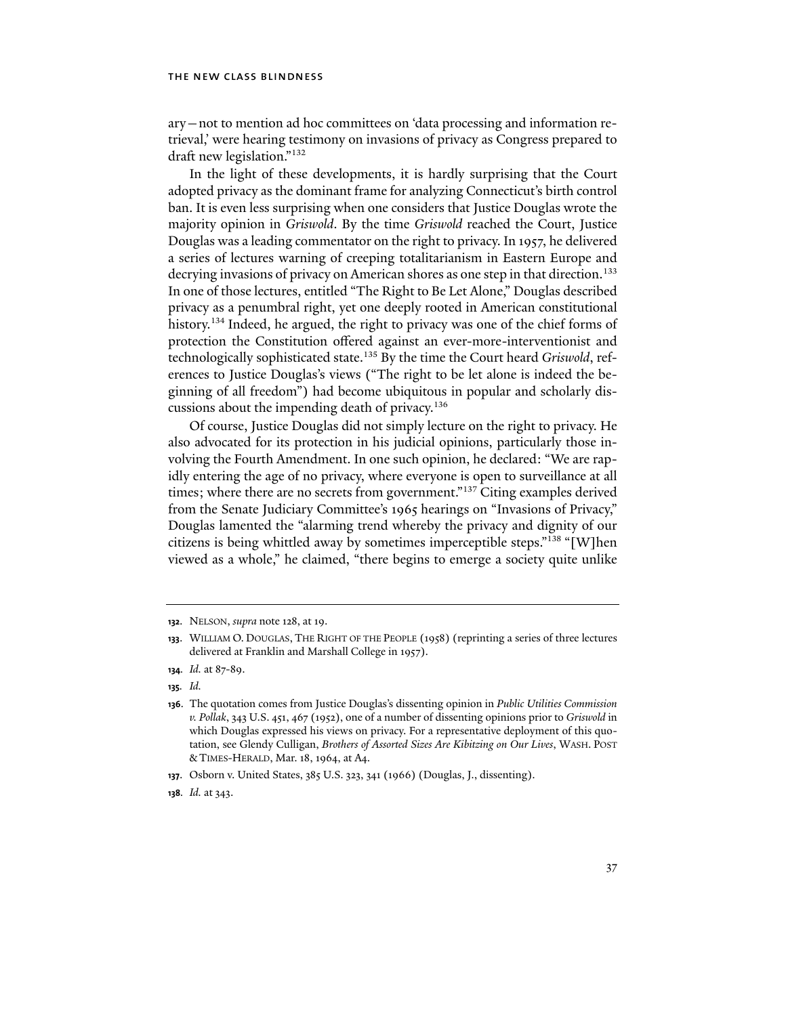ary—not to mention ad hoc committees on 'data processing and information retrieval,' were hearing testimony on invasions of privacy as Congress prepared to draft new legislation."132

In the light of these developments, it is hardly surprising that the Court adopted privacy as the dominant frame for analyzing Connecticut's birth control ban. It is even less surprising when one considers that Justice Douglas wrote the majority opinion in *Griswold*. By the time *Griswold* reached the Court, Justice Douglas was a leading commentator on the right to privacy. In 1957, he delivered a series of lectures warning of creeping totalitarianism in Eastern Europe and decrying invasions of privacy on American shores as one step in that direction.<sup>133</sup> In one of those lectures, entitled "The Right to Be Let Alone," Douglas described privacy as a penumbral right, yet one deeply rooted in American constitutional history.<sup>134</sup> Indeed, he argued, the right to privacy was one of the chief forms of protection the Constitution offered against an ever-more-interventionist and technologically sophisticated state.135 By the time the Court heard *Griswold*, references to Justice Douglas's views ("The right to be let alone is indeed the beginning of all freedom") had become ubiquitous in popular and scholarly discussions about the impending death of privacy.136

Of course, Justice Douglas did not simply lecture on the right to privacy. He also advocated for its protection in his judicial opinions, particularly those involving the Fourth Amendment. In one such opinion, he declared: "We are rapidly entering the age of no privacy, where everyone is open to surveillance at all times; where there are no secrets from government."<sup>137</sup> Citing examples derived from the Senate Judiciary Committee's 1965 hearings on "Invasions of Privacy," Douglas lamented the "alarming trend whereby the privacy and dignity of our citizens is being whittled away by sometimes imperceptible steps."138 "[W]hen viewed as a whole," he claimed, "there begins to emerge a society quite unlike

**137**. Osborn v. United States, 385 U.S. 323, 341 (1966) (Douglas, J., dissenting).

**<sup>132</sup>**. NELSON, *supra* note 128, at 19.

**<sup>133</sup>**. WILLIAM O. DOUGLAS, THE RIGHT OF THE PEOPLE (1958) (reprinting a series of three lectures delivered at Franklin and Marshall College in 1957).

**<sup>134</sup>***. Id.* at 87-89.

**<sup>135</sup>***. Id.* 

**<sup>136</sup>**. The quotation comes from Justice Douglas's dissenting opinion in *Public Utilities Commission v. Pollak*, 343 U.S. 451, 467 (1952), one of a number of dissenting opinions prior to *Griswold* in which Douglas expressed his views on privacy. For a representative deployment of this quotation, see Glendy Culligan, *Brothers of Assorted Sizes Are Kibitzing on Our Lives*, WASH. POST & TIMES-HERALD, Mar. 18, 1964, at A4.

**<sup>138</sup>***. Id.* at 343.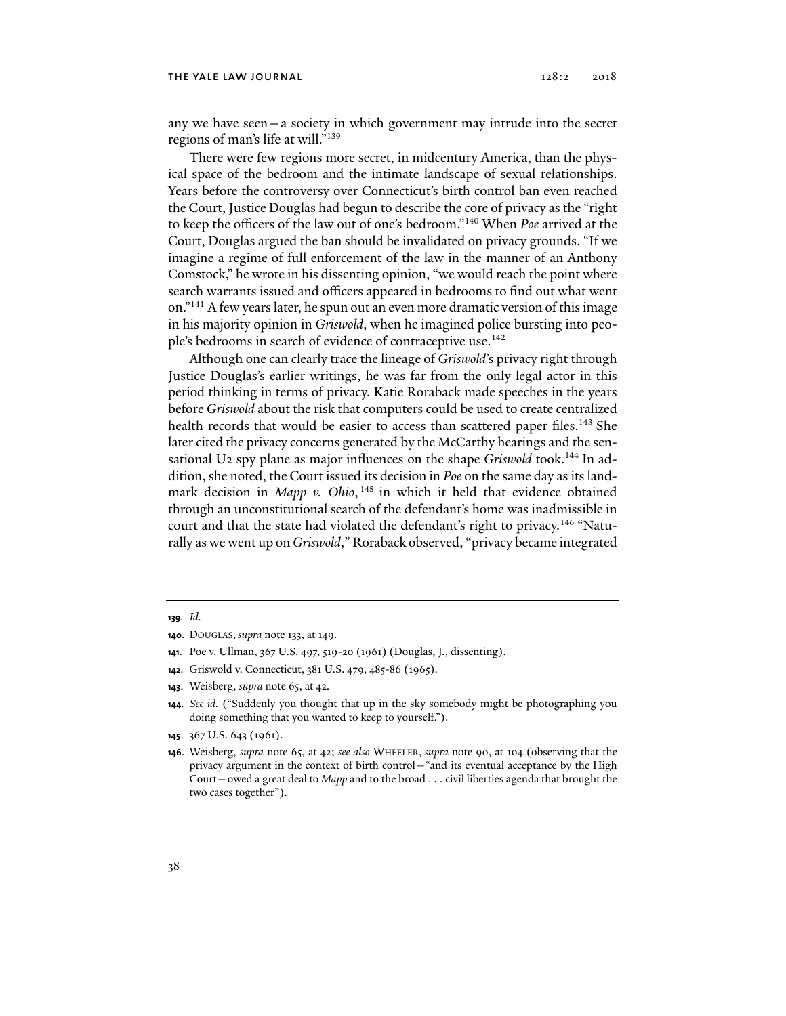#### THE YALE LAW JOURNAL 2018 2018

any we have seen—a society in which government may intrude into the secret regions of man's life at will."139

There were few regions more secret, in midcentury America, than the physical space of the bedroom and the intimate landscape of sexual relationships. Years before the controversy over Connecticut's birth control ban even reached the Court, Justice Douglas had begun to describe the core of privacy as the "right to keep the officers of the law out of one's bedroom."140 When *Poe* arrived at the Court, Douglas argued the ban should be invalidated on privacy grounds. "If we imagine a regime of full enforcement of the law in the manner of an Anthony Comstock," he wrote in his dissenting opinion, "we would reach the point where search warrants issued and officers appeared in bedrooms to find out what went on."141 A few years later, he spun out an even more dramatic version of this image in his majority opinion in *Griswold*, when he imagined police bursting into people's bedrooms in search of evidence of contraceptive use.<sup>142</sup>

Although one can clearly trace the lineage of *Griswold*'s privacy right through Justice Douglas's earlier writings, he was far from the only legal actor in this period thinking in terms of privacy. Katie Roraback made speeches in the years before *Griswold* about the risk that computers could be used to create centralized health records that would be easier to access than scattered paper files.<sup>143</sup> She later cited the privacy concerns generated by the McCarthy hearings and the sensational U2 spy plane as major influences on the shape *Griswold* took.<sup>144</sup> In addition, she noted, the Court issued its decision in *Poe* on the same day as its landmark decision in *Mapp v. Ohio*, <sup>145</sup> in which it held that evidence obtained through an unconstitutional search of the defendant's home was inadmissible in court and that the state had violated the defendant's right to privacy.<sup>146</sup> "Naturally as we went up on *Griswold*," Roraback observed, "privacy became integrated

**145**. 367 U.S. 643 (1961).

**<sup>139</sup>***. Id.* 

**<sup>140</sup>**. DOUGLAS, *supra* note 133, at 149.

**<sup>141</sup>**. Poe v. Ullman, 367 U.S. 497, 519-20 (1961) (Douglas, J., dissenting).

**<sup>142</sup>**. Griswold v. Connecticut, 381 U.S. 479, 485-86 (1965).

**<sup>143</sup>**. Weisberg, *supra* note 65, at 42.

**<sup>144</sup>***. See id.* ("Suddenly you thought that up in the sky somebody might be photographing you doing something that you wanted to keep to yourself.").

**<sup>146</sup>**. Weisberg, *supra* note 65, at 42; *see also* WHEELER, *supra* note 90, at 104 (observing that the privacy argument in the context of birth control—"and its eventual acceptance by the High Court—owed a great deal to *Mapp* and to the broad . . . civil liberties agenda that brought the two cases together").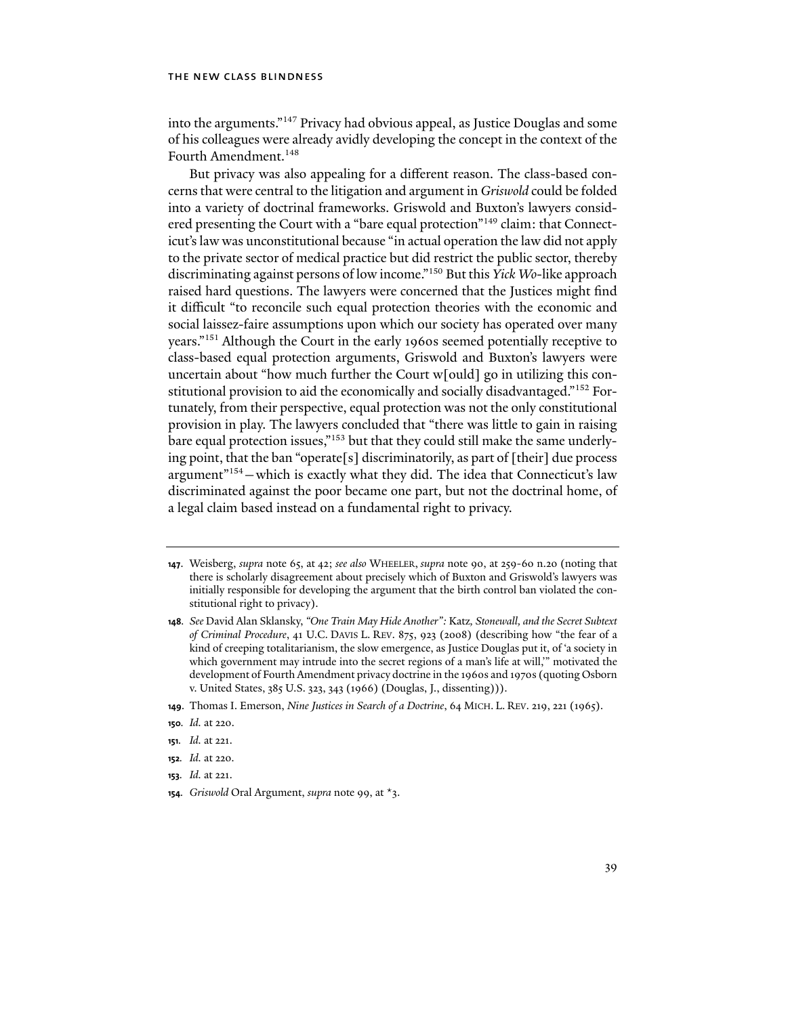into the arguments."147 Privacy had obvious appeal, as Justice Douglas and some of his colleagues were already avidly developing the concept in the context of the Fourth Amendment.<sup>148</sup>

But privacy was also appealing for a different reason. The class-based concerns that were central to the litigation and argument in *Griswold* could be folded into a variety of doctrinal frameworks. Griswold and Buxton's lawyers considered presenting the Court with a "bare equal protection"<sup>149</sup> claim: that Connecticut's law was unconstitutional because "in actual operation the law did not apply to the private sector of medical practice but did restrict the public sector, thereby discriminating against persons of low income."150 But this *Yick Wo*-like approach raised hard questions. The lawyers were concerned that the Justices might find it difficult "to reconcile such equal protection theories with the economic and social laissez-faire assumptions upon which our society has operated over many years."151 Although the Court in the early 1960s seemed potentially receptive to class-based equal protection arguments, Griswold and Buxton's lawyers were uncertain about "how much further the Court w[ould] go in utilizing this constitutional provision to aid the economically and socially disadvantaged."152 Fortunately, from their perspective, equal protection was not the only constitutional provision in play. The lawyers concluded that "there was little to gain in raising bare equal protection issues,"153 but that they could still make the same underlying point, that the ban "operate[s] discriminatorily, as part of [their] due process argument"<sup>154</sup> - which is exactly what they did. The idea that Connecticut's law discriminated against the poor became one part, but not the doctrinal home, of a legal claim based instead on a fundamental right to privacy.

- **151***. Id.* at 221.
- **152***. Id.* at 220.
- **153***. Id.* at 221.
- **154***. Griswold* Oral Argument, *supra* note 99, at \*3.

**<sup>147</sup>**. Weisberg, *supra* note 65, at 42; *see also* WHEELER, *supra* note 90, at 259-60 n.20 (noting that there is scholarly disagreement about precisely which of Buxton and Griswold's lawyers was initially responsible for developing the argument that the birth control ban violated the constitutional right to privacy).

**<sup>148</sup>***. See* David Alan Sklansky, *"One Train May Hide Another":* Katz*, Stonewall, and the Secret Subtext of Criminal Procedure*, 41 U.C. DAVIS L. REV. 875, 923 (2008) (describing how "the fear of a kind of creeping totalitarianism, the slow emergence, as Justice Douglas put it, of 'a society in which government may intrude into the secret regions of a man's life at will,'" motivated the development of Fourth Amendment privacy doctrine in the 1960s and 1970s (quoting Osborn v. United States, 385 U.S. 323, 343 (1966) (Douglas, J., dissenting))).

**<sup>149</sup>**. Thomas I. Emerson, *Nine Justices in Search of a Doctrine*, 64 MICH. L. REV. 219, 221 (1965).

**<sup>150</sup>***. Id.* at 220.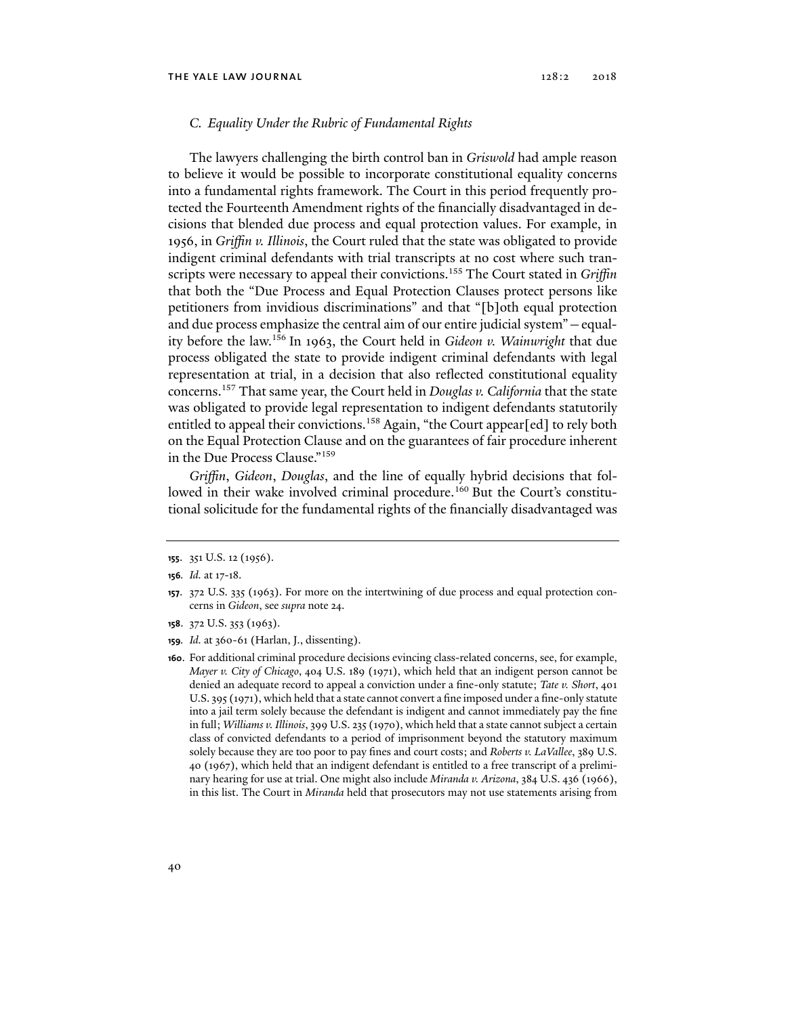# *C. Equality Under the Rubric of Fundamental Rights*

The lawyers challenging the birth control ban in *Griswold* had ample reason to believe it would be possible to incorporate constitutional equality concerns into a fundamental rights framework. The Court in this period frequently protected the Fourteenth Amendment rights of the financially disadvantaged in decisions that blended due process and equal protection values. For example, in 1956, in *Griffin v. Illinois*, the Court ruled that the state was obligated to provide indigent criminal defendants with trial transcripts at no cost where such transcripts were necessary to appeal their convictions.<sup>155</sup> The Court stated in *Griffin* that both the "Due Process and Equal Protection Clauses protect persons like petitioners from invidious discriminations" and that "[b]oth equal protection and due process emphasize the central aim of our entire judicial system"—equality before the law.156 In 1963, the Court held in *Gideon v. Wainwright* that due process obligated the state to provide indigent criminal defendants with legal representation at trial, in a decision that also reflected constitutional equality concerns.157 That same year, the Court held in *Douglas v. California* that the state was obligated to provide legal representation to indigent defendants statutorily entitled to appeal their convictions.<sup>158</sup> Again, "the Court appear[ed] to rely both on the Equal Protection Clause and on the guarantees of fair procedure inherent in the Due Process Clause."159

*Griffin*, *Gideon*, *Douglas*, and the line of equally hybrid decisions that followed in their wake involved criminal procedure.<sup>160</sup> But the Court's constitutional solicitude for the fundamental rights of the financially disadvantaged was

- **158**. 372 U.S. 353 (1963).
- **159***. Id.* at 360-61 (Harlan, J., dissenting).

**<sup>155</sup>**. 351 U.S. 12 (1956).

**<sup>156</sup>***. Id.* at 17-18.

**<sup>157</sup>**. 372 U.S. 335 (1963). For more on the intertwining of due process and equal protection concerns in *Gideon*, see *supra* note 24.

**<sup>160</sup>**. For additional criminal procedure decisions evincing class-related concerns, see, for example, *Mayer v. City of Chicago*, 404 U.S. 189 (1971), which held that an indigent person cannot be denied an adequate record to appeal a conviction under a fine-only statute; *Tate v. Short*, 401 U.S. 395 (1971), which held that a state cannot convert a fine imposed under a fine-only statute into a jail term solely because the defendant is indigent and cannot immediately pay the fine in full; *Williams v. Illinois*, 399 U.S. 235 (1970), which held that a state cannot subject a certain class of convicted defendants to a period of imprisonment beyond the statutory maximum solely because they are too poor to pay fines and court costs; and *Roberts v. LaVallee*, 389 U.S. 40 (1967), which held that an indigent defendant is entitled to a free transcript of a preliminary hearing for use at trial. One might also include *Miranda v. Arizona*, 384 U.S. 436 (1966), in this list. The Court in *Miranda* held that prosecutors may not use statements arising from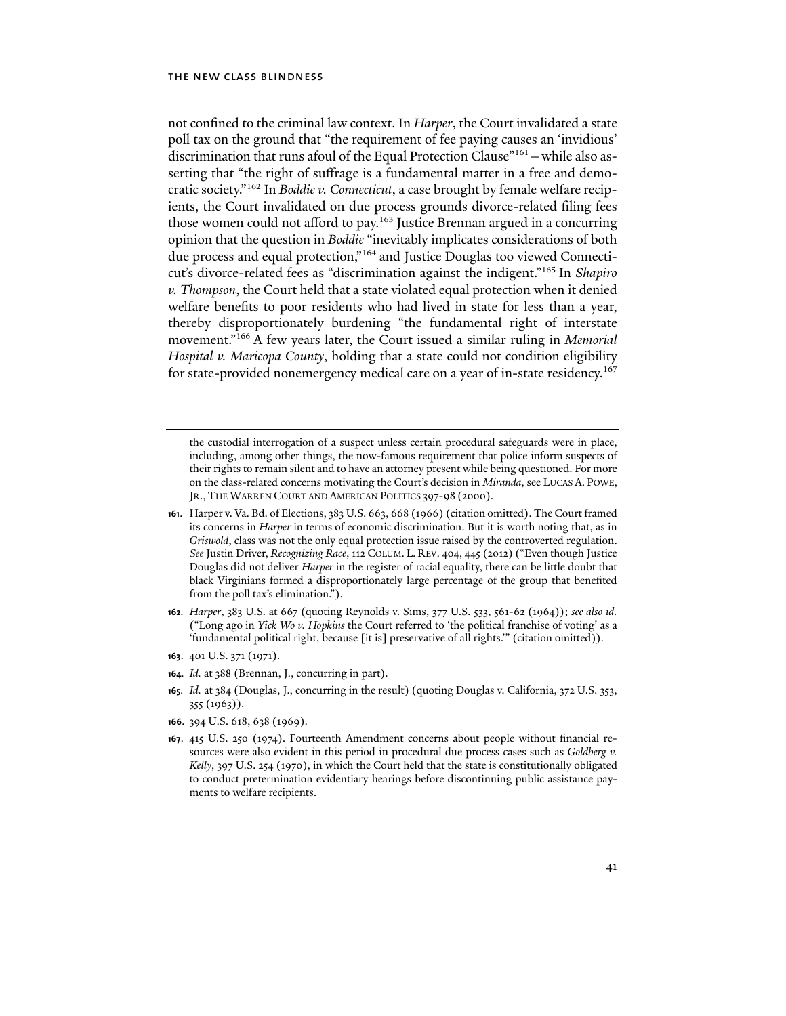not confined to the criminal law context. In *Harper*, the Court invalidated a state poll tax on the ground that "the requirement of fee paying causes an 'invidious' discrimination that runs afoul of the Equal Protection Clause"161—while also asserting that "the right of suffrage is a fundamental matter in a free and democratic society."162 In *Boddie v. Connecticut*, a case brought by female welfare recipients, the Court invalidated on due process grounds divorce-related filing fees those women could not afford to pay.<sup>163</sup> Justice Brennan argued in a concurring opinion that the question in *Boddie* "inevitably implicates considerations of both due process and equal protection,"164 and Justice Douglas too viewed Connecticut's divorce-related fees as "discrimination against the indigent."165 In *Shapiro v. Thompson*, the Court held that a state violated equal protection when it denied welfare benefits to poor residents who had lived in state for less than a year, thereby disproportionately burdening "the fundamental right of interstate movement."166 A few years later, the Court issued a similar ruling in *Memorial Hospital v. Maricopa County*, holding that a state could not condition eligibility for state-provided nonemergency medical care on a year of in-state residency.<sup>167</sup>

the custodial interrogation of a suspect unless certain procedural safeguards were in place, including, among other things, the now-famous requirement that police inform suspects of their rights to remain silent and to have an attorney present while being questioned. For more on the class-related concerns motivating the Court's decision in *Miranda*, see LUCAS A. POWE, JR., THE WARREN COURT AND AMERICAN POLITICS 397-98 (2000).

- **161**. Harper v. Va. Bd. of Elections, 383 U.S. 663, 668 (1966) (citation omitted). The Court framed its concerns in *Harper* in terms of economic discrimination. But it is worth noting that, as in *Griswold*, class was not the only equal protection issue raised by the controverted regulation. *See* Justin Driver, *Recognizing Race*, 112 COLUM. L. REV. 404, 445 (2012) ("Even though Justice Douglas did not deliver *Harper* in the register of racial equality, there can be little doubt that black Virginians formed a disproportionately large percentage of the group that benefited from the poll tax's elimination.").
- **162***. Harper*, 383 U.S. at 667 (quoting Reynolds v. Sims, 377 U.S. 533, 561-62 (1964)); *see also id.*  ("Long ago in *Yick Wo v. Hopkins* the Court referred to 'the political franchise of voting' as a 'fundamental political right, because [it is] preservative of all rights.'" (citation omitted)).
- **163**. 401 U.S. 371 (1971).
- **164***. Id.* at 388 (Brennan, J., concurring in part).
- **165***. Id.* at 384 (Douglas, J., concurring in the result) (quoting Douglas v. California, 372 U.S. 353, 355 (1963)).
- **166**. 394 U.S. 618, 638 (1969).
- **167**. 415 U.S. 250 (1974). Fourteenth Amendment concerns about people without financial resources were also evident in this period in procedural due process cases such as *Goldberg v. Kelly*, 397 U.S. 254 (1970), in which the Court held that the state is constitutionally obligated to conduct pretermination evidentiary hearings before discontinuing public assistance payments to welfare recipients.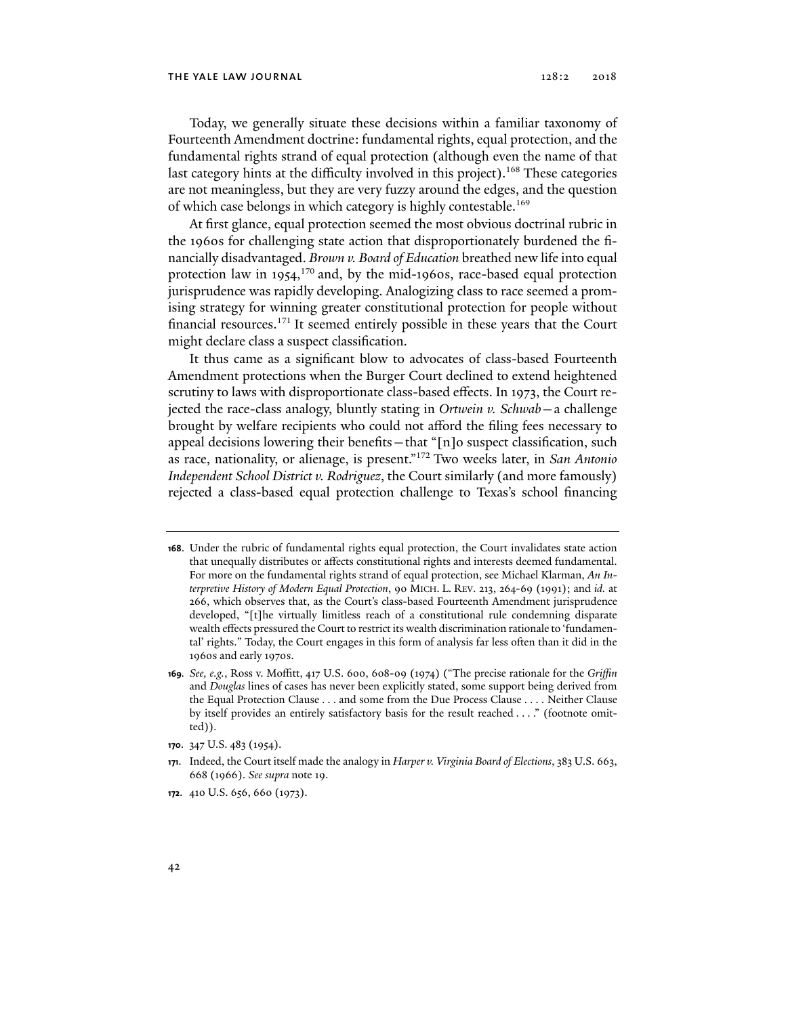Today, we generally situate these decisions within a familiar taxonomy of Fourteenth Amendment doctrine: fundamental rights, equal protection, and the fundamental rights strand of equal protection (although even the name of that last category hints at the difficulty involved in this project).<sup>168</sup> These categories are not meaningless, but they are very fuzzy around the edges, and the question of which case belongs in which category is highly contestable.169

At first glance, equal protection seemed the most obvious doctrinal rubric in the 1960s for challenging state action that disproportionately burdened the financially disadvantaged. *Brown v. Board of Education* breathed new life into equal protection law in 1954, $170$  and, by the mid-1960s, race-based equal protection jurisprudence was rapidly developing. Analogizing class to race seemed a promising strategy for winning greater constitutional protection for people without financial resources.171 It seemed entirely possible in these years that the Court might declare class a suspect classification.

It thus came as a significant blow to advocates of class-based Fourteenth Amendment protections when the Burger Court declined to extend heightened scrutiny to laws with disproportionate class-based effects. In 1973, the Court rejected the race-class analogy, bluntly stating in *Ortwein v. Schwab*—a challenge brought by welfare recipients who could not afford the filing fees necessary to appeal decisions lowering their benefits—that "[n]o suspect classification, such as race, nationality, or alienage, is present."172 Two weeks later, in *San Antonio Independent School District v. Rodriguez*, the Court similarly (and more famously) rejected a class-based equal protection challenge to Texas's school financing

**<sup>168</sup>**. Under the rubric of fundamental rights equal protection, the Court invalidates state action that unequally distributes or affects constitutional rights and interests deemed fundamental. For more on the fundamental rights strand of equal protection, see Michael Klarman, *An Interpretive History of Modern Equal Protection*, 90 MICH. L. REV. 213, 264-69 (1991); and *id.* at 266, which observes that, as the Court's class-based Fourteenth Amendment jurisprudence developed, "[t]he virtually limitless reach of a constitutional rule condemning disparate wealth effects pressured the Court to restrict its wealth discrimination rationale to 'fundamental' rights." Today, the Court engages in this form of analysis far less often than it did in the 1960s and early 1970s.

**<sup>169</sup>***. See, e.g.*, Ross v. Moffitt, 417 U.S. 600, 608-09 (1974) ("The precise rationale for the *Griffin*  and *Douglas* lines of cases has never been explicitly stated, some support being derived from the Equal Protection Clause . . . and some from the Due Process Clause . . . . Neither Clause by itself provides an entirely satisfactory basis for the result reached . . . ." (footnote omitted)).

**<sup>170</sup>**. 347 U.S. 483 (1954).

**<sup>171</sup>**. Indeed, the Court itself made the analogy in *Harper v. Virginia Board of Elections*, 383 U.S. 663, 668 (1966). *See supra* note 19.

**<sup>172</sup>**. 410 U.S. 656, 660 (1973).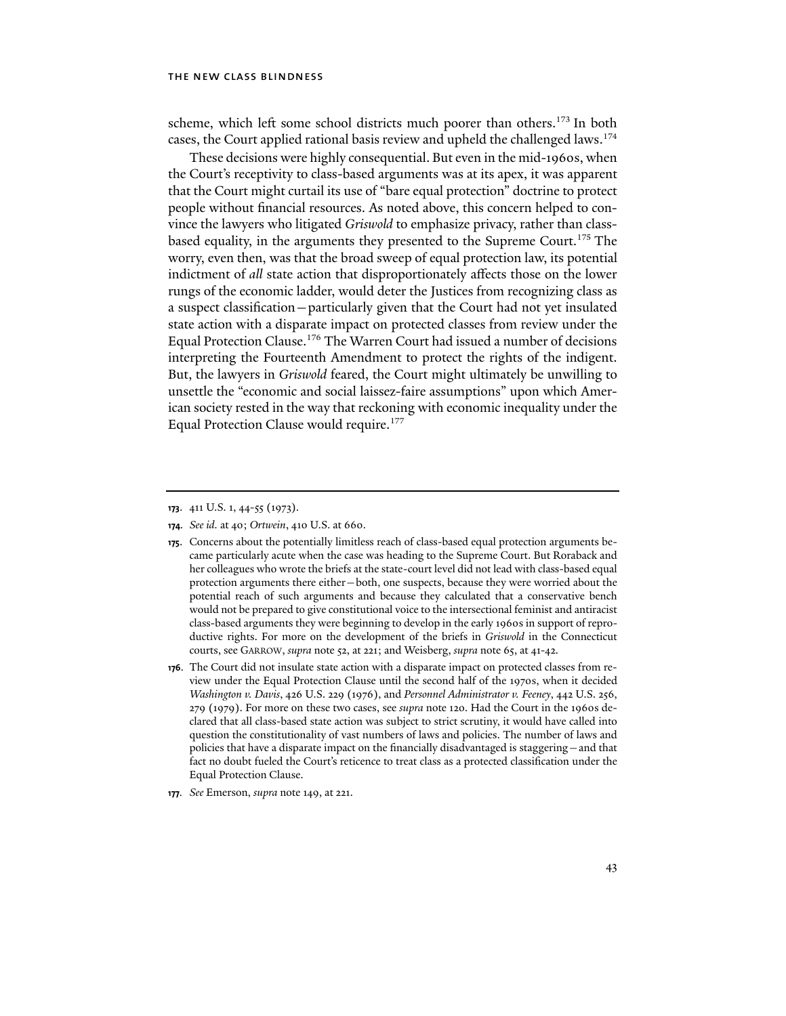scheme, which left some school districts much poorer than others.<sup>173</sup> In both cases, the Court applied rational basis review and upheld the challenged laws.<sup>174</sup>

These decisions were highly consequential. But even in the mid-1960s, when the Court's receptivity to class-based arguments was at its apex, it was apparent that the Court might curtail its use of "bare equal protection" doctrine to protect people without financial resources. As noted above, this concern helped to convince the lawyers who litigated *Griswold* to emphasize privacy, rather than classbased equality, in the arguments they presented to the Supreme Court.<sup>175</sup> The worry, even then, was that the broad sweep of equal protection law, its potential indictment of *all* state action that disproportionately affects those on the lower rungs of the economic ladder, would deter the Justices from recognizing class as a suspect classification—particularly given that the Court had not yet insulated state action with a disparate impact on protected classes from review under the Equal Protection Clause.176 The Warren Court had issued a number of decisions interpreting the Fourteenth Amendment to protect the rights of the indigent. But, the lawyers in *Griswold* feared, the Court might ultimately be unwilling to unsettle the "economic and social laissez-faire assumptions" upon which American society rested in the way that reckoning with economic inequality under the Equal Protection Clause would require.<sup>177</sup>

**177***. See* Emerson, *supra* note 149, at 221.

**<sup>173</sup>**. 411 U.S. 1, 44-55 (1973).

**<sup>174</sup>***. See id.* at 40; *Ortwein*, 410 U.S. at 660.

**<sup>175</sup>**. Concerns about the potentially limitless reach of class-based equal protection arguments became particularly acute when the case was heading to the Supreme Court. But Roraback and her colleagues who wrote the briefs at the state-court level did not lead with class-based equal protection arguments there either—both, one suspects, because they were worried about the potential reach of such arguments and because they calculated that a conservative bench would not be prepared to give constitutional voice to the intersectional feminist and antiracist class-based arguments they were beginning to develop in the early 1960s in support of reproductive rights. For more on the development of the briefs in *Griswold* in the Connecticut courts, see GARROW, *supra* note 52, at 221; and Weisberg, *supra* note 65, at 41-42.

**<sup>176</sup>**. The Court did not insulate state action with a disparate impact on protected classes from review under the Equal Protection Clause until the second half of the 1970s, when it decided *Washington v. Davis*, 426 U.S. 229 (1976), and *Personnel Administrator v. Feeney*, 442 U.S. 256, 279 (1979). For more on these two cases, see *supra* note 120. Had the Court in the 1960s declared that all class-based state action was subject to strict scrutiny, it would have called into question the constitutionality of vast numbers of laws and policies. The number of laws and policies that have a disparate impact on the financially disadvantaged is staggering—and that fact no doubt fueled the Court's reticence to treat class as a protected classification under the Equal Protection Clause.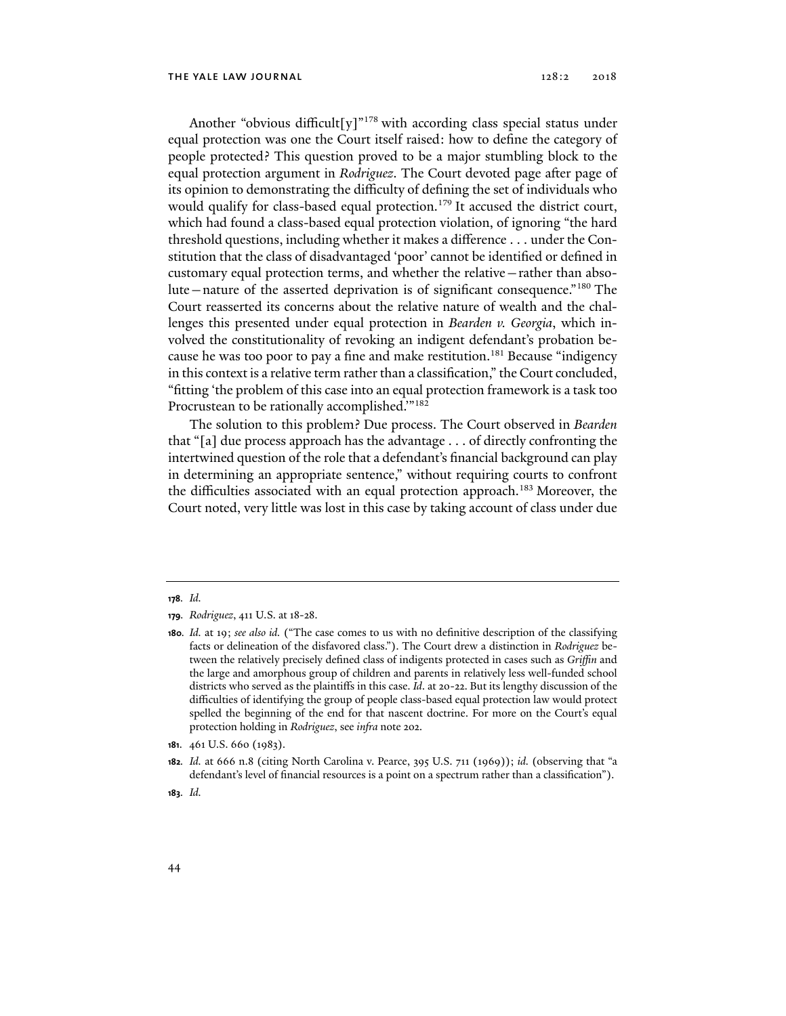Another "obvious difficult[y]"<sup>178</sup> with according class special status under equal protection was one the Court itself raised: how to define the category of people protected? This question proved to be a major stumbling block to the equal protection argument in *Rodriguez*. The Court devoted page after page of its opinion to demonstrating the difficulty of defining the set of individuals who would qualify for class-based equal protection.<sup>179</sup> It accused the district court, which had found a class-based equal protection violation, of ignoring "the hard threshold questions, including whether it makes a difference . . . under the Constitution that the class of disadvantaged 'poor' cannot be identified or defined in customary equal protection terms, and whether the relative—rather than absolute—nature of the asserted deprivation is of significant consequence."180 The Court reasserted its concerns about the relative nature of wealth and the challenges this presented under equal protection in *Bearden v. Georgia*, which involved the constitutionality of revoking an indigent defendant's probation because he was too poor to pay a fine and make restitution.<sup>181</sup> Because "indigency in this context is a relative term rather than a classification," the Court concluded, "fitting 'the problem of this case into an equal protection framework is a task too Procrustean to be rationally accomplished.'"182

The solution to this problem? Due process. The Court observed in *Bearden* that "[a] due process approach has the advantage . . . of directly confronting the intertwined question of the role that a defendant's financial background can play in determining an appropriate sentence," without requiring courts to confront the difficulties associated with an equal protection approach.183 Moreover, the Court noted, very little was lost in this case by taking account of class under due

**181**. 461 U.S. 660 (1983).

**<sup>178</sup>***. Id.*

**<sup>179</sup>***. Rodriguez*, 411 U.S. at 18-28.

**<sup>180</sup>***. Id.* at 19; *see also id.* ("The case comes to us with no definitive description of the classifying facts or delineation of the disfavored class."). The Court drew a distinction in *Rodriguez* between the relatively precisely defined class of indigents protected in cases such as *Griffin* and the large and amorphous group of children and parents in relatively less well-funded school districts who served as the plaintiffs in this case. *Id*. at 20-22. But its lengthy discussion of the difficulties of identifying the group of people class-based equal protection law would protect spelled the beginning of the end for that nascent doctrine. For more on the Court's equal protection holding in *Rodriguez*, see *infra* note 202.

**<sup>182</sup>***. Id.* at 666 n.8 (citing North Carolina v. Pearce, 395 U.S. 711 (1969)); *id.* (observing that "a defendant's level of financial resources is a point on a spectrum rather than a classification").

**<sup>183</sup>***. Id.*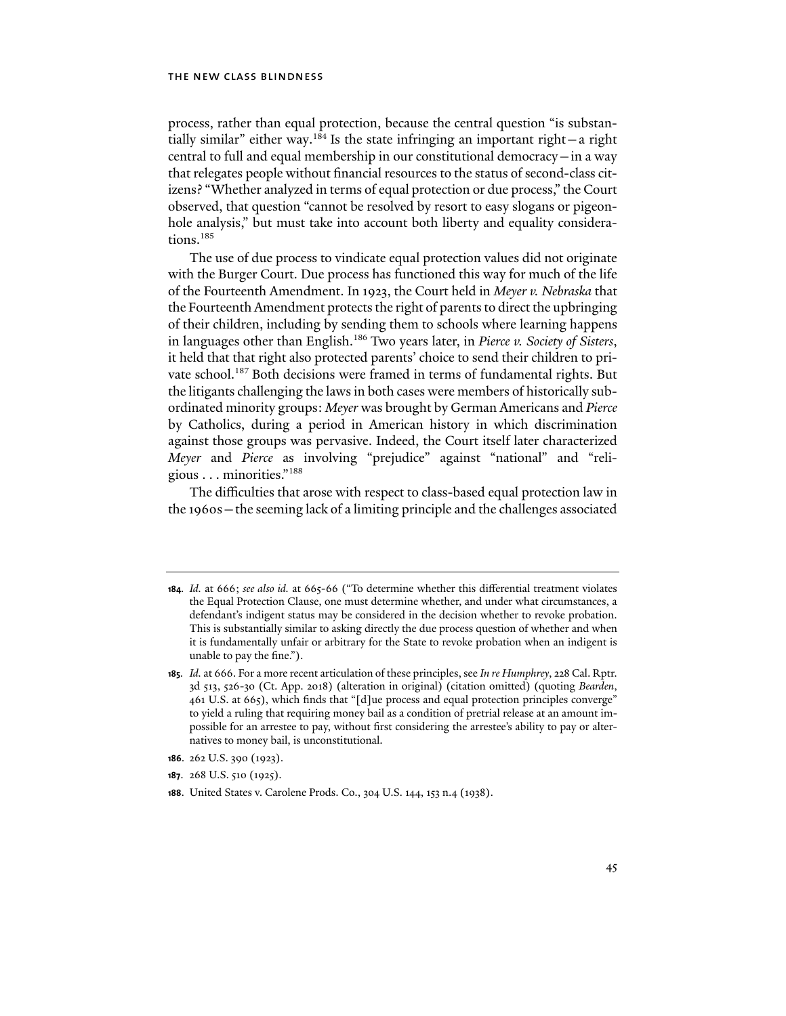process, rather than equal protection, because the central question "is substantially similar" either way.<sup>184</sup> Is the state infringing an important right—a right central to full and equal membership in our constitutional democracy—in a way that relegates people without financial resources to the status of second-class citizens? "Whether analyzed in terms of equal protection or due process," the Court observed, that question "cannot be resolved by resort to easy slogans or pigeonhole analysis," but must take into account both liberty and equality considerations.<sup>185</sup>

The use of due process to vindicate equal protection values did not originate with the Burger Court. Due process has functioned this way for much of the life of the Fourteenth Amendment. In 1923, the Court held in *Meyer v. Nebraska* that the Fourteenth Amendment protects the right of parents to direct the upbringing of their children, including by sending them to schools where learning happens in languages other than English.186 Two years later, in *Pierce v. Society of Sisters*, it held that that right also protected parents' choice to send their children to private school.<sup>187</sup> Both decisions were framed in terms of fundamental rights. But the litigants challenging the laws in both cases were members of historically subordinated minority groups: *Meyer* was brought by German Americans and *Pierce* by Catholics, during a period in American history in which discrimination against those groups was pervasive. Indeed, the Court itself later characterized *Meyer* and *Pierce* as involving "prejudice" against "national" and "religious . . . minorities."188

The difficulties that arose with respect to class-based equal protection law in the 1960s—the seeming lack of a limiting principle and the challenges associated

**<sup>184</sup>***. Id.* at 666; *see also id.* at 665-66 ("To determine whether this differential treatment violates the Equal Protection Clause, one must determine whether, and under what circumstances, a defendant's indigent status may be considered in the decision whether to revoke probation. This is substantially similar to asking directly the due process question of whether and when it is fundamentally unfair or arbitrary for the State to revoke probation when an indigent is unable to pay the fine.").

**<sup>185</sup>***. Id.* at 666. For a more recent articulation of these principles, see *In re Humphrey*, 228 Cal. Rptr. 3d 513, 526-30 (Ct. App. 2018) (alteration in original) (citation omitted) (quoting *Bearden*, 461 U.S. at 665), which finds that "[d]ue process and equal protection principles converge" to yield a ruling that requiring money bail as a condition of pretrial release at an amount impossible for an arrestee to pay, without first considering the arrestee's ability to pay or alternatives to money bail, is unconstitutional.

**<sup>186</sup>**. 262 U.S. 390 (1923).

**<sup>187</sup>**. 268 U.S. 510 (1925).

**<sup>188</sup>**. United States v. Carolene Prods. Co., 304 U.S. 144, 153 n.4 (1938).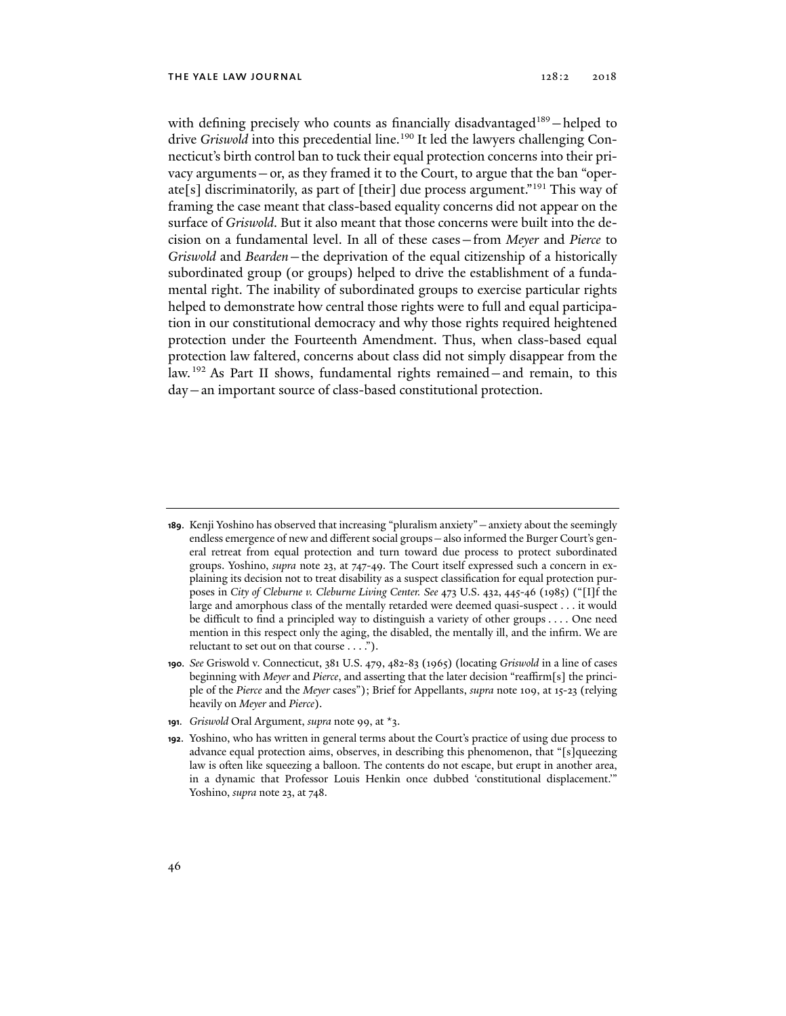with defining precisely who counts as financially disadvantaged<sup>189</sup>-helped to drive *Griswold* into this precedential line.<sup>190</sup> It led the lawyers challenging Connecticut's birth control ban to tuck their equal protection concerns into their privacy arguments—or, as they framed it to the Court, to argue that the ban "operate[s] discriminatorily, as part of [their] due process argument."191 This way of framing the case meant that class-based equality concerns did not appear on the surface of *Griswold*. But it also meant that those concerns were built into the decision on a fundamental level. In all of these cases—from *Meyer* and *Pierce* to *Griswold* and *Bearden*—the deprivation of the equal citizenship of a historically subordinated group (or groups) helped to drive the establishment of a fundamental right. The inability of subordinated groups to exercise particular rights helped to demonstrate how central those rights were to full and equal participation in our constitutional democracy and why those rights required heightened protection under the Fourteenth Amendment. Thus, when class-based equal protection law faltered, concerns about class did not simply disappear from the law.192 As Part II shows, fundamental rights remained—and remain, to this day—an important source of class-based constitutional protection.

**191***. Griswold* Oral Argument, *supra* note 99, at \*3.

**<sup>189</sup>**. Kenji Yoshino has observed that increasing "pluralism anxiety"—anxiety about the seemingly endless emergence of new and different social groups—also informed the Burger Court's general retreat from equal protection and turn toward due process to protect subordinated groups. Yoshino, *supra* note 23, at 747-49. The Court itself expressed such a concern in explaining its decision not to treat disability as a suspect classification for equal protection purposes in *City of Cleburne v. Cleburne Living Center. See* 473 U.S. 432, 445-46 (1985) ("[I]f the large and amorphous class of the mentally retarded were deemed quasi-suspect . . . it would be difficult to find a principled way to distinguish a variety of other groups . . . . One need mention in this respect only the aging, the disabled, the mentally ill, and the infirm. We are reluctant to set out on that course . . . .").

**<sup>190</sup>***. See* Griswold v. Connecticut, 381 U.S. 479, 482-83 (1965) (locating *Griswold* in a line of cases beginning with *Meyer* and *Pierce*, and asserting that the later decision "reaffirm[s] the principle of the *Pierce* and the *Meyer* cases"); Brief for Appellants, *supra* note 109, at 15-23 (relying heavily on *Meyer* and *Pierce*).

**<sup>192</sup>**. Yoshino, who has written in general terms about the Court's practice of using due process to advance equal protection aims, observes, in describing this phenomenon, that "[s]queezing law is often like squeezing a balloon. The contents do not escape, but erupt in another area, in a dynamic that Professor Louis Henkin once dubbed 'constitutional displacement.'" Yoshino, *supra* note 23, at 748.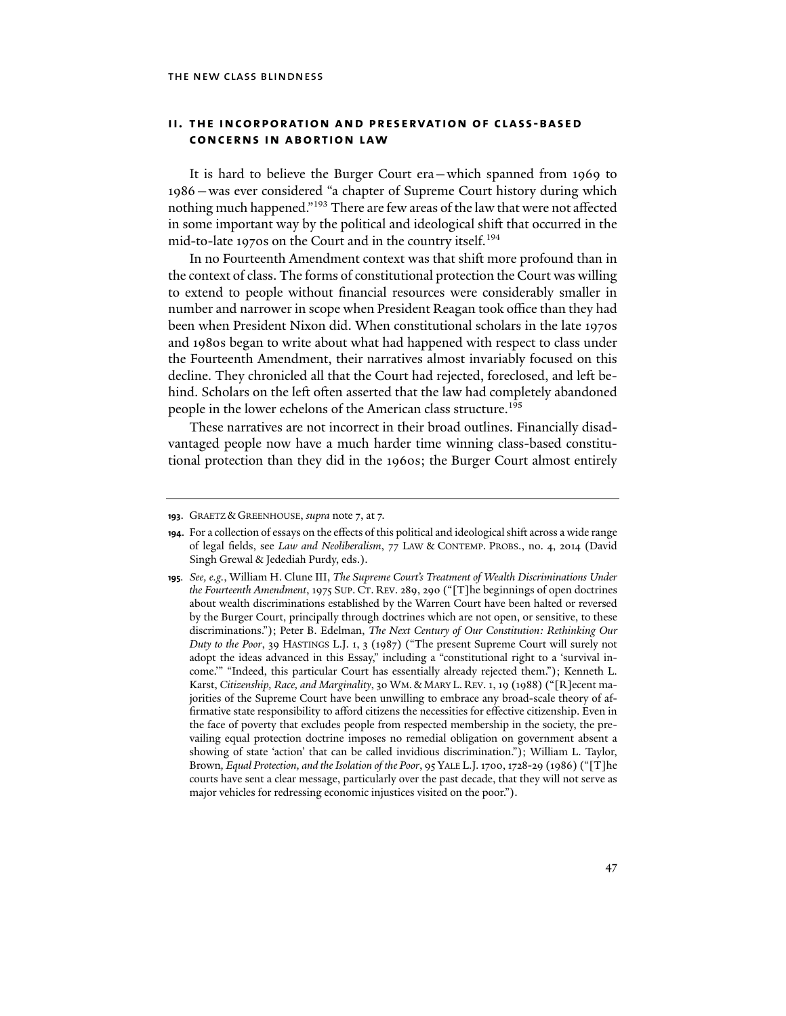# **ii. the incorporation and preservation of class-based concerns in abortion law**

It is hard to believe the Burger Court era—which spanned from 1969 to 1986—was ever considered "a chapter of Supreme Court history during which nothing much happened."<sup>193</sup> There are few areas of the law that were not affected in some important way by the political and ideological shift that occurred in the mid-to-late 1970s on the Court and in the country itself.194

In no Fourteenth Amendment context was that shift more profound than in the context of class. The forms of constitutional protection the Court was willing to extend to people without financial resources were considerably smaller in number and narrower in scope when President Reagan took office than they had been when President Nixon did. When constitutional scholars in the late 1970s and 1980s began to write about what had happened with respect to class under the Fourteenth Amendment, their narratives almost invariably focused on this decline. They chronicled all that the Court had rejected, foreclosed, and left behind. Scholars on the left often asserted that the law had completely abandoned people in the lower echelons of the American class structure.<sup>195</sup>

These narratives are not incorrect in their broad outlines. Financially disadvantaged people now have a much harder time winning class-based constitutional protection than they did in the 1960s; the Burger Court almost entirely

**<sup>193</sup>**. GRAETZ & GREENHOUSE, *supra* note 7, at 7.

**<sup>194</sup>**. For a collection of essays on the effects of this political and ideological shift across a wide range of legal fields, see *Law and Neoliberalism*, 77 LAW & CONTEMP. PROBS., no. 4, 2014 (David Singh Grewal & Jedediah Purdy, eds.).

**<sup>195</sup>***. See, e.g.*, William H. Clune III, *The Supreme Court's Treatment of Wealth Discriminations Under the Fourteenth Amendment*, 1975 SUP. CT. REV. 289, 290 ("[T]he beginnings of open doctrines about wealth discriminations established by the Warren Court have been halted or reversed by the Burger Court, principally through doctrines which are not open, or sensitive, to these discriminations."); Peter B. Edelman, *The Next Century of Our Constitution: Rethinking Our Duty to the Poor*, 39 HASTINGS L.J. 1, 3 (1987) ("The present Supreme Court will surely not adopt the ideas advanced in this Essay," including a "constitutional right to a 'survival income.'" "Indeed, this particular Court has essentially already rejected them."); Kenneth L. Karst, *Citizenship, Race, and Marginality*, 30 WM.& MARY L. REV. 1, 19 (1988) ("[R]ecent majorities of the Supreme Court have been unwilling to embrace any broad-scale theory of affirmative state responsibility to afford citizens the necessities for effective citizenship. Even in the face of poverty that excludes people from respected membership in the society, the prevailing equal protection doctrine imposes no remedial obligation on government absent a showing of state 'action' that can be called invidious discrimination."); William L. Taylor, Brown*, Equal Protection, and the Isolation of the Poor*, 95 YALE L.J. 1700, 1728-29 (1986) ("[T]he courts have sent a clear message, particularly over the past decade, that they will not serve as major vehicles for redressing economic injustices visited on the poor.").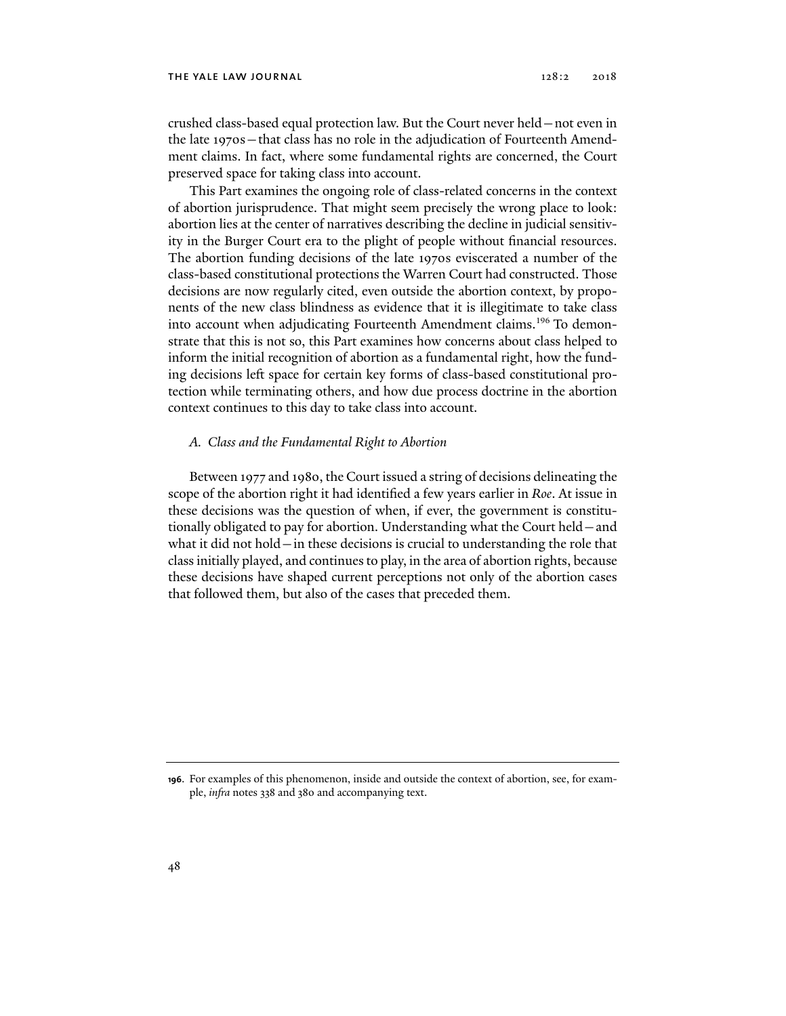crushed class-based equal protection law. But the Court never held—not even in the late 1970s—that class has no role in the adjudication of Fourteenth Amendment claims. In fact, where some fundamental rights are concerned, the Court preserved space for taking class into account.

This Part examines the ongoing role of class-related concerns in the context of abortion jurisprudence. That might seem precisely the wrong place to look: abortion lies at the center of narratives describing the decline in judicial sensitivity in the Burger Court era to the plight of people without financial resources. The abortion funding decisions of the late 1970s eviscerated a number of the class-based constitutional protections the Warren Court had constructed. Those decisions are now regularly cited, even outside the abortion context, by proponents of the new class blindness as evidence that it is illegitimate to take class into account when adjudicating Fourteenth Amendment claims.<sup>196</sup> To demonstrate that this is not so, this Part examines how concerns about class helped to inform the initial recognition of abortion as a fundamental right, how the funding decisions left space for certain key forms of class-based constitutional protection while terminating others, and how due process doctrine in the abortion context continues to this day to take class into account.

# *A. Class and the Fundamental Right to Abortion*

Between 1977 and 1980, the Court issued a string of decisions delineating the scope of the abortion right it had identified a few years earlier in *Roe*. At issue in these decisions was the question of when, if ever, the government is constitutionally obligated to pay for abortion. Understanding what the Court held—and what it did not hold—in these decisions is crucial to understanding the role that class initially played, and continues to play, in the area of abortion rights, because these decisions have shaped current perceptions not only of the abortion cases that followed them, but also of the cases that preceded them.

**<sup>196</sup>**. For examples of this phenomenon, inside and outside the context of abortion, see, for example, *infra* notes 338 and 380 and accompanying text.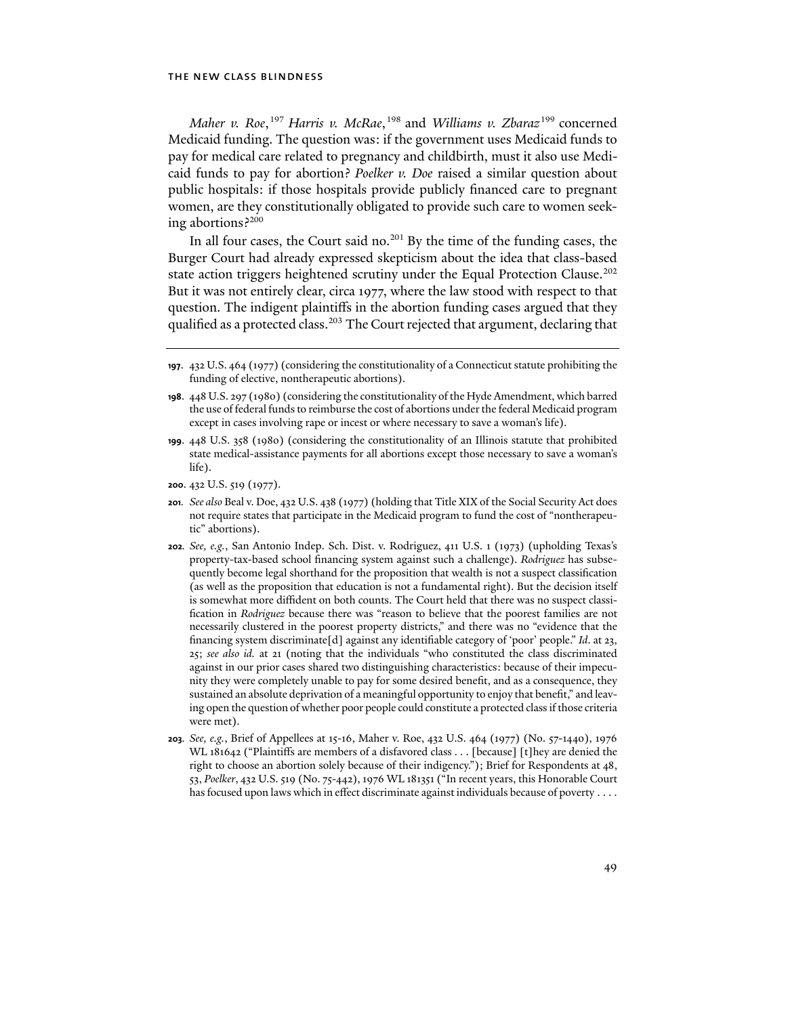*Maher v. Roe*, 197 *Harris v. McRae*, 198 and *Williams v. Zbaraz*199 concerned Medicaid funding. The question was: if the government uses Medicaid funds to pay for medical care related to pregnancy and childbirth, must it also use Medicaid funds to pay for abortion? *Poelker v. Doe* raised a similar question about public hospitals: if those hospitals provide publicly financed care to pregnant women, are they constitutionally obligated to provide such care to women seeking abortions?200

In all four cases, the Court said no.<sup>201</sup> By the time of the funding cases, the Burger Court had already expressed skepticism about the idea that class-based state action triggers heightened scrutiny under the Equal Protection Clause.<sup>202</sup> But it was not entirely clear, circa 1977, where the law stood with respect to that question. The indigent plaintiffs in the abortion funding cases argued that they qualified as a protected class.<sup>203</sup> The Court rejected that argument, declaring that

- **199**. 448 U.S. 358 (1980) (considering the constitutionality of an Illinois statute that prohibited state medical-assistance payments for all abortions except those necessary to save a woman's life).
- **200**. 432 U.S. 519 (1977).
- **201***. See also* Beal v. Doe, 432 U.S. 438 (1977) (holding that Title XIX of the Social Security Act does not require states that participate in the Medicaid program to fund the cost of "nontherapeutic" abortions).
- **202***. See, e.g.*, San Antonio Indep. Sch. Dist. v. Rodriguez, 411 U.S. 1 (1973) (upholding Texas's property-tax-based school financing system against such a challenge). *Rodriguez* has subsequently become legal shorthand for the proposition that wealth is not a suspect classification (as well as the proposition that education is not a fundamental right). But the decision itself is somewhat more diffident on both counts. The Court held that there was no suspect classification in *Rodriguez* because there was "reason to believe that the poorest families are not necessarily clustered in the poorest property districts," and there was no "evidence that the financing system discriminate[d] against any identifiable category of 'poor' people." *Id*. at 23, 25; *see also id.* at 21 (noting that the individuals "who constituted the class discriminated against in our prior cases shared two distinguishing characteristics: because of their impecunity they were completely unable to pay for some desired benefit, and as a consequence, they sustained an absolute deprivation of a meaningful opportunity to enjoy that benefit," and leaving open the question of whether poor people could constitute a protected class if those criteria were met).
- **203***. See, e.g.*, Brief of Appellees at 15-16, Maher v. Roe, 432 U.S. 464 (1977) (No. 57-1440), 1976 WL 181642 ("Plaintiffs are members of a disfavored class . . . [because] [t]hey are denied the right to choose an abortion solely because of their indigency."); Brief for Respondents at 48, 53, *Poelker*, 432 U.S. 519 (No. 75-442), 1976 WL 181351 ("In recent years, this Honorable Court has focused upon laws which in effect discriminate against individuals because of poverty . . . .

**<sup>197</sup>**. 432 U.S. 464 (1977) (considering the constitutionality of a Connecticut statute prohibiting the funding of elective, nontherapeutic abortions).

**<sup>198</sup>**. 448 U.S. 297 (1980) (considering the constitutionality of the Hyde Amendment, which barred the use of federal funds to reimburse the cost of abortions under the federal Medicaid program except in cases involving rape or incest or where necessary to save a woman's life).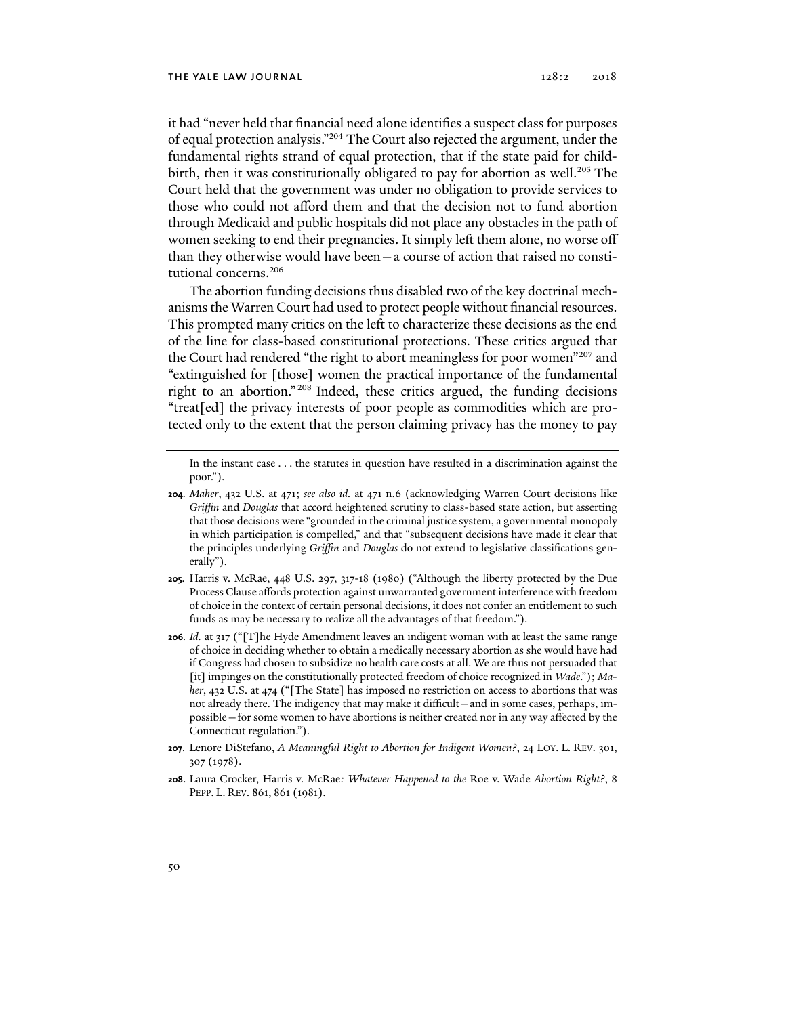it had "never held that financial need alone identifies a suspect class for purposes of equal protection analysis."204 The Court also rejected the argument, under the fundamental rights strand of equal protection, that if the state paid for childbirth, then it was constitutionally obligated to pay for abortion as well.<sup>205</sup> The Court held that the government was under no obligation to provide services to those who could not afford them and that the decision not to fund abortion through Medicaid and public hospitals did not place any obstacles in the path of women seeking to end their pregnancies. It simply left them alone, no worse off than they otherwise would have been—a course of action that raised no constitutional concerns.<sup>206</sup>

The abortion funding decisions thus disabled two of the key doctrinal mechanisms the Warren Court had used to protect people without financial resources. This prompted many critics on the left to characterize these decisions as the end of the line for class-based constitutional protections. These critics argued that the Court had rendered "the right to abort meaningless for poor women"<sup>207</sup> and "extinguished for [those] women the practical importance of the fundamental right to an abortion." 208 Indeed, these critics argued, the funding decisions "treat[ed] the privacy interests of poor people as commodities which are protected only to the extent that the person claiming privacy has the money to pay

In the instant case . . . the statutes in question have resulted in a discrimination against the poor.").

- **205***.* Harris v. McRae, 448 U.S. 297, 317-18 (1980) ("Although the liberty protected by the Due Process Clause affords protection against unwarranted government interference with freedom of choice in the context of certain personal decisions, it does not confer an entitlement to such funds as may be necessary to realize all the advantages of that freedom.").
- **206***. Id.* at 317 ("[T]he Hyde Amendment leaves an indigent woman with at least the same range of choice in deciding whether to obtain a medically necessary abortion as she would have had if Congress had chosen to subsidize no health care costs at all. We are thus not persuaded that [it] impinges on the constitutionally protected freedom of choice recognized in *Wade*."); *Maher*, 432 U.S. at 474 ("[The State] has imposed no restriction on access to abortions that was not already there. The indigency that may make it difficult—and in some cases, perhaps, impossible—for some women to have abortions is neither created nor in any way affected by the Connecticut regulation.").
- **207**. Lenore DiStefano, *A Meaningful Right to Abortion for Indigent Women?*, 24 LOY. L. REV. 301, 307 (1978).
- **208**. Laura Crocker, Harris v. McRae*: Whatever Happened to the* Roe v. Wade *Abortion Right?*, 8 PEPP. L. REV. 861, 861 (1981).

**<sup>204</sup>***. Maher*, 432 U.S. at 471; *see also id.* at 471 n.6 (acknowledging Warren Court decisions like *Griffin* and *Douglas* that accord heightened scrutiny to class-based state action, but asserting that those decisions were "grounded in the criminal justice system, a governmental monopoly in which participation is compelled," and that "subsequent decisions have made it clear that the principles underlying *Griffin* and *Douglas* do not extend to legislative classifications generally").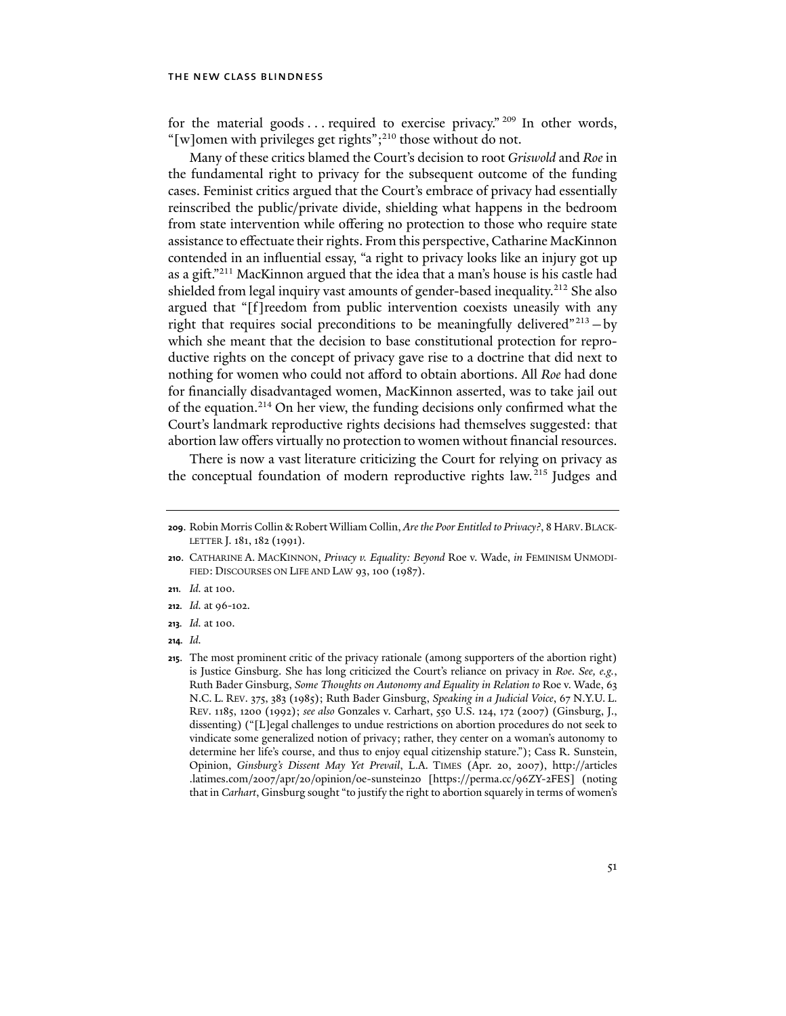for the material goods ... required to exercise privacy." <sup>209</sup> In other words, "[w]omen with privileges get rights";<sup>210</sup> those without do not.

Many of these critics blamed the Court's decision to root *Griswold* and *Roe* in the fundamental right to privacy for the subsequent outcome of the funding cases. Feminist critics argued that the Court's embrace of privacy had essentially reinscribed the public/private divide, shielding what happens in the bedroom from state intervention while offering no protection to those who require state assistance to effectuate their rights. From this perspective, Catharine MacKinnon contended in an influential essay, "a right to privacy looks like an injury got up as a gift."211 MacKinnon argued that the idea that a man's house is his castle had shielded from legal inquiry vast amounts of gender-based inequality.<sup>212</sup> She also argued that "[f]reedom from public intervention coexists uneasily with any right that requires social preconditions to be meaningfully delivered"<sup>213</sup> - by which she meant that the decision to base constitutional protection for reproductive rights on the concept of privacy gave rise to a doctrine that did next to nothing for women who could not afford to obtain abortions. All *Roe* had done for financially disadvantaged women, MacKinnon asserted, was to take jail out of the equation.<sup>214</sup> On her view, the funding decisions only confirmed what the Court's landmark reproductive rights decisions had themselves suggested: that abortion law offers virtually no protection to women without financial resources.

There is now a vast literature criticizing the Court for relying on privacy as the conceptual foundation of modern reproductive rights law.215 Judges and

- **211***. Id.* at 100.
- **212***. Id.* at 96-102.

**214***. Id.*

**<sup>209</sup>**. Robin Morris Collin & Robert William Collin, *Are the Poor Entitled to Privacy?*, 8 HARV.BLACK-LETTER J. 181, 182 (1991).

**<sup>210</sup>**. CATHARINE A. MACKINNON, *Privacy v. Equality: Beyond* Roe v. Wade, *in* FEMINISM UNMODI-FIED: DISCOURSES ON LIFE AND LAW 93, 100 (1987).

**<sup>213</sup>***. Id.* at 100.

**<sup>215</sup>**. The most prominent critic of the privacy rationale (among supporters of the abortion right) is Justice Ginsburg. She has long criticized the Court's reliance on privacy in *Roe*. *See, e.g.*, Ruth Bader Ginsburg, *Some Thoughts on Autonomy and Equality in Relation to* Roe v. Wade, 63 N.C. L. REV. 375, 383 (1985); Ruth Bader Ginsburg, *Speaking in a Judicial Voice*, 67 N.Y.U. L. REV. 1185, 1200 (1992); *see also* Gonzales v. Carhart, 550 U.S. 124, 172 (2007) (Ginsburg, J., dissenting) ("[L]egal challenges to undue restrictions on abortion procedures do not seek to vindicate some generalized notion of privacy; rather, they center on a woman's autonomy to determine her life's course, and thus to enjoy equal citizenship stature."); Cass R. Sunstein, Opinion, *Ginsburg's Dissent May Yet Prevail*, L.A. TIMES (Apr. 20, 2007), http://articles .latimes.com/2007/apr/20/opinion/oe-sunstein20 [https://perma.cc/96ZY-2FES] (noting that in *Carhart*, Ginsburg sought "to justify the right to abortion squarely in terms of women's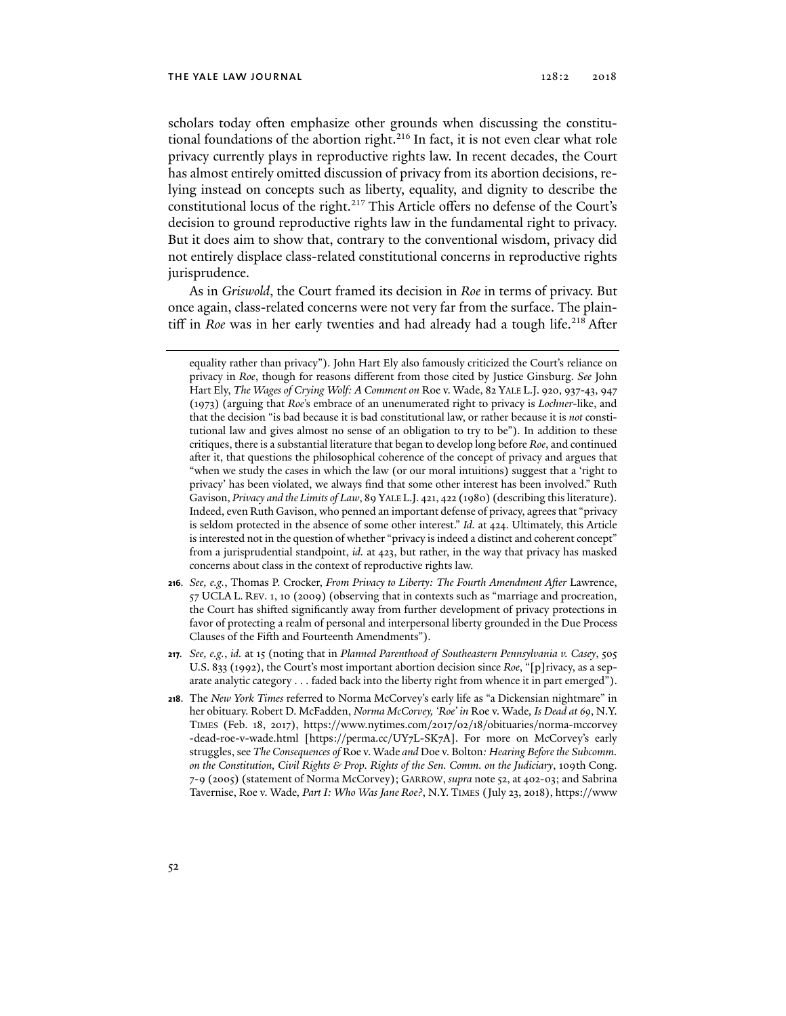scholars today often emphasize other grounds when discussing the constitutional foundations of the abortion right.<sup>216</sup> In fact, it is not even clear what role privacy currently plays in reproductive rights law. In recent decades, the Court has almost entirely omitted discussion of privacy from its abortion decisions, relying instead on concepts such as liberty, equality, and dignity to describe the constitutional locus of the right.<sup>217</sup> This Article offers no defense of the Court's decision to ground reproductive rights law in the fundamental right to privacy. But it does aim to show that, contrary to the conventional wisdom, privacy did not entirely displace class-related constitutional concerns in reproductive rights jurisprudence.

As in *Griswold*, the Court framed its decision in *Roe* in terms of privacy. But once again, class-related concerns were not very far from the surface. The plaintiff in *Roe* was in her early twenties and had already had a tough life.<sup>218</sup> After

- **216***. See, e.g.*, Thomas P. Crocker, *From Privacy to Liberty: The Fourth Amendment After* Lawrence, 57 UCLA L. REV. 1, 10 (2009) (observing that in contexts such as "marriage and procreation, the Court has shifted significantly away from further development of privacy protections in favor of protecting a realm of personal and interpersonal liberty grounded in the Due Process Clauses of the Fifth and Fourteenth Amendments").
- **217***. See, e.g.*, *id.* at 15 (noting that in *Planned Parenthood of Southeastern Pennsylvania v. Casey*, 505 U.S. 833 (1992), the Court's most important abortion decision since *Roe*, "[p]rivacy, as a separate analytic category . . . faded back into the liberty right from whence it in part emerged").
- **218**. The *New York Times* referred to Norma McCorvey's early life as "a Dickensian nightmare" in her obituary. Robert D. McFadden, *Norma McCorvey, 'Roe' in* Roe v. Wade*, Is Dead at 69*, N.Y. TIMES (Feb. 18, 2017), https://www.nytimes.com/2017/02/18/obituaries/norma-mccorvey -dead-roe-v-wade.html [https://perma.cc/UY7L-SK7A]. For more on McCorvey's early struggles, see *The Consequences of* Roe v. Wade *and* Doe v. Bolton*: Hearing Before the Subcomm. on the Constitution, Civil Rights & Prop. Rights of the Sen. Comm. on the Judiciary*, 109th Cong. 7-9 (2005) (statement of Norma McCorvey); GARROW, *supra* note 52, at 402-03; and Sabrina Tavernise, Roe v. Wade*, Part I: Who Was Jane Roe?*, N.Y. TIMES (July 23, 2018), https://www

equality rather than privacy"). John Hart Ely also famously criticized the Court's reliance on privacy in *Roe*, though for reasons different from those cited by Justice Ginsburg. *See* John Hart Ely, *The Wages of Crying Wolf: A Comment on* Roe v. Wade, 82 YALE L.J. 920, 937-43, 947 (1973) (arguing that *Roe*'s embrace of an unenumerated right to privacy is *Lochner*-like, and that the decision "is bad because it is bad constitutional law, or rather because it is *not* constitutional law and gives almost no sense of an obligation to try to be"). In addition to these critiques, there is a substantial literature that began to develop long before *Roe*, and continued after it, that questions the philosophical coherence of the concept of privacy and argues that "when we study the cases in which the law (or our moral intuitions) suggest that a 'right to privacy' has been violated, we always find that some other interest has been involved." Ruth Gavison, *Privacy and the Limits of Law*, 89 YALE L.J. 421, 422 (1980) (describing this literature). Indeed, even Ruth Gavison, who penned an important defense of privacy, agrees that "privacy is seldom protected in the absence of some other interest." *Id.* at 424. Ultimately, this Article is interested not in the question of whether "privacy is indeed a distinct and coherent concept" from a jurisprudential standpoint, *id.* at 423, but rather, in the way that privacy has masked concerns about class in the context of reproductive rights law.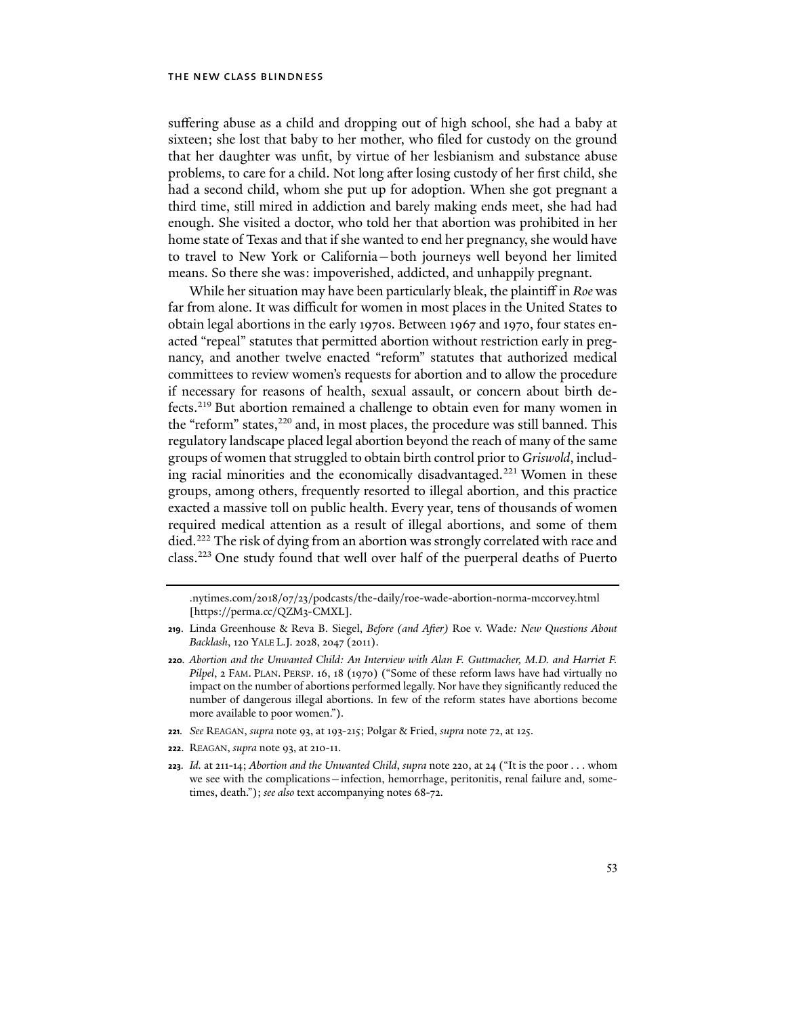suffering abuse as a child and dropping out of high school, she had a baby at sixteen; she lost that baby to her mother, who filed for custody on the ground that her daughter was unfit, by virtue of her lesbianism and substance abuse problems, to care for a child. Not long after losing custody of her first child, she had a second child, whom she put up for adoption. When she got pregnant a third time, still mired in addiction and barely making ends meet, she had had enough. She visited a doctor, who told her that abortion was prohibited in her home state of Texas and that if she wanted to end her pregnancy, she would have to travel to New York or California—both journeys well beyond her limited means. So there she was: impoverished, addicted, and unhappily pregnant.

While her situation may have been particularly bleak, the plaintiff in *Roe* was far from alone. It was difficult for women in most places in the United States to obtain legal abortions in the early 1970s. Between 1967 and 1970, four states enacted "repeal" statutes that permitted abortion without restriction early in pregnancy, and another twelve enacted "reform" statutes that authorized medical committees to review women's requests for abortion and to allow the procedure if necessary for reasons of health, sexual assault, or concern about birth defects.219 But abortion remained a challenge to obtain even for many women in the "reform" states,<sup>220</sup> and, in most places, the procedure was still banned. This regulatory landscape placed legal abortion beyond the reach of many of the same groups of women that struggled to obtain birth control prior to *Griswold*, including racial minorities and the economically disadvantaged.<sup>221</sup> Women in these groups, among others, frequently resorted to illegal abortion, and this practice exacted a massive toll on public health. Every year, tens of thousands of women required medical attention as a result of illegal abortions, and some of them died.<sup>222</sup> The risk of dying from an abortion was strongly correlated with race and class.223 One study found that well over half of the puerperal deaths of Puerto

- **221***. See* REAGAN, *supra* note 93, at 193-215; Polgar & Fried, *supra* note 72, at 125.
- **222**. REAGAN, *supra* note 93, at 210-11.
- **223***. Id.* at 211-14; *Abortion and the Unwanted Child*, *supra* note 220, at 24 ("It is the poor . . . whom we see with the complications—infection, hemorrhage, peritonitis, renal failure and, sometimes, death."); *see also* text accompanying notes 68-72.

<sup>.</sup>nytimes.com/2018/07/23/podcasts/the-daily/roe-wade-abortion-norma-mccorvey.html [https://perma.cc/QZM3-CMXL].

**<sup>219</sup>**. Linda Greenhouse & Reva B. Siegel, *Before (and After)* Roe v. Wade*: New Questions About Backlash*, 120 YALE L.J. 2028, 2047 (2011).

**<sup>220</sup>***. Abortion and the Unwanted Child: An Interview with Alan F. Guttmacher, M.D. and Harriet F. Pilpel*, 2 FAM. PLAN. PERSP. 16, 18 (1970) ("Some of these reform laws have had virtually no impact on the number of abortions performed legally. Nor have they significantly reduced the number of dangerous illegal abortions. In few of the reform states have abortions become more available to poor women.").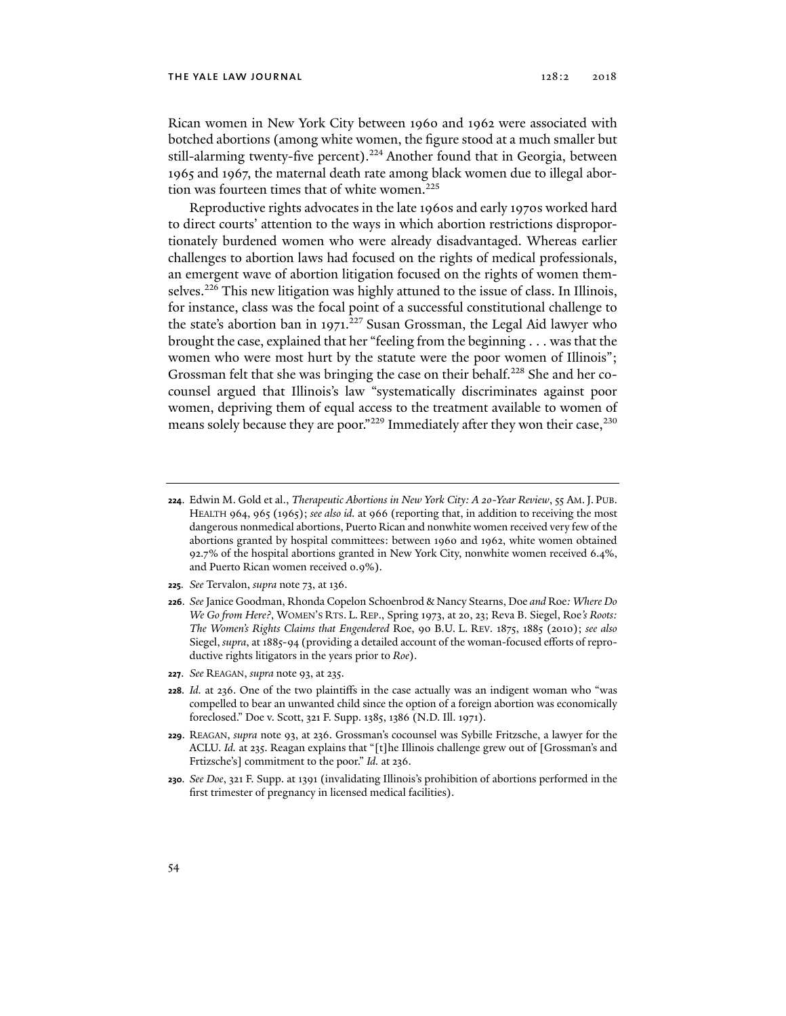Rican women in New York City between 1960 and 1962 were associated with botched abortions (among white women, the figure stood at a much smaller but still-alarming twenty-five percent).<sup>224</sup> Another found that in Georgia, between 1965 and 1967, the maternal death rate among black women due to illegal abortion was fourteen times that of white women.<sup>225</sup>

Reproductive rights advocates in the late 1960s and early 1970s worked hard to direct courts' attention to the ways in which abortion restrictions disproportionately burdened women who were already disadvantaged. Whereas earlier challenges to abortion laws had focused on the rights of medical professionals, an emergent wave of abortion litigation focused on the rights of women themselves.226 This new litigation was highly attuned to the issue of class. In Illinois, for instance, class was the focal point of a successful constitutional challenge to the state's abortion ban in 1971.<sup>227</sup> Susan Grossman, the Legal Aid lawyer who brought the case, explained that her "feeling from the beginning . . . was that the women who were most hurt by the statute were the poor women of Illinois"; Grossman felt that she was bringing the case on their behalf.<sup>228</sup> She and her cocounsel argued that Illinois's law "systematically discriminates against poor women, depriving them of equal access to the treatment available to women of means solely because they are poor."<sup>229</sup> Immediately after they won their case,<sup>230</sup>

- **225***. See* Tervalon, *supra* note 73, at 136.
- **226**. *See* Janice Goodman, Rhonda Copelon Schoenbrod & Nancy Stearns, Doe *and* Roe*: Where Do We Go from Here?*, WOMEN'S RTS. L. REP., Spring 1973, at 20, 23; Reva B. Siegel, Roe*'s Roots: The Women's Rights Claims that Engendered* Roe, 90 B.U. L. REV. 1875, 1885 (2010); *see also*  Siegel, *supra*, at 1885-94 (providing a detailed account of the woman-focused efforts of reproductive rights litigators in the years prior to *Roe*).
- **227**. *See* REAGAN, *supra* note 93, at 235.
- **228***. Id.* at 236. One of the two plaintiffs in the case actually was an indigent woman who "was compelled to bear an unwanted child since the option of a foreign abortion was economically foreclosed." Doe v. Scott, 321 F. Supp. 1385, 1386 (N.D. Ill. 1971).
- **229**. REAGAN, *supra* note 93, at 236. Grossman's cocounsel was Sybille Fritzsche, a lawyer for the ACLU. *Id.* at 235. Reagan explains that "[t]he Illinois challenge grew out of [Grossman's and Frtizsche's] commitment to the poor." *Id.* at 236.
- **230***. See Doe*, 321 F. Supp. at 1391 (invalidating Illinois's prohibition of abortions performed in the first trimester of pregnancy in licensed medical facilities).

**<sup>224</sup>**. Edwin M. Gold et al., *Therapeutic Abortions in New York City: A 20-Year Review*, 55 AM.J. PUB. HEALTH 964, 965 (1965); *see also id.* at 966 (reporting that, in addition to receiving the most dangerous nonmedical abortions, Puerto Rican and nonwhite women received very few of the abortions granted by hospital committees: between 1960 and 1962, white women obtained 92.7% of the hospital abortions granted in New York City, nonwhite women received 6.4%, and Puerto Rican women received 0.9%).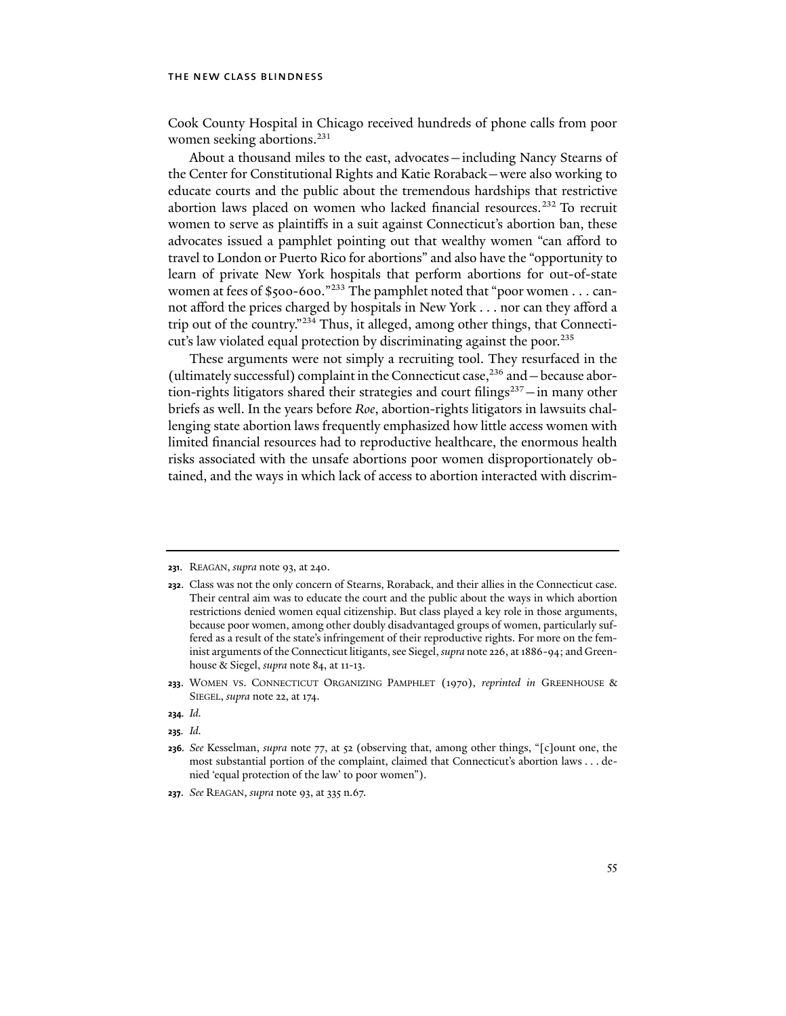Cook County Hospital in Chicago received hundreds of phone calls from poor women seeking abortions.<sup>231</sup>

About a thousand miles to the east, advocates—including Nancy Stearns of the Center for Constitutional Rights and Katie Roraback—were also working to educate courts and the public about the tremendous hardships that restrictive abortion laws placed on women who lacked financial resources.<sup>232</sup> To recruit women to serve as plaintiffs in a suit against Connecticut's abortion ban, these advocates issued a pamphlet pointing out that wealthy women "can afford to travel to London or Puerto Rico for abortions" and also have the "opportunity to learn of private New York hospitals that perform abortions for out-of-state women at fees of \$500-600."<sup>233</sup> The pamphlet noted that "poor women . . . cannot afford the prices charged by hospitals in New York . . . nor can they afford a trip out of the country."234 Thus, it alleged, among other things, that Connecticut's law violated equal protection by discriminating against the poor.<sup>235</sup>

These arguments were not simply a recruiting tool. They resurfaced in the (ultimately successful) complaint in the Connecticut case,<sup>236</sup> and - because abortion-rights litigators shared their strategies and court filings $237 -$ in many other briefs as well. In the years before *Roe*, abortion-rights litigators in lawsuits challenging state abortion laws frequently emphasized how little access women with limited financial resources had to reproductive healthcare, the enormous health risks associated with the unsafe abortions poor women disproportionately obtained, and the ways in which lack of access to abortion interacted with discrim-

**235***. Id.* 

**<sup>231</sup>**. REAGAN, *supra* note 93, at 240.

**<sup>232</sup>**. Class was not the only concern of Stearns, Roraback, and their allies in the Connecticut case. Their central aim was to educate the court and the public about the ways in which abortion restrictions denied women equal citizenship. But class played a key role in those arguments, because poor women, among other doubly disadvantaged groups of women, particularly suffered as a result of the state's infringement of their reproductive rights. For more on the feminist arguments of the Connecticut litigants, see Siegel, *supra* note 226, at 1886-94; and Greenhouse & Siegel, *supra* note 84, at 11-13.

**<sup>233</sup>**. WOMEN VS. CONNECTICUT ORGANIZING PAMPHLET (1970), *reprinted in* GREENHOUSE & SIEGEL, *supra* note 22, at 174.

**<sup>234</sup>***. Id.*

**<sup>236</sup>***. See* Kesselman, *supra* note 77, at 52 (observing that, among other things, "[c]ount one, the most substantial portion of the complaint, claimed that Connecticut's abortion laws . . . denied 'equal protection of the law' to poor women").

**<sup>237</sup>**. *See* REAGAN, *supra* note 93, at 335 n.67.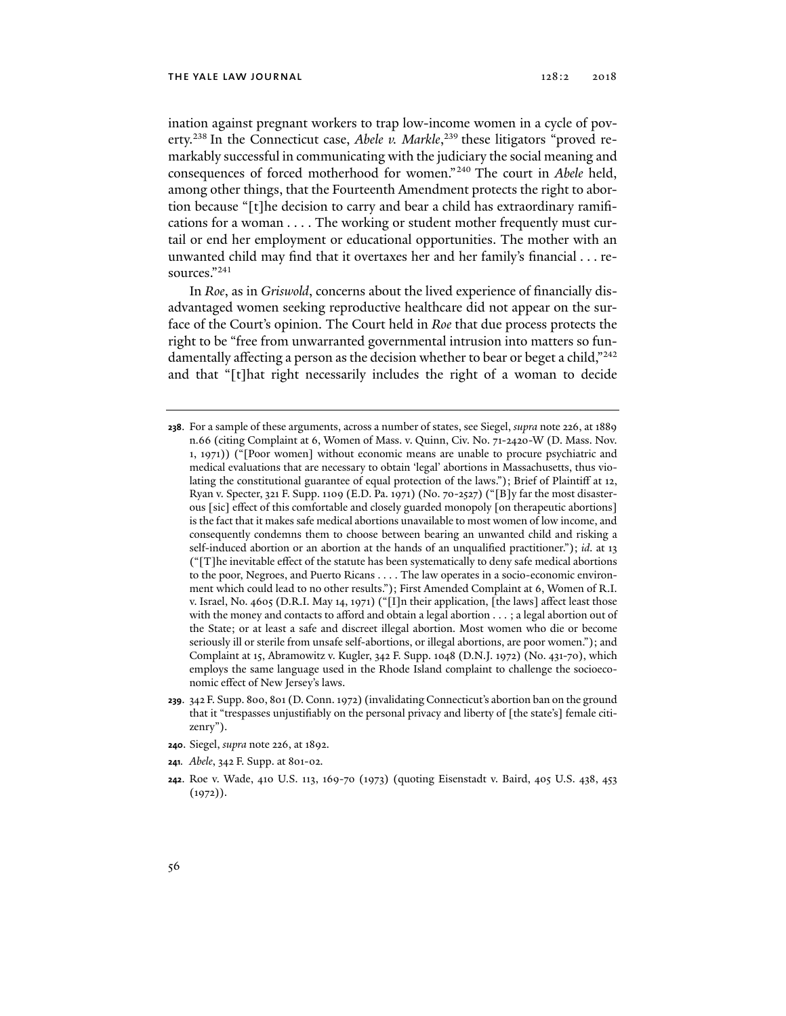ination against pregnant workers to trap low-income women in a cycle of poverty.238 In the Connecticut case, *Abele v. Markle*, 239 these litigators "proved remarkably successful in communicating with the judiciary the social meaning and consequences of forced motherhood for women."240 The court in *Abele* held, among other things, that the Fourteenth Amendment protects the right to abortion because "[t]he decision to carry and bear a child has extraordinary ramifications for a woman . . . . The working or student mother frequently must curtail or end her employment or educational opportunities. The mother with an unwanted child may find that it overtaxes her and her family's financial . . . resources."241

In *Roe*, as in *Griswold*, concerns about the lived experience of financially disadvantaged women seeking reproductive healthcare did not appear on the surface of the Court's opinion. The Court held in *Roe* that due process protects the right to be "free from unwarranted governmental intrusion into matters so fundamentally affecting a person as the decision whether to bear or beget a child,"<sup>242</sup> and that "[t]hat right necessarily includes the right of a woman to decide

- **239**. 342 F. Supp. 800, 801 (D. Conn. 1972) (invalidating Connecticut's abortion ban on the ground that it "trespasses unjustifiably on the personal privacy and liberty of [the state's] female citizenry").
- **240**. Siegel, *supra* note 226, at 1892.
- **241***. Abele*, 342 F. Supp. at 801-02.
- **242**. Roe v. Wade, 410 U.S. 113, 169-70 (1973) (quoting Eisenstadt v. Baird, 405 U.S. 438, 453  $(1972)$ .

**<sup>238</sup>**. For a sample of these arguments, across a number of states, see Siegel, *supra* note 226, at 1889 n.66 (citing Complaint at 6, Women of Mass. v. Quinn, Civ. No. 71-2420-W (D. Mass. Nov. 1, 1971)) ("[Poor women] without economic means are unable to procure psychiatric and medical evaluations that are necessary to obtain 'legal' abortions in Massachusetts, thus violating the constitutional guarantee of equal protection of the laws."); Brief of Plaintiff at 12, Ryan v. Specter, 321 F. Supp. 1109 (E.D. Pa. 1971) (No. 70-2527) ("[B]y far the most disasterous [sic] effect of this comfortable and closely guarded monopoly [on therapeutic abortions] is the fact that it makes safe medical abortions unavailable to most women of low income, and consequently condemns them to choose between bearing an unwanted child and risking a self-induced abortion or an abortion at the hands of an unqualified practitioner."); *id*. at 13 ("[T]he inevitable effect of the statute has been systematically to deny safe medical abortions to the poor, Negroes, and Puerto Ricans . . . . The law operates in a socio-economic environment which could lead to no other results."); First Amended Complaint at 6, Women of R.I. v. Israel, No. 4605 (D.R.I. May 14, 1971) ("[I]n their application, [the laws] affect least those with the money and contacts to afford and obtain a legal abortion . . . ; a legal abortion out of the State; or at least a safe and discreet illegal abortion. Most women who die or become seriously ill or sterile from unsafe self-abortions, or illegal abortions, are poor women."); and Complaint at 15, Abramowitz v. Kugler, 342 F. Supp. 1048 (D.N.J. 1972) (No. 431-70), which employs the same language used in the Rhode Island complaint to challenge the socioeconomic effect of New Jersey's laws.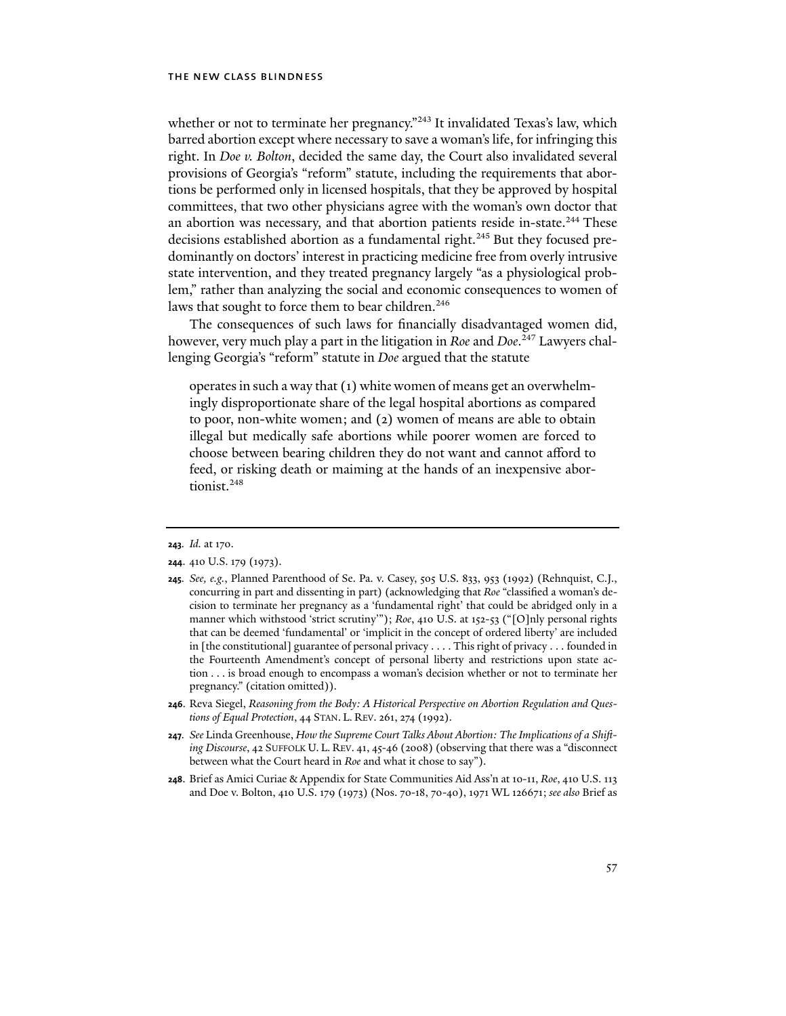whether or not to terminate her pregnancy."<sup>243</sup> It invalidated Texas's law, which barred abortion except where necessary to save a woman's life, for infringing this right. In *Doe v. Bolton*, decided the same day, the Court also invalidated several provisions of Georgia's "reform" statute, including the requirements that abortions be performed only in licensed hospitals, that they be approved by hospital committees, that two other physicians agree with the woman's own doctor that an abortion was necessary, and that abortion patients reside in-state.<sup>244</sup> These decisions established abortion as a fundamental right.<sup>245</sup> But they focused predominantly on doctors' interest in practicing medicine free from overly intrusive state intervention, and they treated pregnancy largely "as a physiological problem," rather than analyzing the social and economic consequences to women of laws that sought to force them to bear children.<sup>246</sup>

The consequences of such laws for financially disadvantaged women did, however, very much play a part in the litigation in *Roe* and *Doe*. 247 Lawyers challenging Georgia's "reform" statute in *Doe* argued that the statute

operates in such a way that (1) white women of means get an overwhelmingly disproportionate share of the legal hospital abortions as compared to poor, non-white women; and (2) women of means are able to obtain illegal but medically safe abortions while poorer women are forced to choose between bearing children they do not want and cannot afford to feed, or risking death or maiming at the hands of an inexpensive abortionist.<sup>248</sup>

- **245***. See, e.g.*, Planned Parenthood of Se. Pa. v. Casey, 505 U.S. 833, 953 (1992) (Rehnquist, C.J., concurring in part and dissenting in part) (acknowledging that *Roe* "classified a woman's decision to terminate her pregnancy as a 'fundamental right' that could be abridged only in a manner which withstood 'strict scrutiny'"); *Roe*, 410 U.S. at 152-53 ("[O]nly personal rights that can be deemed 'fundamental' or 'implicit in the concept of ordered liberty' are included in [the constitutional] guarantee of personal privacy . . . . This right of privacy . . . founded in the Fourteenth Amendment's concept of personal liberty and restrictions upon state action . . . is broad enough to encompass a woman's decision whether or not to terminate her pregnancy." (citation omitted)).
- **246**. Reva Siegel, *Reasoning from the Body: A Historical Perspective on Abortion Regulation and Questions of Equal Protection*, 44 STAN. L. REV. 261, 274 (1992).
- **247***. See* Linda Greenhouse, *How the Supreme Court Talks About Abortion: The Implications of a Shifting Discourse*, 42 SUFFOLK U. L. REV. 41, 45-46 (2008) (observing that there was a "disconnect between what the Court heard in *Roe* and what it chose to say").
- **248**. Brief as Amici Curiae & Appendix for State Communities Aid Ass'n at 10-11, *Roe*, 410 U.S. 113 and Doe v. Bolton, 410 U.S. 179 (1973) (Nos. 70-18, 70-40), 1971 WL 126671; *see also* Brief as

**<sup>243</sup>***. Id.* at 170.

**<sup>244</sup>**. 410 U.S. 179 (1973).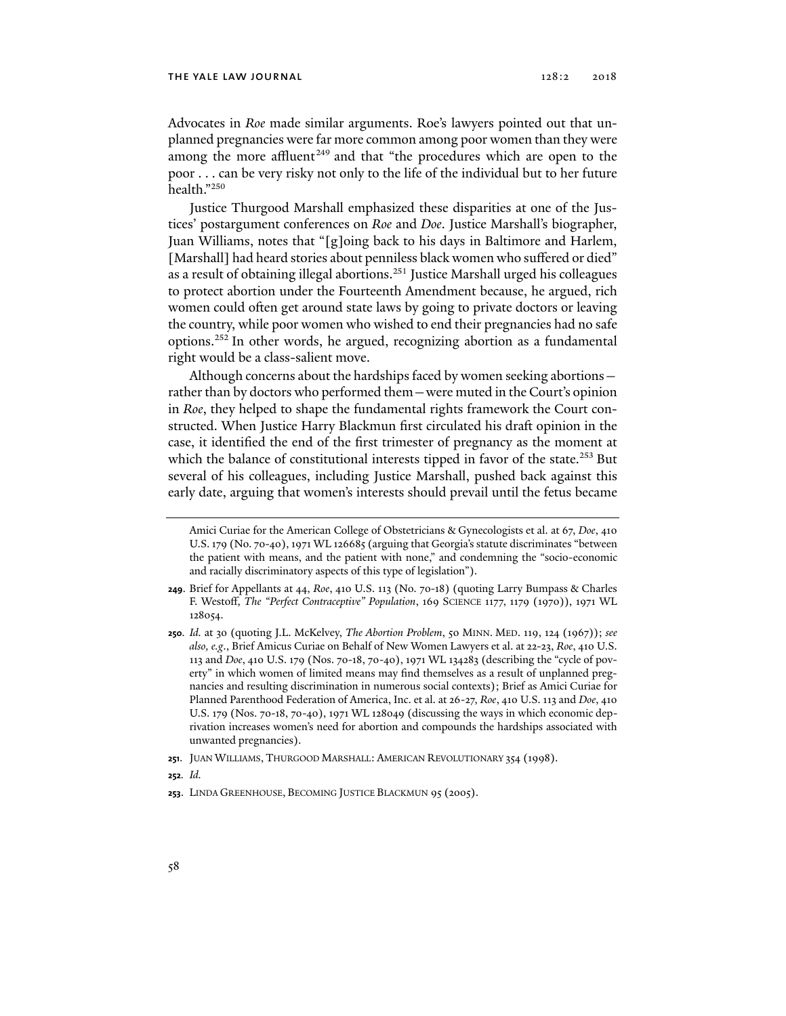Advocates in *Roe* made similar arguments. Roe's lawyers pointed out that unplanned pregnancies were far more common among poor women than they were among the more affluent<sup>249</sup> and that "the procedures which are open to the poor . . . can be very risky not only to the life of the individual but to her future health."250

Justice Thurgood Marshall emphasized these disparities at one of the Justices' postargument conferences on *Roe* and *Doe*. Justice Marshall's biographer, Juan Williams, notes that "[g]oing back to his days in Baltimore and Harlem, [Marshall] had heard stories about penniless black women who suffered or died" as a result of obtaining illegal abortions.<sup>251</sup> Justice Marshall urged his colleagues to protect abortion under the Fourteenth Amendment because, he argued, rich women could often get around state laws by going to private doctors or leaving the country, while poor women who wished to end their pregnancies had no safe options.252 In other words, he argued, recognizing abortion as a fundamental right would be a class-salient move.

Although concerns about the hardships faced by women seeking abortions rather than by doctors who performed them—were muted in the Court's opinion in *Roe*, they helped to shape the fundamental rights framework the Court constructed. When Justice Harry Blackmun first circulated his draft opinion in the case, it identified the end of the first trimester of pregnancy as the moment at which the balance of constitutional interests tipped in favor of the state.<sup>253</sup> But several of his colleagues, including Justice Marshall, pushed back against this early date, arguing that women's interests should prevail until the fetus became

**252***. Id.*

Amici Curiae for the American College of Obstetricians & Gynecologists et al. at 67, *Doe*, 410 U.S. 179 (No. 70-40), 1971 WL 126685 (arguing that Georgia's statute discriminates "between the patient with means, and the patient with none," and condemning the "socio-economic and racially discriminatory aspects of this type of legislation").

**<sup>249</sup>**. Brief for Appellants at 44, *Roe*, 410 U.S. 113 (No. 70-18) (quoting Larry Bumpass & Charles F. Westoff, *The "Perfect Contraceptive" Population*, 169 SCIENCE 1177, 1179 (1970)), 1971 WL 128054.

**<sup>250</sup>***. Id.* at 30 (quoting J.L. McKelvey, *The Abortion Problem*, 50 MINN. MED. 119, 124 (1967)); *see also, e.g*., Brief Amicus Curiae on Behalf of New Women Lawyers et al. at 22-23, *Roe*, 410 U.S. 113 and *Doe*, 410 U.S. 179 (Nos. 70-18, 70-40), 1971 WL 134283 (describing the "cycle of poverty" in which women of limited means may find themselves as a result of unplanned pregnancies and resulting discrimination in numerous social contexts); Brief as Amici Curiae for Planned Parenthood Federation of America, Inc. et al. at 26-27, *Roe*, 410 U.S. 113 and *Doe*, 410 U.S. 179 (Nos. 70-18, 70-40), 1971 WL 128049 (discussing the ways in which economic deprivation increases women's need for abortion and compounds the hardships associated with unwanted pregnancies).

**<sup>251</sup>**. JUAN WILLIAMS, THURGOOD MARSHALL: AMERICAN REVOLUTIONARY 354 (1998).

**<sup>253</sup>**. LINDA GREENHOUSE, BECOMING JUSTICE BLACKMUN 95 (2005).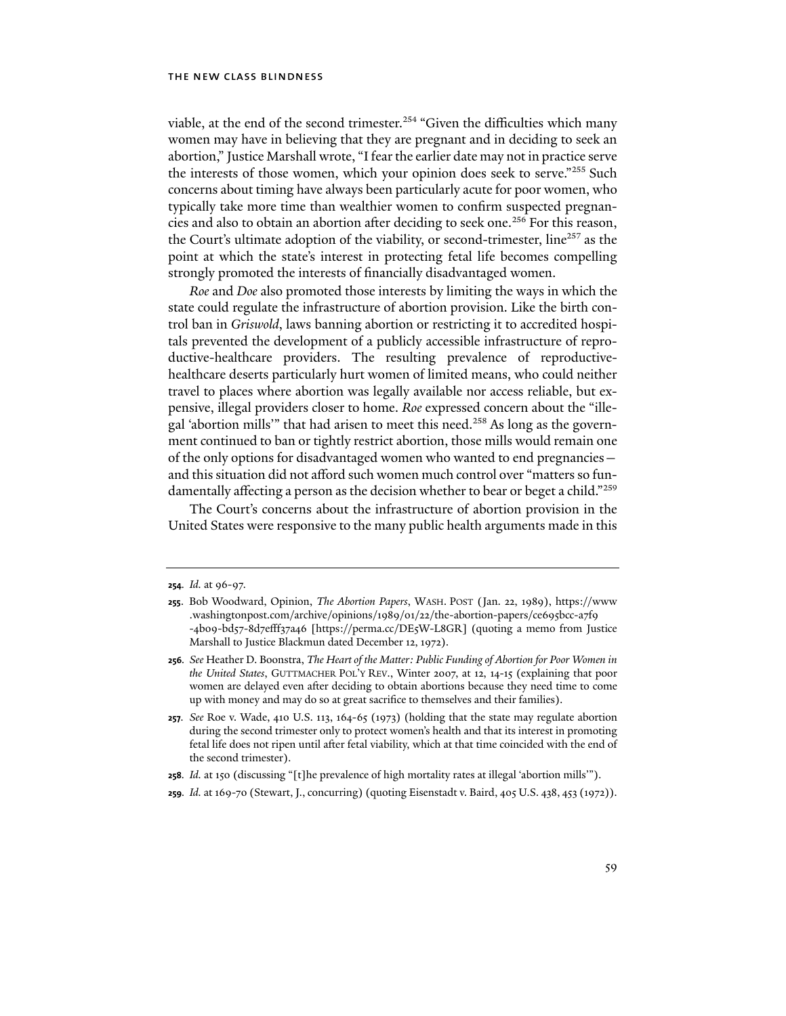viable, at the end of the second trimester.<sup>254</sup> "Given the difficulties which many women may have in believing that they are pregnant and in deciding to seek an abortion," Justice Marshall wrote, "I fear the earlier date may not in practice serve the interests of those women, which your opinion does seek to serve."255 Such concerns about timing have always been particularly acute for poor women, who typically take more time than wealthier women to confirm suspected pregnancies and also to obtain an abortion after deciding to seek one.<sup>256</sup> For this reason, the Court's ultimate adoption of the viability, or second-trimester, line<sup>257</sup> as the point at which the state's interest in protecting fetal life becomes compelling strongly promoted the interests of financially disadvantaged women.

*Roe* and *Doe* also promoted those interests by limiting the ways in which the state could regulate the infrastructure of abortion provision. Like the birth control ban in *Griswold*, laws banning abortion or restricting it to accredited hospitals prevented the development of a publicly accessible infrastructure of reproductive-healthcare providers. The resulting prevalence of reproductivehealthcare deserts particularly hurt women of limited means, who could neither travel to places where abortion was legally available nor access reliable, but expensive, illegal providers closer to home. *Roe* expressed concern about the "illegal 'abortion mills'" that had arisen to meet this need.<sup>258</sup> As long as the government continued to ban or tightly restrict abortion, those mills would remain one of the only options for disadvantaged women who wanted to end pregnancies and this situation did not afford such women much control over "matters so fundamentally affecting a person as the decision whether to bear or beget a child."259

The Court's concerns about the infrastructure of abortion provision in the United States were responsive to the many public health arguments made in this

- **258***. Id.* at 150 (discussing "[t]he prevalence of high mortality rates at illegal 'abortion mills'").
- **259***. Id.* at 169-70 (Stewart, J., concurring) (quoting Eisenstadt v. Baird, 405 U.S. 438, 453 (1972)).

**<sup>254</sup>***. Id.* at 96-97.

**<sup>255</sup>**. Bob Woodward, Opinion, *The Abortion Papers*, WASH. POST (Jan. 22, 1989), https://www .washingtonpost.com/archive/opinions/1989/01/22/the-abortion-papers/ce695bcc-a7f9 -4b09-bd57-8d7efff37a46 [https://perma.cc/DE5W-L8GR] (quoting a memo from Justice Marshall to Justice Blackmun dated December 12, 1972).

**<sup>256</sup>***. See* Heather D. Boonstra, *The Heart of the Matter: Public Funding of Abortion for Poor Women in the United States*, GUTTMACHER POL'Y REV., Winter 2007, at 12, 14-15 (explaining that poor women are delayed even after deciding to obtain abortions because they need time to come up with money and may do so at great sacrifice to themselves and their families).

**<sup>257</sup>***. See* Roe v. Wade, 410 U.S. 113, 164-65 (1973) (holding that the state may regulate abortion during the second trimester only to protect women's health and that its interest in promoting fetal life does not ripen until after fetal viability, which at that time coincided with the end of the second trimester).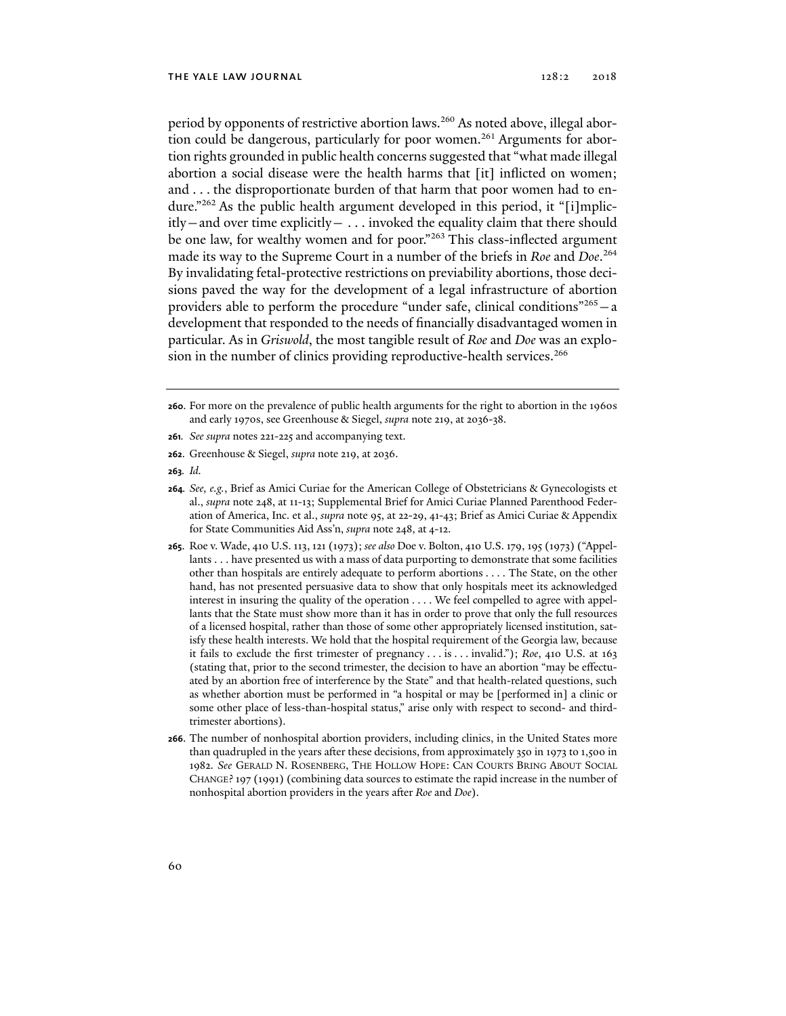period by opponents of restrictive abortion laws.<sup>260</sup> As noted above, illegal abortion could be dangerous, particularly for poor women.<sup>261</sup> Arguments for abortion rights grounded in public health concerns suggested that "what made illegal abortion a social disease were the health harms that [it] inflicted on women; and . . . the disproportionate burden of that harm that poor women had to endure."262 As the public health argument developed in this period, it "[i]mplic $itly$  – and over time explicitly –  $\dots$  invoked the equality claim that there should be one law, for wealthy women and for poor."<sup>263</sup> This class-inflected argument made its way to the Supreme Court in a number of the briefs in *Roe* and *Doe*. 264 By invalidating fetal-protective restrictions on previability abortions, those decisions paved the way for the development of a legal infrastructure of abortion providers able to perform the procedure "under safe, clinical conditions"<sup>265</sup> $-$ a development that responded to the needs of financially disadvantaged women in particular. As in *Griswold*, the most tangible result of *Roe* and *Doe* was an explosion in the number of clinics providing reproductive-health services.<sup>266</sup>

- **261***. See supra* notes 221-225 and accompanying text.
- **262**. Greenhouse & Siegel, *supra* note 219, at 2036.
- **263***. Id.*
- **264***. See, e.g.*, Brief as Amici Curiae for the American College of Obstetricians & Gynecologists et al., *supra* note 248, at 11-13; Supplemental Brief for Amici Curiae Planned Parenthood Federation of America, Inc. et al., *supra* note 95, at 22-29, 41-43; Brief as Amici Curiae & Appendix for State Communities Aid Ass'n, *supra* note 248, at 4-12.
- **265**. Roe v. Wade, 410 U.S. 113, 121 (1973); *see also* Doe v. Bolton, 410 U.S. 179, 195 (1973) ("Appellants . . . have presented us with a mass of data purporting to demonstrate that some facilities other than hospitals are entirely adequate to perform abortions . . . . The State, on the other hand, has not presented persuasive data to show that only hospitals meet its acknowledged interest in insuring the quality of the operation . . . . We feel compelled to agree with appellants that the State must show more than it has in order to prove that only the full resources of a licensed hospital, rather than those of some other appropriately licensed institution, satisfy these health interests. We hold that the hospital requirement of the Georgia law, because it fails to exclude the first trimester of pregnancy . . . is . . . invalid."); *Roe*, 410 U.S. at 163 (stating that, prior to the second trimester, the decision to have an abortion "may be effectuated by an abortion free of interference by the State" and that health-related questions, such as whether abortion must be performed in "a hospital or may be [performed in] a clinic or some other place of less-than-hospital status," arise only with respect to second- and thirdtrimester abortions).
- **266**. The number of nonhospital abortion providers, including clinics, in the United States more than quadrupled in the years after these decisions, from approximately 350 in 1973 to 1,500 in 1982. *See* GERALD N. ROSENBERG, THE HOLLOW HOPE: CAN COURTS BRING ABOUT SOCIAL CHANGE? 197 (1991) (combining data sources to estimate the rapid increase in the number of nonhospital abortion providers in the years after *Roe* and *Doe*).

**<sup>260</sup>**. For more on the prevalence of public health arguments for the right to abortion in the 1960s and early 1970s, see Greenhouse & Siegel, *supra* note 219, at 2036-38.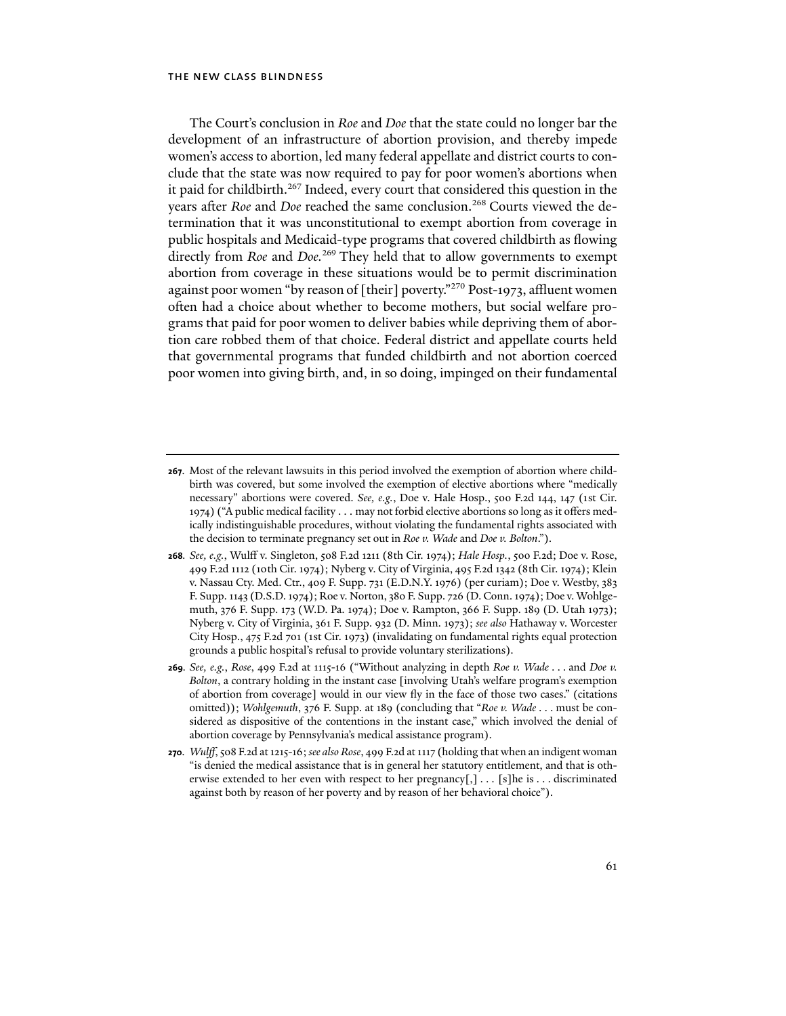The Court's conclusion in *Roe* and *Doe* that the state could no longer bar the development of an infrastructure of abortion provision, and thereby impede women's access to abortion, led many federal appellate and district courts to conclude that the state was now required to pay for poor women's abortions when it paid for childbirth.<sup>267</sup> Indeed, every court that considered this question in the years after *Roe* and *Doe* reached the same conclusion.<sup>268</sup> Courts viewed the determination that it was unconstitutional to exempt abortion from coverage in public hospitals and Medicaid-type programs that covered childbirth as flowing directly from *Roe* and *Doe.*<sup>269</sup> They held that to allow governments to exempt abortion from coverage in these situations would be to permit discrimination against poor women "by reason of [their] poverty."<sup>270</sup> Post-1973, affluent women often had a choice about whether to become mothers, but social welfare programs that paid for poor women to deliver babies while depriving them of abortion care robbed them of that choice. Federal district and appellate courts held that governmental programs that funded childbirth and not abortion coerced poor women into giving birth, and, in so doing, impinged on their fundamental

- **267**. Most of the relevant lawsuits in this period involved the exemption of abortion where childbirth was covered, but some involved the exemption of elective abortions where "medically necessary" abortions were covered. *See, e.g.*, Doe v. Hale Hosp., 500 F.2d 144, 147 (1st Cir. 1974) ("A public medical facility . . . may not forbid elective abortions so long as it offers medically indistinguishable procedures, without violating the fundamental rights associated with the decision to terminate pregnancy set out in *Roe v. Wade* and *Doe v. Bolton*.").
- **268***. See, e.g.*, Wulff v. Singleton, 508 F.2d 1211 (8th Cir. 1974); *Hale Hosp.*, 500 F.2d; Doe v. Rose, 499 F.2d 1112 (10th Cir. 1974); Nyberg v. City of Virginia, 495 F.2d 1342 (8th Cir. 1974); Klein v. Nassau Cty. Med. Ctr., 409 F. Supp. 731 (E.D.N.Y. 1976) (per curiam); Doe v. Westby, 383 F. Supp. 1143 (D.S.D. 1974); Roe v. Norton, 380 F. Supp. 726 (D. Conn. 1974); Doe v. Wohlgemuth, 376 F. Supp. 173 (W.D. Pa. 1974); Doe v. Rampton, 366 F. Supp. 189 (D. Utah 1973); Nyberg v. City of Virginia, 361 F. Supp. 932 (D. Minn. 1973); *see also* Hathaway v. Worcester City Hosp., 475 F.2d 701 (1st Cir. 1973) (invalidating on fundamental rights equal protection grounds a public hospital's refusal to provide voluntary sterilizations).
- **269***. See, e.g.*, *Rose*, 499 F.2d at 1115-16 ("Without analyzing in depth *Roe v. Wade* . . . and *Doe v. Bolton*, a contrary holding in the instant case [involving Utah's welfare program's exemption of abortion from coverage] would in our view fly in the face of those two cases." (citations omitted)); *Wohlgemuth*, 376 F. Supp. at 189 (concluding that "*Roe v. Wade* . . . must be considered as dispositive of the contentions in the instant case," which involved the denial of abortion coverage by Pennsylvania's medical assistance program).
- **270***. Wulff*, 508 F.2d at 1215-16; *see also Rose*, 499 F.2d at 1117 (holding that when an indigent woman "is denied the medical assistance that is in general her statutory entitlement, and that is otherwise extended to her even with respect to her pregnancy[,] . . . [s]he is . . . discriminated against both by reason of her poverty and by reason of her behavioral choice").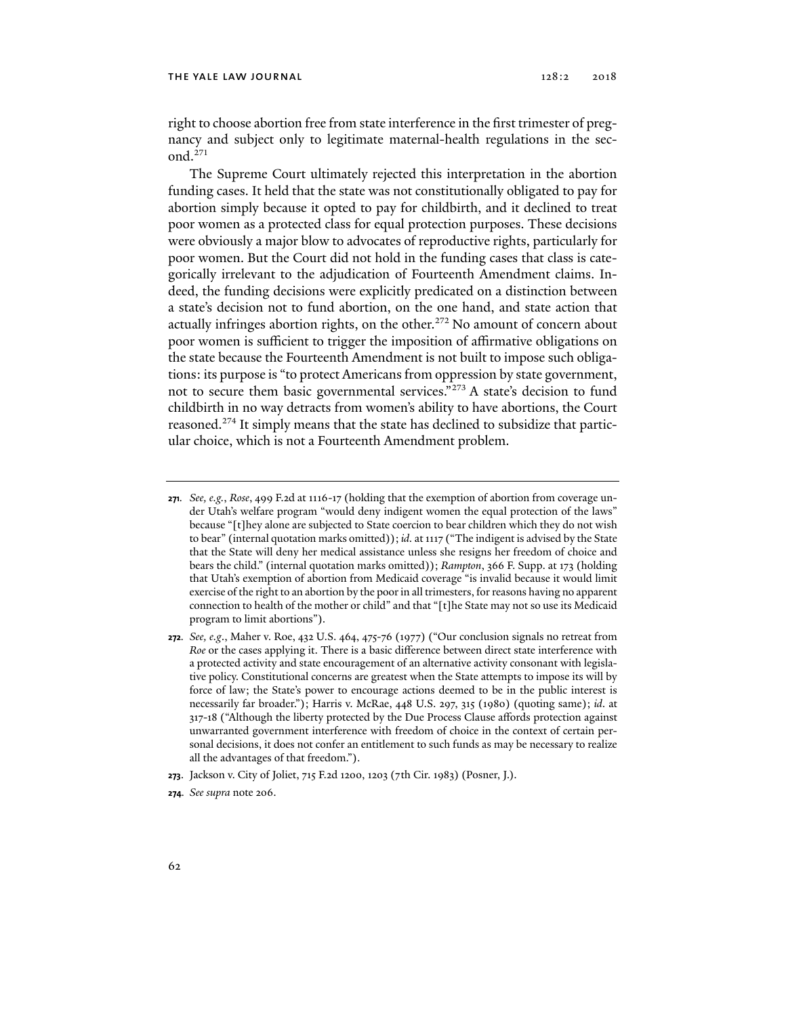right to choose abortion free from state interference in the first trimester of pregnancy and subject only to legitimate maternal-health regulations in the second.271

The Supreme Court ultimately rejected this interpretation in the abortion funding cases. It held that the state was not constitutionally obligated to pay for abortion simply because it opted to pay for childbirth, and it declined to treat poor women as a protected class for equal protection purposes. These decisions were obviously a major blow to advocates of reproductive rights, particularly for poor women. But the Court did not hold in the funding cases that class is categorically irrelevant to the adjudication of Fourteenth Amendment claims. Indeed, the funding decisions were explicitly predicated on a distinction between a state's decision not to fund abortion, on the one hand, and state action that actually infringes abortion rights, on the other.<sup>272</sup> No amount of concern about poor women is sufficient to trigger the imposition of affirmative obligations on the state because the Fourteenth Amendment is not built to impose such obligations: its purpose is "to protect Americans from oppression by state government, not to secure them basic governmental services."273 A state's decision to fund childbirth in no way detracts from women's ability to have abortions, the Court reasoned.274 It simply means that the state has declined to subsidize that particular choice, which is not a Fourteenth Amendment problem.

**274***. See supra* note 206.

**<sup>271</sup>***. See, e.g.*, *Rose*, 499 F.2d at 1116-17 (holding that the exemption of abortion from coverage under Utah's welfare program "would deny indigent women the equal protection of the laws" because "[t]hey alone are subjected to State coercion to bear children which they do not wish to bear" (internal quotation marks omitted)); *id.* at 1117 ("The indigent is advised by the State that the State will deny her medical assistance unless she resigns her freedom of choice and bears the child." (internal quotation marks omitted)); *Rampton*, 366 F. Supp. at 173 (holding that Utah's exemption of abortion from Medicaid coverage "is invalid because it would limit exercise of the right to an abortion by the poor in all trimesters, for reasons having no apparent connection to health of the mother or child" and that "[t]he State may not so use its Medicaid program to limit abortions").

**<sup>272</sup>***. See, e.g*., Maher v. Roe, 432 U.S. 464, 475-76 (1977) ("Our conclusion signals no retreat from *Roe* or the cases applying it. There is a basic difference between direct state interference with a protected activity and state encouragement of an alternative activity consonant with legislative policy. Constitutional concerns are greatest when the State attempts to impose its will by force of law; the State's power to encourage actions deemed to be in the public interest is necessarily far broader."); Harris v. McRae, 448 U.S. 297, 315 (1980) (quoting same); *id*. at 317-18 ("Although the liberty protected by the Due Process Clause affords protection against unwarranted government interference with freedom of choice in the context of certain personal decisions, it does not confer an entitlement to such funds as may be necessary to realize all the advantages of that freedom.").

**<sup>273</sup>**. Jackson v. City of Joliet, 715 F.2d 1200, 1203 (7th Cir. 1983) (Posner, J.).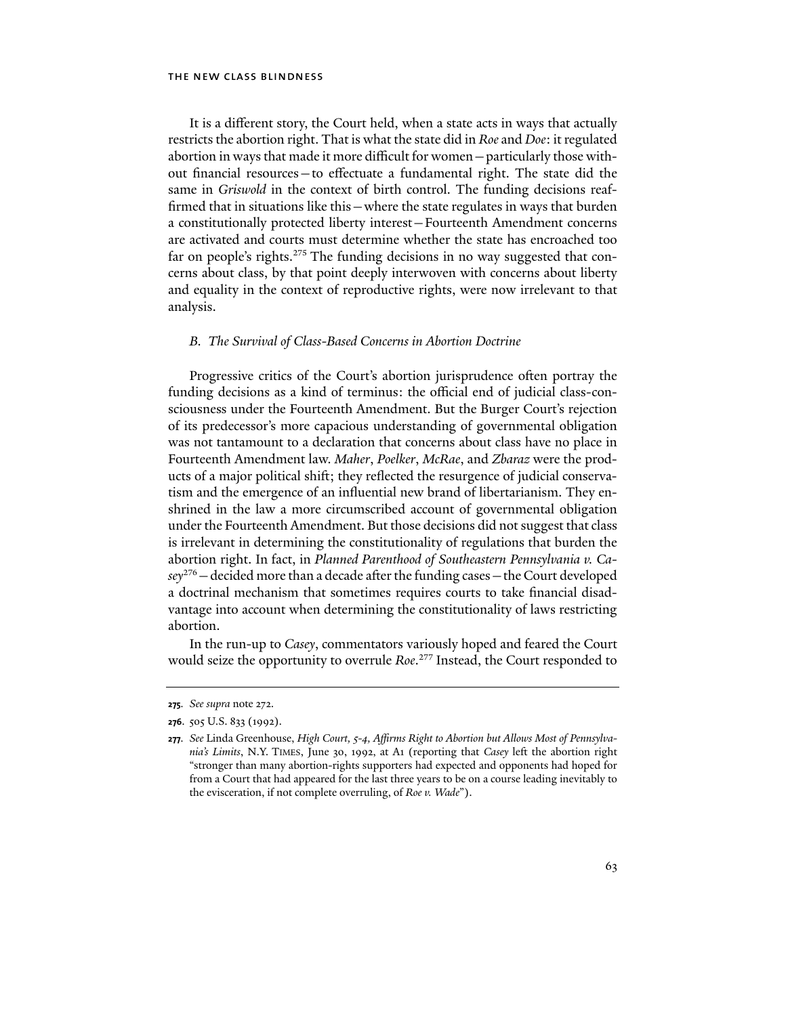It is a different story, the Court held, when a state acts in ways that actually restricts the abortion right. That is what the state did in *Roe* and *Doe*: it regulated abortion in ways that made it more difficult for women—particularly those without financial resources—to effectuate a fundamental right. The state did the same in *Griswold* in the context of birth control. The funding decisions reaffirmed that in situations like this—where the state regulates in ways that burden a constitutionally protected liberty interest—Fourteenth Amendment concerns are activated and courts must determine whether the state has encroached too far on people's rights.<sup>275</sup> The funding decisions in no way suggested that concerns about class, by that point deeply interwoven with concerns about liberty and equality in the context of reproductive rights, were now irrelevant to that analysis.

# *B. The Survival of Class-Based Concerns in Abortion Doctrine*

Progressive critics of the Court's abortion jurisprudence often portray the funding decisions as a kind of terminus: the official end of judicial class-consciousness under the Fourteenth Amendment. But the Burger Court's rejection of its predecessor's more capacious understanding of governmental obligation was not tantamount to a declaration that concerns about class have no place in Fourteenth Amendment law. *Maher*, *Poelker*, *McRae*, and *Zbaraz* were the products of a major political shift; they reflected the resurgence of judicial conservatism and the emergence of an influential new brand of libertarianism. They enshrined in the law a more circumscribed account of governmental obligation under the Fourteenth Amendment. But those decisions did not suggest that class is irrelevant in determining the constitutionality of regulations that burden the abortion right. In fact, in *Planned Parenthood of Southeastern Pennsylvania v. Casey*276—decided more than a decade after the funding cases—the Court developed a doctrinal mechanism that sometimes requires courts to take financial disadvantage into account when determining the constitutionality of laws restricting abortion.

In the run-up to *Casey*, commentators variously hoped and feared the Court would seize the opportunity to overrule *Roe*. 277 Instead, the Court responded to

**<sup>275</sup>***. See supra* note 272.

**<sup>276</sup>**. 505 U.S. 833 (1992).

**<sup>277</sup>***. See* Linda Greenhouse, *High Court, 5-4, Affirms Right to Abortion but Allows Most of Pennsylvania's Limits*, N.Y. TIMES, June 30, 1992, at A1 (reporting that *Casey* left the abortion right "stronger than many abortion-rights supporters had expected and opponents had hoped for from a Court that had appeared for the last three years to be on a course leading inevitably to the evisceration, if not complete overruling, of *Roe v. Wade*").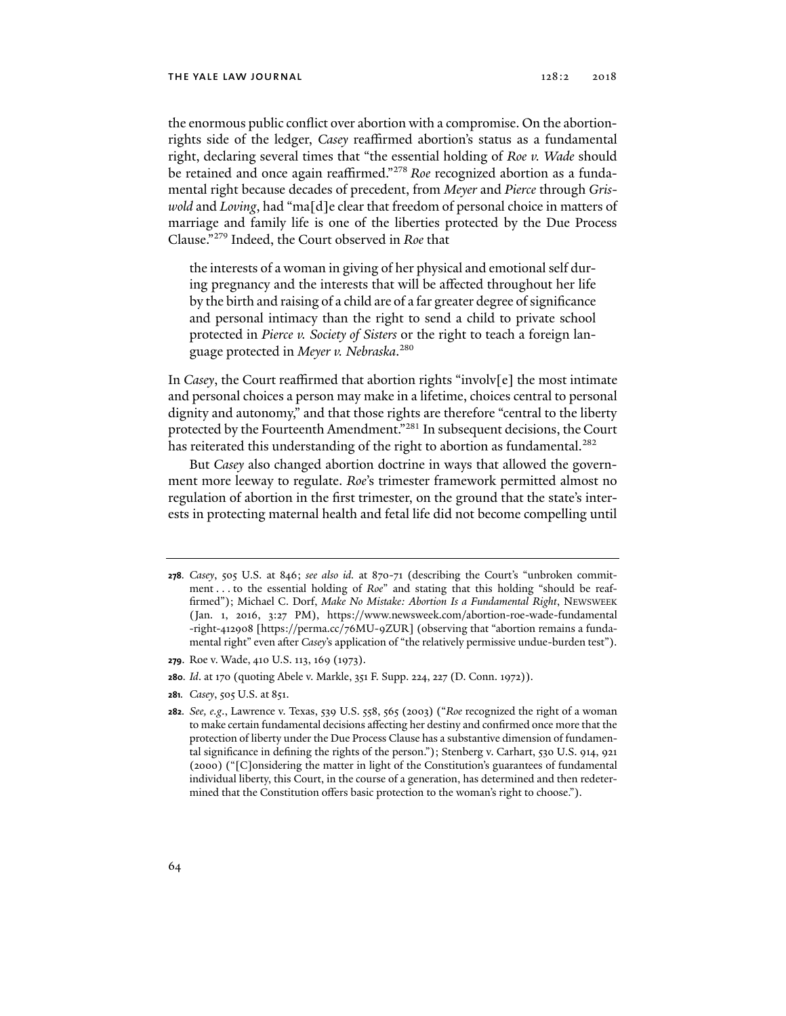#### THE YALE LAW JOURNAL 2018 2018

the enormous public conflict over abortion with a compromise. On the abortionrights side of the ledger, *Casey* reaffirmed abortion's status as a fundamental right, declaring several times that "the essential holding of *Roe v. Wade* should be retained and once again reaffirmed."278 *Roe* recognized abortion as a fundamental right because decades of precedent, from *Meyer* and *Pierce* through *Griswold* and *Loving*, had "ma[d]e clear that freedom of personal choice in matters of marriage and family life is one of the liberties protected by the Due Process Clause."279 Indeed, the Court observed in *Roe* that

the interests of a woman in giving of her physical and emotional self during pregnancy and the interests that will be affected throughout her life by the birth and raising of a child are of a far greater degree of significance and personal intimacy than the right to send a child to private school protected in *Pierce v. Society of Sisters* or the right to teach a foreign language protected in *Meyer v. Nebraska*. 280

In *Casey*, the Court reaffirmed that abortion rights "involv[e] the most intimate and personal choices a person may make in a lifetime, choices central to personal dignity and autonomy," and that those rights are therefore "central to the liberty protected by the Fourteenth Amendment."<sup>281</sup> In subsequent decisions, the Court has reiterated this understanding of the right to abortion as fundamental.<sup>282</sup>

But *Casey* also changed abortion doctrine in ways that allowed the government more leeway to regulate. *Roe*'s trimester framework permitted almost no regulation of abortion in the first trimester, on the ground that the state's interests in protecting maternal health and fetal life did not become compelling until

- **279**. Roe v. Wade, 410 U.S. 113, 169 (1973).
- **280***. Id*. at 170 (quoting Abele v. Markle, 351 F. Supp. 224, 227 (D. Conn. 1972)).
- **281***. Casey*, 505 U.S. at 851.

**<sup>278</sup>***. Casey*, 505 U.S. at 846; *see also id.* at 870-71 (describing the Court's "unbroken commitment . . . to the essential holding of *Roe*" and stating that this holding "should be reaffirmed"); Michael C. Dorf, *Make No Mistake: Abortion Is a Fundamental Right*, NEWSWEEK (Jan. 1, 2016, 3:27 PM), https://www.newsweek.com/abortion-roe-wade-fundamental -right-412908 [https://perma.cc/76MU-9ZUR] (observing that "abortion remains a fundamental right" even after *Casey*'s application of "the relatively permissive undue-burden test").

**<sup>282</sup>***. See, e.g*., Lawrence v. Texas, 539 U.S. 558, 565 (2003) ("*Roe* recognized the right of a woman to make certain fundamental decisions affecting her destiny and confirmed once more that the protection of liberty under the Due Process Clause has a substantive dimension of fundamental significance in defining the rights of the person."); Stenberg v. Carhart, 530 U.S. 914, 921 (2000) ("[C]onsidering the matter in light of the Constitution's guarantees of fundamental individual liberty, this Court, in the course of a generation, has determined and then redetermined that the Constitution offers basic protection to the woman's right to choose.").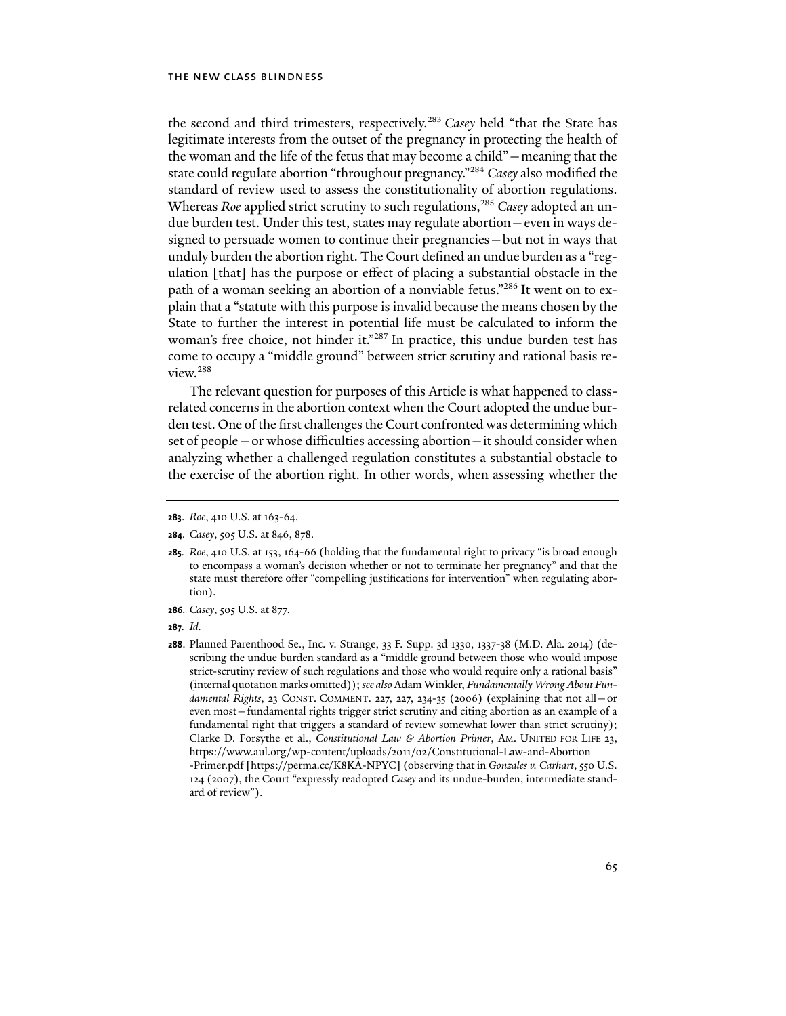the second and third trimesters, respectively.283 *Casey* held "that the State has legitimate interests from the outset of the pregnancy in protecting the health of the woman and the life of the fetus that may become a child"—meaning that the state could regulate abortion "throughout pregnancy."284 *Casey* also modified the standard of review used to assess the constitutionality of abortion regulations. Whereas *Roe* applied strict scrutiny to such regulations,<sup>285</sup> *Casey* adopted an undue burden test. Under this test, states may regulate abortion—even in ways designed to persuade women to continue their pregnancies—but not in ways that unduly burden the abortion right. The Court defined an undue burden as a "regulation [that] has the purpose or effect of placing a substantial obstacle in the path of a woman seeking an abortion of a nonviable fetus."<sup>286</sup> It went on to explain that a "statute with this purpose is invalid because the means chosen by the State to further the interest in potential life must be calculated to inform the woman's free choice, not hinder it."287 In practice, this undue burden test has come to occupy a "middle ground" between strict scrutiny and rational basis review.288

The relevant question for purposes of this Article is what happened to classrelated concerns in the abortion context when the Court adopted the undue burden test. One of the first challenges the Court confronted was determining which set of people—or whose difficulties accessing abortion—it should consider when analyzing whether a challenged regulation constitutes a substantial obstacle to the exercise of the abortion right. In other words, when assessing whether the

**286***. Casey*, 505 U.S. at 877.

**<sup>283</sup>**. *Roe*, 410 U.S. at 163-64.

**<sup>284</sup>***. Casey*, 505 U.S. at 846, 878.

**<sup>285</sup>***. Roe*, 410 U.S. at 153, 164-66 (holding that the fundamental right to privacy "is broad enough to encompass a woman's decision whether or not to terminate her pregnancy" and that the state must therefore offer "compelling justifications for intervention" when regulating abortion).

**<sup>287</sup>***. Id.* 

**<sup>288</sup>**. Planned Parenthood Se., Inc. v. Strange, 33 F. Supp. 3d 1330, 1337-38 (M.D. Ala. 2014) (describing the undue burden standard as a "middle ground between those who would impose strict-scrutiny review of such regulations and those who would require only a rational basis" (internal quotation marks omitted)); *see also* Adam Winkler, *Fundamentally Wrong About Fundamental Rights*, 23 CONST. COMMENT. 227, 227, 234-35 (2006) (explaining that not all—or even most—fundamental rights trigger strict scrutiny and citing abortion as an example of a fundamental right that triggers a standard of review somewhat lower than strict scrutiny); Clarke D. Forsythe et al., *Constitutional Law & Abortion Primer*, AM. UNITED FOR LIFE 23, https://www.aul.org/wp-content/uploads/2011/02/Constitutional-Law-and-Abortion -Primer.pdf [https://perma.cc/K8KA-NPYC] (observing that in *Gonzales v. Carhart*, 550 U.S. 124 (2007), the Court "expressly readopted *Casey* and its undue-burden, intermediate standard of review").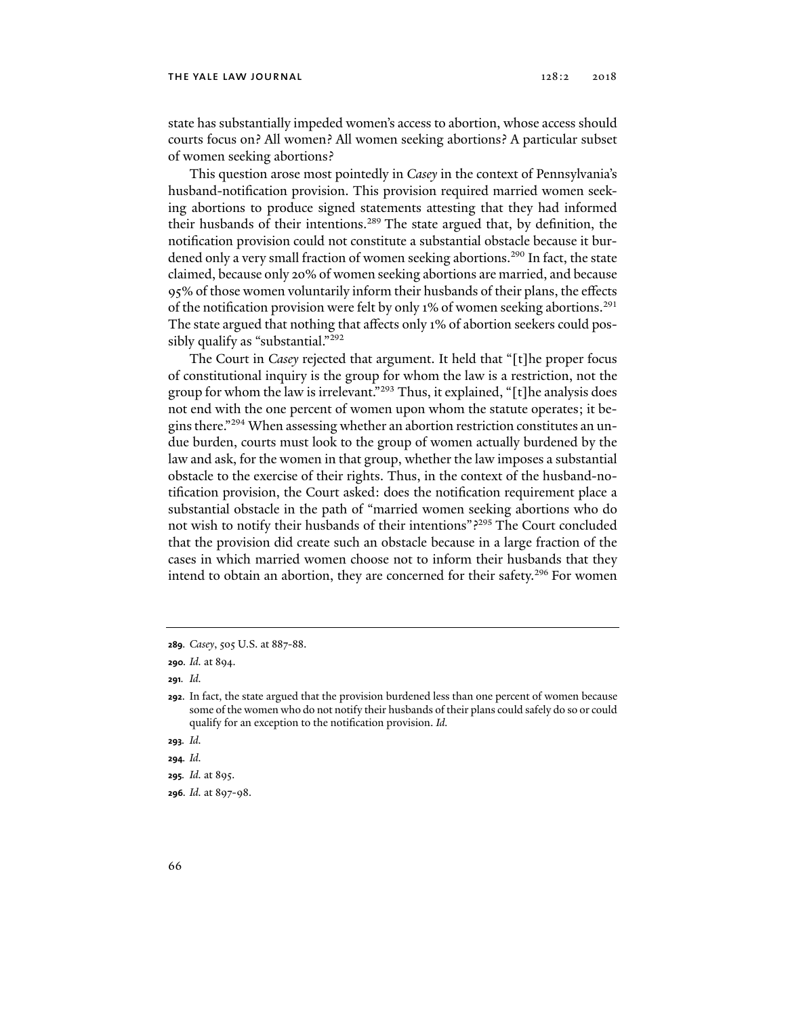state has substantially impeded women's access to abortion, whose access should courts focus on? All women? All women seeking abortions? A particular subset of women seeking abortions?

This question arose most pointedly in *Casey* in the context of Pennsylvania's husband-notification provision. This provision required married women seeking abortions to produce signed statements attesting that they had informed their husbands of their intentions.<sup>289</sup> The state argued that, by definition, the notification provision could not constitute a substantial obstacle because it burdened only a very small fraction of women seeking abortions.<sup>290</sup> In fact, the state claimed, because only 20% of women seeking abortions are married, and because 95% of those women voluntarily inform their husbands of their plans, the effects of the notification provision were felt by only 1% of women seeking abortions.<sup>291</sup> The state argued that nothing that affects only 1% of abortion seekers could possibly qualify as "substantial."292

The Court in *Casey* rejected that argument. It held that "[t]he proper focus of constitutional inquiry is the group for whom the law is a restriction, not the group for whom the law is irrelevant."293 Thus, it explained, "[t]he analysis does not end with the one percent of women upon whom the statute operates; it begins there."294 When assessing whether an abortion restriction constitutes an undue burden, courts must look to the group of women actually burdened by the law and ask, for the women in that group, whether the law imposes a substantial obstacle to the exercise of their rights. Thus, in the context of the husband-notification provision, the Court asked: does the notification requirement place a substantial obstacle in the path of "married women seeking abortions who do not wish to notify their husbands of their intentions"?295 The Court concluded that the provision did create such an obstacle because in a large fraction of the cases in which married women choose not to inform their husbands that they intend to obtain an abortion, they are concerned for their safety.<sup>296</sup> For women

**291***. Id.* 

**<sup>289</sup>***. Casey*, 505 U.S. at 887-88.

**<sup>290</sup>***. Id.* at 894.

**<sup>292</sup>**. In fact, the state argued that the provision burdened less than one percent of women because some of the women who do not notify their husbands of their plans could safely do so or could qualify for an exception to the notification provision. *Id.*

**<sup>293</sup>***. Id.*

**<sup>294</sup>***. Id.* 

**<sup>295</sup>***. Id.* at 895.

**<sup>296</sup>***. Id.* at 897-98.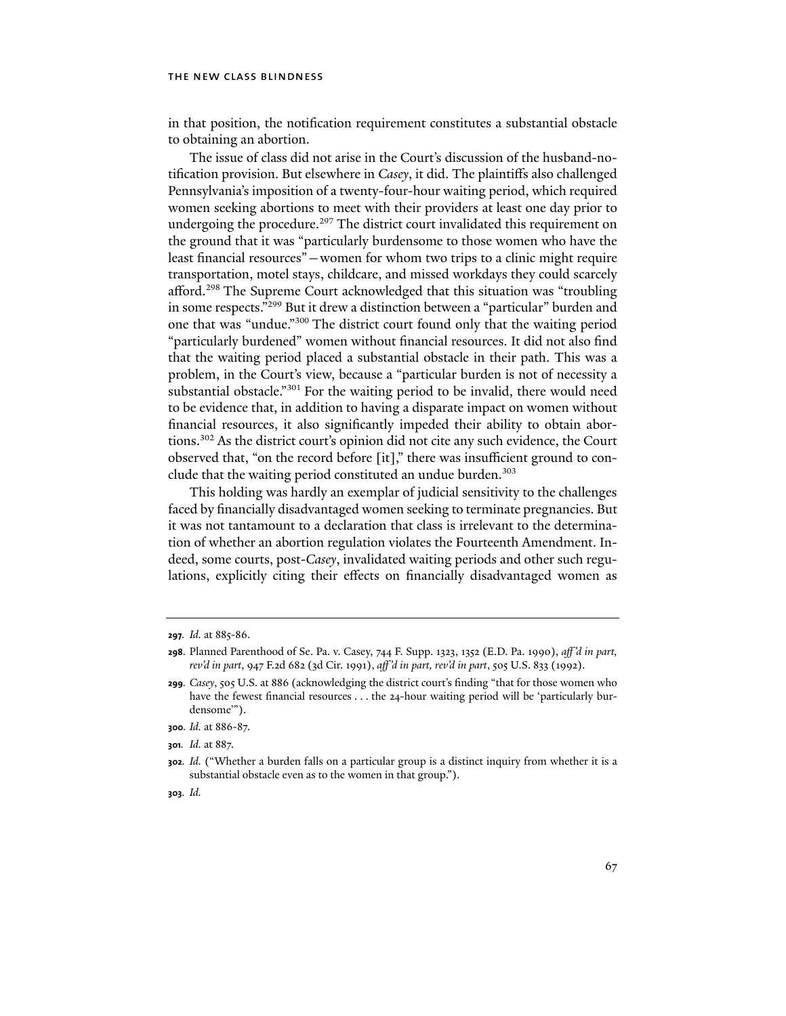in that position, the notification requirement constitutes a substantial obstacle to obtaining an abortion.

The issue of class did not arise in the Court's discussion of the husband-notification provision. But elsewhere in *Casey*, it did. The plaintiffs also challenged Pennsylvania's imposition of a twenty-four-hour waiting period, which required women seeking abortions to meet with their providers at least one day prior to undergoing the procedure.<sup>297</sup> The district court invalidated this requirement on the ground that it was "particularly burdensome to those women who have the least financial resources"—women for whom two trips to a clinic might require transportation, motel stays, childcare, and missed workdays they could scarcely afford.298 The Supreme Court acknowledged that this situation was "troubling in some respects."299 But it drew a distinction between a "particular" burden and one that was "undue."300 The district court found only that the waiting period "particularly burdened" women without financial resources. It did not also find that the waiting period placed a substantial obstacle in their path. This was a problem, in the Court's view, because a "particular burden is not of necessity a substantial obstacle."<sup>301</sup> For the waiting period to be invalid, there would need to be evidence that, in addition to having a disparate impact on women without financial resources, it also significantly impeded their ability to obtain abortions.302 As the district court's opinion did not cite any such evidence, the Court observed that, "on the record before [it]," there was insufficient ground to conclude that the waiting period constituted an undue burden.<sup>303</sup>

This holding was hardly an exemplar of judicial sensitivity to the challenges faced by financially disadvantaged women seeking to terminate pregnancies. But it was not tantamount to a declaration that class is irrelevant to the determination of whether an abortion regulation violates the Fourteenth Amendment. Indeed, some courts, post-*Casey*, invalidated waiting periods and other such regulations, explicitly citing their effects on financially disadvantaged women as

**<sup>297</sup>***. Id.* at 885-86.

**<sup>298</sup>**. Planned Parenthood of Se. Pa. v. Casey, 744 F. Supp. 1323, 1352 (E.D. Pa. 1990), *aff 'd in part, rev'd in part*, 947 F.2d 682 (3d Cir. 1991), *aff 'd in part, rev'd in part*, 505 U.S. 833 (1992).

**<sup>299</sup>***. Casey*, 505 U.S. at 886 (acknowledging the district court's finding "that for those women who have the fewest financial resources . . . the 24-hour waiting period will be 'particularly burdensome'").

**<sup>300</sup>***. Id.* at 886-87.

**<sup>301</sup>***. Id.* at 887.

**<sup>302</sup>***. Id.* ("Whether a burden falls on a particular group is a distinct inquiry from whether it is a substantial obstacle even as to the women in that group.").

**<sup>303</sup>***. Id.*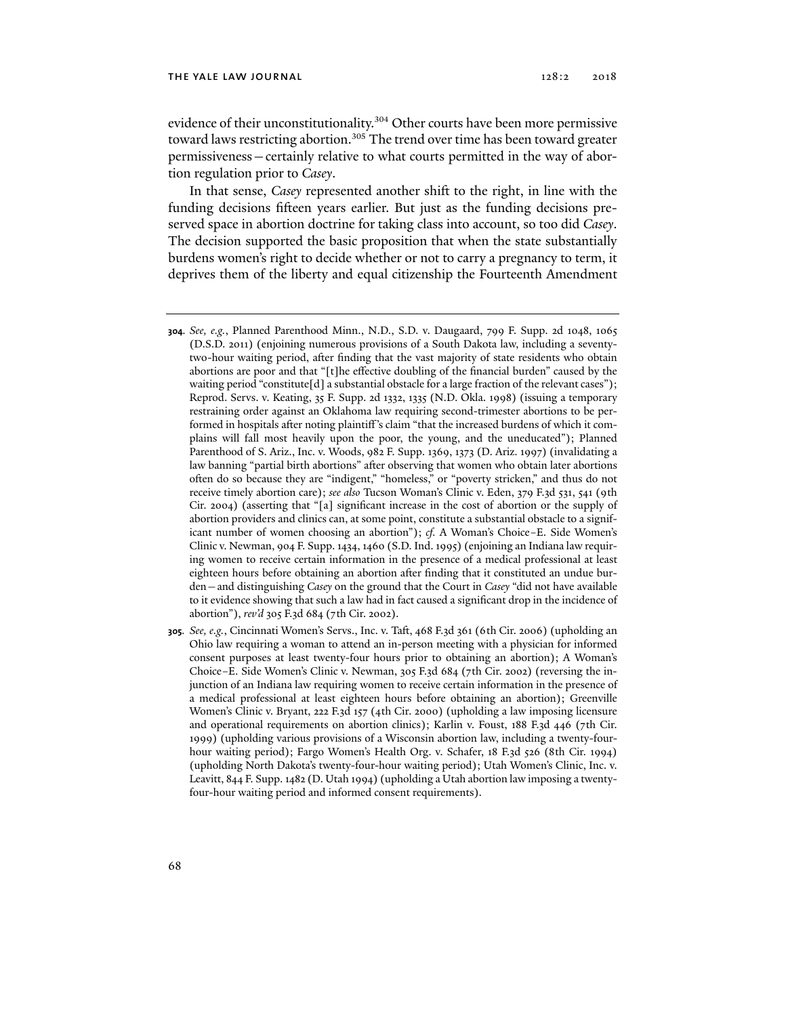evidence of their unconstitutionality.<sup>304</sup> Other courts have been more permissive toward laws restricting abortion.<sup>305</sup> The trend over time has been toward greater permissiveness—certainly relative to what courts permitted in the way of abortion regulation prior to *Casey*.

In that sense, *Casey* represented another shift to the right, in line with the funding decisions fifteen years earlier. But just as the funding decisions preserved space in abortion doctrine for taking class into account, so too did *Casey*. The decision supported the basic proposition that when the state substantially burdens women's right to decide whether or not to carry a pregnancy to term, it deprives them of the liberty and equal citizenship the Fourteenth Amendment

- **304***. See, e.g.*, Planned Parenthood Minn., N.D., S.D. v. Daugaard, 799 F. Supp. 2d 1048, 1065 (D.S.D. 2011) (enjoining numerous provisions of a South Dakota law, including a seventytwo-hour waiting period, after finding that the vast majority of state residents who obtain abortions are poor and that "[t]he effective doubling of the financial burden" caused by the waiting period "constitute[d] a substantial obstacle for a large fraction of the relevant cases"); Reprod. Servs. v. Keating, 35 F. Supp. 2d 1332, 1335 (N.D. Okla. 1998) (issuing a temporary restraining order against an Oklahoma law requiring second-trimester abortions to be performed in hospitals after noting plaintiff 's claim "that the increased burdens of which it complains will fall most heavily upon the poor, the young, and the uneducated"); Planned Parenthood of S. Ariz., Inc. v. Woods, 982 F. Supp. 1369, 1373 (D. Ariz. 1997) (invalidating a law banning "partial birth abortions" after observing that women who obtain later abortions often do so because they are "indigent," "homeless," or "poverty stricken," and thus do not receive timely abortion care); *see also* Tucson Woman's Clinic v. Eden, 379 F.3d 531, 541 (9th Cir. 2004) (asserting that "[a] significant increase in the cost of abortion or the supply of abortion providers and clinics can, at some point, constitute a substantial obstacle to a significant number of women choosing an abortion"); *cf.* A Woman's Choice–E. Side Women's Clinic v. Newman, 904 F. Supp. 1434, 1460 (S.D. Ind. 1995) (enjoining an Indiana law requiring women to receive certain information in the presence of a medical professional at least eighteen hours before obtaining an abortion after finding that it constituted an undue burden—and distinguishing *Casey* on the ground that the Court in *Casey* "did not have available to it evidence showing that such a law had in fact caused a significant drop in the incidence of abortion"), *rev'd* 305 F.3d 684 (7th Cir. 2002).
- **305***. See, e.g.*, Cincinnati Women's Servs., Inc. v. Taft, 468 F.3d 361 (6th Cir. 2006) (upholding an Ohio law requiring a woman to attend an in-person meeting with a physician for informed consent purposes at least twenty-four hours prior to obtaining an abortion); A Woman's Choice–E. Side Women's Clinic v. Newman, 305 F.3d 684 (7th Cir. 2002) (reversing the injunction of an Indiana law requiring women to receive certain information in the presence of a medical professional at least eighteen hours before obtaining an abortion); Greenville Women's Clinic v. Bryant, 222 F.3d 157 (4th Cir. 2000) (upholding a law imposing licensure and operational requirements on abortion clinics); Karlin v. Foust, 188 F.3d 446 (7th Cir. 1999) (upholding various provisions of a Wisconsin abortion law, including a twenty-fourhour waiting period); Fargo Women's Health Org. v. Schafer, 18 F.3d 526 (8th Cir. 1994) (upholding North Dakota's twenty-four-hour waiting period); Utah Women's Clinic, Inc. v. Leavitt, 844 F. Supp. 1482 (D. Utah 1994) (upholding a Utah abortion law imposing a twentyfour-hour waiting period and informed consent requirements).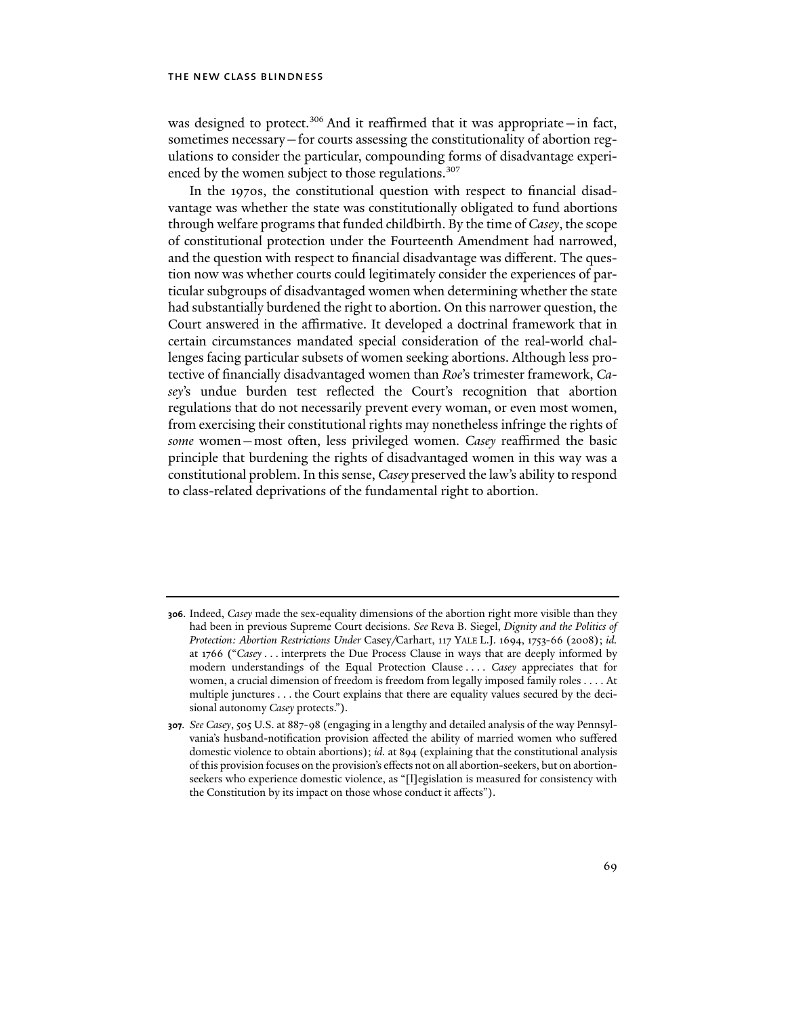was designed to protect.<sup>306</sup> And it reaffirmed that it was appropriate - in fact, sometimes necessary—for courts assessing the constitutionality of abortion regulations to consider the particular, compounding forms of disadvantage experienced by the women subject to those regulations.<sup>307</sup>

In the 1970s, the constitutional question with respect to financial disadvantage was whether the state was constitutionally obligated to fund abortions through welfare programs that funded childbirth. By the time of *Casey*, the scope of constitutional protection under the Fourteenth Amendment had narrowed, and the question with respect to financial disadvantage was different. The question now was whether courts could legitimately consider the experiences of particular subgroups of disadvantaged women when determining whether the state had substantially burdened the right to abortion. On this narrower question, the Court answered in the affirmative. It developed a doctrinal framework that in certain circumstances mandated special consideration of the real-world challenges facing particular subsets of women seeking abortions. Although less protective of financially disadvantaged women than *Roe*'s trimester framework, *Casey*'s undue burden test reflected the Court's recognition that abortion regulations that do not necessarily prevent every woman, or even most women, from exercising their constitutional rights may nonetheless infringe the rights of *some* women—most often, less privileged women. *Casey* reaffirmed the basic principle that burdening the rights of disadvantaged women in this way was a constitutional problem. In this sense, *Casey* preserved the law's ability to respond to class-related deprivations of the fundamental right to abortion.

**<sup>306</sup>**. Indeed, *Casey* made the sex-equality dimensions of the abortion right more visible than they had been in previous Supreme Court decisions. *See* Reva B. Siegel, *Dignity and the Politics of Protection: Abortion Restrictions Under* Casey*/*Carhart, 117 YALE L.J. 1694, 1753-66 (2008); *id.* at 1766 ("*Casey* . . . interprets the Due Process Clause in ways that are deeply informed by modern understandings of the Equal Protection Clause . . . . *Casey* appreciates that for women, a crucial dimension of freedom is freedom from legally imposed family roles . . . . At multiple junctures . . . the Court explains that there are equality values secured by the decisional autonomy *Casey* protects.").

**<sup>307</sup>***. See Casey*, 505 U.S. at 887-98 (engaging in a lengthy and detailed analysis of the way Pennsylvania's husband-notification provision affected the ability of married women who suffered domestic violence to obtain abortions); *id.* at 894 (explaining that the constitutional analysis of this provision focuses on the provision's effects not on all abortion-seekers, but on abortionseekers who experience domestic violence, as "[l]egislation is measured for consistency with the Constitution by its impact on those whose conduct it affects").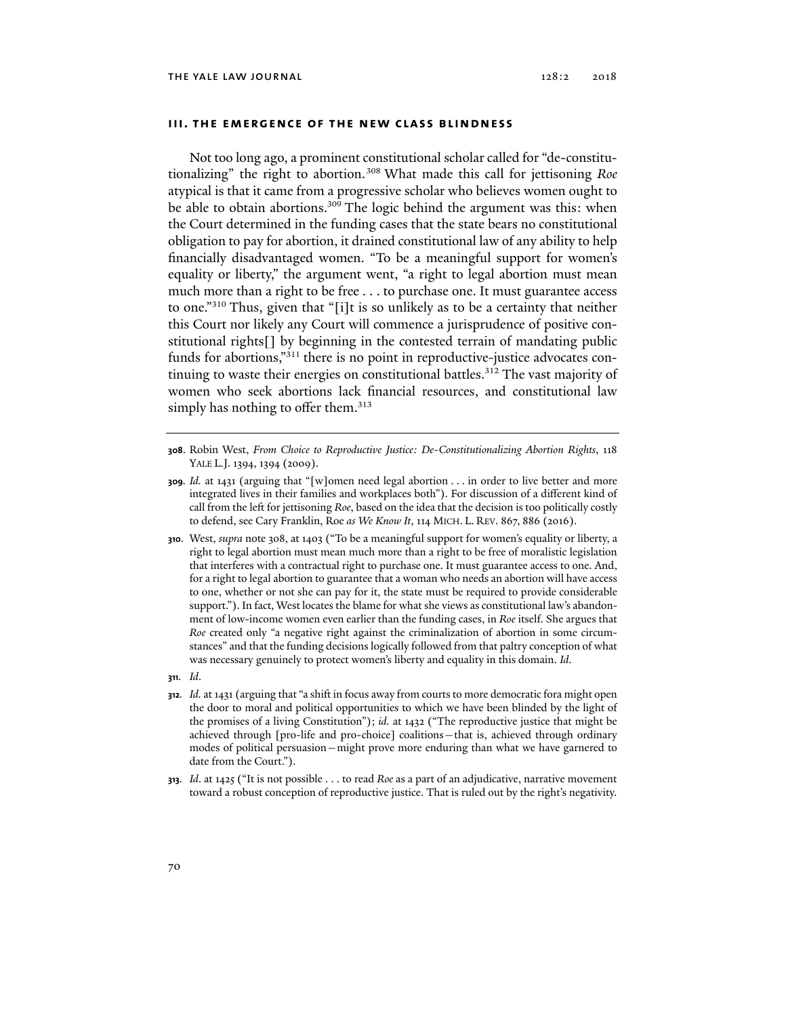# **iii. the emergence of the new class blindness**

Not too long ago, a prominent constitutional scholar called for "de-constitutionalizing" the right to abortion.308 What made this call for jettisoning *Roe*  atypical is that it came from a progressive scholar who believes women ought to be able to obtain abortions.<sup>309</sup> The logic behind the argument was this: when the Court determined in the funding cases that the state bears no constitutional obligation to pay for abortion, it drained constitutional law of any ability to help financially disadvantaged women. "To be a meaningful support for women's equality or liberty," the argument went, "a right to legal abortion must mean much more than a right to be free . . . to purchase one. It must guarantee access to one."310 Thus, given that "[i]t is so unlikely as to be a certainty that neither this Court nor likely any Court will commence a jurisprudence of positive constitutional rights[] by beginning in the contested terrain of mandating public funds for abortions,"<sup>311</sup> there is no point in reproductive-justice advocates continuing to waste their energies on constitutional battles.<sup>312</sup> The vast majority of women who seek abortions lack financial resources, and constitutional law simply has nothing to offer them. $313$ 

- **310**. West, *supra* note 308, at 1403 ("To be a meaningful support for women's equality or liberty, a right to legal abortion must mean much more than a right to be free of moralistic legislation that interferes with a contractual right to purchase one. It must guarantee access to one. And, for a right to legal abortion to guarantee that a woman who needs an abortion will have access to one, whether or not she can pay for it, the state must be required to provide considerable support."). In fact, West locates the blame for what she views as constitutional law's abandonment of low-income women even earlier than the funding cases, in *Roe* itself. She argues that *Roe* created only "a negative right against the criminalization of abortion in some circumstances" and that the funding decisions logically followed from that paltry conception of what was necessary genuinely to protect women's liberty and equality in this domain. *Id*.
- **311***. Id*.
- **312***. Id.* at 1431 (arguing that "a shift in focus away from courts to more democratic fora might open the door to moral and political opportunities to which we have been blinded by the light of the promises of a living Constitution"); *id.* at 1432 ("The reproductive justice that might be achieved through [pro-life and pro-choice] coalitions—that is, achieved through ordinary modes of political persuasion—might prove more enduring than what we have garnered to date from the Court.").
- **313***. Id*. at 1425 ("It is not possible . . . to read *Roe* as a part of an adjudicative, narrative movement toward a robust conception of reproductive justice. That is ruled out by the right's negativity.

**<sup>308</sup>**. Robin West, *From Choice to Reproductive Justice: De-Constitutionalizing Abortion Rights*, 118 YALE L.J. 1394, 1394 (2009).

**<sup>309</sup>***. Id.* at 1431 (arguing that "[w]omen need legal abortion . . . in order to live better and more integrated lives in their families and workplaces both"). For discussion of a different kind of call from the left for jettisoning *Roe*, based on the idea that the decision is too politically costly to defend, see Cary Franklin, Roe *as We Know It*, 114 MICH. L. REV. 867, 886 (2016).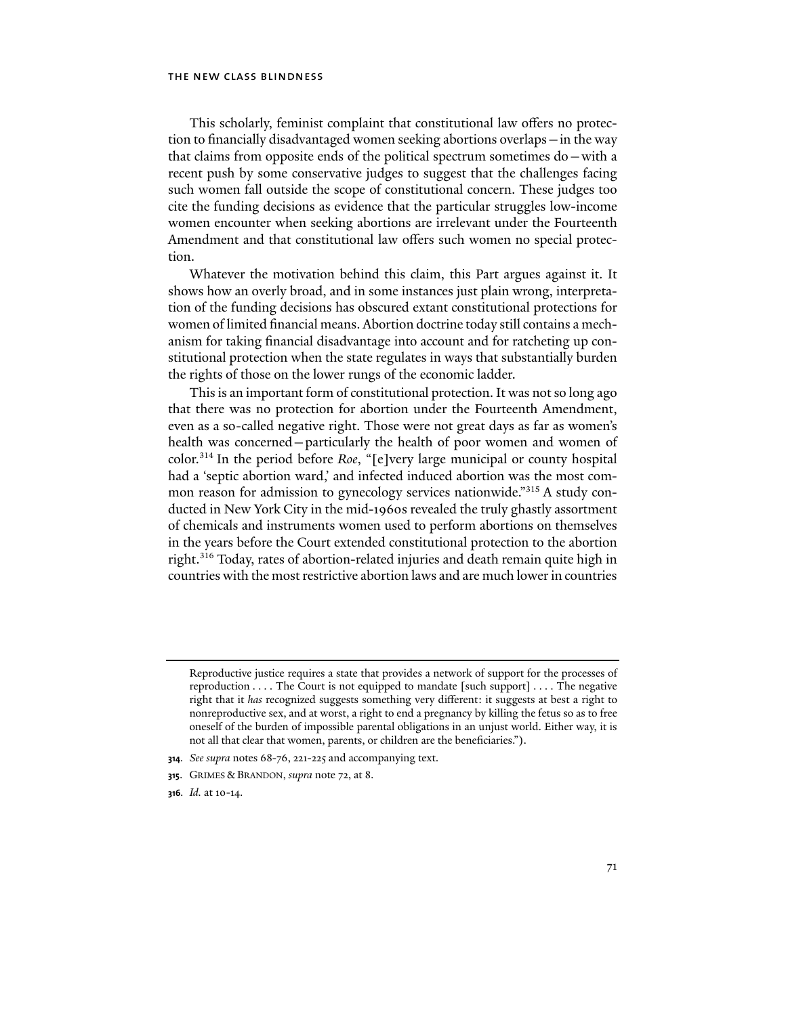This scholarly, feminist complaint that constitutional law offers no protection to financially disadvantaged women seeking abortions overlaps—in the way that claims from opposite ends of the political spectrum sometimes do—with a recent push by some conservative judges to suggest that the challenges facing such women fall outside the scope of constitutional concern. These judges too cite the funding decisions as evidence that the particular struggles low-income women encounter when seeking abortions are irrelevant under the Fourteenth Amendment and that constitutional law offers such women no special protection.

Whatever the motivation behind this claim, this Part argues against it. It shows how an overly broad, and in some instances just plain wrong, interpretation of the funding decisions has obscured extant constitutional protections for women of limited financial means. Abortion doctrine today still contains a mechanism for taking financial disadvantage into account and for ratcheting up constitutional protection when the state regulates in ways that substantially burden the rights of those on the lower rungs of the economic ladder.

This is an important form of constitutional protection. It was not so long ago that there was no protection for abortion under the Fourteenth Amendment, even as a so-called negative right. Those were not great days as far as women's health was concerned—particularly the health of poor women and women of color.314 In the period before *Roe*, "[e]very large municipal or county hospital had a 'septic abortion ward,' and infected induced abortion was the most common reason for admission to gynecology services nationwide."315 A study conducted in New York City in the mid-1960s revealed the truly ghastly assortment of chemicals and instruments women used to perform abortions on themselves in the years before the Court extended constitutional protection to the abortion right.316 Today, rates of abortion-related injuries and death remain quite high in countries with the most restrictive abortion laws and are much lower in countries

- **314***. See supra* notes 68-76, 221-225 and accompanying text.
- **315**. GRIMES & BRANDON, *supra* note 72, at 8.
- **316***. Id.* at 10-14.

Reproductive justice requires a state that provides a network of support for the processes of reproduction . . . . The Court is not equipped to mandate [such support] . . . . The negative right that it *has* recognized suggests something very different: it suggests at best a right to nonreproductive sex, and at worst, a right to end a pregnancy by killing the fetus so as to free oneself of the burden of impossible parental obligations in an unjust world. Either way, it is not all that clear that women, parents, or children are the beneficiaries.").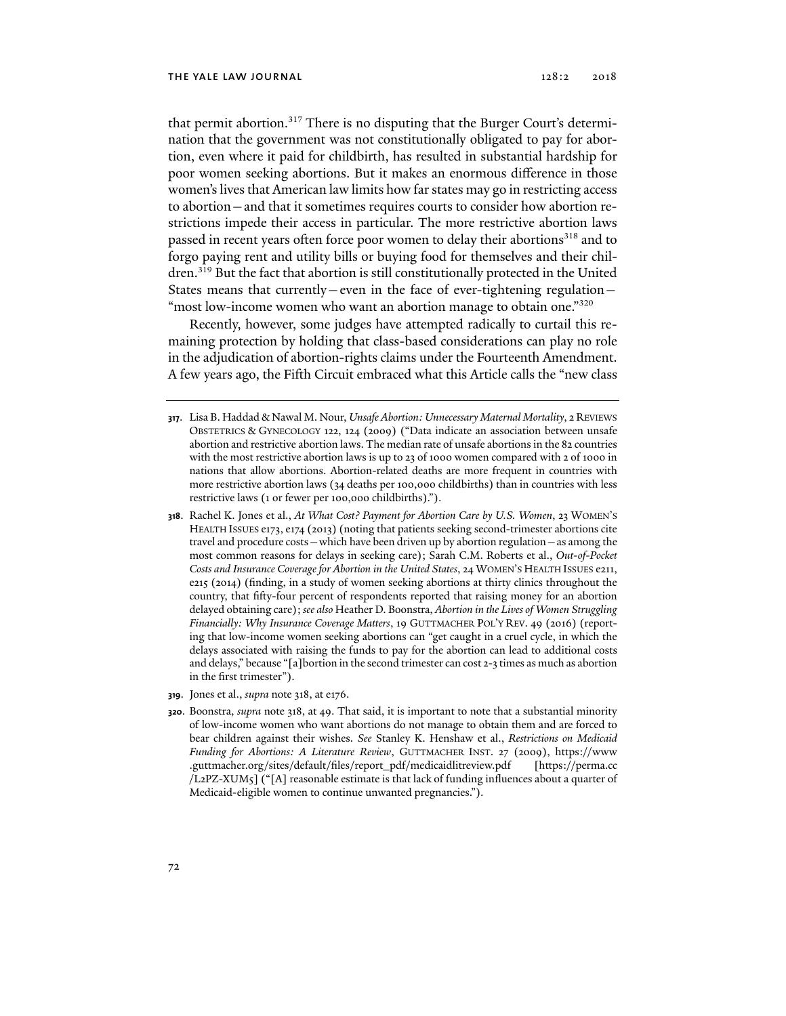that permit abortion.<sup>317</sup> There is no disputing that the Burger Court's determination that the government was not constitutionally obligated to pay for abortion, even where it paid for childbirth, has resulted in substantial hardship for poor women seeking abortions. But it makes an enormous difference in those women's lives that American law limits how far states may go in restricting access to abortion—and that it sometimes requires courts to consider how abortion restrictions impede their access in particular. The more restrictive abortion laws passed in recent years often force poor women to delay their abortions<sup>318</sup> and to forgo paying rent and utility bills or buying food for themselves and their children.319 But the fact that abortion is still constitutionally protected in the United States means that currently—even in the face of ever-tightening regulation— "most low-income women who want an abortion manage to obtain one."<sup>320</sup>

Recently, however, some judges have attempted radically to curtail this remaining protection by holding that class-based considerations can play no role in the adjudication of abortion-rights claims under the Fourteenth Amendment. A few years ago, the Fifth Circuit embraced what this Article calls the "new class

- **318**. Rachel K. Jones et al., *At What Cost? Payment for Abortion Care by U.S. Women*, 23 WOMEN'S HEALTH ISSUES e173, e174 (2013) (noting that patients seeking second-trimester abortions cite travel and procedure costs—which have been driven up by abortion regulation—as among the most common reasons for delays in seeking care); Sarah C.M. Roberts et al., *Out-of-Pocket Costs and Insurance Coverage for Abortion in the United States*, 24 WOMEN'S HEALTH ISSUES e211, e215 (2014) (finding, in a study of women seeking abortions at thirty clinics throughout the country, that fifty-four percent of respondents reported that raising money for an abortion delayed obtaining care); *see also* Heather D. Boonstra, *Abortion in the Lives of Women Struggling Financially: Why Insurance Coverage Matters*, 19 GUTTMACHER POL'Y REV. 49 (2016) (reporting that low-income women seeking abortions can "get caught in a cruel cycle, in which the delays associated with raising the funds to pay for the abortion can lead to additional costs and delays," because "[a]bortion in the second trimester can cost 2-3 times as much as abortion in the first trimester").
- **319**. Jones et al., *supra* note 318, at e176.
- **320**. Boonstra, *supra* note 318, at 49. That said, it is important to note that a substantial minority of low-income women who want abortions do not manage to obtain them and are forced to bear children against their wishes. *See* Stanley K. Henshaw et al., *Restrictions on Medicaid Funding for Abortions: A Literature Review*, GUTTMACHER INST. 27 (2009), https://www .guttmacher.org/sites/default/files/report\_pdf/medicaidlitreview.pdf [https://perma.cc /L2PZ-XUM5] ("[A] reasonable estimate is that lack of funding influences about a quarter of Medicaid-eligible women to continue unwanted pregnancies.").

**<sup>317</sup>**. Lisa B. Haddad & Nawal M. Nour, *Unsafe Abortion: Unnecessary Maternal Mortality*, 2 REVIEWS OBSTETRICS & GYNECOLOGY 122, 124 (2009) ("Data indicate an association between unsafe abortion and restrictive abortion laws. The median rate of unsafe abortions in the 82 countries with the most restrictive abortion laws is up to 23 of 1000 women compared with 2 of 1000 in nations that allow abortions. Abortion-related deaths are more frequent in countries with more restrictive abortion laws (34 deaths per 100,000 childbirths) than in countries with less restrictive laws (1 or fewer per 100,000 childbirths).").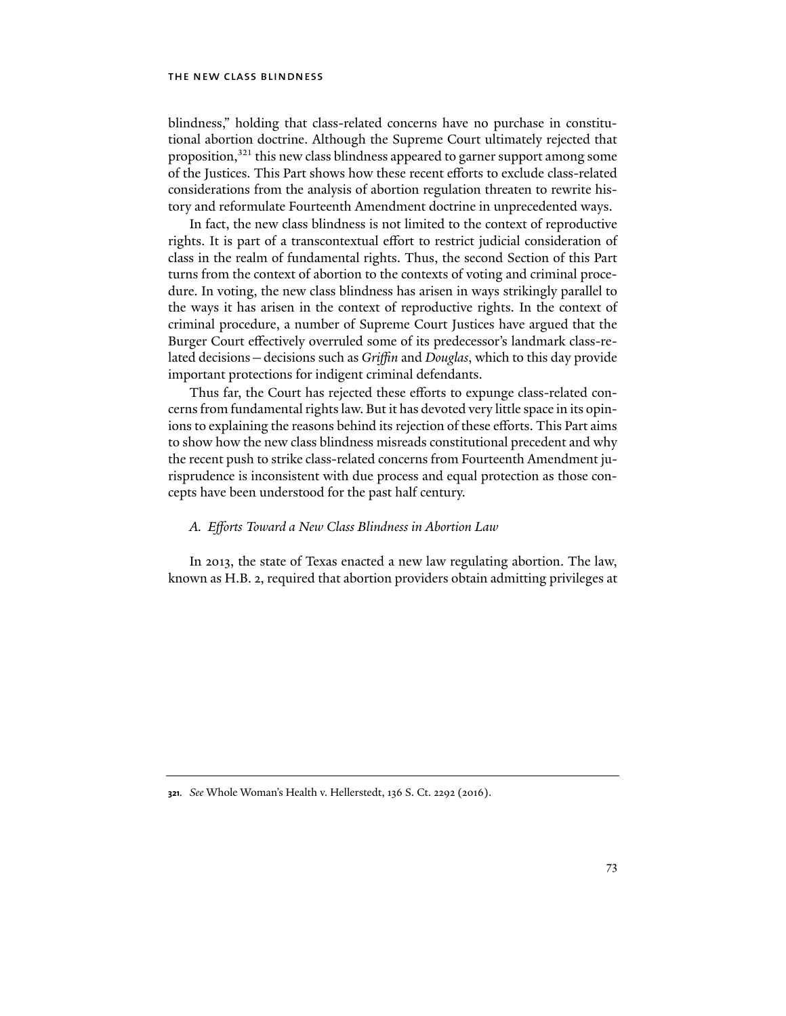blindness," holding that class-related concerns have no purchase in constitutional abortion doctrine. Although the Supreme Court ultimately rejected that proposition,<sup>321</sup> this new class blindness appeared to garner support among some of the Justices. This Part shows how these recent efforts to exclude class-related considerations from the analysis of abortion regulation threaten to rewrite history and reformulate Fourteenth Amendment doctrine in unprecedented ways.

In fact, the new class blindness is not limited to the context of reproductive rights. It is part of a transcontextual effort to restrict judicial consideration of class in the realm of fundamental rights. Thus, the second Section of this Part turns from the context of abortion to the contexts of voting and criminal procedure. In voting, the new class blindness has arisen in ways strikingly parallel to the ways it has arisen in the context of reproductive rights. In the context of criminal procedure, a number of Supreme Court Justices have argued that the Burger Court effectively overruled some of its predecessor's landmark class-related decisions—decisions such as *Griffin* and *Douglas*, which to this day provide important protections for indigent criminal defendants.

Thus far, the Court has rejected these efforts to expunge class-related concerns from fundamental rights law. But it has devoted very little space in its opinions to explaining the reasons behind its rejection of these efforts. This Part aims to show how the new class blindness misreads constitutional precedent and why the recent push to strike class-related concerns from Fourteenth Amendment jurisprudence is inconsistent with due process and equal protection as those concepts have been understood for the past half century.

# *A. Efforts Toward a New Class Blindness in Abortion Law*

In 2013, the state of Texas enacted a new law regulating abortion. The law, known as H.B. 2, required that abortion providers obtain admitting privileges at

**<sup>321</sup>***. See* Whole Woman's Health v. Hellerstedt, 136 S. Ct. 2292 (2016).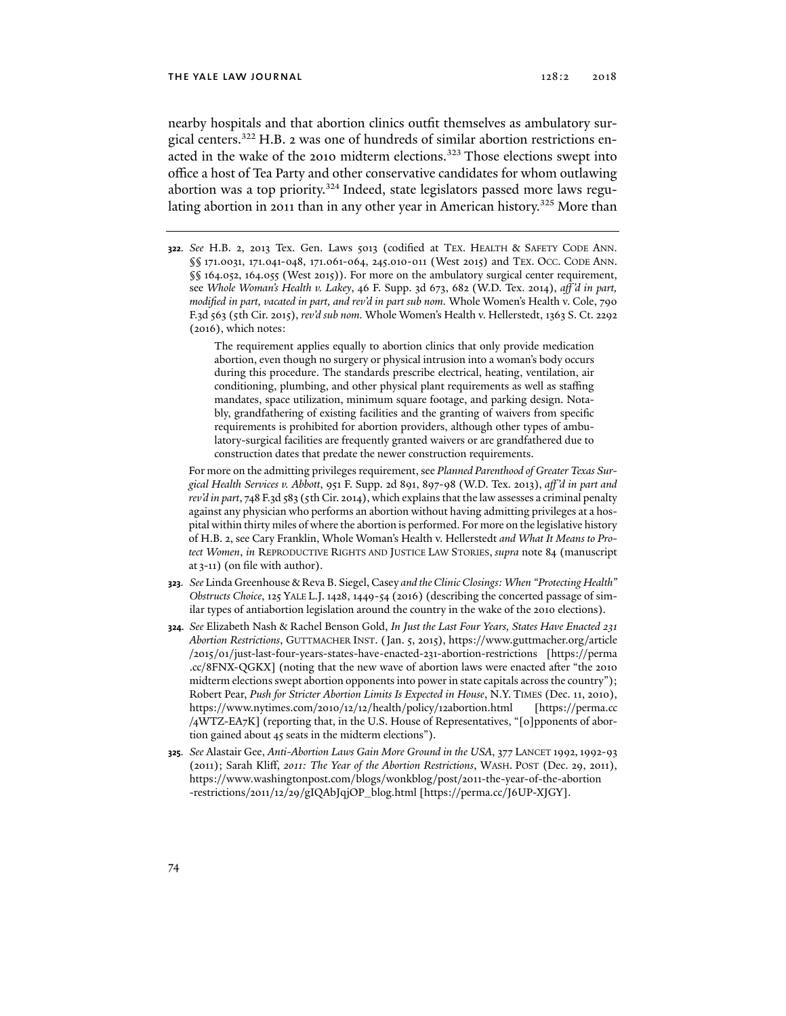nearby hospitals and that abortion clinics outfit themselves as ambulatory surgical centers.322 H.B. 2 was one of hundreds of similar abortion restrictions enacted in the wake of the 2010 midterm elections.<sup>323</sup> Those elections swept into office a host of Tea Party and other conservative candidates for whom outlawing abortion was a top priority.<sup>324</sup> Indeed, state legislators passed more laws regulating abortion in 2011 than in any other year in American history.<sup>325</sup> More than

**322***. See* H.B. 2, 2013 Tex. Gen. Laws 5013 (codified at TEX. HEALTH & SAFETY CODE ANN. §§ 171.0031, 171.041-048, 171.061-064, 245.010-011 (West 2015) and TEX. OCC. CODE ANN. §§ 164.052, 164.055 (West 2015)). For more on the ambulatory surgical center requirement, see *Whole Woman's Health v. Lakey*, 46 F. Supp. 3d 673, 682 (W.D. Tex. 2014), *aff 'd in part, modified in part, vacated in part, and rev'd in part sub nom.* Whole Women's Health v. Cole, 790 F.3d 563 (5th Cir. 2015), *rev'd sub nom.* Whole Women's Health v. Hellerstedt, 1363 S. Ct. 2292 (2016), which notes:

> The requirement applies equally to abortion clinics that only provide medication abortion, even though no surgery or physical intrusion into a woman's body occurs during this procedure. The standards prescribe electrical, heating, ventilation, air conditioning, plumbing, and other physical plant requirements as well as staffing mandates, space utilization, minimum square footage, and parking design. Notably, grandfathering of existing facilities and the granting of waivers from specific requirements is prohibited for abortion providers, although other types of ambulatory-surgical facilities are frequently granted waivers or are grandfathered due to construction dates that predate the newer construction requirements.

For more on the admitting privileges requirement, see *Planned Parenthood of Greater Texas Surgical Health Services v. Abbott*, 951 F. Supp. 2d 891, 897-98 (W.D. Tex. 2013), *aff 'd in part and rev'd in part*, 748 F.3d 583 (5th Cir. 2014), which explains that the law assesses a criminal penalty against any physician who performs an abortion without having admitting privileges at a hospital within thirty miles of where the abortion is performed. For more on the legislative history of H.B. 2, see Cary Franklin, Whole Woman's Health v. Hellerstedt *and What It Means to Protect Women*, *in* REPRODUCTIVE RIGHTS AND JUSTICE LAW STORIES, *supra* note 84 (manuscript at 3-11) (on file with author).

- **323***. See* Linda Greenhouse & Reva B. Siegel, Casey *and the Clinic Closings: When "Protecting Health" Obstructs Choice*, 125 YALE L.J.1428, 1449-54 (2016) (describing the concerted passage of similar types of antiabortion legislation around the country in the wake of the 2010 elections).
- **324***. See* Elizabeth Nash & Rachel Benson Gold, *In Just the Last Four Years, States Have Enacted 231 Abortion Restrictions*, GUTTMACHER INST. (Jan. 5, 2015), https://www.guttmacher.org/article /2015/01/just-last-four-years-states-have-enacted-231-abortion-restrictions [https://perma .cc/8FNX-QGKX] (noting that the new wave of abortion laws were enacted after "the 2010 midterm elections swept abortion opponents into power in state capitals across the country"); Robert Pear, *Push for Stricter Abortion Limits Is Expected in House*, N.Y. TIMES (Dec. 11, 2010), https://www.nytimes.com/2010/12/12/health/policy/12abortion.html [https://perma.cc /4WTZ-EA7K] (reporting that, in the U.S. House of Representatives, "[o]pponents of abortion gained about 45 seats in the midterm elections").
- **325***. See* Alastair Gee, *Anti-Abortion Laws Gain More Ground in the USA*, 377 LANCET 1992,1992-93 (2011); Sarah Kliff, *2011: The Year of the Abortion Restrictions*, WASH. POST (Dec. 29, 2011), https://www.washingtonpost.com/blogs/wonkblog/post/2011-the-year-of-the-abortion -restrictions/2011/12/29/gIQAbJqjOP\_blog.html [https://perma.cc/J6UP-XJGY].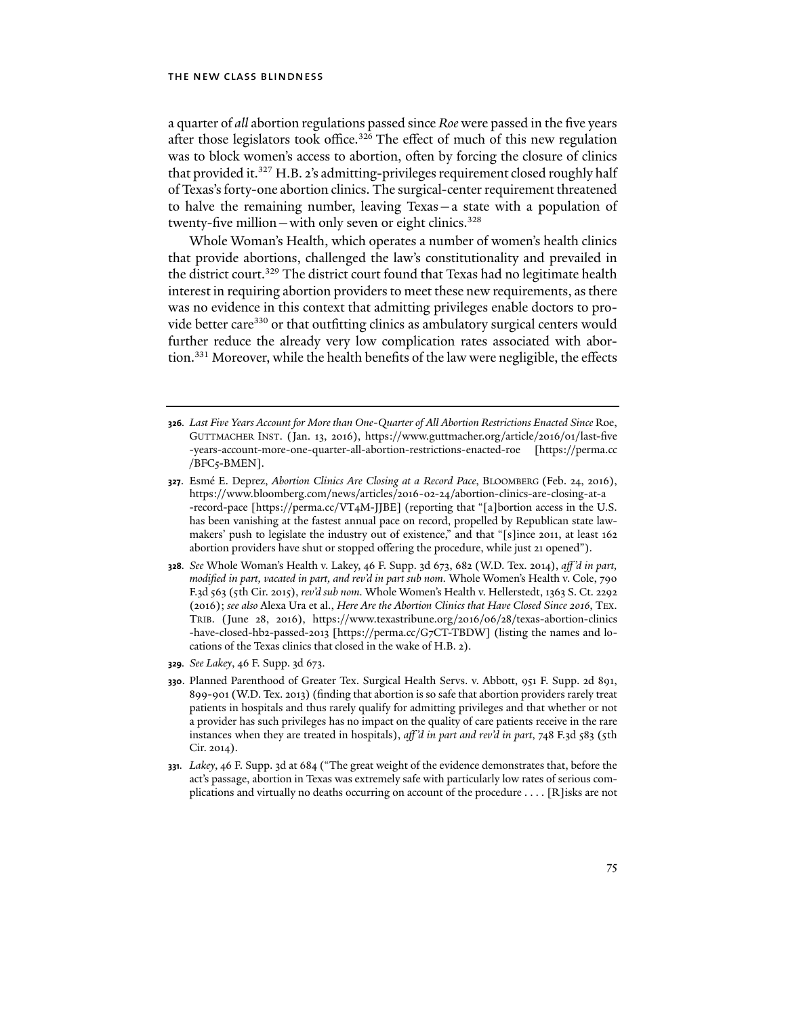a quarter of *all* abortion regulations passed since *Roe* were passed in the five years after those legislators took office.<sup>326</sup> The effect of much of this new regulation was to block women's access to abortion, often by forcing the closure of clinics that provided it.<sup>327</sup> H.B. 2's admitting-privileges requirement closed roughly half of Texas's forty-one abortion clinics. The surgical-center requirement threatened to halve the remaining number, leaving Texas—a state with a population of twenty-five million—with only seven or eight clinics.<sup>328</sup>

Whole Woman's Health, which operates a number of women's health clinics that provide abortions, challenged the law's constitutionality and prevailed in the district court.329 The district court found that Texas had no legitimate health interest in requiring abortion providers to meet these new requirements, as there was no evidence in this context that admitting privileges enable doctors to provide better care<sup>330</sup> or that outfitting clinics as ambulatory surgical centers would further reduce the already very low complication rates associated with abortion.<sup>331</sup> Moreover, while the health benefits of the law were negligible, the effects

- **326***. Last Five Years Account for More than One-Quarter of All Abortion Restrictions Enacted Since* Roe, GUTTMACHER INST. (Jan. 13, 2016), https://www.guttmacher.org/article/2016/01/last-five -years-account-more-one-quarter-all-abortion-restrictions-enacted-roe [https://perma.cc /BFC5-BMEN].
- **327**. Esmé E. Deprez, *Abortion Clinics Are Closing at a Record Pace*, BLOOMBERG (Feb. 24, 2016), https://www.bloomberg.com/news/articles/2016-02-24/abortion-clinics-are-closing-at-a -record-pace [https://perma.cc/VT4M-JJBE] (reporting that "[a]bortion access in the U.S. has been vanishing at the fastest annual pace on record, propelled by Republican state lawmakers' push to legislate the industry out of existence," and that "[s]ince 2011, at least 162 abortion providers have shut or stopped offering the procedure, while just 21 opened").
- **328***. See* Whole Woman's Health v. Lakey, 46 F. Supp. 3d 673, 682 (W.D. Tex. 2014), *aff 'd in part, modified in part, vacated in part, and rev'd in part sub nom.* Whole Women's Health v. Cole, 790 F.3d 563 (5th Cir. 2015), *rev'd sub nom.* Whole Women's Health v. Hellerstedt, 1363 S. Ct. 2292 (2016); *see also* Alexa Ura et al., *Here Are the Abortion Clinics that Have Closed Since 2016*, TEX. TRIB. (June 28, 2016), https://www.texastribune.org/2016/06/28/texas-abortion-clinics -have-closed-hb2-passed-2013 [https://perma.cc/G7CT-TBDW] (listing the names and locations of the Texas clinics that closed in the wake of H.B. 2).
- **329***. See Lakey*, 46 F. Supp. 3d 673.
- **330**. Planned Parenthood of Greater Tex. Surgical Health Servs. v. Abbott, 951 F. Supp. 2d 891, 899-901 (W.D. Tex. 2013) (finding that abortion is so safe that abortion providers rarely treat patients in hospitals and thus rarely qualify for admitting privileges and that whether or not a provider has such privileges has no impact on the quality of care patients receive in the rare instances when they are treated in hospitals), *aff 'd in part and rev'd in part*, 748 F.3d 583 (5th Cir. 2014).
- **331***. Lakey*, 46 F. Supp. 3d at 684 ("The great weight of the evidence demonstrates that, before the act's passage, abortion in Texas was extremely safe with particularly low rates of serious complications and virtually no deaths occurring on account of the procedure . . . . [R]isks are not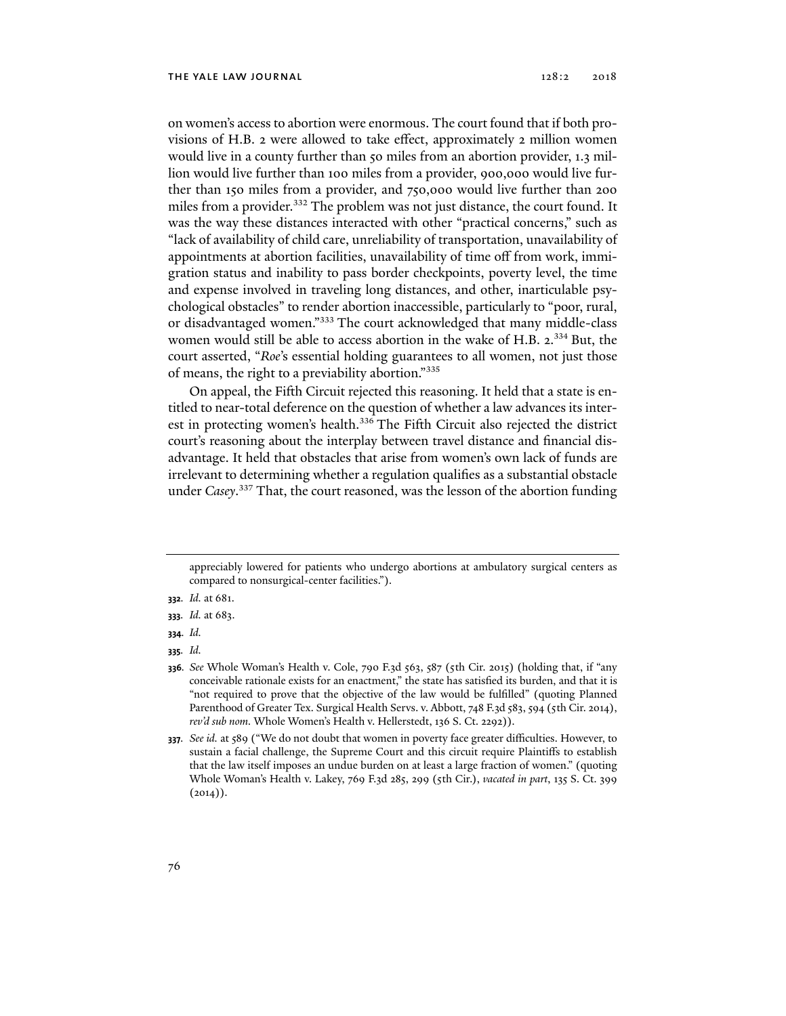on women's access to abortion were enormous. The court found that if both provisions of H.B. 2 were allowed to take effect, approximately 2 million women would live in a county further than 50 miles from an abortion provider, 1.3 million would live further than 100 miles from a provider, 900,000 would live further than 150 miles from a provider, and 750,000 would live further than 200 miles from a provider.332 The problem was not just distance, the court found. It was the way these distances interacted with other "practical concerns," such as "lack of availability of child care, unreliability of transportation, unavailability of appointments at abortion facilities, unavailability of time off from work, immigration status and inability to pass border checkpoints, poverty level, the time and expense involved in traveling long distances, and other, inarticulable psychological obstacles" to render abortion inaccessible, particularly to "poor, rural, or disadvantaged women."333 The court acknowledged that many middle-class women would still be able to access abortion in the wake of H.B. 2.<sup>334</sup> But, the court asserted, "*Roe*'s essential holding guarantees to all women, not just those of means, the right to a previability abortion."335

On appeal, the Fifth Circuit rejected this reasoning. It held that a state is entitled to near-total deference on the question of whether a law advances its interest in protecting women's health.<sup>336</sup> The Fifth Circuit also rejected the district court's reasoning about the interplay between travel distance and financial disadvantage. It held that obstacles that arise from women's own lack of funds are irrelevant to determining whether a regulation qualifies as a substantial obstacle under *Casey*. 337 That, the court reasoned, was the lesson of the abortion funding

**335***. Id.*

appreciably lowered for patients who undergo abortions at ambulatory surgical centers as compared to nonsurgical-center facilities.").

**<sup>332</sup>***. Id.* at 681.

**<sup>333</sup>***. Id.* at 683.

**<sup>334</sup>***. Id.*

**<sup>336</sup>***. See* Whole Woman's Health v. Cole, 790 F.3d 563, 587 (5th Cir. 2015) (holding that, if "any conceivable rationale exists for an enactment," the state has satisfied its burden, and that it is "not required to prove that the objective of the law would be fulfilled" (quoting Planned Parenthood of Greater Tex. Surgical Health Servs. v. Abbott, 748 F.3d 583, 594 (5th Cir. 2014), *rev'd sub nom.* Whole Women's Health v. Hellerstedt, 136 S. Ct. 2292)).

**<sup>337</sup>***. See id.* at 589 ("We do not doubt that women in poverty face greater difficulties. However, to sustain a facial challenge, the Supreme Court and this circuit require Plaintiffs to establish that the law itself imposes an undue burden on at least a large fraction of women." (quoting Whole Woman's Health v. Lakey, 769 F.3d 285, 299 (5th Cir.), *vacated in part*, 135 S. Ct. 399  $(2014)$ .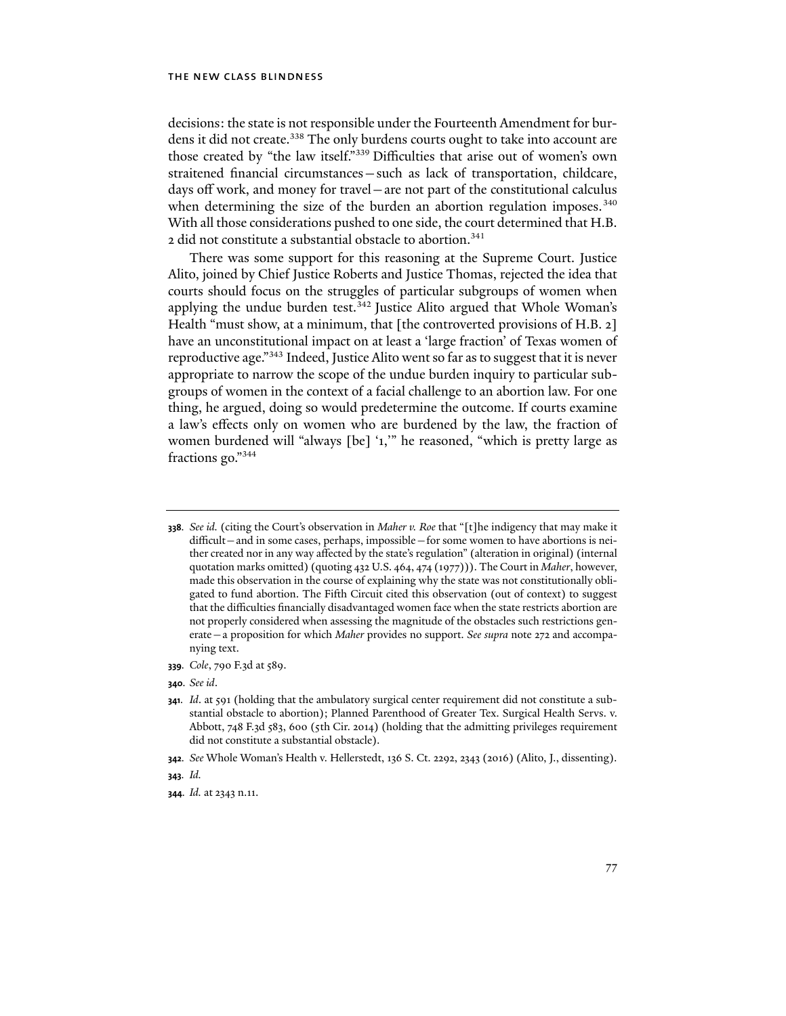decisions: the state is not responsible under the Fourteenth Amendment for burdens it did not create.<sup>338</sup> The only burdens courts ought to take into account are those created by "the law itself."339 Difficulties that arise out of women's own straitened financial circumstances—such as lack of transportation, childcare, days off work, and money for travel—are not part of the constitutional calculus when determining the size of the burden an abortion regulation imposes.<sup>340</sup> With all those considerations pushed to one side, the court determined that H.B. 2 did not constitute a substantial obstacle to abortion.<sup>341</sup>

There was some support for this reasoning at the Supreme Court. Justice Alito, joined by Chief Justice Roberts and Justice Thomas, rejected the idea that courts should focus on the struggles of particular subgroups of women when applying the undue burden test.<sup>342</sup> Justice Alito argued that Whole Woman's Health "must show, at a minimum, that [the controverted provisions of H.B. 2] have an unconstitutional impact on at least a 'large fraction' of Texas women of reproductive age."343 Indeed, Justice Alito went so far as to suggest that it is never appropriate to narrow the scope of the undue burden inquiry to particular subgroups of women in the context of a facial challenge to an abortion law. For one thing, he argued, doing so would predetermine the outcome. If courts examine a law's effects only on women who are burdened by the law, the fraction of women burdened will "always [be] '1,'" he reasoned, "which is pretty large as fractions go."344

- **339***. Cole*, 790 F.3d at 589.
- **340***. See id*.

**342***. See* Whole Woman's Health v. Hellerstedt, 136 S. Ct. 2292, 2343 (2016) (Alito, J., dissenting).

**<sup>338</sup>***. See id.* (citing the Court's observation in *Maher v. Roe* that "[t]he indigency that may make it difficult—and in some cases, perhaps, impossible—for some women to have abortions is neither created nor in any way affected by the state's regulation" (alteration in original) (internal quotation marks omitted) (quoting 432 U.S. 464, 474 (1977))). The Court in *Maher*, however, made this observation in the course of explaining why the state was not constitutionally obligated to fund abortion. The Fifth Circuit cited this observation (out of context) to suggest that the difficulties financially disadvantaged women face when the state restricts abortion are not properly considered when assessing the magnitude of the obstacles such restrictions generate—a proposition for which *Maher* provides no support. *See supra* note 272 and accompanying text.

**<sup>341</sup>***. Id*. at 591 (holding that the ambulatory surgical center requirement did not constitute a substantial obstacle to abortion); Planned Parenthood of Greater Tex. Surgical Health Servs. v. Abbott, 748 F.3d 583, 600 (5th Cir. 2014) (holding that the admitting privileges requirement did not constitute a substantial obstacle).

**<sup>343</sup>***. Id.*

**<sup>344</sup>***. Id.* at 2343 n.11.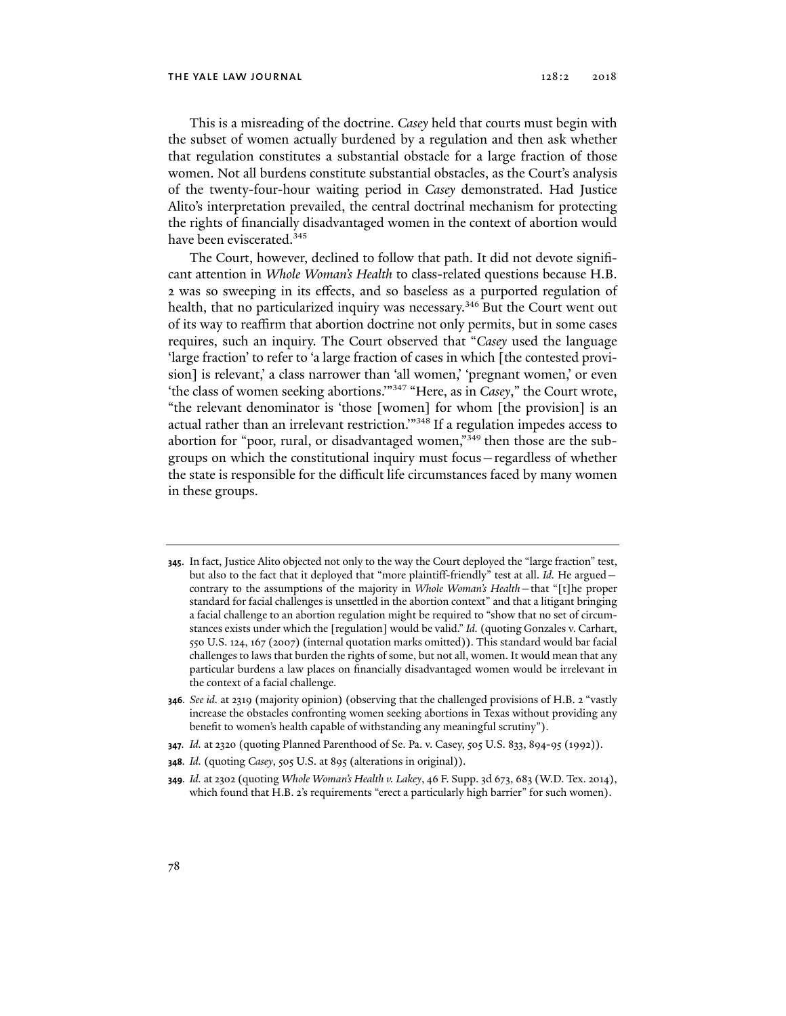This is a misreading of the doctrine. *Casey* held that courts must begin with the subset of women actually burdened by a regulation and then ask whether that regulation constitutes a substantial obstacle for a large fraction of those women. Not all burdens constitute substantial obstacles, as the Court's analysis of the twenty-four-hour waiting period in *Casey* demonstrated. Had Justice Alito's interpretation prevailed, the central doctrinal mechanism for protecting the rights of financially disadvantaged women in the context of abortion would have been eviscerated.<sup>345</sup>

The Court, however, declined to follow that path. It did not devote significant attention in *Whole Woman's Health* to class-related questions because H.B. 2 was so sweeping in its effects, and so baseless as a purported regulation of health, that no particularized inquiry was necessary.<sup>346</sup> But the Court went out of its way to reaffirm that abortion doctrine not only permits, but in some cases requires, such an inquiry. The Court observed that "*Casey* used the language 'large fraction' to refer to 'a large fraction of cases in which [the contested provision] is relevant,' a class narrower than 'all women,' 'pregnant women,' or even 'the class of women seeking abortions.'"347 "Here, as in *Casey*," the Court wrote, "the relevant denominator is 'those [women] for whom [the provision] is an actual rather than an irrelevant restriction.'"348 If a regulation impedes access to abortion for "poor, rural, or disadvantaged women,"<sup>349</sup> then those are the subgroups on which the constitutional inquiry must focus—regardless of whether the state is responsible for the difficult life circumstances faced by many women in these groups.

- **345**. In fact, Justice Alito objected not only to the way the Court deployed the "large fraction" test, but also to the fact that it deployed that "more plaintiff-friendly" test at all. *Id.* He argued contrary to the assumptions of the majority in *Whole Woman's Health*—that "[t]he proper standard for facial challenges is unsettled in the abortion context" and that a litigant bringing a facial challenge to an abortion regulation might be required to "show that no set of circumstances exists under which the [regulation] would be valid." *Id.* (quoting Gonzales v. Carhart, 550 U.S. 124, 167 (2007) (internal quotation marks omitted)). This standard would bar facial challenges to laws that burden the rights of some, but not all, women. It would mean that any particular burdens a law places on financially disadvantaged women would be irrelevant in the context of a facial challenge.
- **346***. See id.* at 2319 (majority opinion) (observing that the challenged provisions of H.B. 2 "vastly increase the obstacles confronting women seeking abortions in Texas without providing any benefit to women's health capable of withstanding any meaningful scrutiny").
- **347***. Id.* at 2320 (quoting Planned Parenthood of Se. Pa. v. Casey, 505 U.S. 833, 894-95 (1992)).
- **348***. Id.* (quoting *Casey*, 505 U.S. at 895 (alterations in original)).
- **349***. Id.* at 2302 (quoting *Whole Woman's Health v. Lakey*, 46 F. Supp. 3d 673, 683 (W.D. Tex. 2014), which found that H.B. 2's requirements "erect a particularly high barrier" for such women).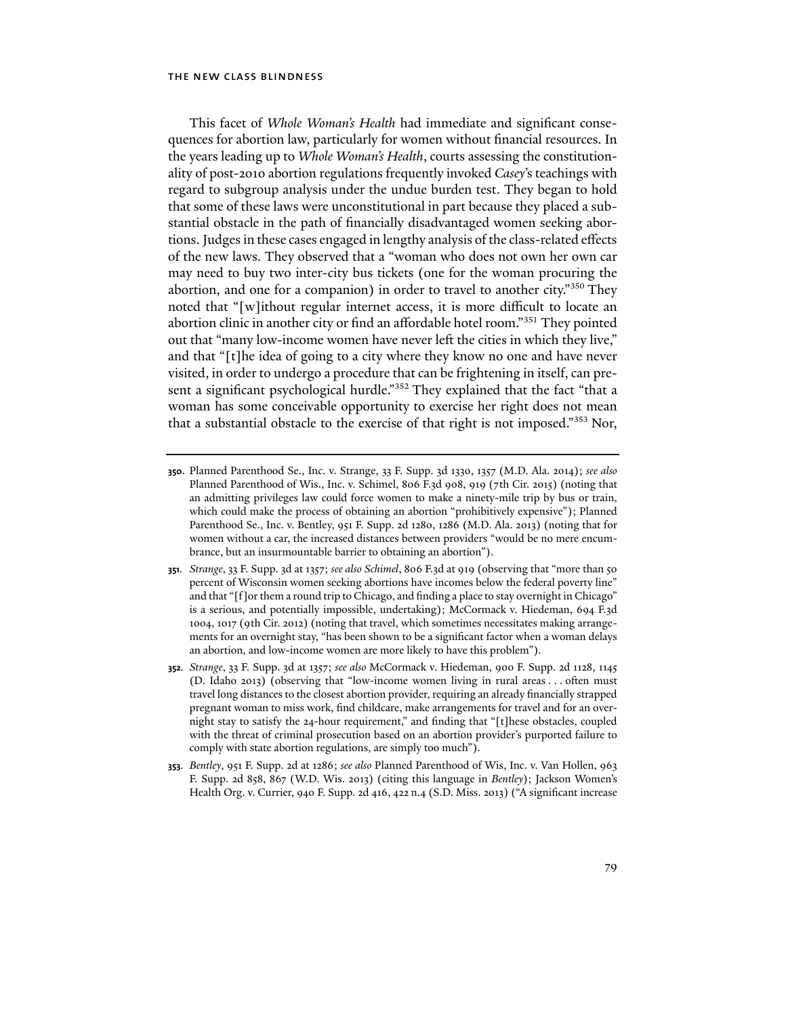This facet of *Whole Woman's Health* had immediate and significant consequences for abortion law, particularly for women without financial resources. In the years leading up to *Whole Woman's Health*, courts assessing the constitutionality of post-2010 abortion regulations frequently invoked *Casey*'s teachings with regard to subgroup analysis under the undue burden test. They began to hold that some of these laws were unconstitutional in part because they placed a substantial obstacle in the path of financially disadvantaged women seeking abortions. Judges in these cases engaged in lengthy analysis of the class-related effects of the new laws. They observed that a "woman who does not own her own car may need to buy two inter-city bus tickets (one for the woman procuring the abortion, and one for a companion) in order to travel to another city."350 They noted that "[w]ithout regular internet access, it is more difficult to locate an abortion clinic in another city or find an affordable hotel room."351 They pointed out that "many low-income women have never left the cities in which they live," and that "[t]he idea of going to a city where they know no one and have never visited, in order to undergo a procedure that can be frightening in itself, can present a significant psychological hurdle."<sup>352</sup> They explained that the fact "that a woman has some conceivable opportunity to exercise her right does not mean that a substantial obstacle to the exercise of that right is not imposed."353 Nor,

- **350**. Planned Parenthood Se., Inc. v. Strange, 33 F. Supp. 3d 1330, 1357 (M.D. Ala. 2014); *see also* Planned Parenthood of Wis., Inc. v. Schimel, 806 F.3d 908, 919 (7th Cir. 2015) (noting that an admitting privileges law could force women to make a ninety-mile trip by bus or train, which could make the process of obtaining an abortion "prohibitively expensive"); Planned Parenthood Se., Inc. v. Bentley, 951 F. Supp. 2d 1280, 1286 (M.D. Ala. 2013) (noting that for women without a car, the increased distances between providers "would be no mere encumbrance, but an insurmountable barrier to obtaining an abortion").
- **351***. Strange*, 33 F. Supp. 3d at 1357; *see also Schimel*, 806 F.3d at 919 (observing that "more than 50 percent of Wisconsin women seeking abortions have incomes below the federal poverty line" and that "[f]or them a round trip to Chicago, and finding a place to stay overnight in Chicago" is a serious, and potentially impossible, undertaking); McCormack v. Hiedeman, 694 F.3d 1004, 1017 (9th Cir. 2012) (noting that travel, which sometimes necessitates making arrangements for an overnight stay, "has been shown to be a significant factor when a woman delays an abortion, and low-income women are more likely to have this problem").
- **352***. Strange*, 33 F. Supp. 3d at 1357; *see also* McCormack v. Hiedeman, 900 F. Supp. 2d 1128, 1145 (D. Idaho 2013) (observing that "low-income women living in rural areas . . . often must travel long distances to the closest abortion provider, requiring an already financially strapped pregnant woman to miss work, find childcare, make arrangements for travel and for an overnight stay to satisfy the 24-hour requirement," and finding that "[t]hese obstacles, coupled with the threat of criminal prosecution based on an abortion provider's purported failure to comply with state abortion regulations, are simply too much").
- **353***. Bentley*, 951 F. Supp. 2d at 1286; *see also* Planned Parenthood of Wis, Inc. v. Van Hollen, 963 F. Supp. 2d 858, 867 (W.D. Wis. 2013) (citing this language in *Bentley*); Jackson Women's Health Org. v. Currier, 940 F. Supp. 2d 416, 422 n.4 (S.D. Miss. 2013) ("A significant increase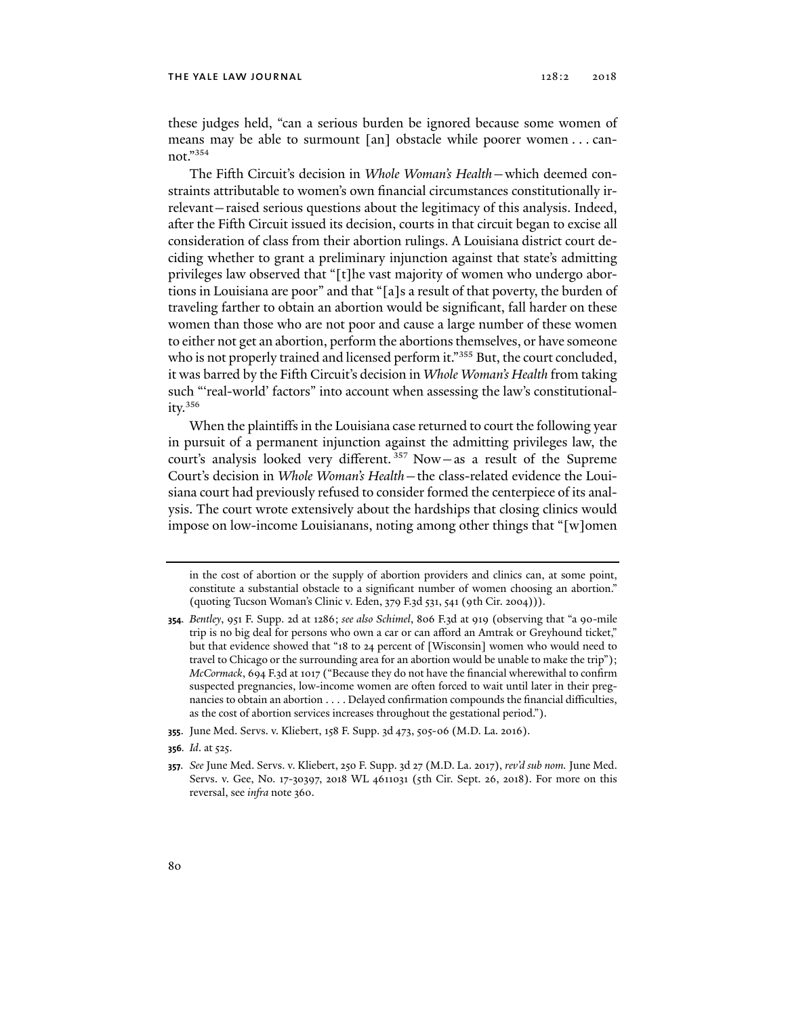these judges held, "can a serious burden be ignored because some women of means may be able to surmount [an] obstacle while poorer women . . . cannot."354

The Fifth Circuit's decision in *Whole Woman's Health*—which deemed constraints attributable to women's own financial circumstances constitutionally irrelevant—raised serious questions about the legitimacy of this analysis. Indeed, after the Fifth Circuit issued its decision, courts in that circuit began to excise all consideration of class from their abortion rulings. A Louisiana district court deciding whether to grant a preliminary injunction against that state's admitting privileges law observed that "[t]he vast majority of women who undergo abortions in Louisiana are poor" and that "[a]s a result of that poverty, the burden of traveling farther to obtain an abortion would be significant, fall harder on these women than those who are not poor and cause a large number of these women to either not get an abortion, perform the abortions themselves, or have someone who is not properly trained and licensed perform it."<sup>355</sup> But, the court concluded, it was barred by the Fifth Circuit's decision in *Whole Woman's Health* from taking such "'real-world' factors" into account when assessing the law's constitutionality. $356$ 

When the plaintiffs in the Louisiana case returned to court the following year in pursuit of a permanent injunction against the admitting privileges law, the court's analysis looked very different.<sup>357</sup> Now-as a result of the Supreme Court's decision in *Whole Woman's Health*—the class-related evidence the Louisiana court had previously refused to consider formed the centerpiece of its analysis. The court wrote extensively about the hardships that closing clinics would impose on low-income Louisianans, noting among other things that "[w]omen

in the cost of abortion or the supply of abortion providers and clinics can, at some point, constitute a substantial obstacle to a significant number of women choosing an abortion." (quoting Tucson Woman's Clinic v. Eden, 379 F.3d 531, 541 (9th Cir. 2004))).

- **354***. Bentley*, 951 F. Supp. 2d at 1286; *see also Schimel*, 806 F.3d at 919 (observing that "a 90-mile trip is no big deal for persons who own a car or can afford an Amtrak or Greyhound ticket," but that evidence showed that "18 to 24 percent of [Wisconsin] women who would need to travel to Chicago or the surrounding area for an abortion would be unable to make the trip"); *McCormack*, 694 F.3d at 1017 ("Because they do not have the financial wherewithal to confirm suspected pregnancies, low-income women are often forced to wait until later in their pregnancies to obtain an abortion . . . . Delayed confirmation compounds the financial difficulties, as the cost of abortion services increases throughout the gestational period.").
- **355**. June Med. Servs. v. Kliebert, 158 F. Supp. 3d 473, 505-06 (M.D. La. 2016).
- **356***. Id*. at 525.
- **357***. See* June Med. Servs. v. Kliebert, 250 F. Supp. 3d 27 (M.D. La. 2017), *rev'd sub nom.* June Med. Servs. v. Gee, No. 17-30397, 2018 WL 4611031 (5th Cir. Sept. 26, 2018). For more on this reversal, see *infra* note 360.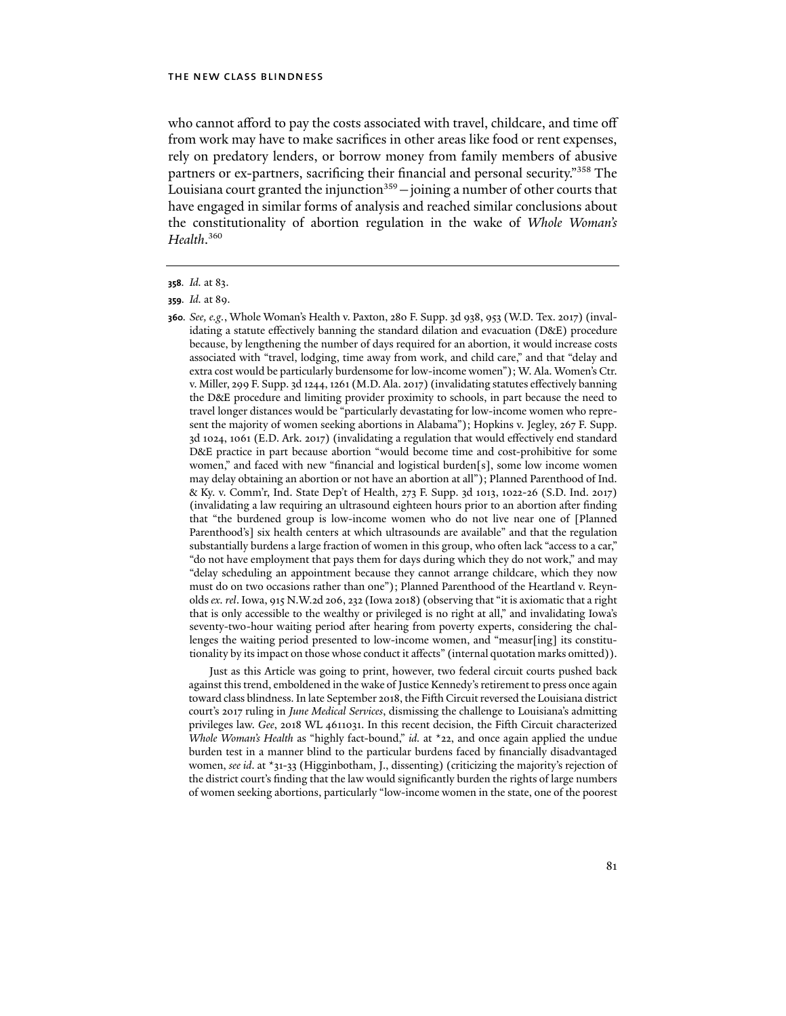who cannot afford to pay the costs associated with travel, childcare, and time off from work may have to make sacrifices in other areas like food or rent expenses, rely on predatory lenders, or borrow money from family members of abusive partners or ex-partners, sacrificing their financial and personal security."358 The Louisiana court granted the injunction $359$  - joining a number of other courts that have engaged in similar forms of analysis and reached similar conclusions about the constitutionality of abortion regulation in the wake of *Whole Woman's Health*. 360

**360***. See, e.g.*, Whole Woman's Health v. Paxton, 280 F. Supp. 3d 938, 953 (W.D. Tex. 2017) (invalidating a statute effectively banning the standard dilation and evacuation (D&E) procedure because, by lengthening the number of days required for an abortion, it would increase costs associated with "travel, lodging, time away from work, and child care," and that "delay and extra cost would be particularly burdensome for low-income women"); W. Ala. Women's Ctr. v. Miller, 299 F. Supp. 3d 1244, 1261 (M.D. Ala. 2017) (invalidating statutes effectively banning the D&E procedure and limiting provider proximity to schools, in part because the need to travel longer distances would be "particularly devastating for low-income women who represent the majority of women seeking abortions in Alabama"); Hopkins v. Jegley, 267 F. Supp. 3d 1024, 1061 (E.D. Ark. 2017) (invalidating a regulation that would effectively end standard D&E practice in part because abortion "would become time and cost-prohibitive for some women," and faced with new "financial and logistical burden[s], some low income women may delay obtaining an abortion or not have an abortion at all"); Planned Parenthood of Ind. & Ky. v. Comm'r, Ind. State Dep't of Health, 273 F. Supp. 3d 1013, 1022-26 (S.D. Ind. 2017) (invalidating a law requiring an ultrasound eighteen hours prior to an abortion after finding that "the burdened group is low-income women who do not live near one of [Planned Parenthood's] six health centers at which ultrasounds are available" and that the regulation substantially burdens a large fraction of women in this group, who often lack "access to a car," "do not have employment that pays them for days during which they do not work," and may "delay scheduling an appointment because they cannot arrange childcare, which they now must do on two occasions rather than one"); Planned Parenthood of the Heartland v. Reynolds *ex. rel*. Iowa, 915 N.W.2d 206, 232 (Iowa 2018) (observing that "it is axiomatic that a right that is only accessible to the wealthy or privileged is no right at all," and invalidating Iowa's seventy-two-hour waiting period after hearing from poverty experts, considering the challenges the waiting period presented to low-income women, and "measur[ing] its constitutionality by its impact on those whose conduct it affects" (internal quotation marks omitted)).

Just as this Article was going to print, however, two federal circuit courts pushed back against this trend, emboldened in the wake of Justice Kennedy's retirement to press once again toward class blindness. In late September 2018, the Fifth Circuit reversed the Louisiana district court's 2017 ruling in *June Medical Services*, dismissing the challenge to Louisiana's admitting privileges law. *Gee*, 2018 WL 4611031. In this recent decision, the Fifth Circuit characterized *Whole Woman's Health* as "highly fact-bound," *id.* at \*22, and once again applied the undue burden test in a manner blind to the particular burdens faced by financially disadvantaged women, *see id*. at \*31-33 (Higginbotham, J., dissenting) (criticizing the majority's rejection of the district court's finding that the law would significantly burden the rights of large numbers of women seeking abortions, particularly "low-income women in the state, one of the poorest

**<sup>358</sup>***. Id.* at 83.

**<sup>359</sup>***. Id.* at 89.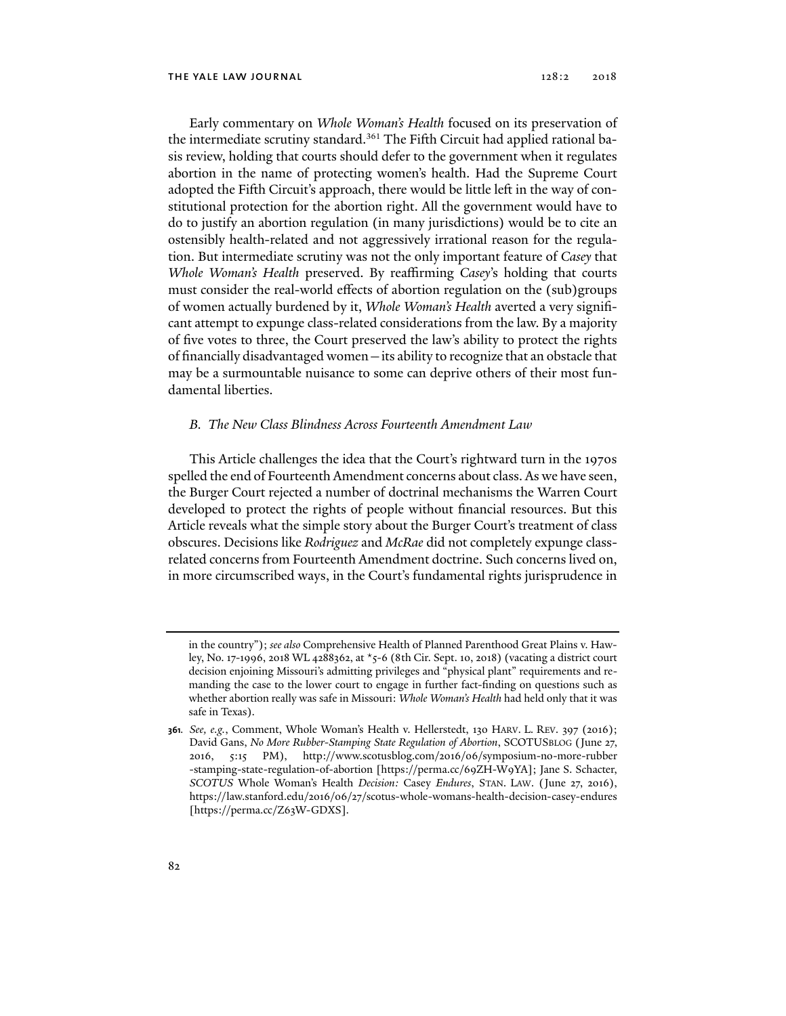Early commentary on *Whole Woman's Health* focused on its preservation of the intermediate scrutiny standard.<sup>361</sup> The Fifth Circuit had applied rational basis review, holding that courts should defer to the government when it regulates abortion in the name of protecting women's health. Had the Supreme Court adopted the Fifth Circuit's approach, there would be little left in the way of constitutional protection for the abortion right. All the government would have to do to justify an abortion regulation (in many jurisdictions) would be to cite an ostensibly health-related and not aggressively irrational reason for the regulation. But intermediate scrutiny was not the only important feature of *Casey* that *Whole Woman's Health* preserved. By reaffirming *Casey*'s holding that courts must consider the real-world effects of abortion regulation on the (sub)groups of women actually burdened by it, *Whole Woman's Health* averted a very significant attempt to expunge class-related considerations from the law. By a majority of five votes to three, the Court preserved the law's ability to protect the rights of financially disadvantaged women—its ability to recognize that an obstacle that may be a surmountable nuisance to some can deprive others of their most fundamental liberties.

# *B. The New Class Blindness Across Fourteenth Amendment Law*

This Article challenges the idea that the Court's rightward turn in the 1970s spelled the end of Fourteenth Amendment concerns about class. As we have seen, the Burger Court rejected a number of doctrinal mechanisms the Warren Court developed to protect the rights of people without financial resources. But this Article reveals what the simple story about the Burger Court's treatment of class obscures. Decisions like *Rodriguez* and *McRae* did not completely expunge classrelated concerns from Fourteenth Amendment doctrine. Such concerns lived on, in more circumscribed ways, in the Court's fundamental rights jurisprudence in

in the country"); *see also* Comprehensive Health of Planned Parenthood Great Plains v. Hawley, No. 17-1996, 2018 WL 4288362, at \*5-6 (8th Cir. Sept. 10, 2018) (vacating a district court decision enjoining Missouri's admitting privileges and "physical plant" requirements and remanding the case to the lower court to engage in further fact-finding on questions such as whether abortion really was safe in Missouri: *Whole Woman's Health* had held only that it was safe in Texas).

**<sup>361</sup>***. See, e.g.*, Comment, Whole Woman's Health v. Hellerstedt, 130 HARV. L. REV. 397 (2016); David Gans, *No More Rubber-Stamping State Regulation of Abortion*, SCOTUSBLOG (June 27, 2016, 5:15 PM), http://www.scotusblog.com/2016/06/symposium-no-more-rubber -stamping-state-regulation-of-abortion [https://perma.cc/69ZH-W9YA]; Jane S. Schacter, *SCOTUS* Whole Woman's Health *Decision:* Casey *Endures*, STAN. LAW. (June 27, 2016), https://law.stanford.edu/2016/06/27/scotus-whole-womans-health-decision-casey-endures [https://perma.cc/Z63W-GDXS].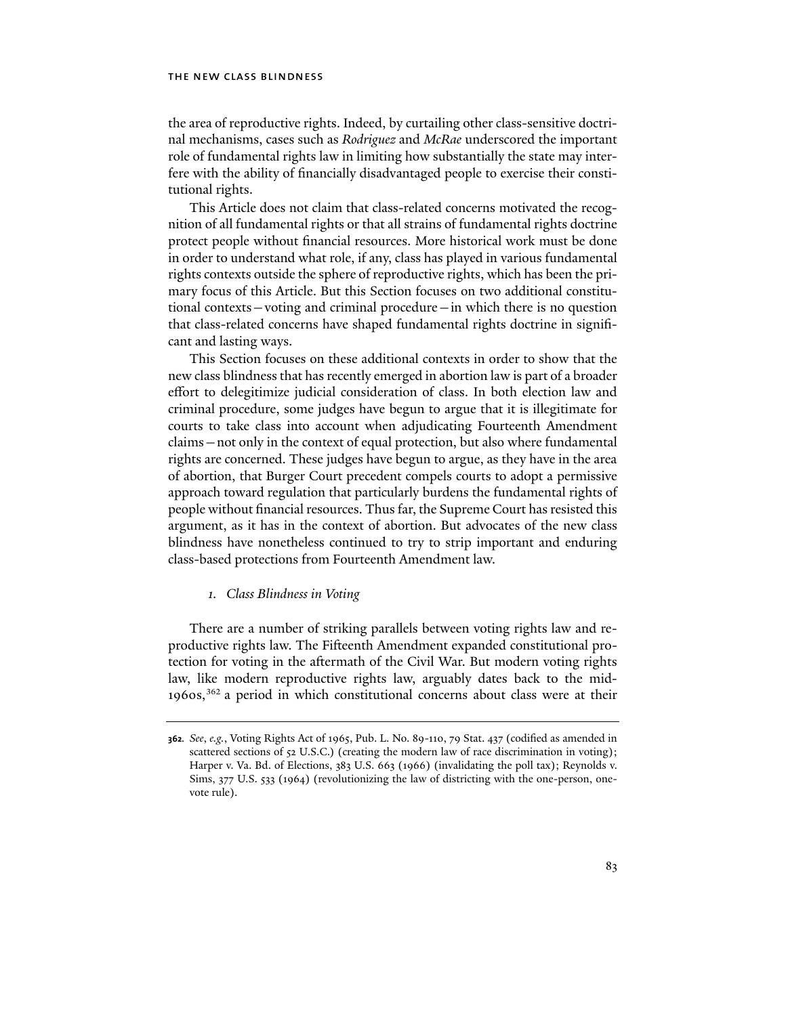the area of reproductive rights. Indeed, by curtailing other class-sensitive doctrinal mechanisms, cases such as *Rodriguez* and *McRae* underscored the important role of fundamental rights law in limiting how substantially the state may interfere with the ability of financially disadvantaged people to exercise their constitutional rights.

This Article does not claim that class-related concerns motivated the recognition of all fundamental rights or that all strains of fundamental rights doctrine protect people without financial resources. More historical work must be done in order to understand what role, if any, class has played in various fundamental rights contexts outside the sphere of reproductive rights, which has been the primary focus of this Article. But this Section focuses on two additional constitutional contexts—voting and criminal procedure—in which there is no question that class-related concerns have shaped fundamental rights doctrine in significant and lasting ways.

This Section focuses on these additional contexts in order to show that the new class blindness that has recently emerged in abortion law is part of a broader effort to delegitimize judicial consideration of class. In both election law and criminal procedure, some judges have begun to argue that it is illegitimate for courts to take class into account when adjudicating Fourteenth Amendment claims—not only in the context of equal protection, but also where fundamental rights are concerned. These judges have begun to argue, as they have in the area of abortion, that Burger Court precedent compels courts to adopt a permissive approach toward regulation that particularly burdens the fundamental rights of people without financial resources. Thus far, the Supreme Court has resisted this argument, as it has in the context of abortion. But advocates of the new class blindness have nonetheless continued to try to strip important and enduring class-based protections from Fourteenth Amendment law.

## *1. Class Blindness in Voting*

There are a number of striking parallels between voting rights law and reproductive rights law. The Fifteenth Amendment expanded constitutional protection for voting in the aftermath of the Civil War. But modern voting rights law, like modern reproductive rights law, arguably dates back to the mid-1960s,362 a period in which constitutional concerns about class were at their

**<sup>362</sup>***. See*, *e.g.*, Voting Rights Act of 1965, Pub. L. No. 89-110, 79 Stat. 437 (codified as amended in scattered sections of 52 U.S.C.) (creating the modern law of race discrimination in voting); Harper v. Va. Bd. of Elections, 383 U.S. 663 (1966) (invalidating the poll tax); Reynolds v. Sims, 377 U.S. 533 (1964) (revolutionizing the law of districting with the one-person, onevote rule).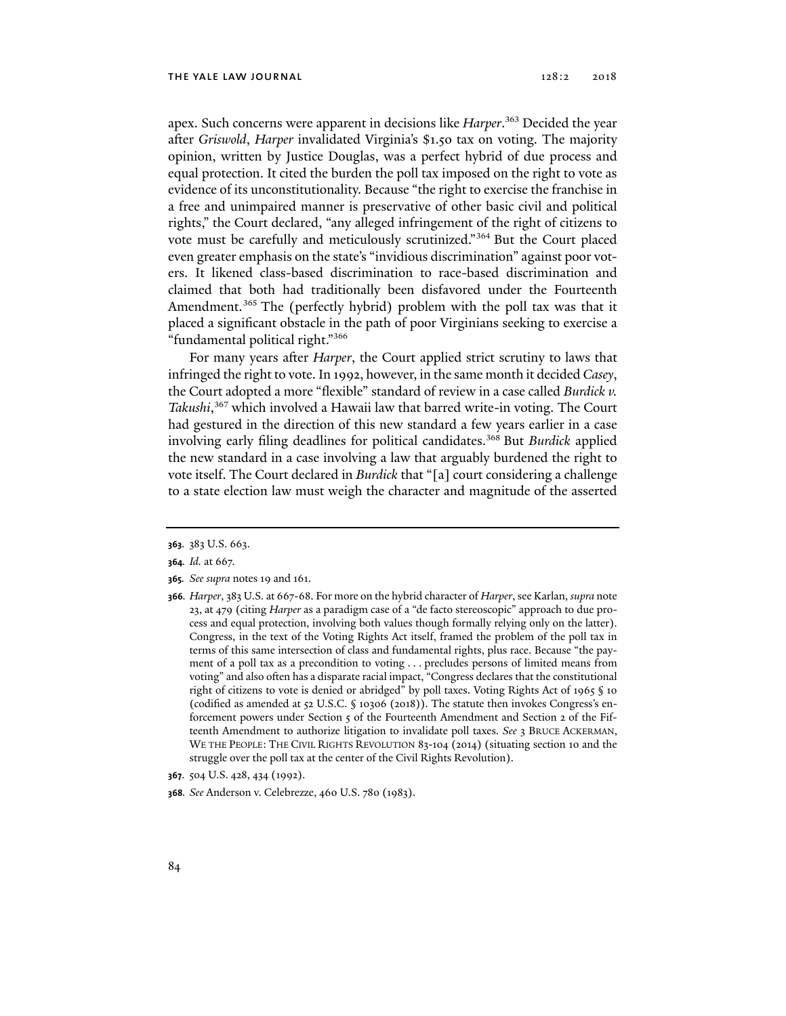apex. Such concerns were apparent in decisions like *Harper*. 363 Decided the year after *Griswold*, *Harper* invalidated Virginia's \$1.50 tax on voting. The majority opinion, written by Justice Douglas, was a perfect hybrid of due process and equal protection. It cited the burden the poll tax imposed on the right to vote as evidence of its unconstitutionality. Because "the right to exercise the franchise in a free and unimpaired manner is preservative of other basic civil and political rights," the Court declared, "any alleged infringement of the right of citizens to vote must be carefully and meticulously scrutinized."364 But the Court placed even greater emphasis on the state's "invidious discrimination" against poor voters. It likened class-based discrimination to race-based discrimination and claimed that both had traditionally been disfavored under the Fourteenth Amendment.<sup>365</sup> The (perfectly hybrid) problem with the poll tax was that it placed a significant obstacle in the path of poor Virginians seeking to exercise a "fundamental political right."366

For many years after *Harper*, the Court applied strict scrutiny to laws that infringed the right to vote. In 1992, however, in the same month it decided *Casey*, the Court adopted a more "flexible" standard of review in a case called *Burdick v. Takushi*, 367 which involved a Hawaii law that barred write-in voting. The Court had gestured in the direction of this new standard a few years earlier in a case involving early filing deadlines for political candidates.368 But *Burdick* applied the new standard in a case involving a law that arguably burdened the right to vote itself. The Court declared in *Burdick* that "[a] court considering a challenge to a state election law must weigh the character and magnitude of the asserted

- **365***. See supra* notes 19 and 161.
- **366***. Harper*, 383 U.S. at 667-68. For more on the hybrid character of *Harper*, see Karlan, *supra* note 23, at 479 (citing *Harper* as a paradigm case of a "de facto stereoscopic" approach to due process and equal protection, involving both values though formally relying only on the latter). Congress, in the text of the Voting Rights Act itself, framed the problem of the poll tax in terms of this same intersection of class and fundamental rights, plus race. Because "the payment of a poll tax as a precondition to voting . . . precludes persons of limited means from voting" and also often has a disparate racial impact, "Congress declares that the constitutional right of citizens to vote is denied or abridged" by poll taxes. Voting Rights Act of 1965 § 10 (codified as amended at 52 U.S.C. § 10306 (2018)). The statute then invokes Congress's enforcement powers under Section  $5$  of the Fourteenth Amendment and Section 2 of the Fifteenth Amendment to authorize litigation to invalidate poll taxes. *See* 3 BRUCE ACKERMAN, WE THE PEOPLE: THE CIVIL RIGHTS REVOLUTION 83-104 (2014) (situating section 10 and the struggle over the poll tax at the center of the Civil Rights Revolution).

**<sup>363</sup>**. 383 U.S. 663.

**<sup>364</sup>***. Id.* at 667.

**<sup>367</sup>**. 504 U.S. 428, 434 (1992).

**<sup>368</sup>***. See* Anderson v. Celebrezze, 460 U.S. 780 (1983).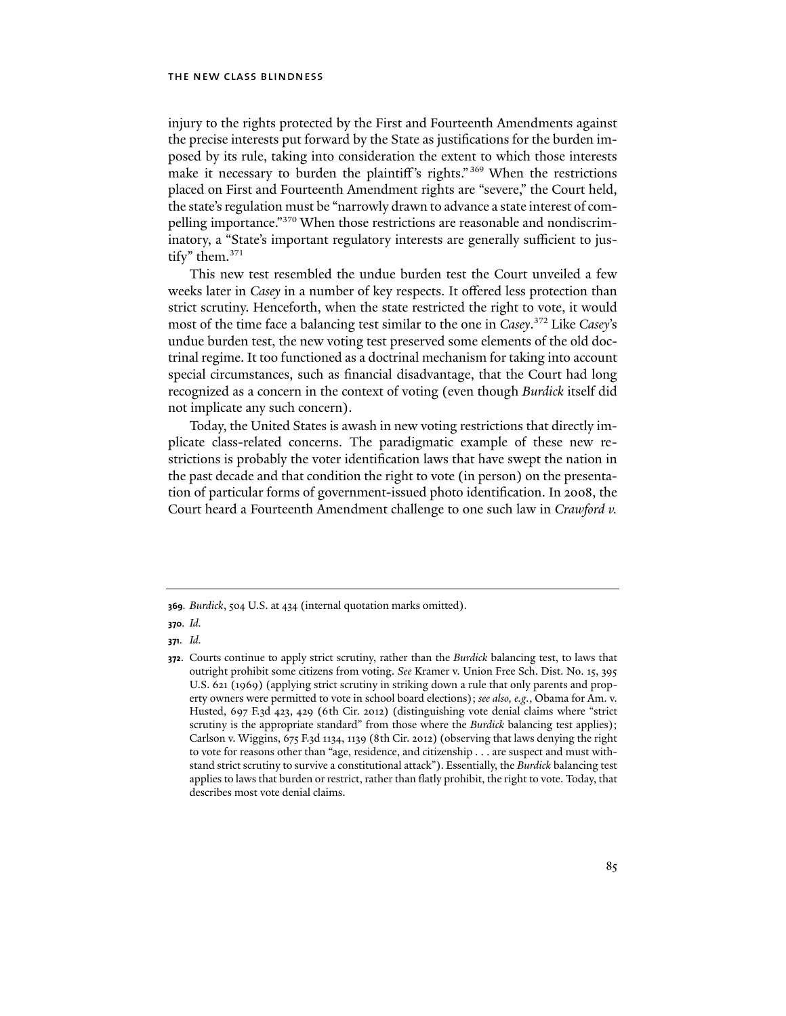injury to the rights protected by the First and Fourteenth Amendments against the precise interests put forward by the State as justifications for the burden imposed by its rule, taking into consideration the extent to which those interests make it necessary to burden the plaintiff 's rights." 369 When the restrictions placed on First and Fourteenth Amendment rights are "severe," the Court held, the state's regulation must be "narrowly drawn to advance a state interest of compelling importance."370 When those restrictions are reasonable and nondiscriminatory, a "State's important regulatory interests are generally sufficient to justify" them.<sup>371</sup>

This new test resembled the undue burden test the Court unveiled a few weeks later in *Casey* in a number of key respects. It offered less protection than strict scrutiny. Henceforth, when the state restricted the right to vote, it would most of the time face a balancing test similar to the one in *Casey*. 372 Like *Casey*'s undue burden test, the new voting test preserved some elements of the old doctrinal regime. It too functioned as a doctrinal mechanism for taking into account special circumstances, such as financial disadvantage, that the Court had long recognized as a concern in the context of voting (even though *Burdick* itself did not implicate any such concern).

Today, the United States is awash in new voting restrictions that directly implicate class-related concerns. The paradigmatic example of these new restrictions is probably the voter identification laws that have swept the nation in the past decade and that condition the right to vote (in person) on the presentation of particular forms of government-issued photo identification. In 2008, the Court heard a Fourteenth Amendment challenge to one such law in *Crawford v.* 

**370***. Id.* 

**371***. Id.*

**<sup>369</sup>***. Burdick*, 504 U.S. at 434 (internal quotation marks omitted).

**<sup>372</sup>**. Courts continue to apply strict scrutiny, rather than the *Burdick* balancing test, to laws that outright prohibit some citizens from voting. *See* Kramer v. Union Free Sch. Dist. No. 15, 395 U.S. 621 (1969) (applying strict scrutiny in striking down a rule that only parents and property owners were permitted to vote in school board elections); *see also, e.g.*, Obama for Am. v. Husted, 697 F.3d 423, 429 (6th Cir. 2012) (distinguishing vote denial claims where "strict scrutiny is the appropriate standard" from those where the *Burdick* balancing test applies); Carlson v. Wiggins, 675 F.3d 1134, 1139 (8th Cir. 2012) (observing that laws denying the right to vote for reasons other than "age, residence, and citizenship . . . are suspect and must withstand strict scrutiny to survive a constitutional attack"). Essentially, the *Burdick* balancing test applies to laws that burden or restrict, rather than flatly prohibit, the right to vote. Today, that describes most vote denial claims.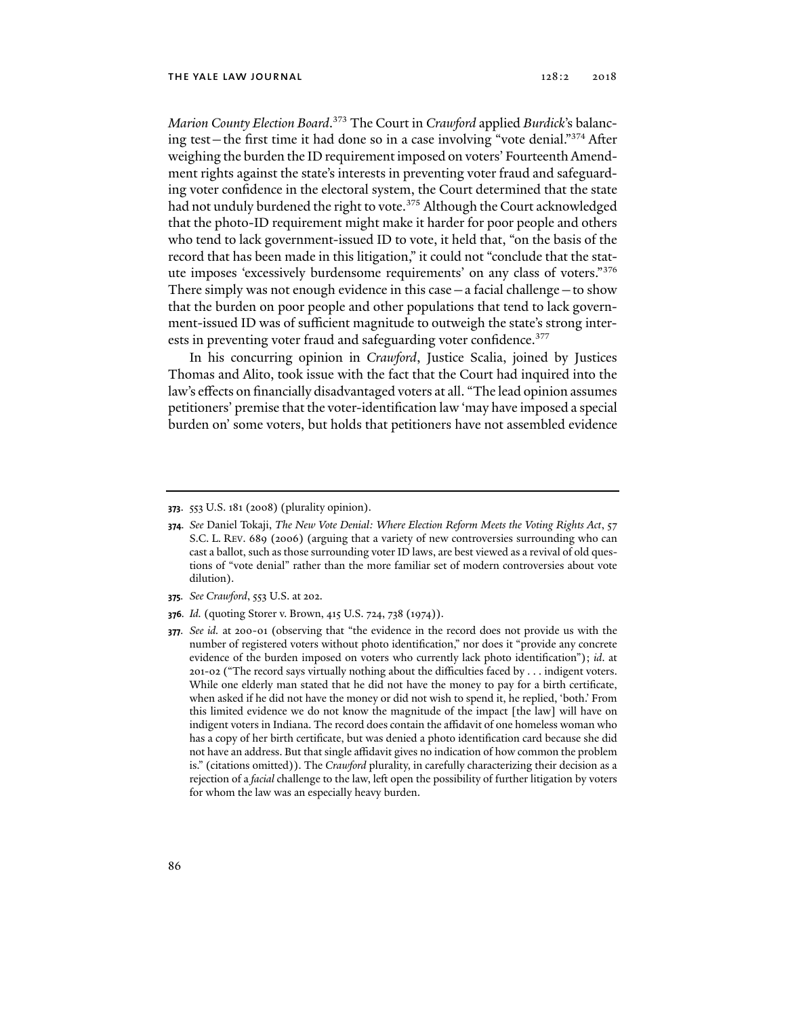*Marion County Election Board*. 373 The Court in *Crawford* applied *Burdick*'s balancing test—the first time it had done so in a case involving "vote denial."374 After weighing the burden the ID requirement imposed on voters' Fourteenth Amendment rights against the state's interests in preventing voter fraud and safeguarding voter confidence in the electoral system, the Court determined that the state had not unduly burdened the right to vote.<sup>375</sup> Although the Court acknowledged that the photo-ID requirement might make it harder for poor people and others who tend to lack government-issued ID to vote, it held that, "on the basis of the record that has been made in this litigation," it could not "conclude that the statute imposes 'excessively burdensome requirements' on any class of voters."376 There simply was not enough evidence in this case  $-$  a facial challenge  $-$  to show that the burden on poor people and other populations that tend to lack government-issued ID was of sufficient magnitude to outweigh the state's strong interests in preventing voter fraud and safeguarding voter confidence.<sup>377</sup>

In his concurring opinion in *Crawford*, Justice Scalia, joined by Justices Thomas and Alito, took issue with the fact that the Court had inquired into the law's effects on financially disadvantaged voters at all. "The lead opinion assumes petitioners' premise that the voter-identification law 'may have imposed a special burden on' some voters, but holds that petitioners have not assembled evidence

- **375***. See Crawford*, 553 U.S. at 202.
- **376***. Id.* (quoting Storer v. Brown, 415 U.S. 724, 738 (1974)).

**<sup>373</sup>**. 553 U.S. 181 (2008) (plurality opinion).

**<sup>374</sup>***. See* Daniel Tokaji, *The New Vote Denial: Where Election Reform Meets the Voting Rights Act*, 57 S.C. L. REV. 689 (2006) (arguing that a variety of new controversies surrounding who can cast a ballot, such as those surrounding voter ID laws, are best viewed as a revival of old questions of "vote denial" rather than the more familiar set of modern controversies about vote dilution).

**<sup>377</sup>***. See id.* at 200-01 (observing that "the evidence in the record does not provide us with the number of registered voters without photo identification," nor does it "provide any concrete evidence of the burden imposed on voters who currently lack photo identification"); *id*. at 201-02 ("The record says virtually nothing about the difficulties faced by . . . indigent voters. While one elderly man stated that he did not have the money to pay for a birth certificate, when asked if he did not have the money or did not wish to spend it, he replied, 'both.' From this limited evidence we do not know the magnitude of the impact [the law] will have on indigent voters in Indiana. The record does contain the affidavit of one homeless woman who has a copy of her birth certificate, but was denied a photo identification card because she did not have an address. But that single affidavit gives no indication of how common the problem is." (citations omitted)). The *Crawford* plurality, in carefully characterizing their decision as a rejection of a *facial* challenge to the law, left open the possibility of further litigation by voters for whom the law was an especially heavy burden.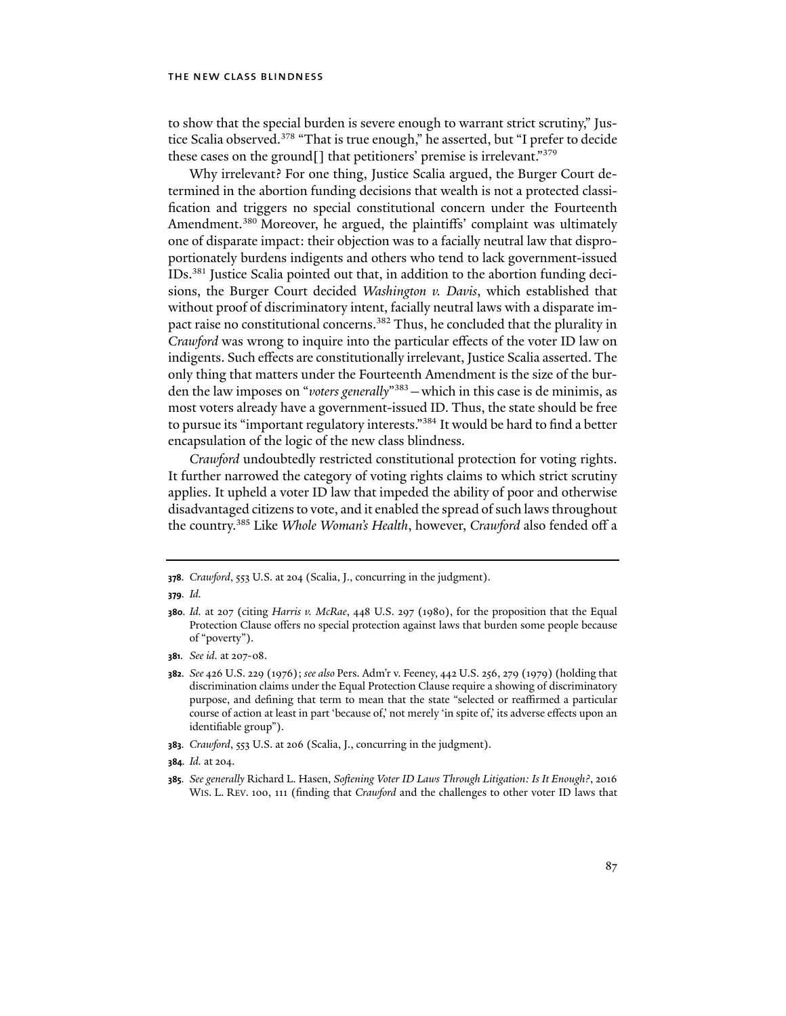to show that the special burden is severe enough to warrant strict scrutiny," Justice Scalia observed.378 "That is true enough," he asserted, but "I prefer to decide these cases on the ground[] that petitioners' premise is irrelevant."379

Why irrelevant? For one thing, Justice Scalia argued, the Burger Court determined in the abortion funding decisions that wealth is not a protected classification and triggers no special constitutional concern under the Fourteenth Amendment.<sup>380</sup> Moreover, he argued, the plaintiffs' complaint was ultimately one of disparate impact: their objection was to a facially neutral law that disproportionately burdens indigents and others who tend to lack government-issued IDs.381 Justice Scalia pointed out that, in addition to the abortion funding decisions, the Burger Court decided *Washington v. Davis*, which established that without proof of discriminatory intent, facially neutral laws with a disparate impact raise no constitutional concerns.<sup>382</sup> Thus, he concluded that the plurality in *Crawford* was wrong to inquire into the particular effects of the voter ID law on indigents. Such effects are constitutionally irrelevant, Justice Scalia asserted. The only thing that matters under the Fourteenth Amendment is the size of the burden the law imposes on "*voters generally*"383—which in this case is de minimis, as most voters already have a government-issued ID. Thus, the state should be free to pursue its "important regulatory interests."384 It would be hard to find a better encapsulation of the logic of the new class blindness.

*Crawford* undoubtedly restricted constitutional protection for voting rights. It further narrowed the category of voting rights claims to which strict scrutiny applies. It upheld a voter ID law that impeded the ability of poor and otherwise disadvantaged citizens to vote, and it enabled the spread of such laws throughout the country.385 Like *Whole Woman's Health*, however, *Crawford* also fended off a

**<sup>378</sup>***. Crawford*, 553 U.S. at 204 (Scalia, J., concurring in the judgment).

**<sup>379</sup>***. Id.*

**<sup>380</sup>***. Id.* at 207 (citing *Harris v. McRae*, 448 U.S. 297 (1980), for the proposition that the Equal Protection Clause offers no special protection against laws that burden some people because of "poverty").

**<sup>381</sup>***. See id.* at 207-08.

**<sup>382</sup>***. See* 426 U.S. 229 (1976); *see also* Pers. Adm'r v. Feeney, 442 U.S. 256, 279 (1979) (holding that discrimination claims under the Equal Protection Clause require a showing of discriminatory purpose, and defining that term to mean that the state "selected or reaffirmed a particular course of action at least in part 'because of,' not merely 'in spite of,' its adverse effects upon an identifiable group").

**<sup>383</sup>***. Crawford*, 553 U.S. at 206 (Scalia, J., concurring in the judgment).

**<sup>384</sup>***. Id.* at 204.

**<sup>385</sup>***. See generally* Richard L. Hasen, *Softening Voter ID Laws Through Litigation: Is It Enough?*, 2016 WIS. L. REV. 100, 111 (finding that *Crawford* and the challenges to other voter ID laws that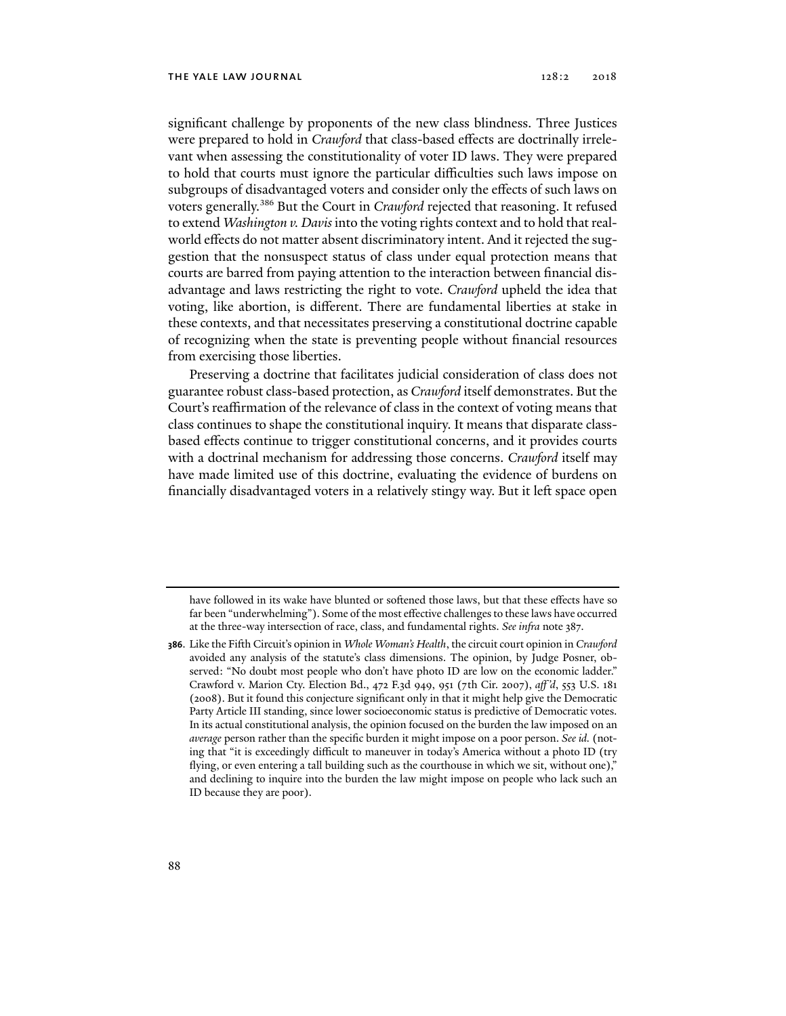significant challenge by proponents of the new class blindness. Three Justices were prepared to hold in *Crawford* that class-based effects are doctrinally irrelevant when assessing the constitutionality of voter ID laws. They were prepared to hold that courts must ignore the particular difficulties such laws impose on subgroups of disadvantaged voters and consider only the effects of such laws on voters generally.386 But the Court in *Crawford* rejected that reasoning. It refused to extend *Washington v. Davis* into the voting rights context and to hold that realworld effects do not matter absent discriminatory intent. And it rejected the suggestion that the nonsuspect status of class under equal protection means that courts are barred from paying attention to the interaction between financial disadvantage and laws restricting the right to vote. *Crawford* upheld the idea that voting, like abortion, is different. There are fundamental liberties at stake in these contexts, and that necessitates preserving a constitutional doctrine capable of recognizing when the state is preventing people without financial resources from exercising those liberties.

Preserving a doctrine that facilitates judicial consideration of class does not guarantee robust class-based protection, as *Crawford* itself demonstrates. But the Court's reaffirmation of the relevance of class in the context of voting means that class continues to shape the constitutional inquiry. It means that disparate classbased effects continue to trigger constitutional concerns, and it provides courts with a doctrinal mechanism for addressing those concerns. *Crawford* itself may have made limited use of this doctrine, evaluating the evidence of burdens on financially disadvantaged voters in a relatively stingy way. But it left space open

have followed in its wake have blunted or softened those laws, but that these effects have so far been "underwhelming"). Some of the most effective challenges to these laws have occurred at the three-way intersection of race, class, and fundamental rights. *See infra* note 387.

**<sup>386</sup>**. Like the Fifth Circuit's opinion in *Whole Woman's Health*, the circuit court opinion in *Crawford* avoided any analysis of the statute's class dimensions. The opinion, by Judge Posner, observed: "No doubt most people who don't have photo ID are low on the economic ladder." Crawford v. Marion Cty. Election Bd., 472 F.3d 949, 951 (7th Cir. 2007), *aff 'd*, 553 U.S. 181 (2008). But it found this conjecture significant only in that it might help give the Democratic Party Article III standing, since lower socioeconomic status is predictive of Democratic votes. In its actual constitutional analysis, the opinion focused on the burden the law imposed on an *average* person rather than the specific burden it might impose on a poor person. *See id.* (noting that "it is exceedingly difficult to maneuver in today's America without a photo ID (try flying, or even entering a tall building such as the courthouse in which we sit, without one), and declining to inquire into the burden the law might impose on people who lack such an ID because they are poor).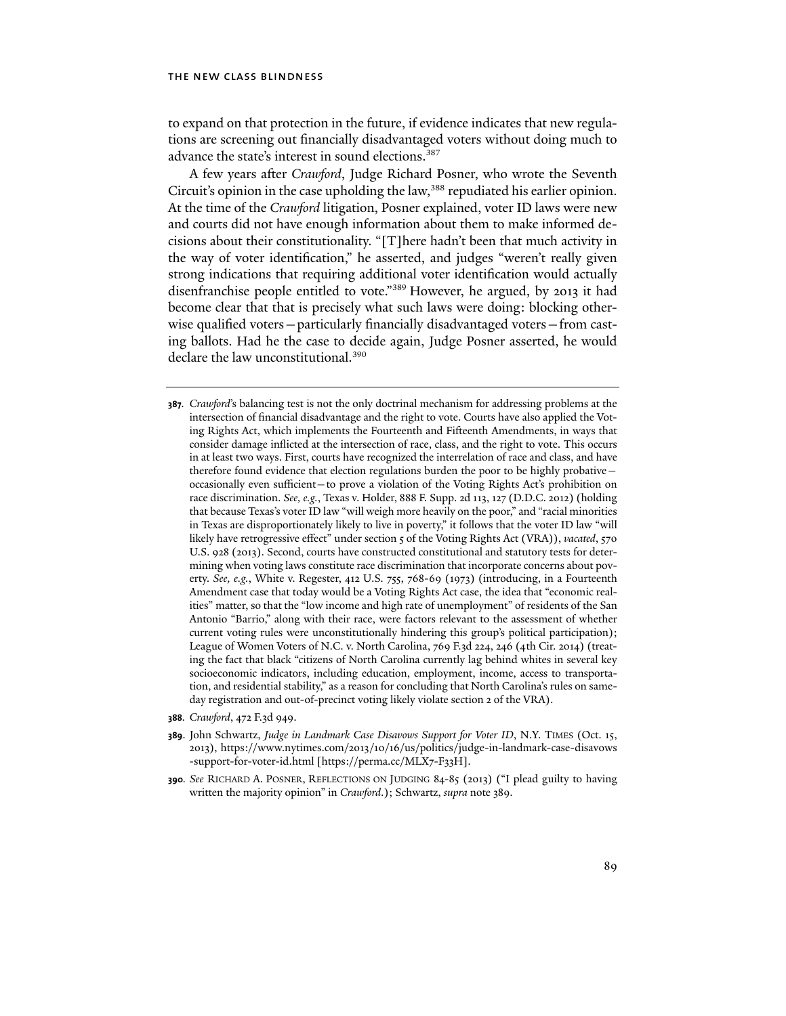to expand on that protection in the future, if evidence indicates that new regulations are screening out financially disadvantaged voters without doing much to advance the state's interest in sound elections.<sup>387</sup>

A few years after *Crawford*, Judge Richard Posner, who wrote the Seventh Circuit's opinion in the case upholding the law,<sup>388</sup> repudiated his earlier opinion. At the time of the *Crawford* litigation, Posner explained, voter ID laws were new and courts did not have enough information about them to make informed decisions about their constitutionality. "[T]here hadn't been that much activity in the way of voter identification," he asserted, and judges "weren't really given strong indications that requiring additional voter identification would actually disenfranchise people entitled to vote."389 However, he argued, by 2013 it had become clear that that is precisely what such laws were doing: blocking otherwise qualified voters—particularly financially disadvantaged voters—from casting ballots. Had he the case to decide again, Judge Posner asserted, he would declare the law unconstitutional.<sup>390</sup>

- **388***. Crawford*, 472 F.3d 949.
- **389**. John Schwartz, *Judge in Landmark Case Disavows Support for Voter ID*, N.Y. TIMES (Oct. 15, 2013), https://www.nytimes.com/2013/10/16/us/politics/judge-in-landmark-case-disavows -support-for-voter-id.html [https://perma.cc/MLX7-F33H].
- **390***. See* RICHARD A. POSNER, REFLECTIONS ON JUDGING 84-85 (2013) ("I plead guilty to having written the majority opinion" in *Crawford*.); Schwartz, *supra* note 389.

**<sup>387</sup>***. Crawford*'s balancing test is not the only doctrinal mechanism for addressing problems at the intersection of financial disadvantage and the right to vote. Courts have also applied the Voting Rights Act, which implements the Fourteenth and Fifteenth Amendments, in ways that consider damage inflicted at the intersection of race, class, and the right to vote. This occurs in at least two ways. First, courts have recognized the interrelation of race and class, and have therefore found evidence that election regulations burden the poor to be highly probative occasionally even sufficient—to prove a violation of the Voting Rights Act's prohibition on race discrimination. *See, e.g.*, Texas v. Holder, 888 F. Supp. 2d 113, 127 (D.D.C. 2012) (holding that because Texas's voter ID law "will weigh more heavily on the poor," and "racial minorities in Texas are disproportionately likely to live in poverty," it follows that the voter ID law "will likely have retrogressive effect" under section 5 of the Voting Rights Act (VRA)), *vacated*, 570 U.S. 928 (2013). Second, courts have constructed constitutional and statutory tests for determining when voting laws constitute race discrimination that incorporate concerns about poverty. *See, e.g.*, White v. Regester, 412 U.S. 755, 768-69 (1973) (introducing, in a Fourteenth Amendment case that today would be a Voting Rights Act case, the idea that "economic realities" matter, so that the "low income and high rate of unemployment" of residents of the San Antonio "Barrio," along with their race, were factors relevant to the assessment of whether current voting rules were unconstitutionally hindering this group's political participation); League of Women Voters of N.C. v. North Carolina, 769 F.3d 224, 246 (4th Cir. 2014) (treating the fact that black "citizens of North Carolina currently lag behind whites in several key socioeconomic indicators, including education, employment, income, access to transportation, and residential stability," as a reason for concluding that North Carolina's rules on sameday registration and out-of-precinct voting likely violate section 2 of the VRA).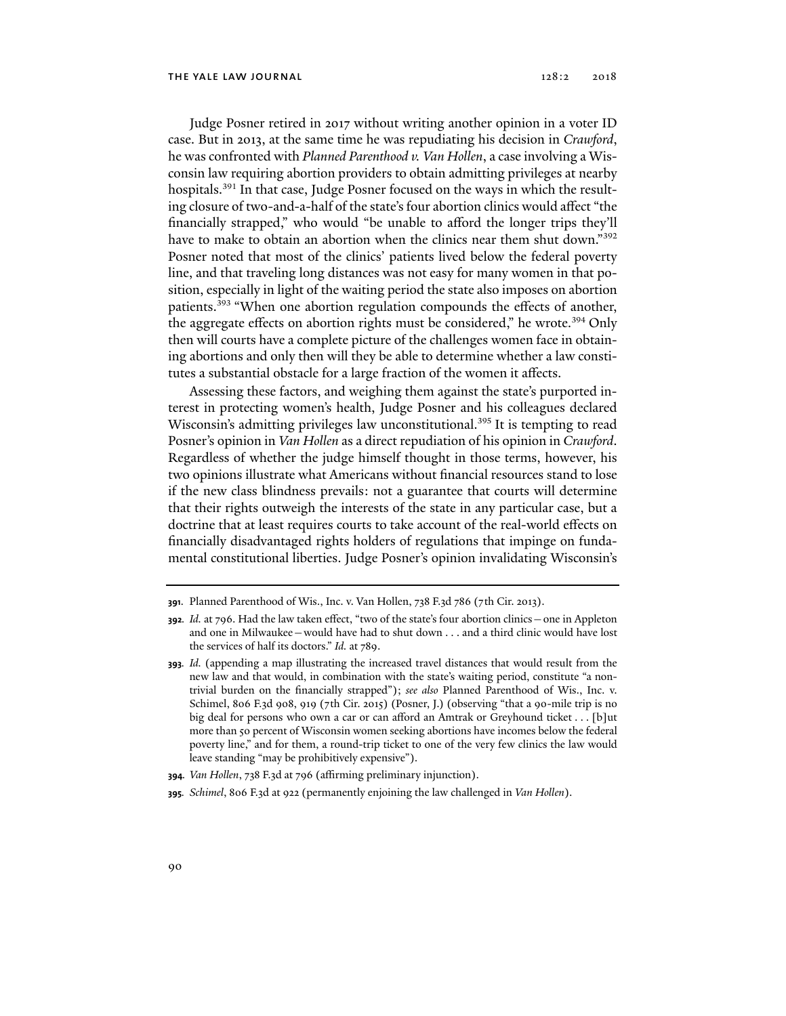Judge Posner retired in 2017 without writing another opinion in a voter ID case. But in 2013, at the same time he was repudiating his decision in *Crawford*, he was confronted with *Planned Parenthood v. Van Hollen*, a case involving a Wisconsin law requiring abortion providers to obtain admitting privileges at nearby hospitals.<sup>391</sup> In that case, Judge Posner focused on the ways in which the resulting closure of two-and-a-half of the state's four abortion clinics would affect "the financially strapped," who would "be unable to afford the longer trips they'll have to make to obtain an abortion when the clinics near them shut down."<sup>392</sup> Posner noted that most of the clinics' patients lived below the federal poverty line, and that traveling long distances was not easy for many women in that position, especially in light of the waiting period the state also imposes on abortion patients.393 "When one abortion regulation compounds the effects of another, the aggregate effects on abortion rights must be considered," he wrote.<sup>394</sup> Only then will courts have a complete picture of the challenges women face in obtaining abortions and only then will they be able to determine whether a law constitutes a substantial obstacle for a large fraction of the women it affects.

Assessing these factors, and weighing them against the state's purported interest in protecting women's health, Judge Posner and his colleagues declared Wisconsin's admitting privileges law unconstitutional.<sup>395</sup> It is tempting to read Posner's opinion in *Van Hollen* as a direct repudiation of his opinion in *Crawford*. Regardless of whether the judge himself thought in those terms, however, his two opinions illustrate what Americans without financial resources stand to lose if the new class blindness prevails: not a guarantee that courts will determine that their rights outweigh the interests of the state in any particular case, but a doctrine that at least requires courts to take account of the real-world effects on financially disadvantaged rights holders of regulations that impinge on fundamental constitutional liberties. Judge Posner's opinion invalidating Wisconsin's

**395***. Schimel*, 806 F.3d at 922 (permanently enjoining the law challenged in *Van Hollen*).

**<sup>391</sup>**. Planned Parenthood of Wis., Inc. v. Van Hollen, 738 F.3d 786 (7th Cir. 2013).

**<sup>392</sup>***. Id.* at 796. Had the law taken effect, "two of the state's four abortion clinics—one in Appleton and one in Milwaukee—would have had to shut down . . . and a third clinic would have lost the services of half its doctors." *Id.* at 789.

**<sup>393</sup>***. Id.* (appending a map illustrating the increased travel distances that would result from the new law and that would, in combination with the state's waiting period, constitute "a nontrivial burden on the financially strapped"); *see also* Planned Parenthood of Wis., Inc. v. Schimel, 806 F.3d 908, 919 (7th Cir. 2015) (Posner, J.) (observing "that a 90-mile trip is no big deal for persons who own a car or can afford an Amtrak or Greyhound ticket . . . [b]ut more than 50 percent of Wisconsin women seeking abortions have incomes below the federal poverty line," and for them, a round-trip ticket to one of the very few clinics the law would leave standing "may be prohibitively expensive").

**<sup>394</sup>***. Van Hollen*, 738 F.3d at 796 (affirming preliminary injunction).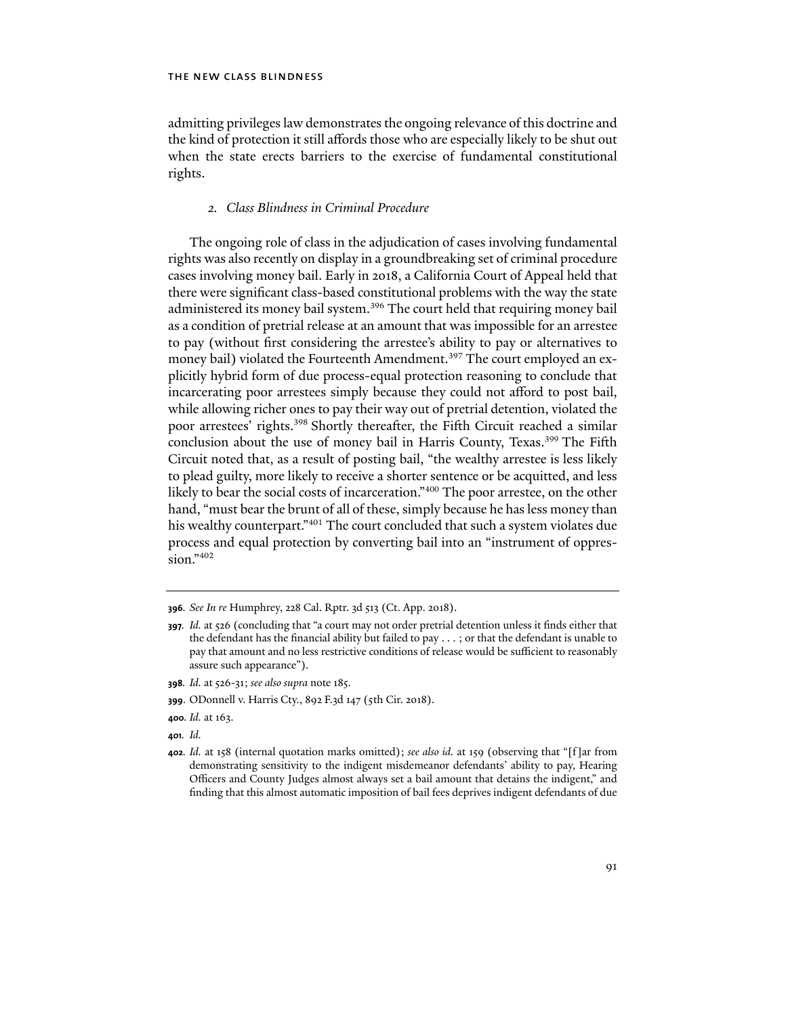admitting privileges law demonstrates the ongoing relevance of this doctrine and the kind of protection it still affords those who are especially likely to be shut out when the state erects barriers to the exercise of fundamental constitutional rights.

### *2. Class Blindness in Criminal Procedure*

The ongoing role of class in the adjudication of cases involving fundamental rights was also recently on display in a groundbreaking set of criminal procedure cases involving money bail. Early in 2018, a California Court of Appeal held that there were significant class-based constitutional problems with the way the state administered its money bail system.<sup>396</sup> The court held that requiring money bail as a condition of pretrial release at an amount that was impossible for an arrestee to pay (without first considering the arrestee's ability to pay or alternatives to money bail) violated the Fourteenth Amendment.<sup>397</sup> The court employed an explicitly hybrid form of due process-equal protection reasoning to conclude that incarcerating poor arrestees simply because they could not afford to post bail, while allowing richer ones to pay their way out of pretrial detention, violated the poor arrestees' rights.398 Shortly thereafter, the Fifth Circuit reached a similar conclusion about the use of money bail in Harris County, Texas.<sup>399</sup> The Fifth Circuit noted that, as a result of posting bail, "the wealthy arrestee is less likely to plead guilty, more likely to receive a shorter sentence or be acquitted, and less likely to bear the social costs of incarceration."<sup>400</sup> The poor arrestee, on the other hand, "must bear the brunt of all of these, simply because he has less money than his wealthy counterpart."<sup>401</sup> The court concluded that such a system violates due process and equal protection by converting bail into an "instrument of oppression."402

- **398***. Id.* at 526-31; *see also supra* note 185.
- **399**. ODonnell v. Harris Cty., 892 F.3d 147 (5th Cir. 2018).
- **400***. Id.* at 163.
- **401***. Id.*

**<sup>396</sup>***. See In re* Humphrey, 228 Cal. Rptr. 3d 513 (Ct. App. 2018).

**<sup>397</sup>***. Id.* at 526 (concluding that "a court may not order pretrial detention unless it finds either that the defendant has the financial ability but failed to pay . . . ; or that the defendant is unable to pay that amount and no less restrictive conditions of release would be sufficient to reasonably assure such appearance").

**<sup>402</sup>***. Id.* at 158 (internal quotation marks omitted); *see also id.* at 159 (observing that "[f]ar from demonstrating sensitivity to the indigent misdemeanor defendants' ability to pay, Hearing Officers and County Judges almost always set a bail amount that detains the indigent," and finding that this almost automatic imposition of bail fees deprives indigent defendants of due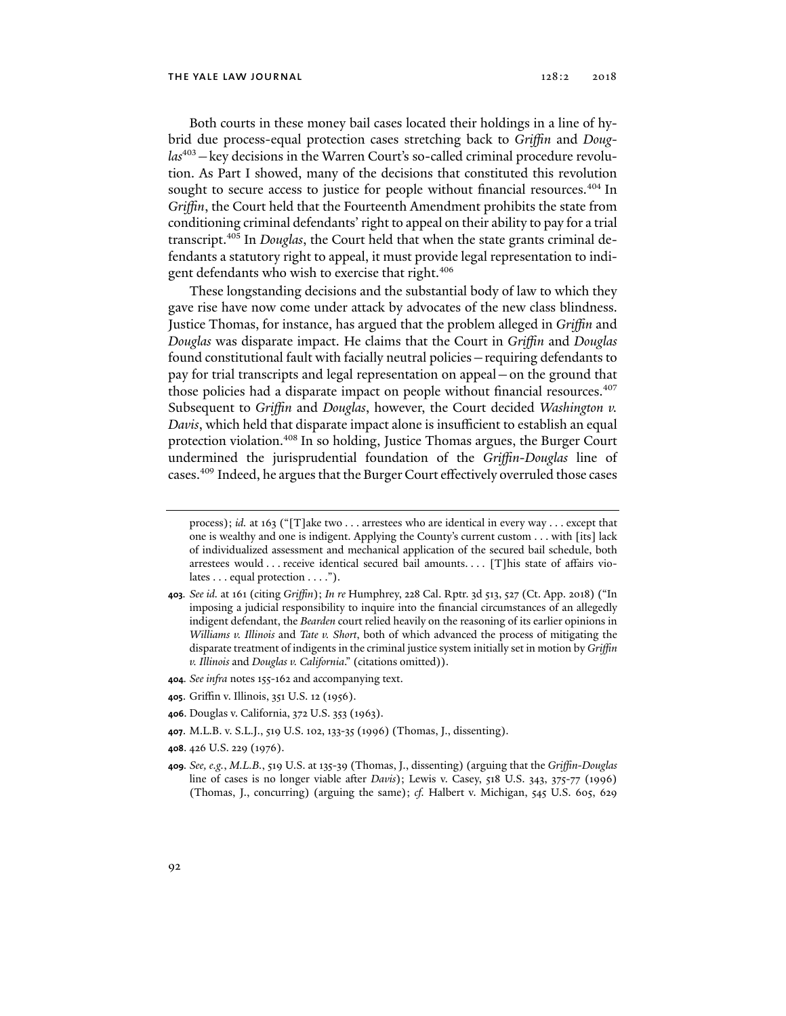Both courts in these money bail cases located their holdings in a line of hybrid due process-equal protection cases stretching back to *Griffin* and *Douglas*403*—*key decisions in the Warren Court's so-called criminal procedure revolution. As Part I showed, many of the decisions that constituted this revolution sought to secure access to justice for people without financial resources.<sup>404</sup> In *Griffin*, the Court held that the Fourteenth Amendment prohibits the state from conditioning criminal defendants' right to appeal on their ability to pay for a trial transcript.405 In *Douglas*, the Court held that when the state grants criminal defendants a statutory right to appeal, it must provide legal representation to indigent defendants who wish to exercise that right.<sup>406</sup>

These longstanding decisions and the substantial body of law to which they gave rise have now come under attack by advocates of the new class blindness. Justice Thomas, for instance, has argued that the problem alleged in *Griffin* and *Douglas* was disparate impact. He claims that the Court in *Griffin* and *Douglas* found constitutional fault with facially neutral policies—requiring defendants to pay for trial transcripts and legal representation on appeal—on the ground that those policies had a disparate impact on people without financial resources.407 Subsequent to *Griffin* and *Douglas*, however, the Court decided *Washington v. Davis*, which held that disparate impact alone is insufficient to establish an equal protection violation.408 In so holding, Justice Thomas argues, the Burger Court undermined the jurisprudential foundation of the *Griffin*-*Douglas* line of cases.409 Indeed, he argues that the Burger Court effectively overruled those cases

- **405**. Griffin v. Illinois, 351 U.S. 12 (1956).
- **406**. Douglas v. California, 372 U.S. 353 (1963).
- **407**. M.L.B. v. S.L.J., 519 U.S. 102, 133-35 (1996) (Thomas, J., dissenting).
- **408**. 426 U.S. 229 (1976).
- **409***. See, e.g.*, *M.L.B.*, 519 U.S. at 135-39 (Thomas, J., dissenting) (arguing that the *Griffin-Douglas*  line of cases is no longer viable after *Davis*); Lewis v. Casey, 518 U.S. 343, 375-77 (1996) (Thomas, J., concurring) (arguing the same); *cf.* Halbert v. Michigan, 545 U.S. 605, 629

process); *id.* at 163 ("[T]ake two . . . arrestees who are identical in every way . . . except that one is wealthy and one is indigent. Applying the County's current custom . . . with [its] lack of individualized assessment and mechanical application of the secured bail schedule, both arrestees would . . . receive identical secured bail amounts. . . . [T]his state of affairs violates . . . equal protection . . . .").

**<sup>403</sup>***. See id.* at 161 (citing *Griffin*); *In re* Humphrey, 228 Cal. Rptr. 3d 513, 527 (Ct. App. 2018) ("In imposing a judicial responsibility to inquire into the financial circumstances of an allegedly indigent defendant, the *Bearden* court relied heavily on the reasoning of its earlier opinions in *Williams v. Illinois* and *Tate v. Short*, both of which advanced the process of mitigating the disparate treatment of indigents in the criminal justice system initially set in motion by *Griffin v. Illinois* and *Douglas v. California*." (citations omitted)).

**<sup>404</sup>***. See infra* notes 155-162 and accompanying text.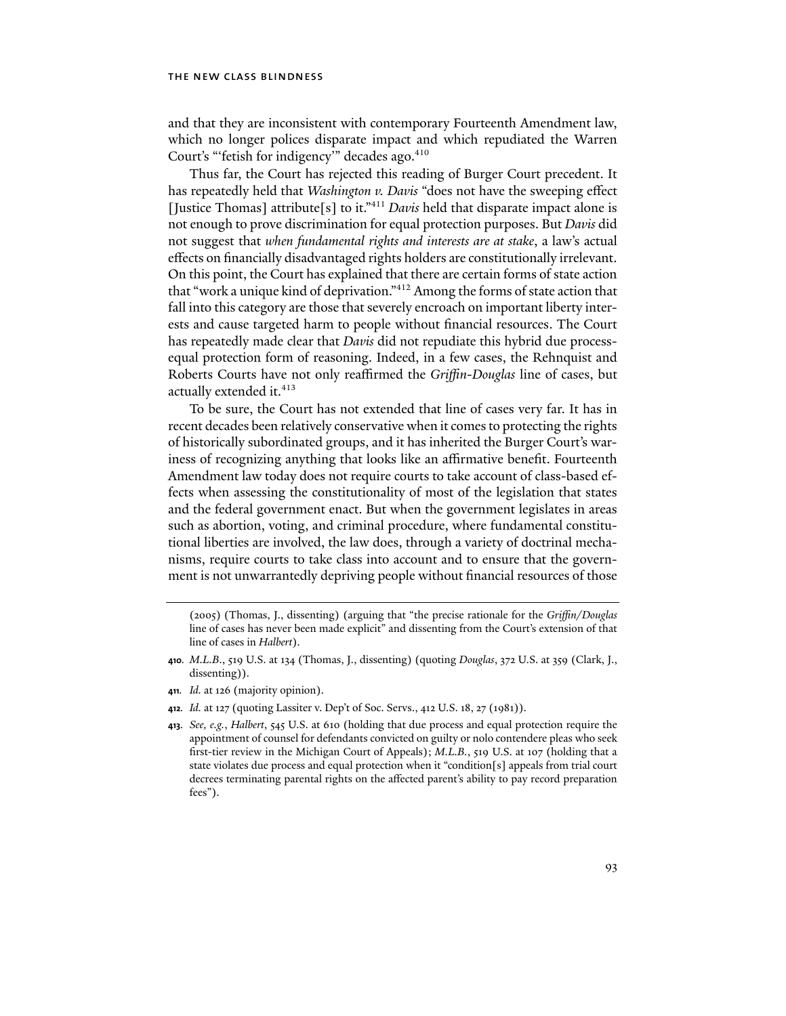and that they are inconsistent with contemporary Fourteenth Amendment law, which no longer polices disparate impact and which repudiated the Warren Court's "'fetish for indigency'" decades ago.<sup>410</sup>

Thus far, the Court has rejected this reading of Burger Court precedent. It has repeatedly held that *Washington v. Davis* "does not have the sweeping effect [Justice Thomas] attribute[s] to it."411 *Davis* held that disparate impact alone is not enough to prove discrimination for equal protection purposes. But *Davis* did not suggest that *when fundamental rights and interests are at stake*, a law's actual effects on financially disadvantaged rights holders are constitutionally irrelevant. On this point, the Court has explained that there are certain forms of state action that "work a unique kind of deprivation."412 Among the forms of state action that fall into this category are those that severely encroach on important liberty interests and cause targeted harm to people without financial resources. The Court has repeatedly made clear that *Davis* did not repudiate this hybrid due processequal protection form of reasoning. Indeed, in a few cases, the Rehnquist and Roberts Courts have not only reaffirmed the *Griffin*-*Douglas* line of cases, but actually extended it.<sup>413</sup>

To be sure, the Court has not extended that line of cases very far. It has in recent decades been relatively conservative when it comes to protecting the rights of historically subordinated groups, and it has inherited the Burger Court's wariness of recognizing anything that looks like an affirmative benefit. Fourteenth Amendment law today does not require courts to take account of class-based effects when assessing the constitutionality of most of the legislation that states and the federal government enact. But when the government legislates in areas such as abortion, voting, and criminal procedure, where fundamental constitutional liberties are involved, the law does, through a variety of doctrinal mechanisms, require courts to take class into account and to ensure that the government is not unwarrantedly depriving people without financial resources of those

- **410***. M.L.B*., 519 U.S. at 134 (Thomas, J., dissenting) (quoting *Douglas*, 372 U.S. at 359 (Clark, J., dissenting)).
- **411***. Id.* at 126 (majority opinion).
- **412***. Id.* at 127 (quoting Lassiter v. Dep't of Soc. Servs., 412 U.S. 18, 27 (1981)).
- **413***. See, e.g.*, *Halbert*, 545 U.S. at 610 (holding that due process and equal protection require the appointment of counsel for defendants convicted on guilty or nolo contendere pleas who seek first-tier review in the Michigan Court of Appeals); *M.L.B.*, 519 U.S. at 107 (holding that a state violates due process and equal protection when it "condition[s] appeals from trial court decrees terminating parental rights on the affected parent's ability to pay record preparation fees").

<sup>(2005) (</sup>Thomas, J., dissenting) (arguing that "the precise rationale for the *Griffin/Douglas*  line of cases has never been made explicit" and dissenting from the Court's extension of that line of cases in *Halbert*).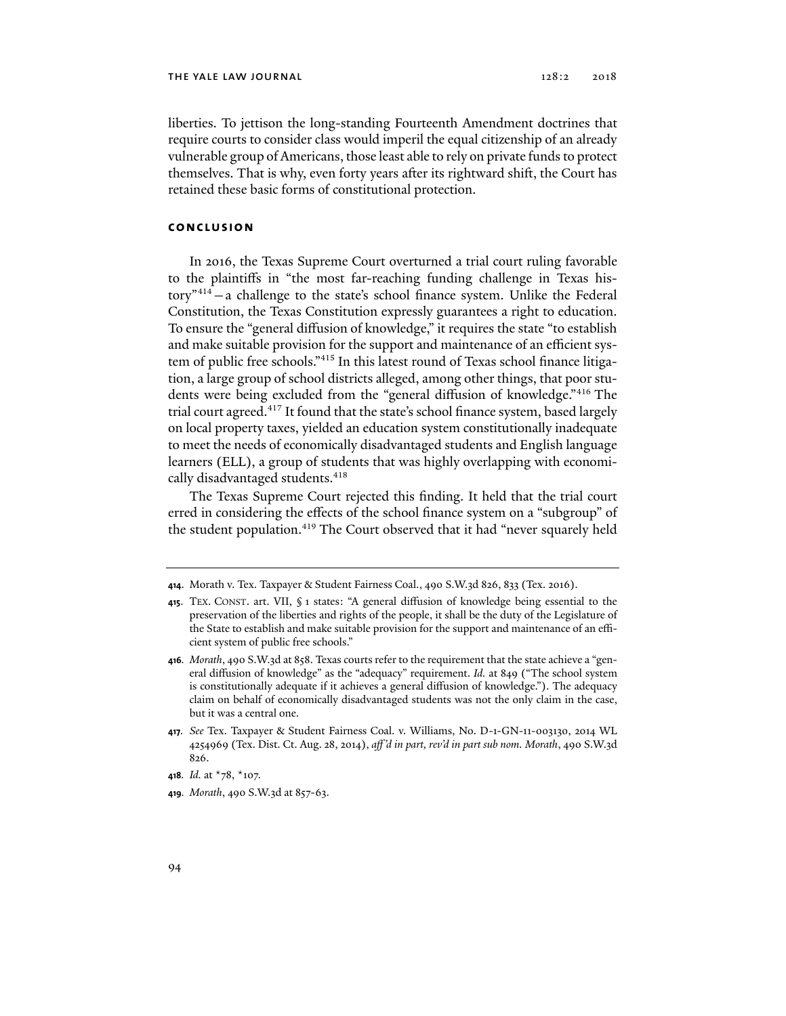liberties. To jettison the long-standing Fourteenth Amendment doctrines that require courts to consider class would imperil the equal citizenship of an already vulnerable group of Americans, those least able to rely on private funds to protect themselves. That is why, even forty years after its rightward shift, the Court has retained these basic forms of constitutional protection.

### **conclusion**

In 2016, the Texas Supreme Court overturned a trial court ruling favorable to the plaintiffs in "the most far-reaching funding challenge in Texas history"414 —a challenge to the state's school finance system. Unlike the Federal Constitution, the Texas Constitution expressly guarantees a right to education. To ensure the "general diffusion of knowledge," it requires the state "to establish and make suitable provision for the support and maintenance of an efficient system of public free schools."415 In this latest round of Texas school finance litigation, a large group of school districts alleged, among other things, that poor students were being excluded from the "general diffusion of knowledge."416 The trial court agreed.<sup>417</sup> It found that the state's school finance system, based largely on local property taxes, yielded an education system constitutionally inadequate to meet the needs of economically disadvantaged students and English language learners (ELL), a group of students that was highly overlapping with economically disadvantaged students.<sup>418</sup>

The Texas Supreme Court rejected this finding. It held that the trial court erred in considering the effects of the school finance system on a "subgroup" of the student population.419 The Court observed that it had "never squarely held

**419***. Morath*, 490 S.W.3d at 857-63.

**<sup>414</sup>**. Morath v. Tex. Taxpayer & Student Fairness Coal., 490 S.W.3d 826, 833 (Tex. 2016).

**<sup>415</sup>**. TEX. CONST. art. VII, § 1 states: "A general diffusion of knowledge being essential to the preservation of the liberties and rights of the people, it shall be the duty of the Legislature of the State to establish and make suitable provision for the support and maintenance of an efficient system of public free schools."

**<sup>416</sup>***. Morath*, 490 S.W.3d at 858. Texas courts refer to the requirement that the state achieve a "general diffusion of knowledge" as the "adequacy" requirement. *Id.* at 849 ("The school system is constitutionally adequate if it achieves a general diffusion of knowledge."). The adequacy claim on behalf of economically disadvantaged students was not the only claim in the case, but it was a central one.

**<sup>417</sup>***. See* Tex. Taxpayer & Student Fairness Coal. v. Williams, No. D-1-GN-11-003130, 2014 WL 4254969 (Tex. Dist. Ct. Aug. 28, 2014), *aff 'd in part, rev'd in part sub nom. Morath*, 490 S.W.3d 826.

**<sup>418</sup>***. Id.* at \*78, \*107.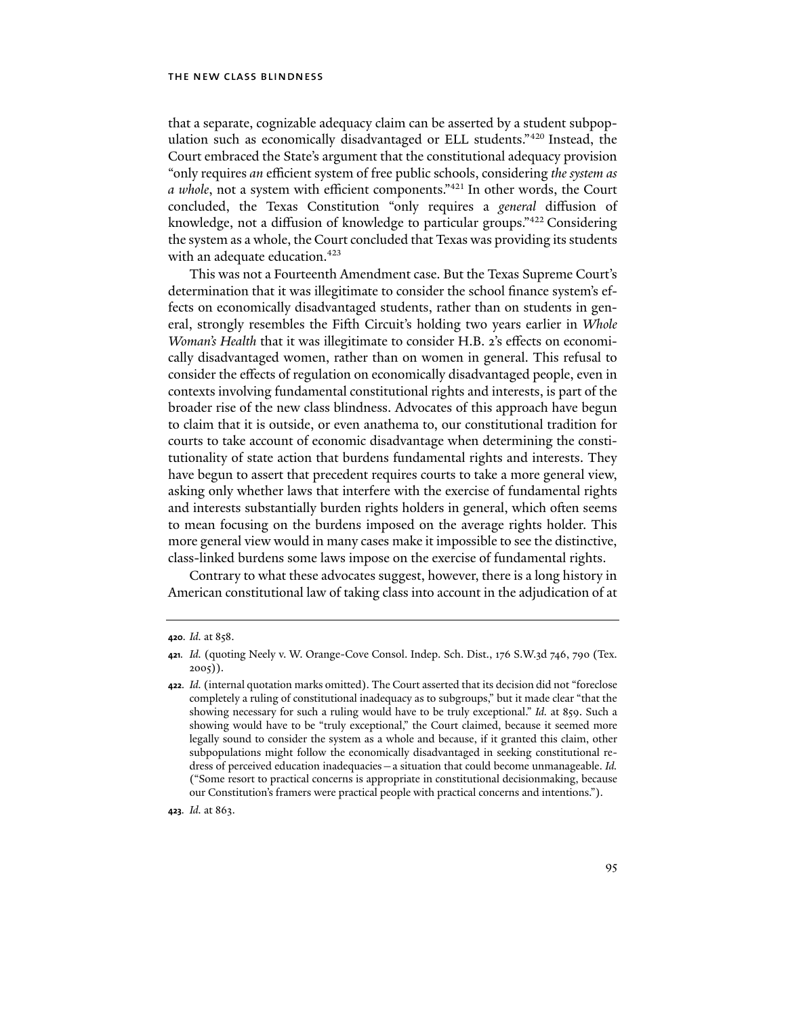that a separate, cognizable adequacy claim can be asserted by a student subpopulation such as economically disadvantaged or ELL students."420 Instead, the Court embraced the State's argument that the constitutional adequacy provision "only requires *an* efficient system of free public schools, considering *the system as a whole*, not a system with efficient components."421 In other words, the Court concluded, the Texas Constitution "only requires a *general* diffusion of knowledge, not a diffusion of knowledge to particular groups."422 Considering the system as a whole, the Court concluded that Texas was providing its students with an adequate education.<sup>423</sup>

This was not a Fourteenth Amendment case. But the Texas Supreme Court's determination that it was illegitimate to consider the school finance system's effects on economically disadvantaged students, rather than on students in general, strongly resembles the Fifth Circuit's holding two years earlier in *Whole Woman's Health* that it was illegitimate to consider H.B. 2's effects on economically disadvantaged women, rather than on women in general. This refusal to consider the effects of regulation on economically disadvantaged people, even in contexts involving fundamental constitutional rights and interests, is part of the broader rise of the new class blindness. Advocates of this approach have begun to claim that it is outside, or even anathema to, our constitutional tradition for courts to take account of economic disadvantage when determining the constitutionality of state action that burdens fundamental rights and interests. They have begun to assert that precedent requires courts to take a more general view, asking only whether laws that interfere with the exercise of fundamental rights and interests substantially burden rights holders in general, which often seems to mean focusing on the burdens imposed on the average rights holder. This more general view would in many cases make it impossible to see the distinctive, class-linked burdens some laws impose on the exercise of fundamental rights.

Contrary to what these advocates suggest, however, there is a long history in American constitutional law of taking class into account in the adjudication of at

**<sup>420</sup>***. Id.* at 858.

**<sup>421</sup>***. Id.* (quoting Neely v. W. Orange-Cove Consol. Indep. Sch. Dist., 176 S.W.3d 746, 790 (Tex. 2005)).

**<sup>422</sup>***. Id.* (internal quotation marks omitted). The Court asserted that its decision did not "foreclose completely a ruling of constitutional inadequacy as to subgroups," but it made clear "that the showing necessary for such a ruling would have to be truly exceptional." *Id.* at 859. Such a showing would have to be "truly exceptional," the Court claimed, because it seemed more legally sound to consider the system as a whole and because, if it granted this claim, other subpopulations might follow the economically disadvantaged in seeking constitutional redress of perceived education inadequacies—a situation that could become unmanageable. *Id.* ("Some resort to practical concerns is appropriate in constitutional decisionmaking, because our Constitution's framers were practical people with practical concerns and intentions.").

**<sup>423</sup>***. Id.* at 863.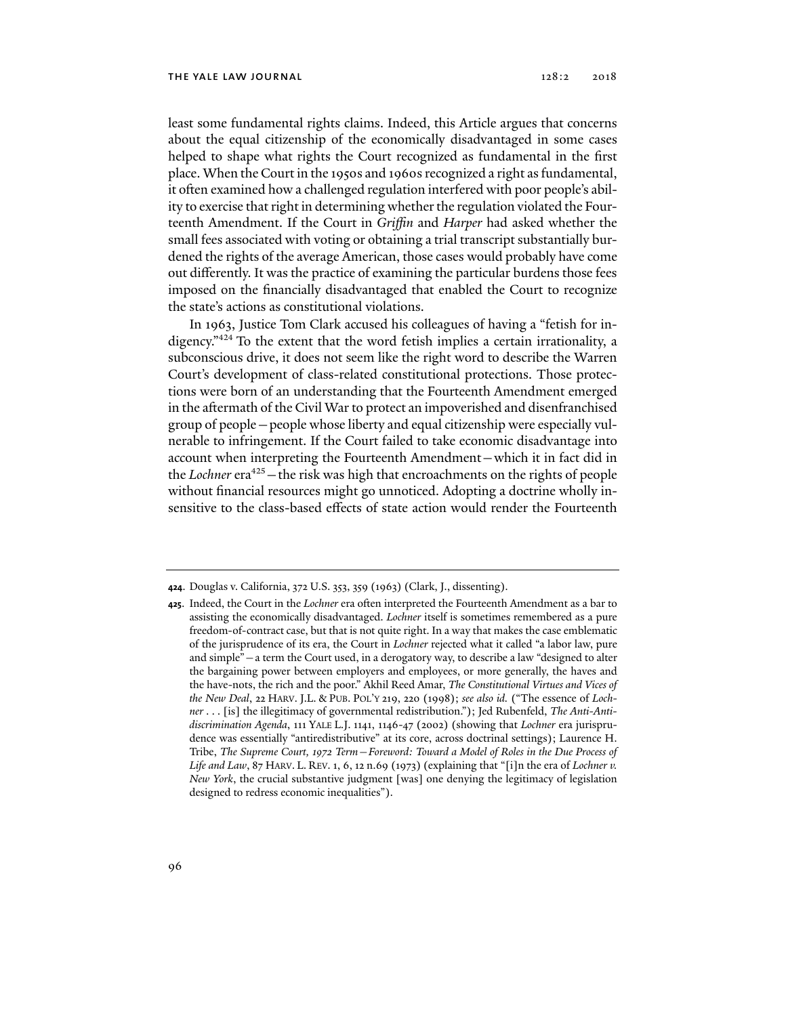least some fundamental rights claims. Indeed, this Article argues that concerns about the equal citizenship of the economically disadvantaged in some cases helped to shape what rights the Court recognized as fundamental in the first place. When the Court in the 1950s and 1960s recognized a right as fundamental, it often examined how a challenged regulation interfered with poor people's ability to exercise that right in determining whether the regulation violated the Fourteenth Amendment. If the Court in *Griffin* and *Harper* had asked whether the small fees associated with voting or obtaining a trial transcript substantially burdened the rights of the average American, those cases would probably have come out differently. It was the practice of examining the particular burdens those fees imposed on the financially disadvantaged that enabled the Court to recognize the state's actions as constitutional violations.

In 1963, Justice Tom Clark accused his colleagues of having a "fetish for indigency."424 To the extent that the word fetish implies a certain irrationality, a subconscious drive, it does not seem like the right word to describe the Warren Court's development of class-related constitutional protections. Those protections were born of an understanding that the Fourteenth Amendment emerged in the aftermath of the Civil War to protect an impoverished and disenfranchised group of people—people whose liberty and equal citizenship were especially vulnerable to infringement. If the Court failed to take economic disadvantage into account when interpreting the Fourteenth Amendment—which it in fact did in the *Lochner* era<sup>425</sup> – the risk was high that encroachments on the rights of people without financial resources might go unnoticed. Adopting a doctrine wholly insensitive to the class-based effects of state action would render the Fourteenth

**<sup>424</sup>**. Douglas v. California, 372 U.S. 353, 359 (1963) (Clark, J., dissenting).

**<sup>425</sup>**. Indeed, the Court in the *Lochner* era often interpreted the Fourteenth Amendment as a bar to assisting the economically disadvantaged. *Lochner* itself is sometimes remembered as a pure freedom-of-contract case, but that is not quite right. In a way that makes the case emblematic of the jurisprudence of its era, the Court in *Lochner* rejected what it called "a labor law, pure and simple"—a term the Court used, in a derogatory way, to describe a law "designed to alter the bargaining power between employers and employees, or more generally, the haves and the have-nots, the rich and the poor." Akhil Reed Amar, *The Constitutional Virtues and Vices of the New Deal*, 22 HARV. J.L. & PUB. POL'Y 219, 220 (1998); *see also id.* ("The essence of *Lochner* . . . [is] the illegitimacy of governmental redistribution."); Jed Rubenfeld, *The Anti-Antidiscrimination Agenda*, 111 YALE L.J. 1141, 1146-47 (2002) (showing that *Lochner* era jurisprudence was essentially "antiredistributive" at its core, across doctrinal settings); Laurence H. Tribe, *The Supreme Court, 1972 Term—Foreword: Toward a Model of Roles in the Due Process of Life and Law*, 87 HARV. L. REV. 1, 6, 12 n.69 (1973) (explaining that "[i]n the era of *Lochner v. New York*, the crucial substantive judgment [was] one denying the legitimacy of legislation designed to redress economic inequalities").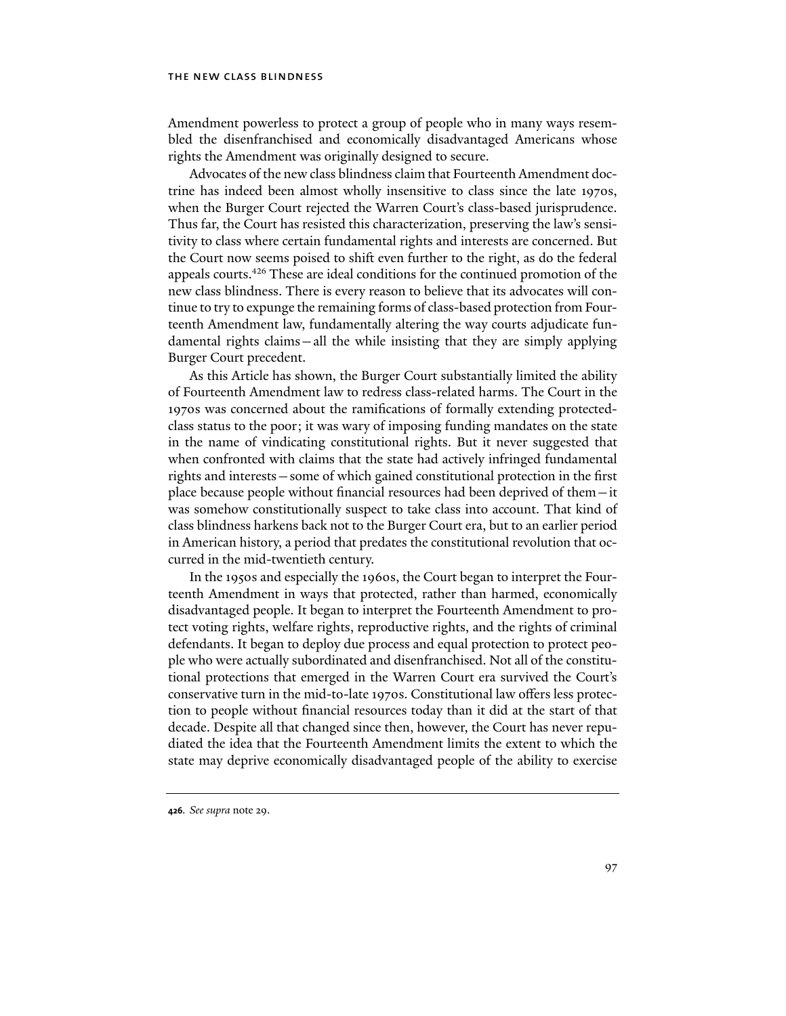Amendment powerless to protect a group of people who in many ways resembled the disenfranchised and economically disadvantaged Americans whose rights the Amendment was originally designed to secure.

Advocates of the new class blindness claim that Fourteenth Amendment doctrine has indeed been almost wholly insensitive to class since the late 1970s, when the Burger Court rejected the Warren Court's class-based jurisprudence. Thus far, the Court has resisted this characterization, preserving the law's sensitivity to class where certain fundamental rights and interests are concerned. But the Court now seems poised to shift even further to the right, as do the federal appeals courts.426 These are ideal conditions for the continued promotion of the new class blindness. There is every reason to believe that its advocates will continue to try to expunge the remaining forms of class-based protection from Fourteenth Amendment law, fundamentally altering the way courts adjudicate fundamental rights claims—all the while insisting that they are simply applying Burger Court precedent.

As this Article has shown, the Burger Court substantially limited the ability of Fourteenth Amendment law to redress class-related harms. The Court in the 1970s was concerned about the ramifications of formally extending protectedclass status to the poor; it was wary of imposing funding mandates on the state in the name of vindicating constitutional rights. But it never suggested that when confronted with claims that the state had actively infringed fundamental rights and interests—some of which gained constitutional protection in the first place because people without financial resources had been deprived of them—it was somehow constitutionally suspect to take class into account. That kind of class blindness harkens back not to the Burger Court era, but to an earlier period in American history, a period that predates the constitutional revolution that occurred in the mid-twentieth century.

In the 1950s and especially the 1960s, the Court began to interpret the Fourteenth Amendment in ways that protected, rather than harmed, economically disadvantaged people. It began to interpret the Fourteenth Amendment to protect voting rights, welfare rights, reproductive rights, and the rights of criminal defendants. It began to deploy due process and equal protection to protect people who were actually subordinated and disenfranchised. Not all of the constitutional protections that emerged in the Warren Court era survived the Court's conservative turn in the mid-to-late 1970s. Constitutional law offers less protection to people without financial resources today than it did at the start of that decade. Despite all that changed since then, however, the Court has never repudiated the idea that the Fourteenth Amendment limits the extent to which the state may deprive economically disadvantaged people of the ability to exercise

**426***. See supra* note 29.